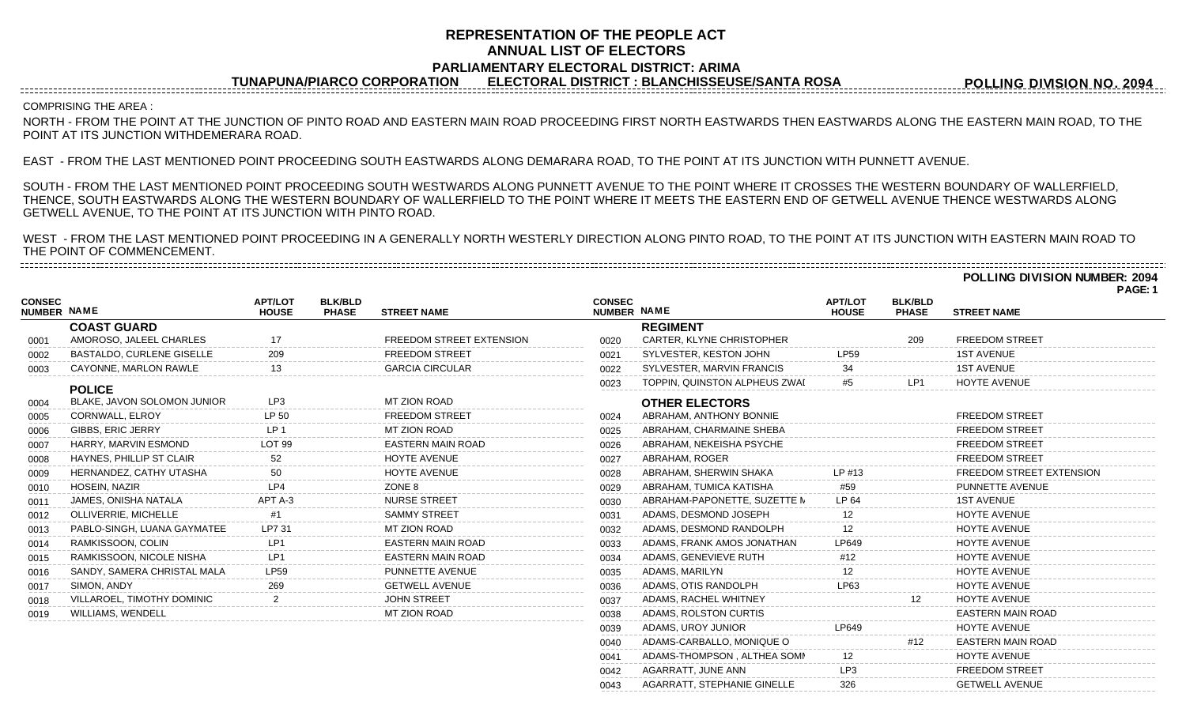# **REPRESENTATION OF THE PEOPLE ACT ANNUAL LIST OF ELECTORS PARLIAMENTARY ELECTORAL DISTRICT: ARIMA**

**TUNAPUNA/PIARCO CORPORATION ELECTORAL DISTRICT : BLANCHISSEUSE/SANTA ROSA**

**POLLING DIVISION NO. 2094**

### COMPRISING THE AREA :

NORTH - FROM THE POINT AT THE JUNCTION OF PINTO ROAD AND EASTERN MAIN ROAD PROCEEDING FIRST NORTH EASTWARDS THEN EASTWARDS ALONG THE EASTERN MAIN ROAD, TO THE POINT AT ITS JUNCTION WITHDEMERARA ROAD.

EAST - FROM THE LAST MENTIONED POINT PROCEEDING SOUTH EASTWARDS ALONG DEMARARA ROAD, TO THE POINT AT ITS JUNCTION WITH PUNNETT AVENUE.

SOUTH - FROM THE LAST MENTIONED POINT PROCEEDING SOUTH WESTWARDS ALONG PUNNETT AVENUE TO THE POINT WHERE IT CROSSES THE WESTERN BOUNDARY OF WALLERFIELD, THENCE, SOUTH EASTWARDS ALONG THE WESTERN BOUNDARY OF WALLERFIELD TO THE POINT WHERE IT MEETS THE EASTERN END OF GETWELL AVENUE THENCE WESTWARDS ALONG GETWELL AVENUE, TO THE POINT AT ITS JUNCTION WITH PINTO ROAD.

WEST - FROM THE LAST MENTIONED POINT PROCEEDING IN A GENERALLY NORTH WESTERLY DIRECTION ALONG PINTO ROAD, TO THE POINT AT ITS JUNCTION WITH EASTERN MAIN ROAD TO THE POINT OF COMMENCEMENT. 

**POLLING DIVISION NUMBER: 2094**

**PAGE: 1**

|                                     |                                  |                                |                                |                                 |                              |                               |                                |                                |                                 | . |
|-------------------------------------|----------------------------------|--------------------------------|--------------------------------|---------------------------------|------------------------------|-------------------------------|--------------------------------|--------------------------------|---------------------------------|---|
| <b>CONSEC</b><br><b>NUMBER NAME</b> |                                  | <b>APT/LOT</b><br><b>HOUSE</b> | <b>BLK/BLD</b><br><b>PHASE</b> | <b>STREET NAME</b>              | <b>CONSEC</b><br>NUMBER NAME |                               | <b>APT/LOT</b><br><b>HOUSE</b> | <b>BLK/BLD</b><br><b>PHASE</b> | <b>STREET NAME</b>              |   |
|                                     | <b>COAST GUARD</b>               |                                |                                |                                 |                              | <b>REGIMENT</b>               |                                |                                |                                 |   |
| 0001                                | AMOROSO, JALEEL CHARLES          | 17                             |                                | <b>FREEDOM STREET EXTENSION</b> | 0020                         | CARTER, KLYNE CHRISTOPHER     |                                | 209                            | <b>FREEDOM STREET</b>           |   |
| 0002                                | <b>BASTALDO, CURLENE GISELLE</b> | 209                            |                                | <b>FREEDOM STREET</b>           | 0021                         | SYLVESTER, KESTON JOHN        | <b>LP59</b>                    |                                | <b>1ST AVENUE</b>               |   |
| 0003                                | CAYONNE, MARLON RAWLE            | 13                             |                                | <b>GARCIA CIRCULAR</b>          | 0022                         | SYLVESTER, MARVIN FRANCIS     |                                |                                | <b>1ST AVENUE</b>               |   |
|                                     | <b>POLICE</b>                    |                                |                                |                                 | 0023                         | TOPPIN, QUINSTON ALPHEUS ZWAI | #5                             | LP <sub>1</sub>                | <b>HOYTE AVENUE</b>             |   |
| 0004                                | BLAKE, JAVON SOLOMON JUNIOR      | LP3                            |                                | MT ZION ROAD                    |                              | <b>OTHER ELECTORS</b>         |                                |                                |                                 |   |
| 0005                                | CORNWALL, ELROY                  | LP 50                          |                                | <b>FREEDOM STREET</b>           | 0024                         | ABRAHAM, ANTHONY BONNIE       |                                |                                | <b>FREEDOM STREET</b>           |   |
| 0006                                | <b>GIBBS, ERIC JERRY</b>         | LP <sub>1</sub>                |                                | MT ZION ROAD                    | 0025                         | ABRAHAM, CHARMAINE SHEBA      |                                |                                | <b>FREEDOM STREET</b>           |   |
| 0007                                | HARRY, MARVIN ESMOND             | LOT <sub>99</sub>              |                                | <b>EASTERN MAIN ROAD</b>        | 0026                         | ABRAHAM, NEKEISHA PSYCHE      |                                |                                | <b>FREEDOM STREET</b>           |   |
| 0008                                | HAYNES, PHILLIP ST CLAIR         | 52                             |                                | HOYTE AVENUE                    | 0027                         | ABRAHAM, ROGER                |                                |                                | <b>FREEDOM STREET</b>           |   |
| 0009                                | HERNANDEZ, CATHY UTASHA          | 50                             |                                | <b>HOYTE AVENUE</b>             | 0028                         | ABRAHAM, SHERWIN SHAKA        | LP #13                         |                                | <b>FREEDOM STREET EXTENSION</b> |   |
| 0010                                | HOSEIN, NAZIR                    | IPA                            |                                | ZONE 8                          | 0029                         | ABRAHAM, TUMICA KATISHA       | #59                            |                                | PUNNETTE AVENUE                 |   |
| 0011                                | JAMES, ONISHA NATALA             | APT A-3                        |                                | <b>NURSE STREET</b>             | 0030                         | ABRAHAM-PAPONETTE, SUZETTE N  | LP 64                          |                                | <b>1ST AVENUE</b>               |   |
| 0012                                | OLLIVERRIE, MICHELLE             | #1                             |                                | <b>SAMMY STREET</b>             | 0031                         | ADAMS, DESMOND JOSEPH         | 12                             |                                | <b>HOYTE AVENUE</b>             |   |
| 0013                                | PABLO-SINGH, LUANA GAYMATEE      | I P7 31                        |                                | MT ZION ROAD                    | 0032                         | ADAMS, DESMOND RANDOLPH       | 12                             |                                | <b>HOYTE AVENUE</b>             |   |
| 0014                                | RAMKISSOON, COLIN                | LP1                            |                                | EASTERN MAIN ROAD               | 0033                         | ADAMS, FRANK AMOS JONATHAN    | LP649                          |                                | HOYTE AVENUE                    |   |
| 0015                                | RAMKISSOON, NICOLE NISHA         | LP1                            |                                | <b>EASTERN MAIN ROAD</b>        | 0034                         | ADAMS, GENEVIEVE RUTH         | #12                            |                                | <b>HOYTE AVENUE</b>             |   |
| 0016                                | SANDY, SAMERA CHRISTAL MALA      | LP59                           |                                | PUNNETTE AVENUE                 | 0035                         | ADAMS, MARILYN                |                                |                                | <b>HOYTE AVENUE</b>             |   |
| 0017                                | SIMON, ANDY                      | 269                            |                                | <b>GETWELL AVENUE</b>           | 0036                         | ADAMS, OTIS RANDOLPH          | LP63                           |                                | HOYTE AVENUE                    |   |
| 0018                                | VILLAROEL, TIMOTHY DOMINIC       |                                |                                | <b>JOHN STREET</b>              | 0037                         | ADAMS, RACHEL WHITNEY         |                                |                                | <b>HOYTE AVENUE</b>             |   |
| 0019                                | <b>WILLIAMS, WENDELL</b>         |                                |                                | MT ZION ROAD                    | 0038                         | ADAMS, ROLSTON CURTIS         |                                |                                | <b>EASTERN MAIN ROAD</b>        |   |
|                                     |                                  |                                |                                |                                 | 0039                         | ADAMS, UROY JUNIOR            | LP649                          |                                | <b>HOYTE AVENUE</b>             |   |
|                                     |                                  |                                |                                |                                 | 0040                         | ADAMS-CARBALLO, MONIQUE O     |                                | #12                            | <b>EASTERN MAIN ROAD</b>        |   |
|                                     |                                  |                                |                                |                                 | 0041                         | ADAMS-THOMPSON, ALTHEA SOMM   |                                |                                | <b>HOYTE AVENUE</b>             |   |
|                                     |                                  |                                |                                |                                 | 0042                         | AGARRATT, JUNE ANN            | LP3                            |                                | <b>FREEDOM STREET</b>           |   |
|                                     |                                  |                                |                                |                                 | 0043                         | AGARRATT, STEPHANIE GINELLE   | 326                            |                                | <b>GETWELL AVENUE</b>           |   |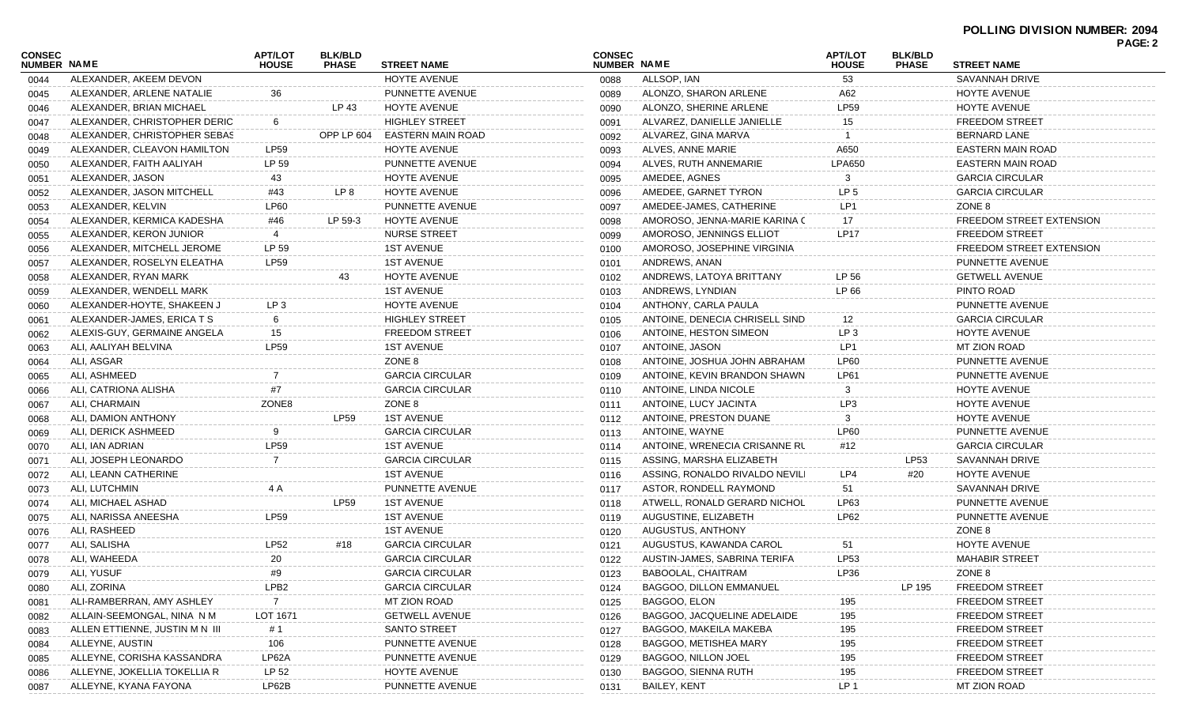|                                     |                                |                                |                                |                              |                              |                                |                         |                                |                                 | PAGE: 2 |
|-------------------------------------|--------------------------------|--------------------------------|--------------------------------|------------------------------|------------------------------|--------------------------------|-------------------------|--------------------------------|---------------------------------|---------|
| <b>CONSEC</b><br><b>NUMBER NAME</b> |                                | <b>APT/LOT</b><br><b>HOUSE</b> | <b>BLK/BLD</b><br><b>PHASE</b> | <b>STREET NAME</b>           | <b>CONSEC</b><br>NUMBER NAME |                                | APT/LOT<br><b>HOUSE</b> | <b>BLK/BLD</b><br><b>PHASE</b> | <b>STREET NAME</b>              |         |
| 0044                                | ALEXANDER, AKEEM DEVON         |                                |                                | <b>HOYTE AVENUE</b>          | 0088                         | ALLSOP, IAN                    | 53                      |                                | <b>SAVANNAH DRIVE</b>           |         |
| 0045                                | ALEXANDER, ARLENE NATALIE      | 36                             |                                | PUNNETTE AVENUE              | 0089                         | ALONZO, SHARON ARLENE          | A62                     |                                | HOYTE AVENUE                    |         |
| 0046                                | ALEXANDER, BRIAN MICHAEL       |                                | LP 43                          | <b>HOYTE AVENUE</b>          | 0090                         | ALONZO, SHERINE ARLENE         | <b>LP59</b>             |                                | HOYTE AVENUE                    |         |
| 0047                                | ALEXANDER, CHRISTOPHER DERIC   | 6                              |                                | <b>HIGHLEY STREET</b>        | 0091                         | ALVAREZ. DANIELLE JANIELLE     | 15                      |                                | <b>FREEDOM STREET</b>           |         |
| 0048                                | ALEXANDER, CHRISTOPHER SEBAS   |                                |                                | OPP LP 604 EASTERN MAIN ROAD | 0092                         | ALVAREZ, GINA MARVA            |                         |                                | <b>BERNARD LANE</b>             |         |
| 0049                                | ALEXANDER, CLEAVON HAMILTON    | LP59                           |                                | HOYTE AVENUE                 | 0093                         | ALVES, ANNE MARIE              | A650                    |                                | <b>EASTERN MAIN ROAD</b>        |         |
| 0050                                | ALEXANDER, FAITH AALIYAH       | LP 59                          |                                | PUNNETTE AVENUE              | 0094                         | ALVES, RUTH ANNEMARIE          | <b>LPA650</b>           |                                | <b>EASTERN MAIN ROAD</b>        |         |
| 0051                                | ALEXANDER, JASON               | 43                             |                                | HOYTE AVENUE                 | 0095                         | AMEDEE, AGNES                  | 3                       |                                | <b>GARCIA CIRCULAR</b>          |         |
| 0052                                | ALEXANDER, JASON MITCHELL      | #43                            | LP 8                           | HOYTE AVENUE                 | 0096                         | AMEDEE, GARNET TYRON           | LP <sub>5</sub>         |                                | <b>GARCIA CIRCULAR</b>          |         |
| 0053                                | ALEXANDER, KELVIN              | LP60                           |                                | PUNNETTE AVENUE              | 0097                         | AMEDEE-JAMES, CATHERINE        | LP1                     |                                | ZONE 8                          |         |
| 0054                                | ALEXANDER, KERMICA KADESHA     | #46                            | LP 59-3                        | <b>HOYTE AVENUE</b>          | 0098                         | AMOROSO, JENNA-MARIE KARINA C  | 17                      |                                | <b>FREEDOM STREET EXTENSION</b> |         |
| 0055                                | ALEXANDER, KERON JUNIOR        | 4                              |                                | <b>NURSE STREET</b>          | 0099                         | AMOROSO, JENNINGS ELLIOT       | <b>LP17</b>             |                                | <b>FREEDOM STREET</b>           |         |
| 0056                                | ALEXANDER, MITCHELL JEROME     | LP 59                          |                                | <b>1ST AVENUE</b>            | 0100                         | AMOROSO, JOSEPHINE VIRGINIA    |                         |                                | FREEDOM STREET EXTENSION        |         |
| 0057                                | ALEXANDER, ROSELYN ELEATHA     | <b>LP59</b>                    |                                | <b>1ST AVENUE</b>            | 0101                         | ANDREWS, ANAN                  |                         |                                | PUNNETTE AVENUE                 |         |
| 0058                                | ALEXANDER, RYAN MARK           |                                | 43                             | HOYTE AVENUE                 | 0102                         | ANDREWS, LATOYA BRITTANY       | LP 56                   |                                | <b>GETWELL AVENUE</b>           |         |
| 0059                                | ALEXANDER, WENDELL MARK        |                                |                                | <b>1ST AVENUE</b>            | 0103                         | ANDREWS, LYNDIAN               | LP 66                   |                                | PINTO ROAD                      |         |
| 0060                                | ALEXANDER-HOYTE, SHAKEEN J     | LP <sub>3</sub>                |                                | HOYTE AVENUE                 | 0104                         | ANTHONY, CARLA PAULA           |                         |                                | PUNNETTE AVENUE                 |         |
| 0061                                | ALEXANDER-JAMES, ERICA T S     | 6                              |                                | <b>HIGHLEY STREET</b>        | 0105                         | ANTOINE, DENECIA CHRISELL SIND | 12                      |                                | <b>GARCIA CIRCULAR</b>          |         |
| 0062                                | ALEXIS-GUY, GERMAINE ANGELA    | 15                             |                                | <b>FREEDOM STREET</b>        | 0106                         | ANTOINE, HESTON SIMEON         | LP <sub>3</sub>         |                                | HOYTE AVENUE                    |         |
| 0063                                | ALI, AALIYAH BELVINA           | LP59                           |                                | <b>1ST AVENUE</b>            | 0107                         | ANTOINE, JASON                 | LP1                     |                                | MT ZION ROAD                    |         |
| 0064                                | ALI, ASGAR                     |                                |                                | ZONE 8                       | 0108                         | ANTOINE, JOSHUA JOHN ABRAHAM   | <b>LP60</b>             |                                | PUNNETTE AVENUE                 |         |
| 0065                                | ALI. ASHMEED                   |                                |                                | <b>GARCIA CIRCULAR</b>       | 0109                         | ANTOINE, KEVIN BRANDON SHAWN   | LP61                    |                                | PUNNETTE AVENUE                 |         |
| 0066                                | ALI, CATRIONA ALISHA           | #7                             |                                | <b>GARCIA CIRCULAR</b>       | 0110                         | ANTOINE, LINDA NICOLE          | 3                       |                                | HOYTE AVENUE                    |         |
| 0067                                | ALI, CHARMAIN                  | ZONE8                          |                                | ZONE 8                       | 0111                         | ANTOINE, LUCY JACINTA          | LP <sub>3</sub>         |                                | HOYTE AVENUE                    |         |
| 0068                                | ALI, DAMION ANTHONY            |                                | <b>LP59</b>                    | <b>1ST AVENUE</b>            | 0112                         | ANTOINE, PRESTON DUANE         | 3                       |                                | HOYTE AVENUE                    |         |
| 0069                                | ALI, DERICK ASHMEED            | 9                              |                                | <b>GARCIA CIRCULAR</b>       | 0113                         | ANTOINE, WAYNE                 | <b>LP60</b>             |                                | PUNNETTE AVENUE                 |         |
| 0070                                | ALI, IAN ADRIAN                | LP59                           |                                | <b>1ST AVENUE</b>            | 0114                         | ANTOINE, WRENECIA CRISANNE RL  | #12                     |                                | <b>GARCIA CIRCULAR</b>          |         |
| 0071                                | ALI, JOSEPH LEONARDO           | $\overline{7}$                 |                                | <b>GARCIA CIRCULAR</b>       | 0115                         | ASSING, MARSHA ELIZABETH       |                         | LP53                           | SAVANNAH DRIVE                  |         |
| 0072                                | ALI, LEANN CATHERINE           |                                |                                | <b>1ST AVENUE</b>            | 0116                         | ASSING, RONALDO RIVALDO NEVILI | LP4                     | #20                            | HOYTE AVENUE                    |         |
| 0073                                | ALI, LUTCHMIN                  | 4 A                            |                                | PUNNETTE AVENUE              | 0117                         | ASTOR, RONDELL RAYMOND         | 51                      |                                | SAVANNAH DRIVE                  |         |
| 0074                                | ALI, MICHAEL ASHAD             |                                | <b>LP59</b>                    | <b>1ST AVENUE</b>            | 0118                         | ATWELL, RONALD GERARD NICHOL   | LP63                    |                                | PUNNETTE AVENUE                 |         |
| 0075                                | ALI, NARISSA ANEESHA           | LP59                           |                                | <b>1ST AVENUE</b>            | 0119                         | AUGUSTINE, ELIZABETH           | <b>LP62</b>             |                                | PUNNETTE AVENUE                 |         |
| 0076                                | ALI, RASHEED                   |                                |                                | <b>1ST AVENUE</b>            | 0120                         | AUGUSTUS, ANTHONY              |                         |                                | ZONE 8                          |         |
| 0077                                | ALI, SALISHA                   | LP52                           | #18                            | <b>GARCIA CIRCULAR</b>       | 0121                         | AUGUSTUS, KAWANDA CAROL        | 51                      |                                | HOYTE AVENUE                    |         |
| 0078                                | ALI, WAHEEDA                   | 20                             |                                | <b>GARCIA CIRCULAR</b>       | 0122                         | AUSTIN-JAMES, SABRINA TERIFA   | LP53                    |                                | <b>MAHABIR STREET</b>           |         |
| 0079                                | ALI, YUSUF                     | #9                             |                                | <b>GARCIA CIRCULAR</b>       | 0123                         | BABOOLAL, CHAITRAM             | LP36                    |                                | ZONE 8                          |         |
| 0080                                | ALI, ZORINA                    | LPB <sub>2</sub>               |                                | <b>GARCIA CIRCULAR</b>       | 0124                         | BAGGOO, DILLON EMMANUEL        |                         | LP 195                         | <b>FREEDOM STREET</b>           |         |
| 0081                                | ALI-RAMBERRAN, AMY ASHLEY      |                                |                                | MT ZION ROAD                 | 0125                         | BAGGOO, ELON                   | 195                     |                                | <b>FREEDOM STREET</b>           |         |
| 0082                                | ALLAIN-SEEMONGAL, NINA N M     | LOT 1671                       |                                | <b>GETWELL AVENUE</b>        | 0126                         | BAGGOO, JACQUELINE ADELAIDE    | 195                     |                                | <b>FREEDOM STREET</b>           |         |
| 0083                                | ALLEN ETTIENNE, JUSTIN M N III | #1                             |                                | <b>SANTO STREET</b>          | 0127                         | BAGGOO, MAKEILA MAKEBA         | 195                     |                                | <b>FREEDOM STREET</b>           |         |
| 0084                                | ALLEYNE, AUSTIN                | 106                            |                                | PUNNETTE AVENUE              | 0128                         | BAGGOO, METISHEA MARY          | 195                     |                                | <b>FREEDOM STREET</b>           |         |
| 0085                                | ALLEYNE, CORISHA KASSANDRA     | LP62A                          |                                | PUNNETTE AVENUE              | 0129                         | BAGGOO, NILLON JOEL            | 195                     |                                | <b>FREEDOM STREET</b>           |         |
| 0086                                | ALLEYNE, JOKELLIA TOKELLIA R   | LP 52                          |                                | HOYTE AVENUE                 | 0130                         | BAGGOO, SIENNA RUTH            | 195                     |                                | <b>FREEDOM STREET</b>           |         |
| 0087                                | ALLEYNE, KYANA FAYONA          | LP62B                          |                                | PUNNETTE AVENUE              | 0131                         | BAILEY, KENT                   | LP <sub>1</sub>         |                                | MT ZION ROAD                    |         |
|                                     |                                |                                |                                |                              |                              |                                |                         |                                |                                 |         |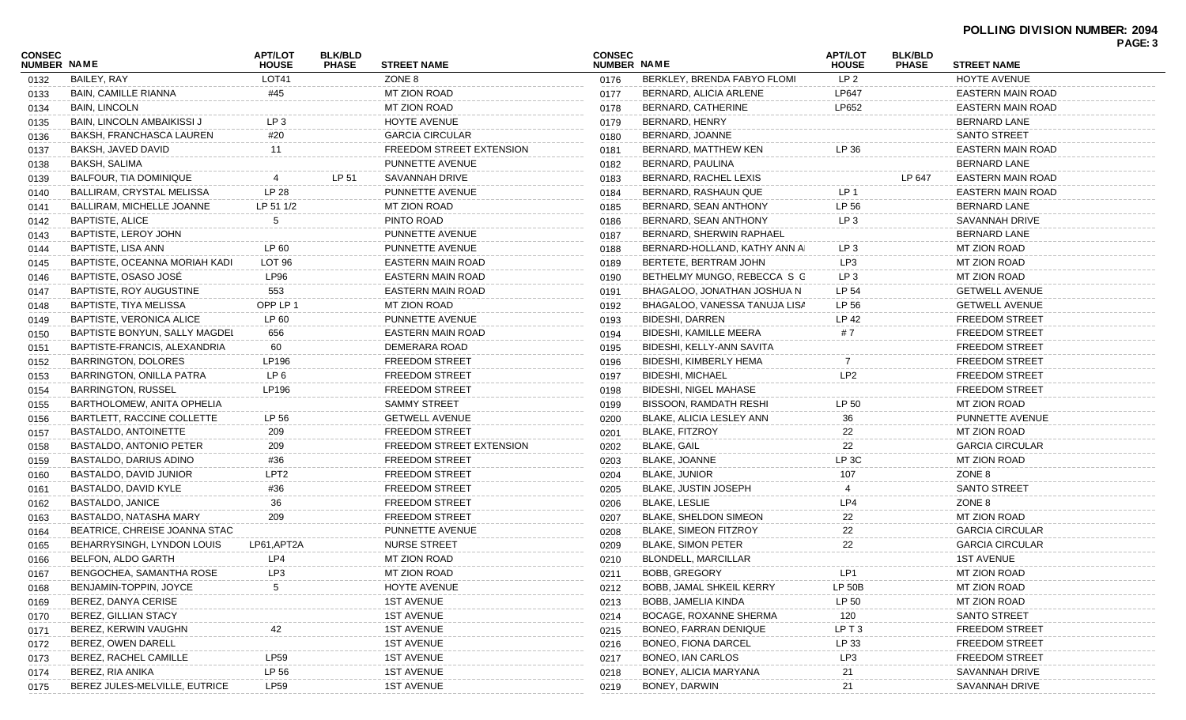| CONSEC<br><b>NUMBER NAME</b> |                                 | <b>APT/LOT</b><br><b>HOUSE</b> | <b>BLK/BLD</b><br><b>PHASE</b> | <b>STREET NAME</b>       | <b>CONSEC</b><br><b>NUMBER NAME</b> |                               | <b>APT/LOT</b><br><b>HOUSE</b> | <b>BLK/BLD</b><br><b>PHASE</b> | <b>STREET NAME</b>       | PAGE: 3 |
|------------------------------|---------------------------------|--------------------------------|--------------------------------|--------------------------|-------------------------------------|-------------------------------|--------------------------------|--------------------------------|--------------------------|---------|
| 0132                         | BAILEY, RAY                     | LOT41                          |                                | ZONE 8                   | 0176                                | BERKLEY, BRENDA FABYO FLOMI   | LP <sub>2</sub>                |                                | <b>HOYTE AVENUE</b>      |         |
| 0133                         | <b>BAIN, CAMILLE RIANNA</b>     | #45                            |                                | <b>MT ZION ROAD</b>      | 0177                                | BERNARD, ALICIA ARLENE        | LP647                          |                                | <b>EASTERN MAIN ROAD</b> |         |
| 0134                         | <b>BAIN, LINCOLN</b>            |                                |                                | MT ZION ROAD             | 0178                                | BERNARD, CATHERINE            | LP652                          |                                | EASTERN MAIN ROAD        |         |
| 0135                         | BAIN, LINCOLN AMBAIKISSI J      | LP <sub>3</sub>                |                                | HOYTE AVENUE             | 0179                                | BERNARD, HENRY                |                                |                                | <b>BERNARD LANE</b>      |         |
| 0136                         | BAKSH, FRANCHASCA LAUREN        | #20                            |                                | <b>GARCIA CIRCULAR</b>   | 0180                                | BERNARD, JOANNE               |                                |                                | <b>SANTO STREET</b>      |         |
| 0137                         | BAKSH, JAVED DAVID              | 11                             |                                | FREEDOM STREET EXTENSION | 0181                                | BERNARD, MATTHEW KEN          | LP 36                          |                                | <b>EASTERN MAIN ROAD</b> |         |
| 0138                         | BAKSH, SALIMA                   |                                |                                | PUNNETTE AVENUE          | 0182                                | BERNARD, PAULINA              |                                |                                | <b>BERNARD LANE</b>      |         |
| 0139                         | BALFOUR, TIA DOMINIQUE          |                                | LP 51                          | SAVANNAH DRIVE           | 0183                                | BERNARD, RACHEL LEXIS         |                                | LP 647                         | <b>EASTERN MAIN ROAD</b> |         |
| 0140                         | BALLIRAM, CRYSTAL MELISSA       | LP 28                          |                                | PUNNETTE AVENUE          | 0184                                | BERNARD, RASHAUN QUE          | LP <sub>1</sub>                |                                | EASTERN MAIN ROAD        |         |
| 0141                         | BALLIRAM, MICHELLE JOANNE       | LP 51 1/2                      |                                | <b>MT ZION ROAD</b>      | 0185                                | BERNARD, SEAN ANTHONY         | LP 56                          |                                | <b>BERNARD LANE</b>      |         |
| 0142                         | <b>BAPTISTE, ALICE</b>          | 5                              |                                | PINTO ROAD               | 0186                                | BERNARD, SEAN ANTHONY         | LP <sub>3</sub>                |                                | SAVANNAH DRIVE           |         |
| 0143                         | BAPTISTE, LEROY JOHN            |                                |                                | PUNNETTE AVENUE          | 0187                                | BERNARD, SHERWIN RAPHAEL      |                                |                                | <b>BERNARD LANE</b>      |         |
| 0144                         | BAPTISTE, LISA ANN              | LP 60                          |                                | PUNNETTE AVENUE          | 0188                                | BERNARD-HOLLAND, KATHY ANN AI | LP 3                           |                                | MT ZION ROAD             |         |
| 0145                         | BAPTISTE, OCEANNA MORIAH KADI   | LOT <sub>96</sub>              |                                | EASTERN MAIN ROAD        | 0189                                | BERTETE, BERTRAM JOHN         | LP3                            |                                | <b>MT ZION ROAD</b>      |         |
| 0146                         | BAPTISTE, OSASO JOSÉ            | <b>LP96</b>                    |                                | EASTERN MAIN ROAD        | 0190                                | BETHELMY MUNGO, REBECCA S G   | LP <sub>3</sub>                |                                | MT ZION ROAD             |         |
| 0147                         | BAPTISTE, ROY AUGUSTINE         | 553                            |                                | EASTERN MAIN ROAD        | 0191                                | BHAGALOO, JONATHAN JOSHUA N   | LP 54                          |                                | <b>GETWELL AVENUE</b>    |         |
| 0148                         | BAPTISTE, TIYA MELISSA          | OPP LP 1                       |                                | MT ZION ROAD             | 0192                                | BHAGALOO, VANESSA TANUJA LISA | LP 56                          |                                | <b>GETWELL AVENUE</b>    |         |
| 0149                         | <b>BAPTISTE, VERONICA ALICE</b> | LP 60                          |                                | PUNNETTE AVENUE          | 0193                                | BIDESHI, DARREN               | LP 42                          |                                | <b>FREEDOM STREET</b>    |         |
| 0150                         | BAPTISTE BONYUN, SALLY MAGDEL   | 656                            |                                | EASTERN MAIN ROAD        | 0194                                | BIDESHI, KAMILLE MEERA        | #7                             |                                | <b>FREEDOM STREET</b>    |         |
| 0151                         | BAPTISTE-FRANCIS, ALEXANDRIA    | 60                             |                                | DEMERARA ROAD            | 0195                                | BIDESHI, KELLY-ANN SAVITA     |                                |                                | <b>FREEDOM STREET</b>    |         |
| 0152                         | <b>BARRINGTON, DOLORES</b>      | LP196                          |                                | <b>FREEDOM STREET</b>    | 0196                                | BIDESHI, KIMBERLY HEMA        | 7                              |                                | <b>FREEDOM STREET</b>    |         |
| 0153                         | BARRINGTON, ONILLA PATRA        | LP 6                           |                                | <b>FREEDOM STREET</b>    | 0197                                | <b>BIDESHI, MICHAEL</b>       | LP <sub>2</sub>                |                                | <b>FREEDOM STREET</b>    |         |
| 0154                         | <b>BARRINGTON, RUSSEL</b>       | LP196                          |                                | <b>FREEDOM STREET</b>    | 0198                                | <b>BIDESHI, NIGEL MAHASE</b>  |                                |                                | <b>FREEDOM STREET</b>    |         |
| 0155                         | BARTHOLOMEW, ANITA OPHELIA      |                                |                                | <b>SAMMY STREET</b>      | 0199                                | <b>BISSOON, RAMDATH RESHI</b> | LP 50                          |                                | MT ZION ROAD             |         |
| 0156                         | BARTLETT, RACCINE COLLETTE      | LP 56                          |                                | <b>GETWELL AVENUE</b>    | 0200                                | BLAKE, ALICIA LESLEY ANN      | 36                             |                                | PUNNETTE AVENUE          |         |
| 0157                         | BASTALDO, ANTOINETTE            | 209                            |                                | <b>FREEDOM STREET</b>    | 0201                                | <b>BLAKE, FITZROY</b>         | 22                             |                                | MT ZION ROAD             |         |
| 0158                         | BASTALDO, ANTONIO PETER         | 209                            |                                | FREEDOM STREET EXTENSION | 0202                                | <b>BLAKE, GAIL</b>            | 22                             |                                | <b>GARCIA CIRCULAR</b>   |         |
| 0159                         | BASTALDO, DARIUS ADINO          | #36                            |                                | <b>FREEDOM STREET</b>    | 0203                                | <b>BLAKE, JOANNE</b>          | LP <sub>3C</sub>               |                                | MT ZION ROAD             |         |
| 0160                         | BASTALDO, DAVID JUNIOR          | LPT <sub>2</sub>               |                                | <b>FREEDOM STREET</b>    | 0204                                | <b>BLAKE, JUNIOR</b>          | 107                            |                                | ZONE 8                   |         |
| 0161                         | BASTALDO, DAVID KYLE            | #36                            |                                | <b>FREEDOM STREET</b>    | 0205                                | <b>BLAKE, JUSTIN JOSEPH</b>   |                                |                                | SANTO STREET             |         |
| 0162                         | BASTALDO, JANICE                | 36                             |                                | <b>FREEDOM STREET</b>    | 0206                                | <b>BLAKE, LESLIE</b>          | LP4                            |                                | ZONE 8                   |         |
| 0163                         | BASTALDO, NATASHA MARY          | 209                            |                                | <b>FREEDOM STREET</b>    | 0207                                | <b>BLAKE, SHELDON SIMEON</b>  | 22                             |                                | <b>MT ZION ROAD</b>      |         |
| 0164                         | BEATRICE, CHREISE JOANNA STAC   |                                |                                | PUNNETTE AVENUE          | 0208                                | <b>BLAKE, SIMEON FITZROY</b>  | 22                             |                                | <b>GARCIA CIRCULAR</b>   |         |
| 0165                         | BEHARRYSINGH, LYNDON LOUIS      | LP61, APT2A                    |                                | <b>NURSE STREET</b>      | 0209                                | <b>BLAKE, SIMON PETER</b>     | 22                             |                                | <b>GARCIA CIRCULAR</b>   |         |
| 0166                         | <b>BELFON, ALDO GARTH</b>       | LP4                            |                                | MT ZION ROAD             | 0210                                | <b>BLONDELL, MARCILLAR</b>    |                                |                                | <b>1ST AVENUE</b>        |         |
| 0167                         | BENGOCHEA, SAMANTHA ROSE        | LP3                            |                                | MT ZION ROAD             | 0211                                | <b>BOBB, GREGORY</b>          | LP1                            |                                | MT ZION ROAD             |         |
| 0168                         | BENJAMIN-TOPPIN, JOYCE          |                                |                                | HOYTE AVENUE             | 0212                                | BOBB, JAMAL SHKEIL KERRY      | <b>LP 50B</b>                  |                                | <b>MT ZION ROAD</b>      |         |
| 0169                         | BEREZ, DANYA CERISE             |                                |                                | <b>1ST AVENUE</b>        | 0213                                | BOBB, JAMELIA KINDA           | LP 50                          |                                | <b>MT ZION ROAD</b>      |         |
| 0170                         | BEREZ, GILLIAN STACY            |                                |                                | <b>1ST AVENUE</b>        | 0214                                | BOCAGE, ROXANNE SHERMA        | 120                            |                                | <b>SANTO STREET</b>      |         |
| 0171                         | BEREZ, KERWIN VAUGHN            |                                |                                | <b>1ST AVENUE</b>        | 0215                                | BONEO, FARRAN DENIQUE         | LPT3                           |                                | <b>FREEDOM STREET</b>    |         |
| 0172                         | BEREZ, OWEN DARELL              |                                |                                | <b>1ST AVENUE</b>        | 0216                                | BONEO, FIONA DARCEL           | LP 33                          |                                | <b>FREEDOM STREET</b>    |         |
| 0173                         | BEREZ, RACHEL CAMILLE           | LP59                           |                                | <b>1ST AVENUE</b>        | 0217                                | BONEO, IAN CARLOS             | LP3                            |                                | <b>FREEDOM STREET</b>    |         |
| 0174                         | BEREZ, RIA ANIKA                | LP 56                          |                                | <b>1ST AVENUE</b>        | 0218                                | BONEY, ALICIA MARYANA         | 21                             |                                | SAVANNAH DRIVE           |         |
|                              | BEREZ JULES-MELVILLE, EUTRICE   | <b>LP59</b>                    |                                | <b>1ST AVENUE</b>        | 0219                                | BONEY, DARWIN                 | 21                             |                                | SAVANNAH DRIVE           |         |
| 0175                         |                                 |                                |                                |                          |                                     |                               |                                |                                |                          |         |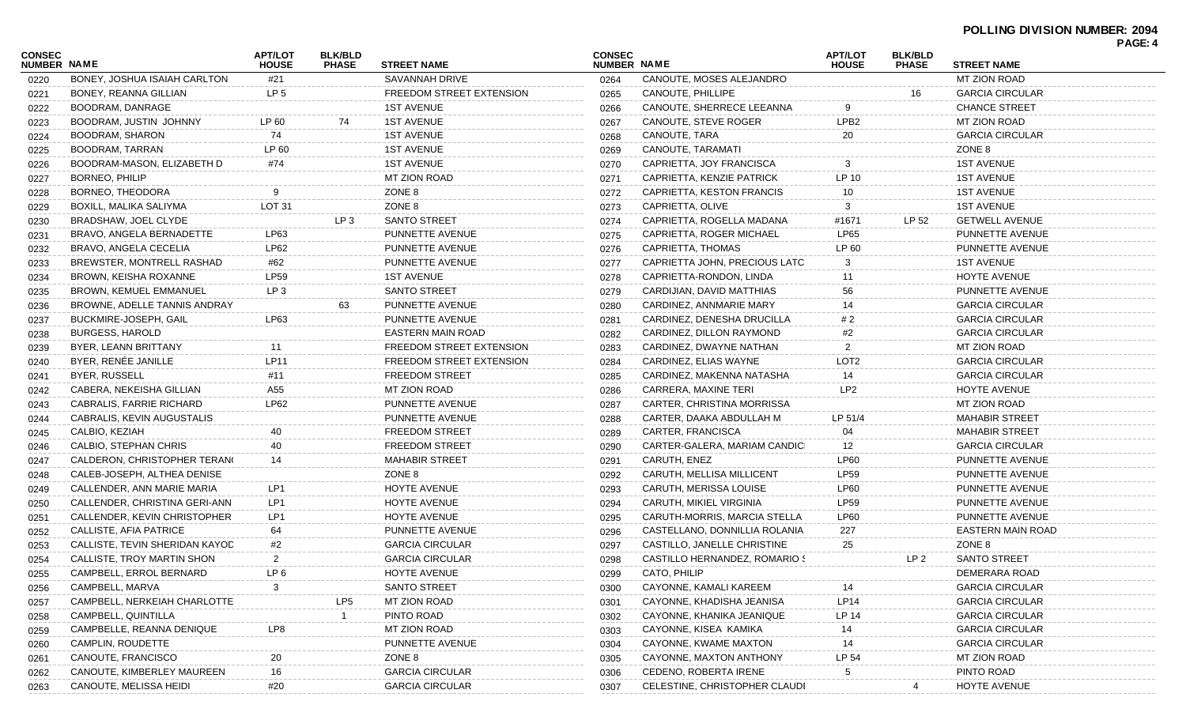|                              |                                                  |                                |                                |                                  |                              |                                                  |                                |                                |                          | PAGE: 4 |
|------------------------------|--------------------------------------------------|--------------------------------|--------------------------------|----------------------------------|------------------------------|--------------------------------------------------|--------------------------------|--------------------------------|--------------------------|---------|
| <b>CONSEC</b><br>NUMBER NAME |                                                  | <b>APT/LOT</b><br><b>HOUSE</b> | <b>BLK/BLD</b><br><b>PHASE</b> | <b>STREET NAME</b>               | <b>CONSEC</b><br>NUMBER NAME |                                                  | <b>APT/LOT</b><br><b>HOUSE</b> | <b>BLK/BLD</b><br><b>PHASE</b> | <b>STREET NAME</b>       |         |
| 0220                         | BONEY, JOSHUA ISAIAH CARLTON                     | #21                            |                                | SAVANNAH DRIVE                   | 0264                         | CANOUTE, MOSES ALEJANDRO                         |                                |                                | MT ZION ROAD             |         |
| 0221                         | BONEY, REANNA GILLIAN                            | LP <sub>5</sub>                |                                | FREEDOM STREET EXTENSION         | 0265                         | CANOUTE, PHILLIPE                                |                                | 16                             | <b>GARCIA CIRCULAR</b>   |         |
| 0222                         | BOODRAM, DANRAGE                                 |                                |                                | <b>1ST AVENUE</b>                | 0266                         | CANOUTE, SHERRECE LEEANNA                        | 9                              |                                | <b>CHANCE STREET</b>     |         |
| 0223                         | BOODRAM, JUSTIN JOHNNY                           | LP 60                          | 74                             | <b>1ST AVENUE</b>                | 0267                         | CANOUTE, STEVE ROGER                             | LPB <sub>2</sub>               |                                | MT ZION ROAD             |         |
| 0224                         | BOODRAM, SHARON                                  | 74                             |                                | <b>1ST AVENUE</b>                | 0268                         | CANOUTE, TARA                                    | 20                             |                                | <b>GARCIA CIRCULAR</b>   |         |
| 0225                         | BOODRAM, TARRAN                                  | LP 60                          |                                | <b>1ST AVENUE</b>                | 0269                         | CANOUTE, TARAMATI                                |                                |                                | ZONE 8                   |         |
| 0226                         | BOODRAM-MASON, ELIZABETH D                       | #74                            |                                | <b>1ST AVENUE</b>                | 0270                         | CAPRIETTA, JOY FRANCISCA                         | 3                              |                                | <b>1ST AVENUE</b>        |         |
| 0227                         | BORNEO, PHILIP                                   |                                |                                | MT ZION ROAD                     | 0271                         | CAPRIETTA, KENZIE PATRICK                        | LP 10                          |                                | <b>1ST AVENUE</b>        |         |
| 0228                         | BORNEO, THEODORA                                 |                                |                                | ZONE 8                           | 0272                         | CAPRIETTA, KESTON FRANCIS                        | 10                             |                                | <b>1ST AVENUE</b>        |         |
| 0229                         | BOXILL, MALIKA SALIYMA                           | <b>LOT 31</b>                  |                                | ZONE 8                           | 0273                         | CAPRIETTA, OLIVE                                 | 3                              |                                | <b>1ST AVENUE</b>        |         |
| 0230                         | BRADSHAW, JOEL CLYDE                             |                                | LP <sub>3</sub>                | <b>SANTO STREET</b>              | 0274                         | CAPRIETTA, ROGELLA MADANA                        | #1671                          | LP 52                          | <b>GETWELL AVENUE</b>    |         |
| 0231                         | BRAVO, ANGELA BERNADETTE                         | LP63                           |                                | PUNNETTE AVENUE                  | 0275                         | CAPRIETTA, ROGER MICHAEL                         | <b>LP65</b>                    |                                | PUNNETTE AVENUE          |         |
| 0232                         | BRAVO, ANGELA CECELIA                            | LP62                           |                                | PUNNETTE AVENUE                  | 0276                         | CAPRIETTA, THOMAS                                | LP 60                          |                                | PUNNETTE AVENUE          |         |
| 0233                         | BREWSTER, MONTRELL RASHAD                        | #62                            |                                | PUNNETTE AVENUE                  | 0277                         | CAPRIETTA JOHN, PRECIOUS LATC                    | 3                              |                                | <b>1ST AVENUE</b>        |         |
| 0234                         | BROWN, KEISHA ROXANNE                            | <b>LP59</b>                    |                                | <b>1ST AVENUE</b>                | 0278                         | CAPRIETTA-RONDON, LINDA                          | 11                             |                                | HOYTE AVENUE             |         |
| 0235                         | <b>BROWN, KEMUEL EMMANUEL</b>                    | LP <sub>3</sub>                |                                | <b>SANTO STREET</b>              | 0279                         | CARDIJIAN, DAVID MATTHIAS                        | 56                             |                                | PUNNETTE AVENUE          |         |
| 0236                         | BROWNE, ADELLE TANNIS ANDRAY                     |                                | 63                             | PUNNETTE AVENUE                  | 0280                         | CARDINEZ, ANNMARIE MARY                          | 14                             |                                | <b>GARCIA CIRCULAR</b>   |         |
| 0237                         | BUCKMIRE-JOSEPH, GAIL                            | LP63                           |                                | PUNNETTE AVENUE                  | 0281                         | CARDINEZ, DENESHA DRUCILLA                       | # 2                            |                                | <b>GARCIA CIRCULAR</b>   |         |
| 0238                         | <b>BURGESS, HAROLD</b>                           |                                |                                | <b>EASTERN MAIN ROAD</b>         | 0282                         | CARDINEZ, DILLON RAYMOND                         | #2                             |                                | <b>GARCIA CIRCULAR</b>   |         |
| 0239                         | BYER, LEANN BRITTANY                             | 11                             |                                | FREEDOM STREET EXTENSION         | 0283                         | CARDINEZ, DWAYNE NATHAN                          | 2                              |                                | MT ZION ROAD             |         |
| 0240                         | BYER, RENÉE JANILLE                              | <b>LP11</b>                    |                                | FREEDOM STREET EXTENSION         | 0284                         | CARDINEZ, ELIAS WAYNE                            | LOT <sub>2</sub>               |                                | <b>GARCIA CIRCULAR</b>   |         |
| 0241                         | <b>BYER, RUSSELL</b>                             | #11                            |                                | <b>FREEDOM STREET</b>            | 0285                         | CARDINEZ, MAKENNA NATASHA                        | 14                             |                                | <b>GARCIA CIRCULAR</b>   |         |
| 0242                         | CABERA, NEKEISHA GILLIAN                         | A55                            |                                | MT ZION ROAD                     | 0286                         | CARRERA, MAXINE TERI                             | LP <sub>2</sub>                |                                | HOYTE AVENUE             |         |
| 0243                         | CABRALIS, FARRIE RICHARD                         | LP62                           |                                | PUNNETTE AVENUE                  | 0287                         | CARTER, CHRISTINA MORRISSA                       |                                |                                | MT ZION ROAD             |         |
| 0244                         | CABRALIS, KEVIN AUGUSTALIS                       |                                |                                | PUNNETTE AVENUE                  | 0288                         | CARTER, DAAKA ABDULLAH M                         | LP 51/4                        |                                | <b>MAHABIR STREET</b>    |         |
| 0245                         | CALBIO, KEZIAH                                   | 40                             |                                | <b>FREEDOM STREET</b>            | 0289                         | CARTER, FRANCISCA                                | 04                             |                                | <b>MAHABIR STREET</b>    |         |
| 0246                         | CALBIO, STEPHAN CHRIS                            | 40                             |                                | <b>FREEDOM STREET</b>            | 0290                         | CARTER-GALERA, MARIAM CANDICI                    | 12                             |                                | <b>GARCIA CIRCULAR</b>   |         |
| 0247                         | CALDERON, CHRISTOPHER TERANG                     | 14                             |                                | <b>MAHABIR STREET</b>            | 0291                         | CARUTH, ENEZ                                     | LP60                           |                                | PUNNETTE AVENUE          |         |
| 0248                         | CALEB-JOSEPH, ALTHEA DENISE                      |                                |                                | ZONE 8                           | 0292                         | CARUTH, MELLISA MILLICENT                        | <b>LP59</b>                    |                                | PUNNETTE AVENUE          |         |
| 0249                         | CALLENDER, ANN MARIE MARIA                       | LP1                            |                                | <b>HOYTE AVENUE</b>              | 0293                         | CARUTH, MERISSA LOUISE                           | LP60                           |                                | PUNNETTE AVENUE          |         |
| 0250                         | CALLENDER, CHRISTINA GERI-ANN                    | LP1                            |                                | HOYTE AVENUE                     | 0294                         | CARUTH, MIKIEL VIRGINIA                          | <b>LP59</b>                    |                                | PUNNETTE AVENUE          |         |
| 0251                         | CALLENDER, KEVIN CHRISTOPHER                     | LP1                            |                                | HOYTE AVENUE                     | 0295                         | CARUTH-MORRIS, MARCIA STELLA                     | LP60                           |                                | PUNNETTE AVENUE          |         |
| 0252                         | <b>CALLISTE, AFIA PATRICE</b>                    | 64                             |                                | PUNNETTE AVENUE                  | 0296                         | CASTELLANO, DONNILLIA ROLANIA                    | 227                            |                                | <b>EASTERN MAIN ROAD</b> |         |
| 0253                         | CALLISTE, TEVIN SHERIDAN KAYOD                   | #2                             |                                | <b>GARCIA CIRCULAR</b>           | 0297                         | CASTILLO, JANELLE CHRISTINE                      | 25                             |                                | ZONE 8                   |         |
| 0254                         | CALLISTE, TROY MARTIN SHON                       | 2                              |                                | <b>GARCIA CIRCULAR</b>           | 0298                         | CASTILLO HERNANDEZ, ROMARIO S                    |                                | LP 2                           | <b>SANTO STREET</b>      |         |
| 0255                         | CAMPBELL, ERROL BERNARD                          | LP <sub>6</sub>                |                                | HOYTE AVENUE                     | 0299                         | CATO, PHILIP                                     |                                |                                | DEMERARA ROAD            |         |
| 0256                         | CAMPBELL, MARVA                                  |                                |                                | <b>SANTO STREET</b>              | 0300                         | CAYONNE, KAMALI KAREEM                           |                                |                                | <b>GARCIA CIRCULAR</b>   |         |
|                              | CAMPBELL, NERKEIAH CHARLOTTE                     |                                | LP5                            | <b>MT ZION ROAD</b>              |                              | CAYONNE, KHADISHA JEANISA                        | LP14                           |                                | <b>GARCIA CIRCULAR</b>   |         |
| 0257                         | CAMPBELL, QUINTILLA                              |                                |                                | PINTO ROAD                       | 0301                         | CAYONNE, KHANIKA JEANIQUE                        | LP 14                          |                                | <b>GARCIA CIRCULAR</b>   |         |
| 0258                         | CAMPBELLE, REANNA DENIQUE                        | LP8                            |                                | MT ZION ROAD                     | 0302                         | CAYONNE, KISEA KAMIKA                            |                                |                                | <b>GARCIA CIRCULAR</b>   |         |
| 0259                         | CAMPLIN, ROUDETTE                                |                                |                                | PUNNETTE AVENUE                  | 0303                         | CAYONNE, KWAME MAXTON                            | 14<br>14                       |                                | <b>GARCIA CIRCULAR</b>   |         |
| 0260                         |                                                  |                                |                                |                                  | 0304                         |                                                  | LP 54                          |                                | MT ZION ROAD             |         |
| 0261                         | CANOUTE, FRANCISCO<br>CANOUTE, KIMBERLEY MAUREEN | 16                             |                                | ZONE 8<br><b>GARCIA CIRCULAR</b> | 0305                         | CAYONNE, MAXTON ANTHONY<br>CEDENO, ROBERTA IRENE |                                |                                | PINTO ROAD               |         |
| 0262                         | CANOUTE, MELISSA HEIDI                           |                                |                                | <b>GARCIA CIRCULAR</b>           | 0306                         | CELESTINE, CHRISTOPHER CLAUDI                    |                                |                                | HOYTE AVENUE             |         |
| 0263                         |                                                  | #20                            |                                |                                  | 0307                         |                                                  |                                |                                |                          |         |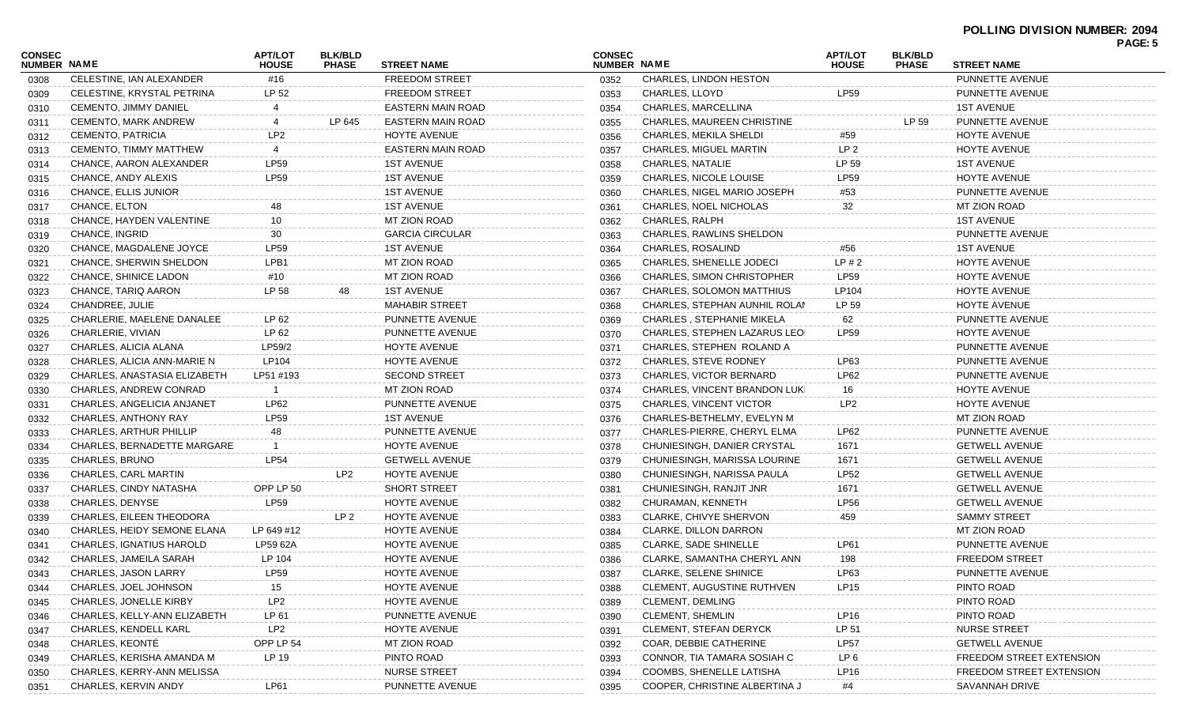| CONSEC             |                                | <b>APT/LOT</b>  | <b>BLK/BLD</b>  |                        | <b>CONSEC</b>      |                                  | <b>APT/LOT</b>  | <b>BLK/BLD</b> |                          | <b>PAGE: 5</b> |
|--------------------|--------------------------------|-----------------|-----------------|------------------------|--------------------|----------------------------------|-----------------|----------------|--------------------------|----------------|
| <b>NUMBER NAME</b> |                                | <b>HOUSE</b>    | <b>PHASE</b>    | <b>STREET NAME</b>     | <b>NUMBER NAME</b> |                                  | <b>HOUSE</b>    | <b>PHASE</b>   | <b>STREET NAME</b>       |                |
| 0308               | CELESTINE, IAN ALEXANDER       | #16             |                 | <b>FREEDOM STREET</b>  | 0352               | CHARLES, LINDON HESTON           |                 |                | PUNNETTE AVENUE          |                |
| 0309               | CELESTINE, KRYSTAL PETRINA     | LP 52           |                 | <b>FREEDOM STREET</b>  | 0353               | CHARLES, LLOYD                   | LP59            |                | PUNNETTE AVENUE          |                |
| 0310               | <b>CEMENTO, JIMMY DANIEL</b>   |                 |                 | EASTERN MAIN ROAD      | 0354               | CHARLES, MARCELLINA              |                 |                | <b>1ST AVENUE</b>        |                |
| 0311               | <b>CEMENTO, MARK ANDREW</b>    | 4               | LP 645          | EASTERN MAIN ROAD      | 0355               | CHARLES, MAUREEN CHRISTINE       |                 | LP 59          | PUNNETTE AVENUE          |                |
| 0312               | CEMENTO, PATRICIA              | LP <sub>2</sub> |                 | HOYTE AVENUE           | 0356               | CHARLES, MEKILA SHELDI           | #59             |                | <b>HOYTE AVENUE</b>      |                |
| 0313               | CEMENTO, TIMMY MATTHEW         | 4               |                 | EASTERN MAIN ROAD      | 0357               | CHARLES, MIGUEL MARTIN           | LP <sub>2</sub> |                | HOYTE AVENUE             |                |
| 0314               | CHANCE, AARON ALEXANDER        | <b>LP59</b>     |                 | <b>1ST AVENUE</b>      | 0358               | <b>CHARLES, NATALIE</b>          | LP 59           |                | <b>1ST AVENUE</b>        |                |
| 0315               | CHANCE, ANDY ALEXIS            | LP59            |                 | <b>1ST AVENUE</b>      | 0359               | CHARLES, NICOLE LOUISE           | <b>LP59</b>     |                | <b>HOYTE AVENUE</b>      |                |
| 0316               | CHANCE, ELLIS JUNIOR           |                 |                 | <b>1ST AVENUE</b>      | 0360               | CHARLES, NIGEL MARIO JOSEPH      | #53             |                | PUNNETTE AVENUE          |                |
| 0317               | CHANCE, ELTON                  | 48              |                 | <b>1ST AVENUE</b>      | 0361               | CHARLES, NOEL NICHOLAS           | 32              |                | MT ZION ROAD             |                |
| 0318               | CHANCE, HAYDEN VALENTINE       | 10              |                 | MT ZION ROAD           | 0362               | CHARLES, RALPH                   |                 |                | <b>1ST AVENUE</b>        |                |
| 0319               | CHANCE, INGRID                 | 30              |                 | <b>GARCIA CIRCULAR</b> | 0363               | CHARLES, RAWLINS SHELDON         |                 |                | PUNNETTE AVENUE          |                |
| 0320               | CHANCE, MAGDALENE JOYCE        | LP59            |                 | <b>1ST AVENUE</b>      | 0364               | <b>CHARLES, ROSALIND</b>         | #56             |                | <b>1ST AVENUE</b>        |                |
| 0321               | CHANCE, SHERWIN SHELDON        | LPB1            |                 | MT ZION ROAD           | 0365               | <b>CHARLES, SHENELLE JODECI</b>  | LP#2            |                | <b>HOYTE AVENUE</b>      |                |
| 0322               | CHANCE, SHINICE LADON          | #10             |                 | <b>MT ZION ROAD</b>    | 0366               | CHARLES, SIMON CHRISTOPHER       | LP59            |                | <b>HOYTE AVENUE</b>      |                |
| 0323               | CHANCE, TARIQ AARON            | LP 58           | 48              | <b>1ST AVENUE</b>      | 0367               | CHARLES, SOLOMON MATTHIUS        | LP104           |                | HOYTE AVENUE             |                |
| 0324               | CHANDREE, JULIE                |                 |                 | <b>MAHABIR STREET</b>  | 0368               | CHARLES, STEPHAN AUNHIL ROLAN    | LP 59           |                | HOYTE AVENUE             |                |
| 0325               | CHARLERIE, MAELENE DANALEE     | LP 62           |                 | PUNNETTE AVENUE        | 0369               | <b>CHARLES, STEPHANIE MIKELA</b> | 62              |                | PUNNETTE AVENUE          |                |
| 0326               | CHARLERIE, VIVIAN              | LP 62           |                 | PUNNETTE AVENUE        | 0370               | CHARLES, STEPHEN LAZARUS LEOI    | LP59            |                | <b>HOYTE AVENUE</b>      |                |
| 0327               | CHARLES, ALICIA ALANA          | LP59/2          |                 | HOYTE AVENUE           | 0371               | CHARLES, STEPHEN ROLAND A        |                 |                | PUNNETTE AVENUE          |                |
| 0328               | CHARLES, ALICIA ANN-MARIE N    | LP104           |                 | <b>HOYTE AVENUE</b>    | 0372               | <b>CHARLES, STEVE RODNEY</b>     | LP63            |                | PUNNETTE AVENUE          |                |
| 0329               | CHARLES, ANASTASIA ELIZABETH   | LP51 #193       |                 | <b>SECOND STREET</b>   | 0373               | CHARLES, VICTOR BERNARD          | LP62            |                | PUNNETTE AVENUE          |                |
| 0330               | CHARLES, ANDREW CONRAD         |                 |                 | MT ZION ROAD           | 0374               | CHARLES, VINCENT BRANDON LUKI    | 16              |                | HOYTE AVENUE             |                |
| 0331               | CHARLES, ANGELICIA ANJANET     | LP62            |                 | PUNNETTE AVENUE        | 0375               | CHARLES, VINCENT VICTOR          | LP <sub>2</sub> |                | <b>HOYTE AVENUE</b>      |                |
| 0332               | CHARLES, ANTHONY RAY           | LP59            |                 | <b>1ST AVENUE</b>      | 0376               | CHARLES-BETHELMY, EVELYN M       |                 |                | MT ZION ROAD             |                |
| 0333               | <b>CHARLES, ARTHUR PHILLIP</b> | 48              |                 | PUNNETTE AVENUE        | 0377               | CHARLES-PIERRE, CHERYL ELMA      | LP62            |                | PUNNETTE AVENUE          |                |
| 0334               | CHARLES, BERNADETTE MARGARE    |                 |                 | HOYTE AVENUE           | 0378               | CHUNIESINGH, DANIER CRYSTAL      | 1671            |                | <b>GETWELL AVENUE</b>    |                |
| 0335               | CHARLES, BRUNO                 | <b>LP54</b>     |                 | <b>GETWELL AVENUE</b>  | 0379               | CHUNIESINGH, MARISSA LOURINE     | 1671            |                | <b>GETWELL AVENUE</b>    |                |
| 0336               | CHARLES, CARL MARTIN           |                 | LP <sub>2</sub> | HOYTE AVENUE           | 0380               | CHUNIESINGH, NARISSA PAULA       | <b>LP52</b>     |                | <b>GETWELL AVENUE</b>    |                |
| 0337               | CHARLES, CINDY NATASHA         | OPP LP 50       |                 | SHORT STREET           | 0381               | CHUNIESINGH, RANJIT JNR          | 1671            |                | <b>GETWELL AVENUE</b>    |                |
| 0338               | CHARLES, DENYSE                | <b>LP59</b>     |                 | HOYTE AVENUE           | 0382               | CHURAMAN, KENNETH                | <b>LP56</b>     |                | <b>GETWELL AVENUE</b>    |                |
| 0339               | CHARLES, EILEEN THEODORA       |                 | LP <sub>2</sub> | HOYTE AVENUE           | 0383               | CLARKE, CHIVYE SHERVON           | 459             |                | <b>SAMMY STREET</b>      |                |
| 0340               | CHARLES, HEIDY SEMONE ELANA    | LP 649 #12      |                 | HOYTE AVENUE           | 0384               | <b>CLARKE, DILLON DARRON</b>     |                 |                | MT ZION ROAD             |                |
| 0341               | CHARLES, IGNATIUS HAROLD       | LP59 62A        |                 | HOYTE AVENUE           | 0385               | <b>CLARKE, SADE SHINELLE</b>     | LP61            |                | PUNNETTE AVENUE          |                |
| 0342               | CHARLES, JAMEILA SARAH         | LP 104          |                 | <b>HOYTE AVENUE</b>    | 0386               | CLARKE, SAMANTHA CHERYL ANN      | 198             |                | FREEDOM STREET           |                |
| 0343               | CHARLES, JASON LARRY           | LP59            |                 | <b>HOYTE AVENUE</b>    | 0387               | <b>CLARKE, SELENE SHINICE</b>    | LP63            |                | PUNNETTE AVENUE          |                |
| 0344               | CHARLES, JOEL JOHNSON          | 15              |                 | <b>HOYTE AVENUE</b>    | 0388               | CLEMENT, AUGUSTINE RUTHVEN       | <b>LP15</b>     |                | PINTO ROAD               |                |
| 0345               | <b>CHARLES, JONELLE KIRBY</b>  | LP <sub>2</sub> |                 | HOYTE AVENUE           | 0389               | <b>CLEMENT, DEMLING</b>          |                 |                | PINTO ROAD               |                |
| 0346               | CHARLES, KELLY-ANN ELIZABETH   | LP 61           |                 | PUNNETTE AVENUE        | 0390               | <b>CLEMENT, SHEMLIN</b>          | LP16            |                | PINTO ROAD               |                |
| 0347               | CHARLES, KENDELL KARL          | LP <sub>2</sub> |                 | <b>HOYTE AVENUE</b>    | 0391               | <b>CLEMENT, STEFAN DERYCK</b>    | LP 51           |                | <b>NURSE STREET</b>      |                |
| 0348               | CHARLES, KEONTÉ                | OPP LP 54       |                 | MT ZION ROAD           | 0392               | COAR, DEBBIE CATHERINE           | <b>LP57</b>     |                | <b>GETWELL AVENUE</b>    |                |
|                    | CHARLES, KERISHA AMANDA M      | LP 19           |                 | PINTO ROAD             | 0393               | CONNOR, TIA TAMARA SOSIAH C      | LP <sub>6</sub> |                | FREEDOM STREET EXTENSION |                |
| 0349               | CHARLES, KERRY-ANN MELISSA     |                 |                 | <b>NURSE STREET</b>    |                    | COOMBS, SHENELLE LATISHA         | LP16            |                | FREEDOM STREET EXTENSION |                |
| 0350               | CHARLES, KERVIN ANDY           | <b>LP61</b>     |                 | PUNNETTE AVENUE        | 0394<br>0395       | COOPER, CHRISTINE ALBERTINA J    | #4              |                | SAVANNAH DRIVE           |                |
| 0351               |                                |                 |                 |                        |                    |                                  |                 |                |                          |                |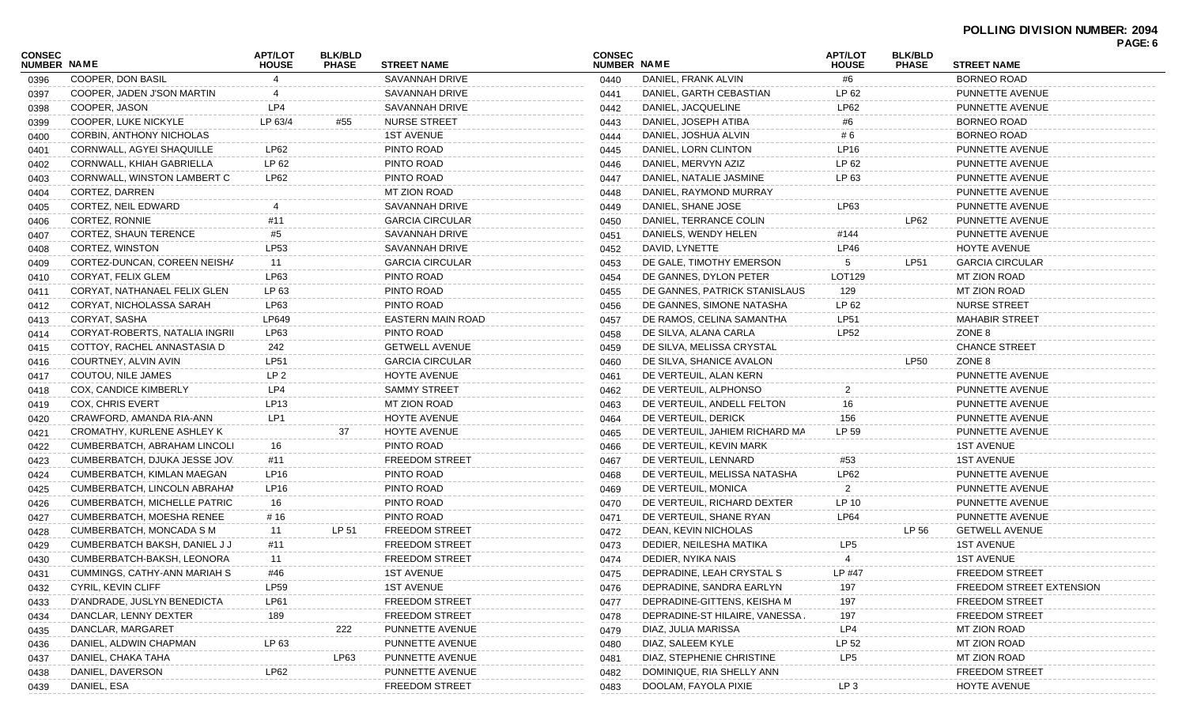| CONSEC             |                                  | <b>APT/LOT</b>   | <b>BLK/BLD</b> |                          | <b>CONSEC</b> |                                | <b>APT/LOT</b>  | <b>BLK/BLD</b> |                          | PAGE: 6 |
|--------------------|----------------------------------|------------------|----------------|--------------------------|---------------|--------------------------------|-----------------|----------------|--------------------------|---------|
| <b>NUMBER NAME</b> |                                  | <b>HOUSE</b>     | <b>PHASE</b>   | <b>STREET NAME</b>       | NUMBER NAME   |                                | <b>HOUSE</b>    | <b>PHASE</b>   | <b>STREET NAME</b>       |         |
| 0396               | COOPER, DON BASIL                | 4                |                | <b>SAVANNAH DRIVE</b>    | 0440          | DANIEL, FRANK ALVIN            | #6              |                | <b>BORNEO ROAD</b>       |         |
| 0397               | COOPER, JADEN J'SON MARTIN       | 4                |                | SAVANNAH DRIVE           | 0441          | DANIEL, GARTH CEBASTIAN        | LP 62           |                | PUNNETTE AVENUE          |         |
| 0398               | COOPER, JASON                    | LP4              |                | SAVANNAH DRIVE           | 0442          | DANIEL, JACQUELINE             | LP62            |                | PUNNETTE AVENUE          |         |
| 0399               | COOPER, LUKE NICKYLE             | LP 63/4          | #55            | <b>NURSE STREET</b>      | 0443          | DANIEL, JOSEPH ATIBA           | #6              |                | <b>BORNEO ROAD</b>       |         |
| 0400               | CORBIN, ANTHONY NICHOLAS         |                  |                | <b>1ST AVENUE</b>        | 0444          | DANIEL, JOSHUA ALVIN           | # 6             |                | <b>BORNEO ROAD</b>       |         |
| 0401               | CORNWALL, AGYEI SHAQUILLE        | LP62             |                | PINTO ROAD               | 0445          | DANIEL, LORN CLINTON           | LP16            |                | PUNNETTE AVENUE          |         |
| 0402               | CORNWALL, KHIAH GABRIELLA        | LP 62            |                | PINTO ROAD               | 0446          | DANIEL, MERVYN AZIZ            | LP 62           |                | PUNNETTE AVENUE          |         |
| 0403               | CORNWALL, WINSTON LAMBERT C      | LP62             |                | PINTO ROAD               | 0447          | DANIEL, NATALIE JASMINE        | LP 63           |                | PUNNETTE AVENUE          |         |
| 0404               | CORTEZ, DARREN                   |                  |                | MT ZION ROAD             | 0448          | DANIEL, RAYMOND MURRAY         |                 |                | PUNNETTE AVENUE          |         |
| 0405               | CORTEZ, NEIL EDWARD              |                  |                | SAVANNAH DRIVE           | 0449          | DANIEL, SHANE JOSE             | LP63            |                | PUNNETTE AVENUE          |         |
| 0406               | CORTEZ, RONNIE                   | #11              |                | <b>GARCIA CIRCULAR</b>   | 0450          | DANIEL, TERRANCE COLIN         |                 | LP62           | PUNNETTE AVENUE          |         |
| 0407               | CORTEZ, SHAUN TERENCE            | #5               |                | SAVANNAH DRIVE           | 0451          | DANIELS, WENDY HELEN           | #144            |                | PUNNETTE AVENUE          |         |
| 0408               | CORTEZ, WINSTON                  | LP53             |                | SAVANNAH DRIVE           | 0452          | DAVID, LYNETTE                 | LP46            |                | HOYTE AVENUE             |         |
| 0409               | CORTEZ-DUNCAN, COREEN NEISHA     | 11               |                | <b>GARCIA CIRCULAR</b>   | 0453          | DE GALE, TIMOTHY EMERSON       | 5               | LP51           | <b>GARCIA CIRCULAR</b>   |         |
| 0410               | CORYAT, FELIX GLEM               | LP63             |                | PINTO ROAD               | 0454          | DE GANNES, DYLON PETER         | LOT129          |                | MT ZION ROAD             |         |
| 0411               | CORYAT, NATHANAEL FELIX GLEN     | LP 63            |                | PINTO ROAD               | 0455          | DE GANNES, PATRICK STANISLAUS  | 129             |                | MT ZION ROAD             |         |
| 0412               | CORYAT, NICHOLASSA SARAH         | LP63             |                | PINTO ROAD               | 0456          | DE GANNES, SIMONE NATASHA      | LP 62           |                | <b>NURSE STREET</b>      |         |
| 0413               | CORYAT, SASHA                    | LP649            |                | <b>EASTERN MAIN ROAD</b> | 0457          | DE RAMOS, CELINA SAMANTHA      | LP51            |                | <b>MAHABIR STREET</b>    |         |
| 0414               | CORYAT-ROBERTS, NATALIA INGRII   | LP63             |                | PINTO ROAD               | 0458          | DE SILVA, ALANA CARLA          | <b>LP52</b>     |                | ZONE 8                   |         |
| 0415               | COTTOY, RACHEL ANNASTASIA D      | 242              |                | <b>GETWELL AVENUE</b>    | 0459          | DE SILVA, MELISSA CRYSTAL      |                 |                | <b>CHANCE STREET</b>     |         |
| 0416               | COURTNEY, ALVIN AVIN             | LP51             |                | <b>GARCIA CIRCULAR</b>   | 0460          | DE SILVA, SHANICE AVALON       |                 | <b>LP50</b>    | ZONE 8                   |         |
| 0417               | COUTOU, NILE JAMES               | LP <sub>2</sub>  |                | HOYTE AVENUE             | 0461          | DE VERTEUIL, ALAN KERN         |                 |                | PUNNETTE AVENUE          |         |
| 0418               | COX, CANDICE KIMBERLY            | LP4              |                | <b>SAMMY STREET</b>      | 0462          | DE VERTEUIL, ALPHONSO          |                 |                | PUNNETTE AVENUE          |         |
| 0419               | <b>COX, CHRIS EVERT</b>          | LP13             |                | MT ZION ROAD             | 0463          | DE VERTEUIL, ANDELL FELTON     | 16              |                | PUNNETTE AVENUE          |         |
| 0420               | CRAWFORD, AMANDA RIA-ANN         | LP1              |                | HOYTE AVENUE             | 0464          | DE VERTEUIL, DERICK            | 156             |                | PUNNETTE AVENUE          |         |
| 0421               | CROMATHY, KURLENE ASHLEY K       |                  | 37             | HOYTE AVENUE             | 0465          | DE VERTEUIL, JAHIEM RICHARD MA | LP 59           |                | PUNNETTE AVENUE          |         |
| 0422               | CUMBERBATCH, ABRAHAM LINCOLI     | 16               |                | PINTO ROAD               | 0466          | DE VERTEUIL, KEVIN MARK        |                 |                | <b>1ST AVENUE</b>        |         |
| 0423               | CUMBERBATCH, DJUKA JESSE JOV.    | #11              |                | <b>FREEDOM STREET</b>    | 0467          | DE VERTEUIL, LENNARD           | #53             |                | <b>1ST AVENUE</b>        |         |
| 0424               | CUMBERBATCH, KIMLAN MAEGAN       | LP <sub>16</sub> |                | PINTO ROAD               | 0468          | DE VERTEUIL, MELISSA NATASHA   | <b>LP62</b>     |                | PUNNETTE AVENUE          |         |
| 0425               | CUMBERBATCH, LINCOLN ABRAHAI     | LP16             |                | PINTO ROAD               | 0469          | DE VERTEUIL, MONICA            | 2               |                | PUNNETTE AVENUE          |         |
| 0426               | CUMBERBATCH, MICHELLE PATRIC     | 16               |                | PINTO ROAD               | 0470          | DE VERTEUIL, RICHARD DEXTER    | LP 10           |                | PUNNETTE AVENUE          |         |
| 0427               | <b>CUMBERBATCH, MOESHA RENEE</b> | # 16             |                | PINTO ROAD               | 0471          | DE VERTEUIL, SHANE RYAN        | <b>LP64</b>     |                | PUNNETTE AVENUE          |         |
| 0428               | CUMBERBATCH, MONCADA S M         | 11               | LP 51          | <b>FREEDOM STREET</b>    | 0472          | DEAN, KEVIN NICHOLAS           |                 | LP 56          | <b>GETWELL AVENUE</b>    |         |
| 0429               | CUMBERBATCH BAKSH, DANIEL J J    | #11              |                | <b>FREEDOM STREET</b>    | 0473          | DEDIER, NEILESHA MATIKA        | LP <sub>5</sub> |                | <b>1ST AVENUE</b>        |         |
| 0430               | CUMBERBATCH-BAKSH, LEONORA       | 11               |                | <b>FREEDOM STREET</b>    | 0474          | DEDIER, NYIKA NAIS             | 4               |                | <b>1ST AVENUE</b>        |         |
| 0431               | CUMMINGS, CATHY-ANN MARIAH S     | #46              |                | <b>1ST AVENUE</b>        | 0475          | DEPRADINE, LEAH CRYSTAL S      | LP #47          |                | <b>FREEDOM STREET</b>    |         |
| 0432               | CYRIL, KEVIN CLIFF               | <b>LP59</b>      |                | <b>1ST AVENUE</b>        | 0476          | DEPRADINE, SANDRA EARLYN       | 197             |                | FREEDOM STREET EXTENSION |         |
| 0433               | D'ANDRADE, JUSLYN BENEDICTA      | LP61             |                | <b>FREEDOM STREET</b>    | 0477          | DEPRADINE-GITTENS, KEISHA M    | 197             |                | <b>FREEDOM STREET</b>    |         |
| 0434               | DANCLAR, LENNY DEXTER            | $\frac{189}{1}$  |                | <b>FREEDOM STREET</b>    | 0478          | DEPRADINE-ST HILAIRE, VANESSA, | 197             |                | <b>FREEDOM STREET</b>    |         |
| 0435               | DANCLAR, MARGARET                |                  | 222            | PUNNETTE AVENUE          | 0479          | DIAZ, JULIA MARISSA            | LP4             |                | MT ZION ROAD             |         |
| 0436               | DANIEL, ALDWIN CHAPMAN           | LP 63            |                | PUNNETTE AVENUE          | 0480          | DIAZ, SALEEM KYLE              | LP 52           |                | MT ZION ROAD             |         |
| 0437               | DANIEL, CHAKA TAHA               |                  | LP63           | PUNNETTE AVENUE          | 0481          | DIAZ, STEPHENIE CHRISTINE      | LP5             |                | MT ZION ROAD             |         |
| 0438               | DANIEL, DAVERSON                 | LP62             |                | PUNNETTE AVENUE          | 0482          | DOMINIQUE, RIA SHELLY ANN      |                 |                | <b>FREEDOM STREET</b>    |         |
| 0439               | DANIEL, ESA                      |                  |                | <b>FREEDOM STREET</b>    | 0483          | DOOLAM, FAYOLA PIXIE           | LP <sub>3</sub> |                | <b>HOYTE AVENUE</b>      |         |
|                    |                                  |                  |                |                          |               |                                |                 |                |                          |         |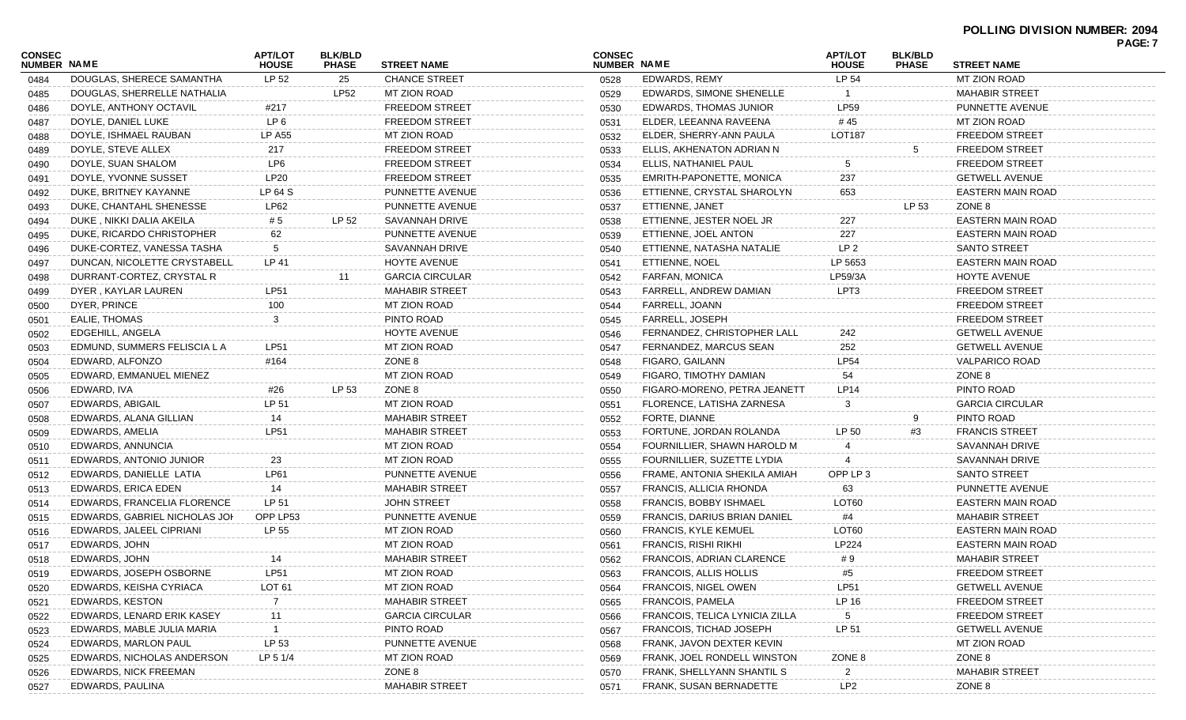|                              |                               |                                |                                |                        |                              |                                     |                         |                                |                          | PAGE: 7 |
|------------------------------|-------------------------------|--------------------------------|--------------------------------|------------------------|------------------------------|-------------------------------------|-------------------------|--------------------------------|--------------------------|---------|
| <b>CONSEC</b><br>NUMBER NAME |                               | <b>APT/LOT</b><br><b>HOUSE</b> | <b>BLK/BLD</b><br><b>PHASE</b> | <b>STREET NAME</b>     | <b>CONSEC</b><br>NUMBER NAME |                                     | APT/LOT<br><b>HOUSE</b> | <b>BLK/BLD</b><br><b>PHASE</b> | <b>STREET NAME</b>       |         |
| 0484                         | DOUGLAS, SHERECE SAMANTHA     | LP 52                          | 25                             | CHANCE STREET          | 0528                         | EDWARDS, REMY                       | LP 54                   |                                | <b>MT ZION ROAD</b>      |         |
| 0485                         | DOUGLAS, SHERRELLE NATHALIA   |                                | <b>LP52</b>                    | MT ZION ROAD           | 0529                         | EDWARDS, SIMONE SHENELLE            |                         |                                | <b>MAHABIR STREET</b>    |         |
| 0486                         | DOYLE, ANTHONY OCTAVIL        | #217                           |                                | <b>FREEDOM STREET</b>  | 0530                         | EDWARDS, THOMAS JUNIOR              | <b>LP59</b>             |                                | PUNNETTE AVENUE          |         |
| 0487                         | DOYLE, DANIEL LUKE            | LP <sub>6</sub>                |                                | <b>FREEDOM STREET</b>  | 0531                         | ELDER. LEEANNA RAVEENA              | #45                     |                                | MT ZION ROAD             |         |
| 0488                         | DOYLE, ISHMAEL RAUBAN         | <b>LP A55</b>                  |                                | <b>MT ZION ROAD</b>    | 0532                         | ELDER, SHERRY-ANN PAULA             | <b>LOT187</b>           |                                | <b>FREEDOM STREET</b>    |         |
| 0489                         | DOYLE, STEVE ALLEX            | 217                            |                                | <b>FREEDOM STREET</b>  | 0533                         | ELLIS, AKHENATON ADRIAN N           |                         | 5                              | <b>FREEDOM STREET</b>    |         |
| 0490                         | DOYLE, SUAN SHALOM            | LP6                            |                                | <b>FREEDOM STREET</b>  | 0534                         | ELLIS, NATHANIEL PAUL               | 5                       |                                | <b>FREEDOM STREET</b>    |         |
| 0491                         | DOYLE, YVONNE SUSSET          | LP20                           |                                | <b>FREEDOM STREET</b>  | 0535                         | EMRITH-PAPONETTE, MONICA            | 237                     |                                | <b>GETWELL AVENUE</b>    |         |
| 0492                         | DUKE, BRITNEY KAYANNE         | LP 64 S                        |                                | PUNNETTE AVENUE        | 0536                         | ETTIENNE, CRYSTAL SHAROLYN          | 653                     |                                | <b>EASTERN MAIN ROAD</b> |         |
| 0493                         | DUKE, CHANTAHL SHENESSE       | LP62                           |                                | PUNNETTE AVENUE        | 0537                         | ETTIENNE, JANET                     |                         | LP 53                          | ZONE 8                   |         |
| 0494                         | DUKE, NIKKI DALIA AKEILA      | # 5                            | LP 52                          | SAVANNAH DRIVE         | 0538                         | ETTIENNE, JESTER NOEL JR            | 227                     |                                | <b>EASTERN MAIN ROAD</b> |         |
| 0495                         | DUKE, RICARDO CHRISTOPHER     | 62                             |                                | PUNNETTE AVENUE        | 0539                         | ETTIENNE, JOEL ANTON                | 227                     |                                | <b>EASTERN MAIN ROAD</b> |         |
| 0496                         | DUKE-CORTEZ, VANESSA TASHA    | 5                              |                                | <b>SAVANNAH DRIVE</b>  | 0540                         | ETTIENNE, NATASHA NATALIE           | LP <sub>2</sub>         |                                | <b>SANTO STREET</b>      |         |
| 0497                         | DUNCAN, NICOLETTE CRYSTABELL. | LP 41                          |                                | HOYTE AVENUE           | 0541                         | ETTIENNE, NOEL                      | LP 5653                 |                                | <b>EASTERN MAIN ROAD</b> |         |
| 0498                         | DURRANT-CORTEZ, CRYSTAL R     |                                | 11                             | <b>GARCIA CIRCULAR</b> | 0542                         | <b>FARFAN, MONICA</b>               | LP59/3A                 |                                | HOYTE AVENUE             |         |
| 0499                         | DYER, KAYLAR LAUREN           | <b>LP51</b>                    |                                | <b>MAHABIR STREET</b>  | 0543                         | FARRELL, ANDREW DAMIAN              | LPT3                    |                                | <b>FREEDOM STREET</b>    |         |
| 0500                         | DYER, PRINCE                  | 100                            |                                | <b>MT ZION ROAD</b>    | 0544                         | FARRELL, JOANN                      |                         |                                | <b>FREEDOM STREET</b>    |         |
| 0501                         | <b>EALIE, THOMAS</b>          | 3                              |                                | PINTO ROAD             | 0545                         | FARRELL, JOSEPH                     |                         |                                | <b>FREEDOM STREET</b>    |         |
| 0502                         | EDGEHILL, ANGELA              |                                |                                | HOYTE AVENUE           | 0546                         | FERNANDEZ, CHRISTOPHER LALL         | 242                     |                                | <b>GETWELL AVENUE</b>    |         |
| 0503                         | EDMUND, SUMMERS FELISCIA L A  | <b>LP51</b>                    |                                | <b>MT ZION ROAD</b>    | 0547                         | FERNANDEZ, MARCUS SEAN              | 252                     |                                | <b>GETWELL AVENUE</b>    |         |
| 0504                         | EDWARD, ALFONZO               | #164                           |                                | ZONE 8                 | 0548                         | FIGARO, GAILANN                     | <b>LP54</b>             |                                | <b>VALPARICO ROAD</b>    |         |
| 0505                         | EDWARD, EMMANUEL MIENEZ       |                                |                                | <b>MT ZION ROAD</b>    | 0549                         | FIGARO, TIMOTHY DAMIAN              | 54                      |                                | ZONE 8                   |         |
| 0506                         | EDWARD, IVA                   | #26                            | LP 53                          | ZONE 8                 | 0550                         | FIGARO-MORENO, PETRA JEANETT        | <b>LP14</b>             |                                | PINTO ROAD               |         |
| 0507                         | EDWARDS, ABIGAIL              | LP 51                          |                                | MT ZION ROAD           | 0551                         | FLORENCE, LATISHA ZARNESA           | 3                       |                                | <b>GARCIA CIRCULAR</b>   |         |
| 0508                         | EDWARDS, ALANA GILLIAN        | 14                             |                                | <b>MAHABIR STREET</b>  | 0552                         | FORTE, DIANNE                       |                         | 9                              | PINTO ROAD               |         |
| 0509                         | EDWARDS, AMELIA               | <b>LP51</b>                    |                                | <b>MAHABIR STREET</b>  | 0553                         | FORTUNE, JORDAN ROLANDA             | LP 50                   | #3                             | <b>FRANCIS STREET</b>    |         |
| 0510                         | EDWARDS, ANNUNCIA             |                                |                                | <b>MT ZION ROAD</b>    | 0554                         | FOURNILLIER, SHAWN HAROLD M         |                         |                                | SAVANNAH DRIVE           |         |
| 0511                         | EDWARDS, ANTONIO JUNIOR       | 23                             |                                | MT ZION ROAD           | 0555                         | FOURNILLIER, SUZETTE LYDIA          |                         |                                | SAVANNAH DRIVE           |         |
| 0512                         | EDWARDS, DANIELLE LATIA       | <b>LP61</b>                    |                                | PUNNETTE AVENUE        | 0556                         | FRAME, ANTONIA SHEKILA AMIAH        | OPP LP 3                |                                | <b>SANTO STREET</b>      |         |
| 0513                         | <b>EDWARDS, ERICA EDEN</b>    | 14                             |                                | <b>MAHABIR STREET</b>  | 0557                         | FRANCIS, ALLICIA RHONDA             | 63                      |                                | PUNNETTE AVENUE          |         |
| 0514                         | EDWARDS, FRANCELIA FLORENCE   | LP 51                          |                                | <b>JOHN STREET</b>     | 0558                         | <b>FRANCIS, BOBBY ISHMAEL</b>       | LOT <sub>60</sub>       |                                | <b>EASTERN MAIN ROAD</b> |         |
| 0515                         | EDWARDS, GABRIEL NICHOLAS JOH | OPP LP53                       |                                | PUNNETTE AVENUE        | 0559                         | <b>FRANCIS, DARIUS BRIAN DANIEL</b> | #4                      |                                | <b>MAHABIR STREET</b>    |         |
| 0516                         | EDWARDS, JALEEL CIPRIANI      | LP 55                          |                                | <b>MT ZION ROAD</b>    | 0560                         | <b>FRANCIS, KYLE KEMUEL</b>         | LOT <sub>60</sub>       |                                | <b>EASTERN MAIN ROAD</b> |         |
| 0517                         | EDWARDS, JOHN                 |                                |                                | MT ZION ROAD           | 0561                         | <b>FRANCIS, RISHI RIKHI</b>         | LP224                   |                                | <b>EASTERN MAIN ROAD</b> |         |
| 0518                         | EDWARDS, JOHN                 | 14                             |                                | <b>MAHABIR STREET</b>  | 0562                         | FRANCOIS, ADRIAN CLARENCE           | #9                      |                                | <b>MAHABIR STREET</b>    |         |
| 0519                         | EDWARDS, JOSEPH OSBORNE       | <b>LP51</b>                    |                                | MT ZION ROAD           | 0563                         | <b>FRANCOIS, ALLIS HOLLIS</b>       | #5                      |                                | <b>FREEDOM STREET</b>    |         |
| 0520                         | EDWARDS, KEISHA CYRIACA       | LOT <sub>61</sub>              |                                | MT ZION ROAD           | 0564                         | FRANCOIS, NIGEL OWEN                | <b>LP51</b>             |                                | <b>GETWELL AVENUE</b>    |         |
| 0521                         | EDWARDS, KESTON               |                                |                                | <b>MAHABIR STREET</b>  | 0565                         | <b>FRANCOIS, PAMELA</b>             | LP 16                   |                                | <b>FREEDOM STREET</b>    |         |
| 0522                         | EDWARDS, LENARD ERIK KASEY    | 11                             |                                | <b>GARCIA CIRCULAR</b> | 0566                         | FRANCOIS, TELICA LYNICIA ZILLA      | 5                       |                                | <b>FREEDOM STREET</b>    |         |
| 0523                         | EDWARDS, MABLE JULIA MARIA    |                                |                                | PINTO ROAD             | 0567                         | FRANCOIS, TICHAD JOSEPH             | LP 51                   |                                | <b>GETWELL AVENUE</b>    |         |
| 0524                         | EDWARDS, MARLON PAUL          | LP 53                          |                                | PUNNETTE AVENUE        | 0568                         | FRANK, JAVON DEXTER KEVIN           |                         |                                | <b>MT ZION ROAD</b>      |         |
| 0525                         | EDWARDS, NICHOLAS ANDERSON    | LP 5 1/4                       |                                | MT ZION ROAD           | 0569                         | FRANK, JOEL RONDELL WINSTON         | ZONE 8                  |                                | ZONE 8                   |         |
| 0526                         | EDWARDS, NICK FREEMAN         |                                |                                | ZONE 8                 | 0570                         | FRANK, SHELLYANN SHANTIL S          | 2                       |                                | <b>MAHABIR STREET</b>    |         |
| 0527                         | EDWARDS, PAULINA              |                                |                                | <b>MAHABIR STREET</b>  | 0571                         | FRANK, SUSAN BERNADETTE             | LP <sub>2</sub>         |                                | ZONE 8                   |         |
|                              |                               |                                |                                |                        |                              |                                     |                         |                                |                          |         |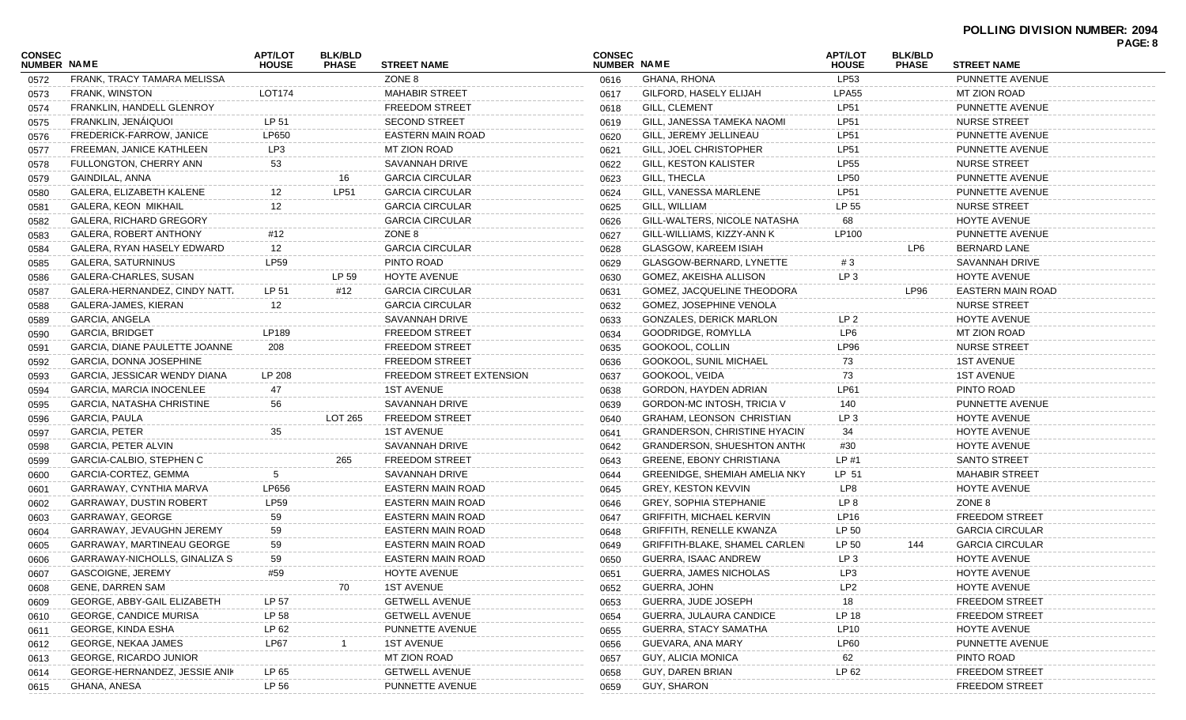| CONSEC<br><b>NUMBER NAME</b> |                                  | <b>APT/LOT</b><br><b>HOUSE</b> | <b>BLK/BLD</b><br><b>PHASE</b> | <b>STREET NAME</b>       | <b>CONSEC</b><br>NUMBER NAME |                                      | <b>APT/LOT</b><br><b>HOUSE</b> | <b>BLK/BLD</b><br><b>PHASE</b> | <b>STREET NAME</b>       | PAGE: 8 |
|------------------------------|----------------------------------|--------------------------------|--------------------------------|--------------------------|------------------------------|--------------------------------------|--------------------------------|--------------------------------|--------------------------|---------|
| 0572                         | FRANK, TRACY TAMARA MELISSA      |                                |                                | ZONE 8                   | 0616                         | GHANA, RHONA                         | <b>LP53</b>                    |                                | PUNNETTE AVENUE          |         |
| 0573                         | FRANK, WINSTON                   | LOT174                         |                                | <b>MAHABIR STREET</b>    | 0617                         | GILFORD, HASELY ELIJAH               | <b>LPA55</b>                   |                                | <b>MT ZION ROAD</b>      |         |
| 0574                         | FRANKLIN, HANDELL GLENROY        |                                |                                | <b>FREEDOM STREET</b>    | 0618                         | <b>GILL, CLEMENT</b>                 | <b>LP51</b>                    |                                | PUNNETTE AVENUE          |         |
| 0575                         | FRANKLIN, JENÁIQUOI              | LP 51                          |                                | <b>SECOND STREET</b>     | 0619                         | GILL, JANESSA TAMEKA NAOMI           | <b>LP51</b>                    |                                | <b>NURSE STREET</b>      |         |
| 0576                         | FREDERICK-FARROW, JANICE         | LP650                          |                                | <b>EASTERN MAIN ROAD</b> | 0620                         | GILL, JEREMY JELLINEAU               | <b>LP51</b>                    |                                | PUNNETTE AVENUE          |         |
| 0577                         | FREEMAN, JANICE KATHLEEN         | LP3                            |                                | MT ZION ROAD             | 0621                         | GILL, JOEL CHRISTOPHER               | <b>LP51</b>                    |                                | PUNNETTE AVENUE          |         |
| 0578                         | FULLONGTON, CHERRY ANN           | 53                             |                                | SAVANNAH DRIVE           | 0622                         | <b>GILL, KESTON KALISTER</b>         | <b>LP55</b>                    |                                | <b>NURSE STREET</b>      |         |
| 0579                         | GAINDILAL, ANNA                  |                                | 16                             | <b>GARCIA CIRCULAR</b>   | 0623                         | GILL, THECLA                         | <b>LP50</b>                    |                                | PUNNETTE AVENUE          |         |
| 0580                         | GALERA, ELIZABETH KALENE         | 12                             | <b>LP51</b>                    | <b>GARCIA CIRCULAR</b>   | 0624                         | GILL, VANESSA MARLENE                | <b>LP51</b>                    |                                | PUNNETTE AVENUE          |         |
| 0581                         | GALERA, KEON MIKHAIL             | 12                             |                                | <b>GARCIA CIRCULAR</b>   | 0625                         | GILL, WILLIAM                        | LP 55                          |                                | <b>NURSE STREET</b>      |         |
| 0582                         | GALERA, RICHARD GREGORY          |                                |                                | <b>GARCIA CIRCULAR</b>   | 0626                         | GILL-WALTERS, NICOLE NATASHA         | 68                             |                                | HOYTE AVENUE             |         |
| 0583                         | GALERA, ROBERT ANTHONY           | #12                            |                                | ZONE 8                   | 0627                         | GILL-WILLIAMS, KIZZY-ANN K           | LP100                          |                                | PUNNETTE AVENUE          |         |
| 0584                         | GALERA, RYAN HASELY EDWARD       | 12                             |                                | <b>GARCIA CIRCULAR</b>   | 0628                         | <b>GLASGOW, KAREEM ISIAH</b>         |                                | LP6                            | <b>BERNARD LANE</b>      |         |
| 0585                         | GALERA, SATURNINUS               | LP59                           |                                | PINTO ROAD               | 0629                         | GLASGOW-BERNARD, LYNETTE             | #3                             |                                | <b>SAVANNAH DRIVE</b>    |         |
| 0586                         | GALERA-CHARLES, SUSAN            |                                | LP 59                          | HOYTE AVENUE             | 0630                         | GOMEZ, AKEISHA ALLISON               | LP <sub>3</sub>                |                                | HOYTE AVENUE             |         |
| 0587                         | GALERA-HERNANDEZ, CINDY NATT,    | LP 51                          | #12                            | <b>GARCIA CIRCULAR</b>   | 0631                         | GOMEZ, JACQUELINE THEODORA           |                                | LP96                           | <b>EASTERN MAIN ROAD</b> |         |
| 0588                         | GALERA-JAMES, KIERAN             | 12                             |                                | <b>GARCIA CIRCULAR</b>   | 0632                         | <b>GOMEZ, JOSEPHINE VENOLA</b>       |                                |                                | <b>NURSE STREET</b>      |         |
| 0589                         | GARCIA, ANGELA                   |                                |                                | SAVANNAH DRIVE           | 0633                         | <b>GONZALES, DERICK MARLON</b>       | LP <sub>2</sub>                |                                | <b>HOYTE AVENUE</b>      |         |
| 0590                         | <b>GARCIA, BRIDGET</b>           | LP189                          |                                | <b>FREEDOM STREET</b>    | 0634                         | GOODRIDGE, ROMYLLA                   | LP <sub>6</sub>                |                                | <b>MT ZION ROAD</b>      |         |
| 0591                         | GARCIA, DIANE PAULETTE JOANNE    | 208                            |                                | <b>FREEDOM STREET</b>    | 0635                         | GOOKOOL, COLLIN                      | <b>LP96</b>                    |                                | <b>NURSE STREET</b>      |         |
| 0592                         | GARCIA, DONNA JOSEPHINE          |                                |                                | <b>FREEDOM STREET</b>    | 0636                         | GOOKOOL, SUNIL MICHAEL               | 73                             |                                | <b>1ST AVENUE</b>        |         |
| 0593                         | GARCIA, JESSICAR WENDY DIANA     | LP 208                         |                                | FREEDOM STREET EXTENSION | 0637                         | GOOKOOL, VEIDA                       | 73                             |                                | <b>1ST AVENUE</b>        |         |
| 0594                         | GARCIA, MARCIA INOCENLEE         | 47                             |                                | <b>1ST AVENUE</b>        | 0638                         | GORDON, HAYDEN ADRIAN                | LP61                           |                                | PINTO ROAD               |         |
| 0595                         | <b>GARCIA, NATASHA CHRISTINE</b> | 56                             |                                | SAVANNAH DRIVE           | 0639                         | GORDON-MC INTOSH, TRICIA V           | 140                            |                                | PUNNETTE AVENUE          |         |
| 0596                         | GARCIA, PAULA                    |                                | LOT 265                        | <b>FREEDOM STREET</b>    | 0640                         | <b>GRAHAM, LEONSON CHRISTIAN</b>     | LP <sub>3</sub>                |                                | <b>HOYTE AVENUE</b>      |         |
| 0597                         | GARCIA, PETER                    | 35                             |                                | <b>1ST AVENUE</b>        | 0641                         | <b>GRANDERSON, CHRISTINE HYACIN</b>  | 34                             |                                | HOYTE AVENUE             |         |
| 0598                         | GARCIA, PETER ALVIN              |                                |                                | SAVANNAH DRIVE           | 0642                         | <b>GRANDERSON, SHUESHTON ANTHO</b>   | #30                            |                                | HOYTE AVENUE             |         |
| 0599                         | GARCIA-CALBIO, STEPHEN C         |                                | 265                            | <b>FREEDOM STREET</b>    | 0643                         | <b>GREENE, EBONY CHRISTIANA</b>      | LP#1                           |                                | SANTO STREET             |         |
| 0600                         | GARCIA-CORTEZ, GEMMA             | 5                              |                                | SAVANNAH DRIVE           | 0644                         | <b>GREENIDGE, SHEMIAH AMELIA NKY</b> | LP 51                          |                                | <b>MAHABIR STREET</b>    |         |
| 0601                         | GARRAWAY, CYNTHIA MARVA          | LP656                          |                                | EASTERN MAIN ROAD        | 0645                         | <b>GREY, KESTON KEVVIN</b>           | LP8                            |                                | HOYTE AVENUE             |         |
| 0602                         | GARRAWAY, DUSTIN ROBERT          | <b>LP59</b>                    |                                | <b>EASTERN MAIN ROAD</b> | 0646                         | <b>GREY, SOPHIA STEPHANIE</b>        | LP 8                           |                                | ZONE 8                   |         |
| 0603                         | GARRAWAY, GEORGE                 | 59                             |                                | <b>EASTERN MAIN ROAD</b> | 0647                         | <b>GRIFFITH, MICHAEL KERVIN</b>      | LP16                           |                                | <b>FREEDOM STREET</b>    |         |
| 0604                         | GARRAWAY, JEVAUGHN JEREMY        | 59                             |                                | <b>EASTERN MAIN ROAD</b> | 0648                         | <b>GRIFFITH, RENELLE KWANZA</b>      | LP 50                          |                                | <b>GARCIA CIRCULAR</b>   |         |
| 0605                         | GARRAWAY, MARTINEAU GEORGE       | 59                             |                                | EASTERN MAIN ROAD        | 0649                         | GRIFFITH-BLAKE, SHAMEL CARLENI       | LP 50                          | 144                            | <b>GARCIA CIRCULAR</b>   |         |
| 0606                         | GARRAWAY-NICHOLLS, GINALIZA S    | 59                             |                                | EASTERN MAIN ROAD        | 0650                         | GUERRA, ISAAC ANDREW                 | LP <sub>3</sub>                |                                | <b>HOYTE AVENUE</b>      |         |
| 0607                         | GASCOIGNE, JEREMY                | #59                            |                                | <b>HOYTE AVENUE</b>      | 0651                         | GUERRA, JAMES NICHOLAS               | LP3                            |                                | HOYTE AVENUE             |         |
| 0608                         | GENE, DARREN SAM                 |                                | 70                             | <b>1ST AVENUE</b>        | 0652                         | GUERRA, JOHN                         | LP <sub>2</sub>                |                                | HOYTE AVENUE             |         |
| 0609                         | GEORGE, ABBY-GAIL ELIZABETH      | LP 57                          |                                | <b>GETWELL AVENUE</b>    | 0653                         | GUERRA, JUDE JOSEPH                  | 18                             |                                | <b>FREEDOM STREET</b>    |         |
| 0610                         | <b>GEORGE, CANDICE MURISA</b>    | LP 58                          |                                | <b>GETWELL AVENUE</b>    | 0654                         | GUERRA, JULAURA CANDICE              | LP 18                          |                                | <b>FREEDOM STREET</b>    |         |
| 0611                         | GEORGE, KINDA ESHA               | LP 62                          |                                | PUNNETTE AVENUE          | 0655                         | GUERRA, STACY SAMATHA                | <b>LP10</b>                    |                                | HOYTE AVENUE             |         |
| 0612                         | GEORGE, NEKAA JAMES              | LP67                           |                                | <b>1ST AVENUE</b>        | 0656                         | GUEVARA, ANA MARY                    | LP60                           |                                | PUNNETTE AVENUE          |         |
| 0613                         | <b>GEORGE, RICARDO JUNIOR</b>    |                                |                                | MT ZION ROAD             | 0657                         | GUY, ALICIA MONICA                   | 62                             |                                | PINTO ROAD               |         |
| 0614                         | GEORGE-HERNANDEZ, JESSIE ANIK    | LP 65                          |                                | <b>GETWELL AVENUE</b>    | 0658                         | GUY, DAREN BRIAN                     | LP 62                          |                                | <b>FREEDOM STREET</b>    |         |
| 0615                         | GHANA, ANESA                     | LP 56                          |                                | PUNNETTE AVENUE          | 0659                         | GUY, SHARON                          |                                |                                | <b>FREEDOM STREET</b>    |         |
|                              |                                  |                                |                                |                          |                              |                                      |                                |                                |                          |         |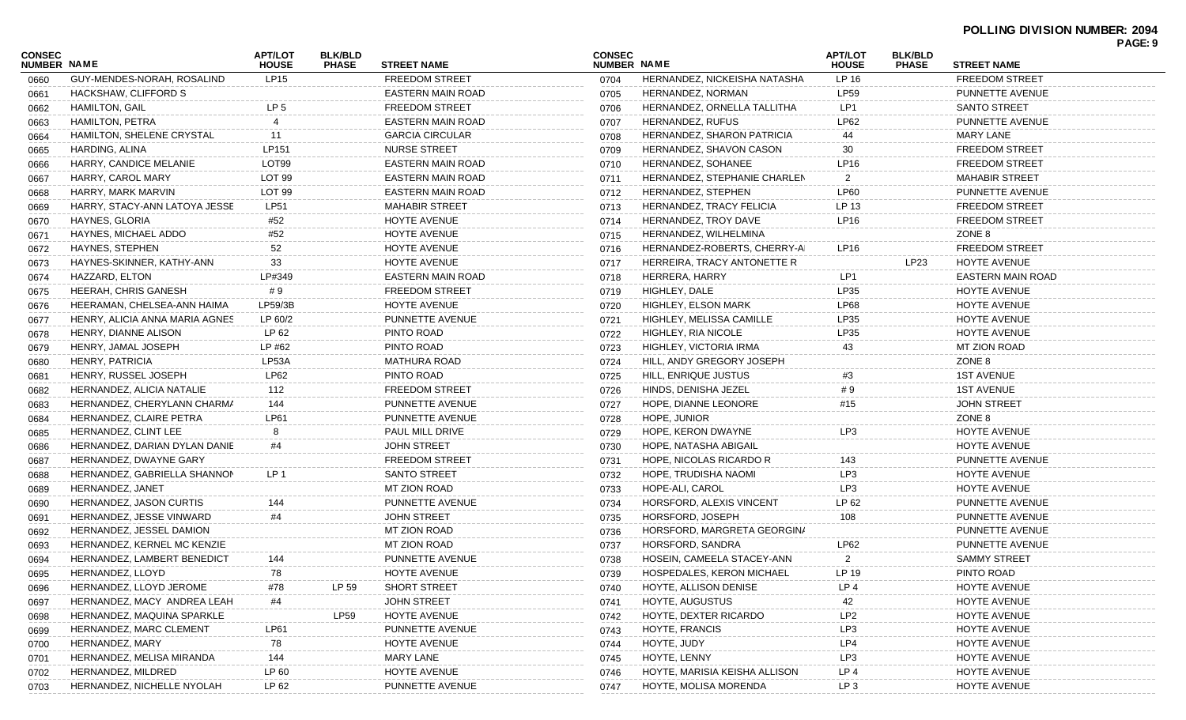| <b>CONSEC</b><br><b>NUMBER NAME</b> |                                | <b>APT/LOT</b><br><b>HOUSE</b> | <b>BLK/BLD</b><br><b>PHASE</b> | <b>STREET NAME</b>       | <b>CONSEC</b><br>NUMBER NAME |                               | <b>APT/LOT</b><br><b>HOUSE</b> | <b>BLK/BLD</b><br><b>PHASE</b> | <b>STREET NAME</b>       | PAGE: 9 |
|-------------------------------------|--------------------------------|--------------------------------|--------------------------------|--------------------------|------------------------------|-------------------------------|--------------------------------|--------------------------------|--------------------------|---------|
| 0660                                | GUY-MENDES-NORAH, ROSALIND     | <b>LP15</b>                    |                                | <b>FREEDOM STREET</b>    | 0704                         | HERNANDEZ, NICKEISHA NATASHA  | LP 16                          |                                | <b>FREEDOM STREET</b>    |         |
| 0661                                | HACKSHAW, CLIFFORD S           |                                |                                | <b>EASTERN MAIN ROAD</b> | 0705                         | HERNANDEZ, NORMAN             | <b>LP59</b>                    |                                | PUNNETTE AVENUE          |         |
| 0662                                | <b>HAMILTON, GAIL</b>          | LP <sub>5</sub>                |                                | <b>FREEDOM STREET</b>    | 0706                         | HERNANDEZ, ORNELLA TALLITHA   | LP <sub>1</sub>                |                                | <b>SANTO STREET</b>      |         |
| 0663                                | <b>HAMILTON, PETRA</b>         | 4                              |                                | <b>EASTERN MAIN ROAD</b> | 0707                         | <b>HERNANDEZ, RUFUS</b>       | LP62                           |                                | PUNNETTE AVENUE          |         |
|                                     | HAMILTON, SHELENE CRYSTAL      | 11                             |                                | <b>GARCIA CIRCULAR</b>   | 0708                         | HERNANDEZ, SHARON PATRICIA    | 44                             |                                | MARY LANE                |         |
| 0664                                | HARDING, ALINA                 | LP151                          |                                | <b>NURSE STREET</b>      | 0709                         | HERNANDEZ, SHAVON CASON       | 30                             |                                | <b>FREEDOM STREET</b>    |         |
| 0665                                | HARRY, CANDICE MELANIE         | LOT <sub>99</sub>              |                                | <b>EASTERN MAIN ROAD</b> |                              | <b>HERNANDEZ, SOHANEE</b>     | LP16                           |                                | <b>FREEDOM STREET</b>    |         |
| 0666                                | HARRY, CAROL MARY              | LOT <sub>99</sub>              |                                | <b>EASTERN MAIN ROAD</b> | 0710                         | HERNANDEZ, STEPHANIE CHARLEN  |                                |                                | <b>MAHABIR STREET</b>    |         |
| 0667                                |                                | LOT <sub>99</sub>              |                                |                          | 0711                         | HERNANDEZ, STEPHEN            | <b>LP60</b>                    |                                | PUNNETTE AVENUE          |         |
| 0668                                | HARRY, MARK MARVIN             | <b>LP51</b>                    |                                | EASTERN MAIN ROAD        | 0712                         |                               |                                |                                |                          |         |
| 0669                                | HARRY, STACY-ANN LATOYA JESSE  |                                |                                | <b>MAHABIR STREET</b>    | 0713                         | HERNANDEZ, TRACY FELICIA      | LP 13                          |                                | <b>FREEDOM STREET</b>    |         |
| 0670                                | HAYNES, GLORIA                 | #52                            |                                | HOYTE AVENUE             | 0714                         | HERNANDEZ, TROY DAVE          | <b>LP16</b>                    |                                | <b>FREEDOM STREET</b>    |         |
| 0671                                | HAYNES, MICHAEL ADDO           | #52                            |                                | HOYTE AVENUE             | 0715                         | HERNANDEZ, WILHELMINA         |                                |                                | ZONE 8                   |         |
| 0672                                | HAYNES, STEPHEN                | 52                             |                                | HOYTE AVENUE             | 0716                         | HERNANDEZ-ROBERTS, CHERRY-AI  | LP16                           |                                | <b>FREEDOM STREET</b>    |         |
| 0673                                | HAYNES-SKINNER, KATHY-ANN      | 33                             |                                | HOYTE AVENUE             | 0717                         | HERREIRA, TRACY ANTONETTE R   |                                | LP23                           | HOYTE AVENUE             |         |
| 0674                                | HAZZARD, ELTON                 | LP#349                         |                                | <b>EASTERN MAIN ROAD</b> | 0718                         | HERRERA, HARRY                | LP <sub>1</sub>                |                                | <b>EASTERN MAIN ROAD</b> |         |
| 0675                                | HEERAH, CHRIS GANESH           | #9                             |                                | <b>FREEDOM STREET</b>    | 0719                         | HIGHLEY, DALE                 | LP35                           |                                | <b>HOYTE AVENUE</b>      |         |
| 0676                                | HEERAMAN, CHELSEA-ANN HAIMA    | LP59/3B                        |                                | HOYTE AVENUE             | 0720                         | <b>HIGHLEY, ELSON MARK</b>    | <b>LP68</b>                    |                                | HOYTE AVENUE             |         |
| 0677                                | HENRY, ALICIA ANNA MARIA AGNES | LP 60/2                        |                                | PUNNETTE AVENUE          | 0721                         | HIGHLEY, MELISSA CAMILLE      | LP35                           |                                | <b>HOYTE AVENUE</b>      |         |
| 0678                                | HENRY, DIANNE ALISON           | LP 62                          |                                | PINTO ROAD               | 0722                         | HIGHLEY, RIA NICOLE           | LP35                           |                                | HOYTE AVENUE             |         |
| 0679                                | HENRY, JAMAL JOSEPH            | LP #62                         |                                | PINTO ROAD               | 0723                         | HIGHLEY, VICTORIA IRMA        | 43                             |                                | MT ZION ROAD             |         |
| 0680                                | HENRY, PATRICIA                | LP53A                          |                                | <b>MATHURA ROAD</b>      | 0724                         | HILL, ANDY GREGORY JOSEPH     |                                |                                | ZONE 8                   |         |
| 0681                                | HENRY, RUSSEL JOSEPH           | LP62                           |                                | PINTO ROAD               | 0725                         | HILL, ENRIQUE JUSTUS          | #3                             |                                | <b>1ST AVENUE</b>        |         |
| 0682                                | HERNANDEZ, ALICIA NATALIE      | 112                            |                                | <b>FREEDOM STREET</b>    | 0726                         | HINDS, DENISHA JEZEL          | #9                             |                                | <b>1ST AVENUE</b>        |         |
| 0683                                | HERNANDEZ, CHERYLANN CHARMA    | 144                            |                                | PUNNETTE AVENUE          | 0727                         | HOPE, DIANNE LEONORE          | #15                            |                                | <b>JOHN STREET</b>       |         |
| 0684                                | HERNANDEZ, CLAIRE PETRA        | <b>LP61</b>                    |                                | PUNNETTE AVENUE          | 0728                         | HOPE, JUNIOR                  |                                |                                | ZONE 8                   |         |
| 0685                                | HERNANDEZ, CLINT LEE           | 8                              |                                | PAUL MILL DRIVE          | 0729                         | HOPE, KERON DWAYNE            | LP3                            |                                | HOYTE AVENUE             |         |
| 0686                                | HERNANDEZ, DARIAN DYLAN DANIE  | #4                             |                                | <b>JOHN STREET</b>       | 0730                         | HOPE, NATASHA ABIGAIL         |                                |                                | HOYTE AVENUE             |         |
| 0687                                | HERNANDEZ, DWAYNE GARY         |                                |                                | <b>FREEDOM STREET</b>    | 0731                         | HOPE, NICOLAS RICARDO R       | 143                            |                                | PUNNETTE AVENUE          |         |
| 0688                                | HERNANDEZ, GABRIELLA SHANNON   | LP <sub>1</sub>                |                                | <b>SANTO STREET</b>      | 0732                         | HOPE, TRUDISHA NAOMI          | LP3                            |                                | HOYTE AVENUE             |         |
| 0689                                | HERNANDEZ, JANET               |                                |                                | <b>MT ZION ROAD</b>      | 0733                         | HOPE-ALI, CAROL               | LP3                            |                                | HOYTE AVENUE             |         |
| 0690                                | HERNANDEZ, JASON CURTIS        | 144                            |                                | PUNNETTE AVENUE          | 0734                         | HORSFORD, ALEXIS VINCENT      | LP 62                          |                                | PUNNETTE AVENUE          |         |
| 0691                                | HERNANDEZ, JESSE VINWARD       | #4                             |                                | <b>JOHN STREET</b>       | 0735                         | HORSFORD, JOSEPH              | 108                            |                                | PUNNETTE AVENUE          |         |
| 0692                                | HERNANDEZ, JESSEL DAMION       |                                |                                | <b>MT ZION ROAD</b>      | 0736                         | HORSFORD, MARGRETA GEORGIN/   |                                |                                | PUNNETTE AVENUE          |         |
| 0693                                | HERNANDEZ, KERNEL MC KENZIE    |                                |                                | MT ZION ROAD             | 0737                         | HORSFORD, SANDRA              | LP62                           |                                | PUNNETTE AVENUE          |         |
| 0694                                | HERNANDEZ, LAMBERT BENEDICT    | 144                            |                                | PUNNETTE AVENUE          | 0738                         | HOSEIN, CAMEELA STACEY-ANN    | 2                              |                                | <b>SAMMY STREET</b>      |         |
| 0695                                | HERNANDEZ, LLOYD               | 78                             |                                | HOYTE AVENUE             | 0739                         | HOSPEDALES, KERON MICHAEL     | LP 19                          |                                | PINTO ROAD               |         |
| 0696                                | HERNANDEZ, LLOYD JEROME        | #78                            | LP 59                          | <b>SHORT STREET</b>      | 0740                         | HOYTE, ALLISON DENISE         | LP <sub>4</sub>                |                                | <b>HOYTE AVENUE</b>      |         |
| 0697                                | HERNANDEZ, MACY ANDREA LEAH    | #4                             |                                | <b>JOHN STREET</b>       | 0741                         | HOYTE, AUGUSTUS               | 42                             |                                | HOYTE AVENUE             |         |
| 0698                                | HERNANDEZ, MAQUINA SPARKLE     |                                | LP59                           | HOYTE AVENUE             | 0742                         | HOYTE, DEXTER RICARDO         | LP <sub>2</sub>                |                                | HOYTE AVENUE             |         |
| 0699                                | HERNANDEZ, MARC CLEMENT        | <b>LP61</b>                    |                                | PUNNETTE AVENUE          | 0743                         | <b>HOYTE, FRANCIS</b>         | LP3                            |                                | HOYTE AVENUE             |         |
| 0700                                | HERNANDEZ, MARY                | 78                             |                                | HOYTE AVENUE             | 0744                         | HOYTE, JUDY                   | LP4                            |                                | HOYTE AVENUE             |         |
| 0701                                | HERNANDEZ, MELISA MIRANDA      | 144                            |                                | <b>MARY LANE</b>         | 0745                         | HOYTE, LENNY                  | LP3                            |                                | HOYTE AVENUE             |         |
| 0702                                | HERNANDEZ, MILDRED             | LP 60                          |                                | HOYTE AVENUE             | 0746                         | HOYTE, MARISIA KEISHA ALLISON | LP <sub>4</sub>                |                                | HOYTE AVENUE             |         |
| 0703                                | HERNANDEZ, NICHELLE NYOLAH     | LP 62                          |                                | PUNNETTE AVENUE          | 0747                         | HOYTE, MOLISA MORENDA         | LP <sub>3</sub>                |                                | HOYTE AVENUE             |         |
|                                     |                                |                                |                                |                          |                              |                               |                                |                                |                          |         |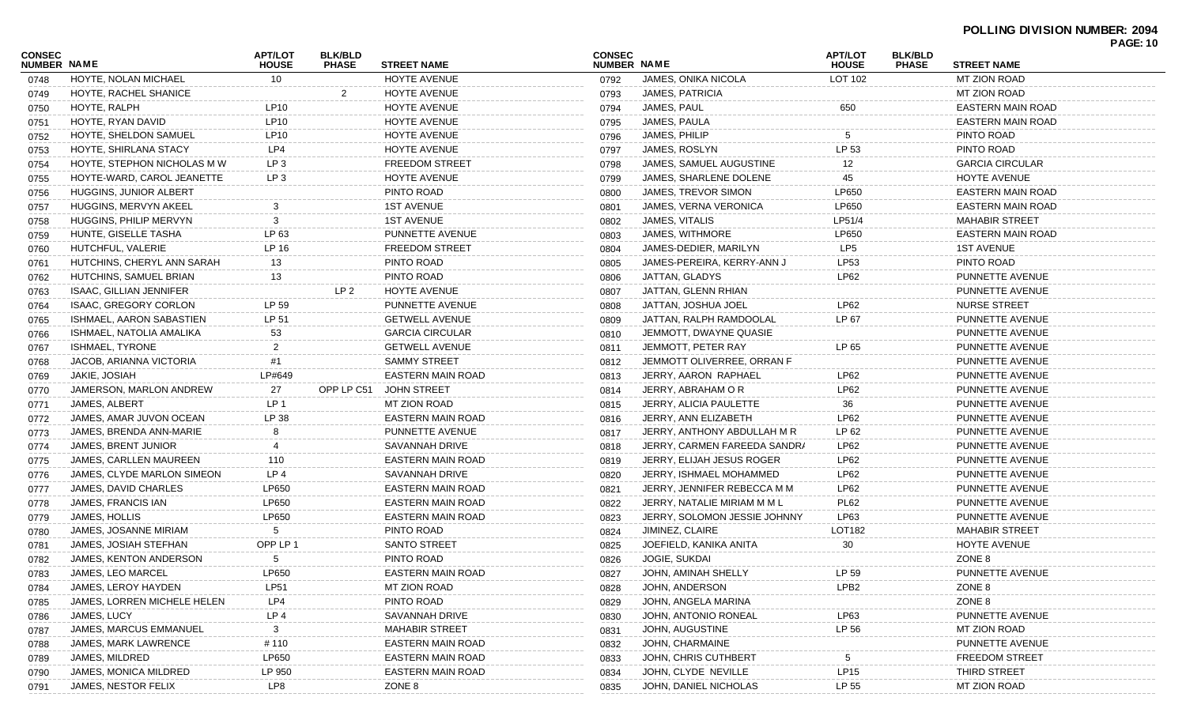| CONSEC             |                              | <b>APT/LOT</b>  | <b>BLK/BLD</b> |                          | <b>CONSEC</b> |                              | <b>APT/LOT</b>          | <b>BLK/BLD</b> |                          | <b>PAGE: 10</b> |
|--------------------|------------------------------|-----------------|----------------|--------------------------|---------------|------------------------------|-------------------------|----------------|--------------------------|-----------------|
| <b>NUMBER NAME</b> |                              | <b>HOUSE</b>    | <b>PHASE</b>   | <b>STREET NAME</b>       | NUMBER NAME   |                              | <b>HOUSE</b><br>LOT 102 | <b>PHASE</b>   | <b>STREET NAME</b>       |                 |
| 0748               | HOYTE, NOLAN MICHAEL         | 10              |                | HOYTE AVENUE             | 0792          | JAMES, ONIKA NICOLA          |                         |                | MT ZION ROAD             |                 |
| 0749               | HOYTE, RACHEL SHANICE        |                 | 2              | HOYTE AVENUE             | 0793          | JAMES, PATRICIA              |                         |                | MT ZION ROAD             |                 |
| 0750               | HOYTE, RALPH                 | LP10            |                | HOYTE AVENUE             | 0794          | JAMES, PAUL                  | 650                     |                | <b>EASTERN MAIN ROAD</b> |                 |
| 0751               | HOYTE, RYAN DAVID            | LP10            |                | HOYTE AVENUE             | 0795          | JAMES, PAULA                 |                         |                | EASTERN MAIN ROAD        |                 |
| 0752               | HOYTE, SHELDON SAMUEL        | LP10            |                | HOYTE AVENUE             | 0796          | JAMES, PHILIP                | 5                       |                | PINTO ROAD               |                 |
| 0753               | HOYTE, SHIRLANA STACY        | LP4             |                | HOYTE AVENUE             | 0797          | JAMES, ROSLYN                | LP 53                   |                | PINTO ROAD               |                 |
| 0754               | HOYTE, STEPHON NICHOLAS M W  | LP <sub>3</sub> |                | <b>FREEDOM STREET</b>    | 0798          | JAMES, SAMUEL AUGUSTINE      | 12                      |                | <b>GARCIA CIRCULAR</b>   |                 |
| 0755               | HOYTE-WARD, CAROL JEANETTE   | LP <sub>3</sub> |                | HOYTE AVENUE             | 0799          | JAMES, SHARLENE DOLENE       | 45                      |                | HOYTE AVENUE             |                 |
| 0756               | HUGGINS, JUNIOR ALBERT       |                 |                | PINTO ROAD               | 0800          | JAMES, TREVOR SIMON          | LP650                   |                | EASTERN MAIN ROAD        |                 |
| 0757               | HUGGINS, MERVYN AKEEL        |                 |                | <b>1ST AVENUE</b>        | 0801          | <b>JAMES, VERNA VERONICA</b> | LP650                   |                | EASTERN MAIN ROAD        |                 |
| 0758               | HUGGINS, PHILIP MERVYN       | 3               |                | <b>1ST AVENUE</b>        | 0802          | JAMES, VITALIS               | LP51/4                  |                | <b>MAHABIR STREET</b>    |                 |
| 0759               | HUNTE, GISELLE TASHA         | LP 63           |                | PUNNETTE AVENUE          | 0803          | JAMES, WITHMORE              | LP650                   |                | EASTERN MAIN ROAD        |                 |
| 0760               | HUTCHFUL, VALERIE            | LP 16           |                | <b>FREEDOM STREET</b>    | 0804          | JAMES-DEDIER, MARILYN        | LP5                     |                | <b>1ST AVENUE</b>        |                 |
| 0761               | HUTCHINS, CHERYL ANN SARAH   | 13              |                | PINTO ROAD               | 0805          | JAMES-PEREIRA, KERRY-ANN J   | LP53                    |                | PINTO ROAD               |                 |
| 0762               | HUTCHINS, SAMUEL BRIAN       | 13              |                | PINTO ROAD               | 0806          | JATTAN, GLADYS               | LP62                    |                | PUNNETTE AVENUE          |                 |
| 0763               | ISAAC, GILLIAN JENNIFER      |                 | LP 2           | HOYTE AVENUE             | 0807          | JATTAN, GLENN RHIAN          |                         |                | PUNNETTE AVENUE          |                 |
| 0764               | ISAAC, GREGORY CORLON        | LP 59           |                | PUNNETTE AVENUE          | 0808          | JATTAN, JOSHUA JOEL          | LP62                    |                | NURSE STREET             |                 |
| 0765               | ISHMAEL, AARON SABASTIEN     | LP 51           |                | <b>GETWELL AVENUE</b>    | 0809          | JATTAN, RALPH RAMDOOLAL      | LP 67                   |                | PUNNETTE AVENUE          |                 |
| 0766               | ISHMAEL, NATOLIA AMALIKA     | 53              |                | <b>GARCIA CIRCULAR</b>   | 0810          | JEMMOTT, DWAYNE QUASIE       |                         |                | PUNNETTE AVENUE          |                 |
| 0767               | ISHMAEL, TYRONE              | $\overline{2}$  |                | <b>GETWELL AVENUE</b>    | 0811          | JEMMOTT, PETER RAY           | LP 65                   |                | PUNNETTE AVENUE          |                 |
| 0768               | JACOB, ARIANNA VICTORIA      | #1              |                | <b>SAMMY STREET</b>      | 0812          | JEMMOTT OLIVERREE, ORRAN F   |                         |                | PUNNETTE AVENUE          |                 |
| 0769               | JAKIE, JOSIAH                | LP#649          |                | <b>EASTERN MAIN ROAD</b> | 0813          | JERRY, AARON RAPHAEL         | LP62                    |                | PUNNETTE AVENUE          |                 |
| 0770               | JAMERSON, MARLON ANDREW      | 27              | OPP LP C51     | <b>JOHN STREET</b>       | 0814          | JERRY, ABRAHAM O R           | <b>LP62</b>             |                | PUNNETTE AVENUE          |                 |
| 0771               | <b>JAMES, ALBERT</b>         | LP 1            |                | <b>MT ZION ROAD</b>      | 0815          | JERRY, ALICIA PAULETTE       | 36                      |                | PUNNETTE AVENUE          |                 |
| 0772               | JAMES, AMAR JUVON OCEAN      | LP 38           |                | <b>EASTERN MAIN ROAD</b> | 0816          | JERRY, ANN ELIZABETH         | LP62                    |                | PUNNETTE AVENUE          |                 |
| 0773               | JAMES, BRENDA ANN-MARIE      | 8               |                | PUNNETTE AVENUE          | 0817          | JERRY, ANTHONY ABDULLAH M R  | LP 62                   |                | PUNNETTE AVENUE          |                 |
| 0774               | <b>JAMES, BRENT JUNIOR</b>   | 4               |                | SAVANNAH DRIVE           | 0818          | JERRY, CARMEN FAREEDA SANDRA | LP62                    |                | PUNNETTE AVENUE          |                 |
| 0775               | JAMES, CARLLEN MAUREEN       | 110             |                | EASTERN MAIN ROAD        | 0819          | JERRY, ELIJAH JESUS ROGER    | LP62                    |                | PUNNETTE AVENUE          |                 |
| 0776               | JAMES, CLYDE MARLON SIMEON   | LP4             |                | SAVANNAH DRIVE           | 0820          | JERRY, ISHMAEL MOHAMMED      | LP62                    |                | PUNNETTE AVENUE          |                 |
| 0777               | JAMES, DAVID CHARLES         | LP650           |                | EASTERN MAIN ROAD        | 0821          | JERRY, JENNIFER REBECCA M M  | LP62                    |                | PUNNETTE AVENUE          |                 |
| 0778               | JAMES, FRANCIS IAN           | LP650           |                | EASTERN MAIN ROAD        | 0822          | JERRY, NATALIE MIRIAM M M L  | <b>PL62</b>             |                | PUNNETTE AVENUE          |                 |
| 0779               | JAMES, HOLLIS                | LP650           |                | <b>EASTERN MAIN ROAD</b> | 0823          | JERRY, SOLOMON JESSIE JOHNNY | LP63                    |                | PUNNETTE AVENUE          |                 |
| 0780               | <b>JAMES, JOSANNE MIRIAM</b> | 5               |                | PINTO ROAD               | 0824          | JIMINEZ, CLAIRE              | LOT182                  |                | <b>MAHABIR STREET</b>    |                 |
| 0781               | JAMES, JOSIAH STEFHAN        | OPP LP 1        |                | <b>SANTO STREET</b>      | 0825          | JOEFIELD, KANIKA ANITA       | 30                      |                | HOYTE AVENUE             |                 |
| 0782               | JAMES, KENTON ANDERSON       | 5               |                | PINTO ROAD               | 0826          | JOGIE, SUKDAI                |                         |                | ZONE 8                   |                 |
| 0783               | JAMES, LEO MARCEL            | LP650           |                | EASTERN MAIN ROAD        | 0827          | JOHN, AMINAH SHELLY          | LP 59                   |                | PUNNETTE AVENUE          |                 |
| 0784               | JAMES, LEROY HAYDEN          | <b>LP51</b>     |                | <b>MT ZION ROAD</b>      | 0828          | JOHN, ANDERSON               | LPB <sub>2</sub>        |                | ZONE 8                   |                 |
| 0785               | JAMES, LORREN MICHELE HELEN  | LP4             |                | PINTO ROAD               | 0829          | JOHN, ANGELA MARINA          |                         |                | ZONE 8                   |                 |
| 0786               | JAMES, LUCY                  | LP <sub>4</sub> |                | <b>SAVANNAH DRIVE</b>    | 0830          | JOHN, ANTONIO RONEAL         | LP63                    |                | PUNNETTE AVENUE          |                 |
| 0787               | JAMES, MARCUS EMMANUEL       | 3               |                | <b>MAHABIR STREET</b>    | 0831          | JOHN, AUGUSTINE              | LP 56                   |                | MT ZION ROAD             |                 |
| 0788               | JAMES, MARK LAWRENCE         | # 110           |                | EASTERN MAIN ROAD        | 0832          | JOHN, CHARMAINE              |                         |                | PUNNETTE AVENUE          |                 |
| 0789               | JAMES, MILDRED               | LP650           |                | EASTERN MAIN ROAD        | 0833          | JOHN, CHRIS CUTHBERT         |                         |                | <b>FREEDOM STREET</b>    |                 |
| 0790               | JAMES, MONICA MILDRED        | LP 950          |                | EASTERN MAIN ROAD        | 0834          | JOHN, CLYDE NEVILLE          | LP15                    |                | THIRD STREET             |                 |
| 0791               | JAMES, NESTOR FELIX          | LP8             |                | ZONE 8                   | 0835          | JOHN, DANIEL NICHOLAS        | LP 55                   |                | MT ZION ROAD             |                 |
|                    |                              |                 |                |                          |               |                              |                         |                |                          |                 |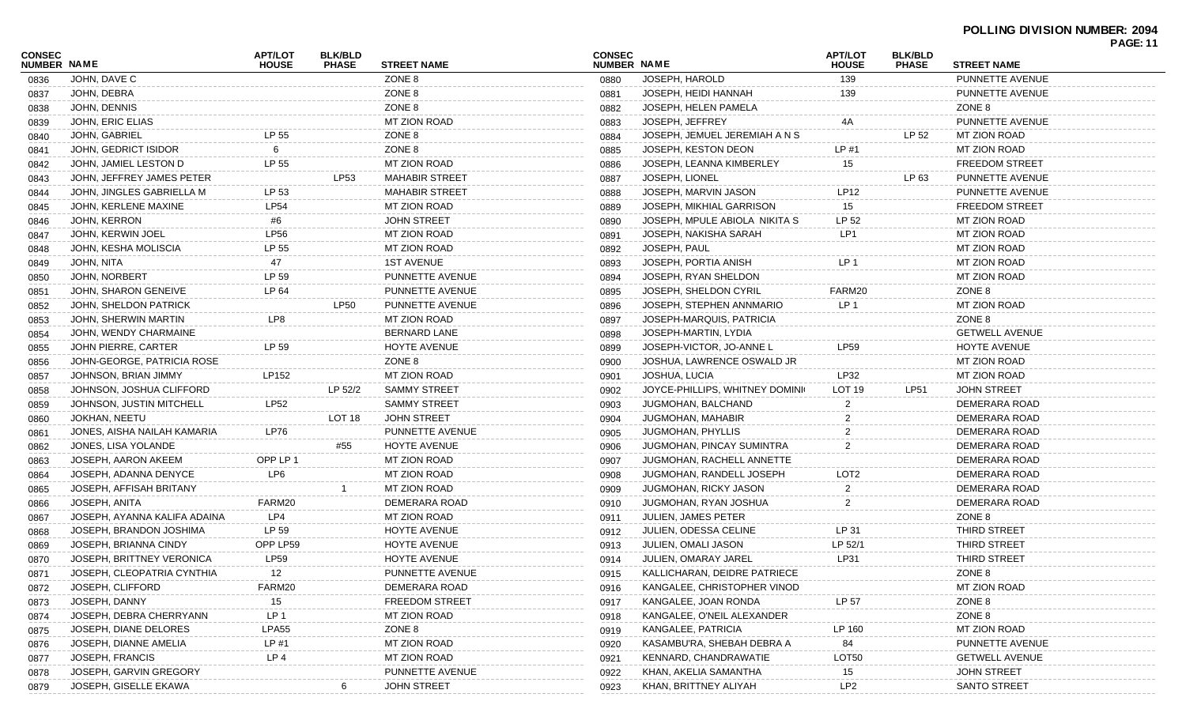| CONSEC             |                              | <b>APT/LOT</b>  | <b>BLK/BLD</b> |                       | <b>CONSEC</b>      |                                | <b>APT/LOT</b>  | <b>BLK/BLD</b> |                       | <b>PAGE: 11</b> |
|--------------------|------------------------------|-----------------|----------------|-----------------------|--------------------|--------------------------------|-----------------|----------------|-----------------------|-----------------|
| <b>NUMBER NAME</b> |                              | <b>HOUSE</b>    | <b>PHASE</b>   | <b>STREET NAME</b>    | <b>NUMBER NAME</b> |                                | <b>HOUSE</b>    | <b>PHASE</b>   | <b>STREET NAME</b>    |                 |
| 0836               | JOHN, DAVE C                 |                 |                | ZONE 8                | 0880               | JOSEPH, HAROLD                 | 139             |                | PUNNETTE AVENUE       |                 |
| 0837               | JOHN, DEBRA                  |                 |                | ZONE 8                | 0881               | JOSEPH, HEIDI HANNAH           | 139             |                | PUNNETTE AVENUE       |                 |
| 0838               | JOHN, DENNIS                 |                 |                | ZONE 8                | 0882               | JOSEPH, HELEN PAMELA           |                 |                | ZONE 8                |                 |
| 0839               | JOHN, ERIC ELIAS             |                 |                | <b>MT ZION ROAD</b>   | 0883               | JOSEPH, JEFFREY                | 4A              |                | PUNNETTE AVENUE       |                 |
| 0840               | <b>JOHN, GABRIEL</b>         | LP 55           |                | ZONE 8                | 0884               | JOSEPH, JEMUEL JEREMIAH A N S  |                 | LP 52          | MT ZION ROAD          |                 |
| 0841               | JOHN, GEDRICT ISIDOR         | 6               |                | ZONE 8                | 0885               | JOSEPH, KESTON DEON            | LP#1            |                | <b>MT ZION ROAD</b>   |                 |
| 0842               | JOHN, JAMIEL LESTON D        | LP 55           |                | MT ZION ROAD          | 0886               | JOSEPH, LEANNA KIMBERLEY       | 15              |                | <b>FREEDOM STREET</b> |                 |
| 0843               | JOHN. JEFFREY JAMES PETER    |                 | LP53           | <b>MAHABIR STREET</b> | 0887               | JOSEPH, LIONEL                 |                 | LP 63          | PUNNETTE AVENUE       |                 |
| 0844               | JOHN. JINGLES GABRIELLA M    | LP 53           |                | <b>MAHABIR STREET</b> | 0888               | JOSEPH, MARVIN JASON           | LP12            |                | PUNNETTE AVENUE       |                 |
| 0845               | JOHN, KERLENE MAXINE         | <b>LP54</b>     |                | <b>MT ZION ROAD</b>   | 0889               | JOSEPH, MIKHIAL GARRISON       | 15              |                | <b>FREEDOM STREET</b> |                 |
| 0846               | JOHN, KERRON                 | #6              |                | <b>JOHN STREET</b>    | 0890               | JOSEPH, MPULE ABIOLA NIKITA S  | LP 52           |                | <b>MT ZION ROAD</b>   |                 |
| 0847               | JOHN, KERWIN JOEL            | <b>LP56</b>     |                | <b>MT ZION ROAD</b>   | 0891               | JOSEPH, NAKISHA SARAH          | LP <sub>1</sub> |                | <b>MT ZION ROAD</b>   |                 |
| 0848               | JOHN, KESHA MOLISCIA         | LP 55           |                | <b>MT ZION ROAD</b>   | 0892               | JOSEPH, PAUL                   |                 |                | <b>MT ZION ROAD</b>   |                 |
| 0849               | JOHN, NITA                   | 47              |                | <b>1ST AVENUE</b>     | 0893               | JOSEPH, PORTIA ANISH           | LP.             |                | <b>MT ZION ROAD</b>   |                 |
| 0850               | JOHN, NORBERT                | LP 59           |                | PUNNETTE AVENUE       | 0894               | JOSEPH, RYAN SHELDON           |                 |                | <b>MT ZION ROAD</b>   |                 |
| 0851               | JOHN, SHARON GENEIVE         | LP 64           |                | PUNNETTE AVENUE       | 0895               | JOSEPH, SHELDON CYRIL          | FARM20          |                | ZONE 8                |                 |
| 0852               | JOHN, SHELDON PATRICK        |                 | <b>LP50</b>    | PUNNETTE AVENUE       | 0896               | JOSEPH, STEPHEN ANNMARIO       | LP <sub>1</sub> |                | <b>MT ZION ROAD</b>   |                 |
| 0853               | JOHN, SHERWIN MARTIN         | LP8             |                | <b>MT ZION ROAD</b>   | 0897               | JOSEPH-MARQUIS, PATRICIA       |                 |                | ZONE 8                |                 |
| 0854               | JOHN, WENDY CHARMAINE        |                 |                | <b>BERNARD LANE</b>   | 0898               | JOSEPH-MARTIN, LYDIA           |                 |                | <b>GETWELL AVENUE</b> |                 |
| 0855               | <b>JOHN PIERRE, CARTER</b>   | LP 59           |                | HOYTE AVENUE          | 0899               | JOSEPH-VICTOR, JO-ANNE L       | <b>LP59</b>     |                | <b>HOYTE AVENUE</b>   |                 |
| 0856               | JOHN-GEORGE, PATRICIA ROSE   |                 |                | ZONE 8                | 0900               | JOSHUA, LAWRENCE OSWALD JR     |                 |                | <b>MT ZION ROAD</b>   |                 |
| 0857               | JOHNSON, BRIAN JIMMY         | LP152           |                | <b>MT ZION ROAD</b>   | 0901               | JOSHUA, LUCIA                  | LP32            |                | <b>MT ZION ROAD</b>   |                 |
| 0858               | JOHNSON, JOSHUA CLIFFORD     |                 | LP 52/2        | <b>SAMMY STREET</b>   | 0902               | JOYCE-PHILLIPS, WHITNEY DOMINK | LOT 19          | LP51           | <b>JOHN STREET</b>    |                 |
| 0859               | JOHNSON, JUSTIN MITCHELL     | <b>LP52</b>     |                | <b>SAMMY STREET</b>   | 0903               | JUGMOHAN, BALCHAND             |                 |                | DEMERARA ROAD         |                 |
| 0860               | <b>JOKHAN, NEETU</b>         |                 | LOT 18         | <b>JOHN STREET</b>    | 0904               | <b>JUGMOHAN, MAHABIR</b>       | 2               |                | DEMERARA ROAD         |                 |
| 0861               | JONES, AISHA NAILAH KAMARIA  | <b>LP76</b>     |                | PUNNETTE AVENUE       | 0905               | <b>JUGMOHAN, PHYLLIS</b>       | 2               |                | DEMERARA ROAD         |                 |
| 0862               | JONES, LISA YOLANDE          |                 | #55            | <b>HOYTE AVENUE</b>   | 0906               | JUGMOHAN, PINCAY SUMINTRA      | 2               |                | DEMERARA ROAD         |                 |
| 0863               | JOSEPH, AARON AKEEM          | OPP LP 1        |                | <b>MT ZION ROAD</b>   | 0907               | JUGMOHAN, RACHELL ANNETTE      |                 |                | DEMERARA ROAD         |                 |
| 0864               | JOSEPH, ADANNA DENYCE        | LP <sub>6</sub> |                | MT ZION ROAD          | 0908               | JUGMOHAN, RANDELL JOSEPH       | LOT2            |                | DEMERARA ROAD         |                 |
| 0865               | JOSEPH, AFFISAH BRITANY      |                 |                | MT ZION ROAD          | 0909               | <b>JUGMOHAN, RICKY JASON</b>   | 2               |                | DEMERARA ROAD         |                 |
| 0866               | JOSEPH, ANITA                | FARM20          |                | DEMERARA ROAD         | 0910               | JUGMOHAN, RYAN JOSHUA          | $\overline{2}$  |                | DEMERARA ROAD         |                 |
| 0867               | JOSEPH, AYANNA KALIFA ADAINA | LP4             |                | MT ZION ROAD          | 0911               | <b>JULIEN, JAMES PETER</b>     |                 |                | ZONE 8                |                 |
| 0868               | JOSEPH, BRANDON JOSHIMA      | LP 59           |                | <b>HOYTE AVENUE</b>   | 0912               | JULIEN, ODESSA CELINE          | LP 31           |                | THIRD STREET          |                 |
| 0869               | JOSEPH, BRIANNA CINDY        | OPP LP59        |                | <b>HOYTE AVENUE</b>   | 0913               | JULIEN, OMALI JASON            | LP 52/1         |                | THIRD STREET          |                 |
| 0870               | JOSEPH, BRITTNEY VERONICA    | <b>LP59</b>     |                | <b>HOYTE AVENUE</b>   | 0914               | JULIEN, OMARAY JAREL           | LP31            |                | <b>THIRD STREET</b>   |                 |
| 0871               | JOSEPH, CLEOPATRIA CYNTHIA   | 12              |                | PUNNETTE AVENUE       | 0915               | KALLICHARAN, DEIDRE PATRIECE   |                 |                | ZONE 8                |                 |
| 0872               | JOSEPH, CLIFFORD             | FARM20          |                | DEMERARA ROAD         | 0916               | KANGALEE, CHRISTOPHER VINOD    |                 |                | <b>MT ZION ROAD</b>   |                 |
| 0873               | JOSEPH, DANNY                | 15              |                | <b>FREEDOM STREET</b> | 0917               | KANGALEE, JOAN RONDA           | LP 57           |                | ZONE 8                |                 |
| 0874               | JOSEPH, DEBRA CHERRYANN      | LP <sub>1</sub> |                | MT ZION ROAD          | 0918               | KANGALEE, O'NEIL ALEXANDER     |                 |                | ZONE 8                |                 |
| 0875               | JOSEPH, DIANE DELORES        | LPA55           |                | ZONE 8                | 0919               | KANGALEE, PATRICIA             | LP 160          |                | <b>MT ZION ROAD</b>   |                 |
| 0876               | JOSEPH, DIANNE AMELIA        | LP #1           |                | MT ZION ROAD          | 0920               | KASAMBU'RA, SHEBAH DEBRA A     | 84              |                | PUNNETTE AVENUE       |                 |
| 0877               | JOSEPH, FRANCIS              | LP 4            |                | MT ZION ROAD          | 0921               | KENNARD, CHANDRAWATIE          | LOT50           |                | <b>GETWELL AVENUE</b> |                 |
| 0878               | JOSEPH, GARVIN GREGORY       |                 |                | PUNNETTE AVENUE       | 0922               | KHAN, AKELIA SAMANTHA          | 15              |                | <b>JOHN STREET</b>    |                 |
| 0879               | JOSEPH, GISELLE EKAWA        |                 |                | <b>JOHN STREET</b>    | 0923               | KHAN, BRITTNEY ALIYAH          | LP <sub>2</sub> |                | <b>SANTO STREET</b>   |                 |
|                    |                              |                 |                |                       |                    |                                |                 |                |                       |                 |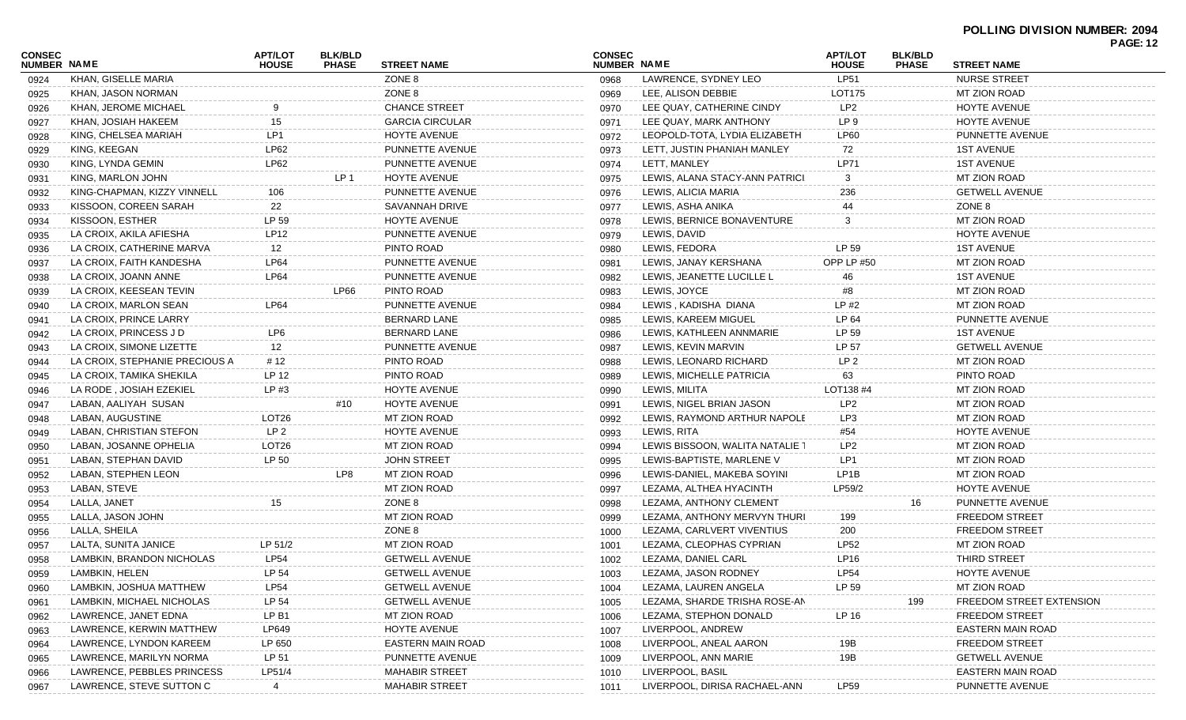|                              |                                |                         |                                |                          |                              |                                 |                                |                                |                                 | <b>PAGE: 12</b> |
|------------------------------|--------------------------------|-------------------------|--------------------------------|--------------------------|------------------------------|---------------------------------|--------------------------------|--------------------------------|---------------------------------|-----------------|
| CONSEC<br><b>NUMBER NAME</b> |                                | APT/LOT<br><b>HOUSE</b> | <b>BLK/BLD</b><br><b>PHASE</b> | <b>STREET NAME</b>       | <b>CONSEC</b><br>NUMBER NAME |                                 | <b>APT/LOT</b><br><b>HOUSE</b> | <b>BLK/BLD</b><br><b>PHASE</b> | <b>STREET NAME</b>              |                 |
| 0924                         | KHAN, GISELLE MARIA            |                         |                                | ZONE 8                   | 0968                         | LAWRENCE, SYDNEY LEO            | LP51                           |                                | <b>NURSE STREET</b>             |                 |
| 0925                         | KHAN, JASON NORMAN             |                         |                                | ZONE 8                   | 0969                         | LEE, ALISON DEBBIE              | LOT175                         |                                | MT ZION ROAD                    |                 |
| 0926                         | KHAN, JEROME MICHAEL           |                         |                                | <b>CHANCE STREET</b>     | 0970                         | LEE QUAY, CATHERINE CINDY       | LP2                            |                                | <b>HOYTE AVENUE</b>             |                 |
| 0927                         | KHAN, JOSIAH HAKEEM            | 15                      |                                | <b>GARCIA CIRCULAR</b>   | 0971                         | LEE QUAY, MARK ANTHONY          | LP 9                           |                                | <b>HOYTE AVENUE</b>             |                 |
| 0928                         | KING, CHELSEA MARIAH           | LP1                     |                                | <b>HOYTE AVENUE</b>      | 0972                         | LEOPOLD-TOTA, LYDIA ELIZABETH   | LP60                           |                                | PUNNETTE AVENUE                 |                 |
| 0929                         | KING, KEEGAN                   | LP62                    |                                | PUNNETTE AVENUE          | 0973                         | LETT, JUSTIN PHANIAH MANLEY     | 72                             |                                | <b>1ST AVENUE</b>               |                 |
| 0930                         | KING, LYNDA GEMIN              | LP62                    |                                | PUNNETTE AVENUE          | 0974                         | LETT, MANLEY                    | LP71                           |                                | <b>1ST AVENUE</b>               |                 |
| 0931                         | KING, MARLON JOHN              |                         | LP 1                           | HOYTE AVENUE             | 0975                         | LEWIS, ALANA STACY-ANN PATRICI. | 3                              |                                | MT ZION ROAD                    |                 |
| 0932                         | KING-CHAPMAN, KIZZY VINNELL    | 106                     |                                | PUNNETTE AVENUE          | 0976                         | LEWIS, ALICIA MARIA             | 236                            |                                | <b>GETWELL AVENUE</b>           |                 |
| 0933                         | KISSOON, COREEN SARAH          | 22                      |                                | SAVANNAH DRIVE           | 0977                         | LEWIS, ASHA ANIKA               | 44                             |                                | ZONE 8                          |                 |
| 0934                         | KISSOON, ESTHER                | LP 59                   |                                | <b>HOYTE AVENUE</b>      | 0978                         | LEWIS, BERNICE BONAVENTURE      | 3                              |                                | MT ZION ROAD                    |                 |
| 0935                         | LA CROIX, AKILA AFIESHA        | LP12                    |                                | PUNNETTE AVENUE          | 0979                         | LEWIS, DAVID                    |                                |                                | HOYTE AVENUE                    |                 |
| 0936                         | LA CROIX, CATHERINE MARVA      | 12                      |                                | PINTO ROAD               | 0980                         | LEWIS, FEDORA                   | LP 59                          |                                | <b>1ST AVENUE</b>               |                 |
| 0937                         | LA CROIX, FAITH KANDESHA       | LP64                    |                                | PUNNETTE AVENUE          | 0981                         | LEWIS, JANAY KERSHANA           | <b>OPP LP #50</b>              |                                | <b>MT ZION ROAD</b>             |                 |
| 0938                         | LA CROIX, JOANN ANNE           | LP64                    |                                | PUNNETTE AVENUE          | 0982                         | LEWIS, JEANETTE LUCILLE L       | 46                             |                                | <b>1ST AVENUE</b>               |                 |
| 0939                         | LA CROIX, KEESEAN TEVIN        |                         | LP66                           | PINTO ROAD               | 0983                         | LEWIS, JOYCE                    | #8                             |                                | MT ZION ROAD                    |                 |
| 0940                         | LA CROIX, MARLON SEAN          | LP64                    |                                | PUNNETTE AVENUE          | 0984                         | LEWIS, KADISHA DIANA            | $LP$ #2                        |                                | MT ZION ROAD                    |                 |
| 0941                         | LA CROIX, PRINCE LARRY         |                         |                                | <b>BERNARD LANE</b>      | 0985                         | LEWIS, KAREEM MIGUEL            | LP 64                          |                                | PUNNETTE AVENUE                 |                 |
| 0942                         | LA CROIX, PRINCESS J D         | LP <sub>6</sub>         |                                | BERNARD LANE             | 0986                         | LEWIS, KATHLEEN ANNMARIE        | LP 59                          |                                | <b>1ST AVENUE</b>               |                 |
| 0943                         | LA CROIX, SIMONE LIZETTE       | 12                      |                                | PUNNETTE AVENUE          | 0987                         | LEWIS, KEVIN MARVIN             | LP 57                          |                                | <b>GETWELL AVENUE</b>           |                 |
| 0944                         | LA CROIX, STEPHANIE PRECIOUS A | # 12                    |                                | PINTO ROAD               | 0988                         | LEWIS, LEONARD RICHARD          | LP 2                           |                                | MT ZION ROAD                    |                 |
| 0945                         | LA CROIX, TAMIKA SHEKILA       | LP 12                   |                                | PINTO ROAD               | 0989                         | LEWIS, MICHELLE PATRICIA        | 63                             |                                | PINTO ROAD                      |                 |
| 0946                         | LA RODE, JOSIAH EZEKIEL        | LP #3                   |                                | HOYTE AVENUE             | 0990                         | LEWIS, MILITA                   | LOT138 #4                      |                                | MT ZION ROAD                    |                 |
| 0947                         | LABAN, AALIYAH SUSAN           |                         | #10                            | HOYTE AVENUE             | 0991                         | LEWIS, NIGEL BRIAN JASON        | LP <sub>2</sub>                |                                | MT ZION ROAD                    |                 |
| 0948                         | LABAN, AUGUSTINE               | LOT <sub>26</sub>       |                                | MT ZION ROAD             | 0992                         | LEWIS, RAYMOND ARTHUR NAPOLE    | LP3                            |                                | MT ZION ROAD                    |                 |
| 0949                         | LABAN, CHRISTIAN STEFON        | LP 2                    |                                | HOYTE AVENUE             | 0993                         | LEWIS, RITA                     | #54                            |                                | HOYTE AVENUE                    |                 |
| 0950                         | LABAN, JOSANNE OPHELIA         | LOT26                   |                                | MT ZION ROAD             | 0994                         | LEWIS BISSOON, WALITA NATALIE 1 | LP2                            |                                | MT ZION ROAD                    |                 |
| 0951                         | LABAN, STEPHAN DAVID           | LP 50                   |                                | <b>JOHN STREET</b>       | 0995                         | LEWIS-BAPTISTE, MARLENE V       | LP1                            |                                | MT ZION ROAD                    |                 |
| 0952                         | LABAN, STEPHEN LEON            |                         | LP8                            | MT ZION ROAD             | 0996                         | LEWIS-DANIEL, MAKEBA SOYINI     | LP1B                           |                                | MT ZION ROAD                    |                 |
| 0953                         | LABAN, STEVE                   |                         |                                | MT ZION ROAD             | 0997                         | LEZAMA, ALTHEA HYACINTH         | LP59/2                         |                                | HOYTE AVENUE                    |                 |
| 0954                         | LALLA, JANET                   | 15                      |                                | ZONE 8                   | 0998                         | LEZAMA, ANTHONY CLEMENT         |                                | 16                             | PUNNETTE AVENUE                 |                 |
| 0955                         | LALLA, JASON JOHN              |                         |                                | MT ZION ROAD             | 0999                         | LEZAMA, ANTHONY MERVYN THURI    | 199                            |                                | <b>FREEDOM STREET</b>           |                 |
| 0956                         | LALLA, SHEILA                  |                         |                                | ZONE 8                   | 1000                         | LEZAMA, CARLVERT VIVENTIUS      | 200                            |                                | <b>FREEDOM STREET</b>           |                 |
| 0957                         | LALTA, SUNITA JANICE           | LP 51/2                 |                                | <b>MT ZION ROAD</b>      | 1001                         | LEZAMA, CLEOPHAS CYPRIAN        | LP52                           |                                | <b>MT ZION ROAD</b>             |                 |
| 0958                         | LAMBKIN, BRANDON NICHOLAS      | <b>LP54</b>             |                                | <b>GETWELL AVENUE</b>    | 1002                         | LEZAMA, DANIEL CARL             | LP16                           |                                | THIRD STREET                    |                 |
| 0959                         | LAMBKIN, HELEN                 | LP 54                   |                                | <b>GETWELL AVENUE</b>    | 1003                         | LEZAMA, JASON RODNEY            | <b>LP54</b>                    |                                | <b>HOYTE AVENUE</b>             |                 |
| 0960                         | LAMBKIN, JOSHUA MATTHEW        | <b>LP54</b>             |                                | <b>GETWELL AVENUE</b>    | 1004                         | LEZAMA, LAUREN ANGELA           | LP 59                          |                                | <b>MT ZION ROAD</b>             |                 |
| 0961                         | LAMBKIN, MICHAEL NICHOLAS      | LP 54                   |                                | <b>GETWELL AVENUE</b>    | 1005                         | LEZAMA, SHARDE TRISHA ROSE-AN   |                                | 199                            | <b>FREEDOM STREET EXTENSION</b> |                 |
| 0962                         | LAWRENCE, JANET EDNA           | LP B1                   |                                | MT ZION ROAD             | 1006                         | LEZAMA, STEPHON DONALD          | LP 16                          |                                | <b>FREEDOM STREET</b>           |                 |
| 0963                         | LAWRENCE, KERWIN MATTHEW       | LP649                   |                                | HOYTE AVENUE             | 1007                         | LIVERPOOL, ANDREW               |                                |                                | <b>EASTERN MAIN ROAD</b>        |                 |
| 0964                         | LAWRENCE, LYNDON KAREEM        | LP 650                  |                                | <b>EASTERN MAIN ROAD</b> | 1008                         | LIVERPOOL, ANEAL AARON          | 19B                            |                                | <b>FREEDOM STREET</b>           |                 |
| 0965                         | LAWRENCE, MARILYN NORMA        | LP 51                   |                                | PUNNETTE AVENUE          | 1009                         | LIVERPOOL, ANN MARIE            | 19B                            |                                | <b>GETWELL AVENUE</b>           |                 |
| 0966                         | LAWRENCE, PEBBLES PRINCESS     | LP51/4                  |                                | <b>MAHABIR STREET</b>    | 1010                         | LIVERPOOL, BASIL                |                                |                                | <b>EASTERN MAIN ROAD</b>        |                 |
| 0967                         | LAWRENCE, STEVE SUTTON C       | 4                       |                                | <b>MAHABIR STREET</b>    | 1011                         | LIVERPOOL, DIRISA RACHAEL-ANN   | LP59                           |                                | PUNNETTE AVENUE                 |                 |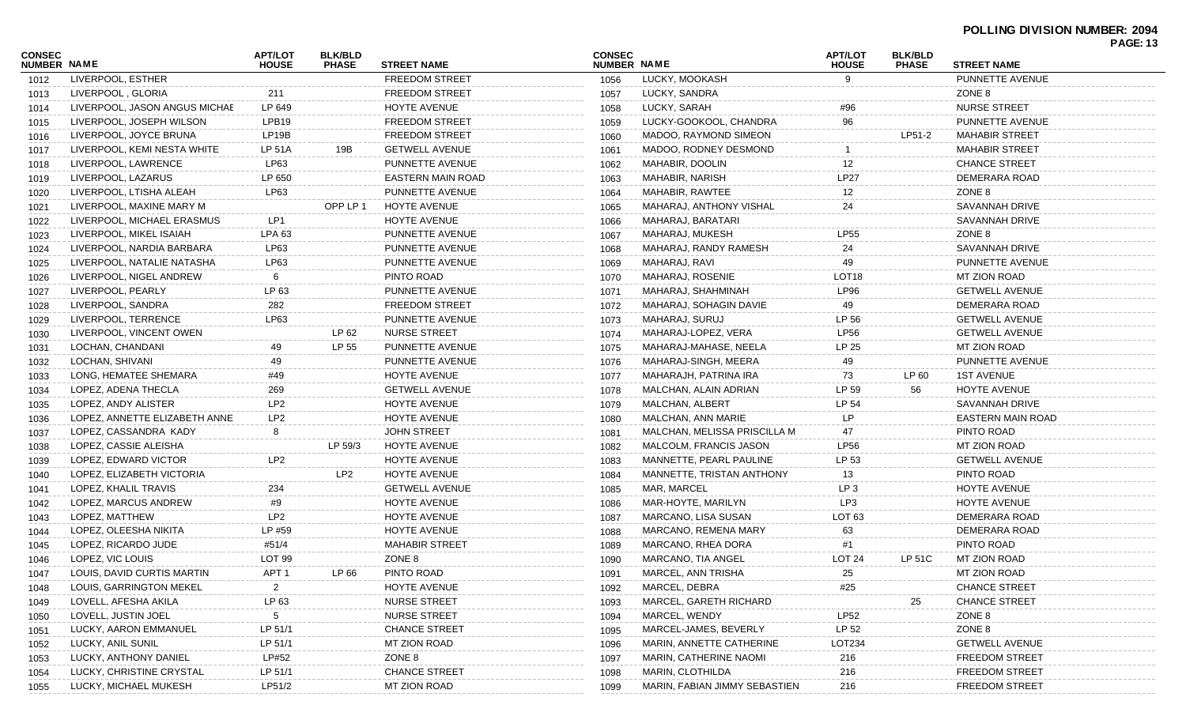| <b>NUMBER NAME</b><br><b>NUMBER NAME</b><br><b>STREET NAME</b><br><b>STREET NAME</b><br><b>PHASE</b><br><b>HOUSE</b><br><b>PHASE</b><br><b>HOUSE</b><br>LIVERPOOL, ESTHER<br><b>FREEDOM STREET</b><br>LUCKY, MOOKASH<br>9<br>PUNNETTE AVENUE<br>1056<br>1012<br><b>FREEDOM STREET</b><br>LUCKY, SANDRA<br>ZONE 8<br>LIVERPOOL, GLORIA<br>211<br>1057<br>1013<br><b>NURSE STREET</b><br>LIVERPOOL, JASON ANGUS MICHAE<br>LP 649<br>HOYTE AVENUE<br>LUCKY, SARAH<br>#96<br>1058<br>1014<br>96<br>LPB <sub>19</sub><br><b>FREEDOM STREET</b><br>PUNNETTE AVENUE<br>LIVERPOOL, JOSEPH WILSON<br>LUCKY-GOOKOOL, CHANDRA<br>1059<br>1015<br>LP <sub>19</sub> B<br><b>FREEDOM STREET</b><br>LP51-2<br>LIVERPOOL, JOYCE BRUNA<br>MADOO, RAYMOND SIMEON<br><b>MAHABIR STREET</b><br>1060<br>1016<br>19B<br><b>GETWELL AVENUE</b><br><b>MAHABIR STREET</b><br>LIVERPOOL, KEMI NESTA WHITE<br>LP 51A<br>MADOO, RODNEY DESMOND<br>1061<br>1017<br>LP63<br>MAHABIR, DOOLIN<br>12<br><b>CHANCE STREET</b><br>LIVERPOOL, LAWRENCE<br>PUNNETTE AVENUE<br>1062<br>1018<br><b>LP27</b><br>LP 650<br>MAHABIR, NARISH<br>DEMERARA ROAD<br>LIVERPOOL, LAZARUS<br>EASTERN MAIN ROAD<br>1063<br>1019<br>ZONE 8<br>LP63<br>MAHABIR, RAWTEE<br>12<br>LIVERPOOL, LTISHA ALEAH<br>PUNNETTE AVENUE<br>1064<br>1020<br>OPP LP 1<br><b>SAVANNAH DRIVE</b><br>HOYTE AVENUE<br>24<br>LIVERPOOL, MAXINE MARY M<br>MAHARAJ, ANTHONY VISHAL<br>1065<br>1021<br>LP1<br>HOYTE AVENUE<br><b>SAVANNAH DRIVE</b><br>LIVERPOOL, MICHAEL ERASMUS<br>MAHARAJ, BARATARI<br>1066<br>1022<br>LIVERPOOL, MIKEL ISAIAH<br><b>LPA 63</b><br>MAHARAJ, MUKESH<br><b>LP55</b><br>ZONE 8<br>PUNNETTE AVENUE<br>1067<br>1023<br><b>SAVANNAH DRIVE</b><br>LP63<br>MAHARAJ, RANDY RAMESH<br>LIVERPOOL, NARDIA BARBARA<br>PUNNETTE AVENUE<br>24<br>1068<br>1024<br>MAHARAJ, RAVI<br>LIVERPOOL, NATALIE NATASHA<br>LP63<br>PUNNETTE AVENUE<br>49<br>PUNNETTE AVENUE<br>1069<br>1025<br>PINTO ROAD<br>MAHARAJ, ROSENIE<br>LOT <sub>18</sub><br><b>MT ZION ROAD</b><br>LIVERPOOL, NIGEL ANDREW<br>6<br>1070<br>1026<br>LP 63<br>PUNNETTE AVENUE<br>LP96<br><b>GETWELL AVENUE</b><br>LIVERPOOL, PEARLY<br>MAHARAJ, SHAHMINAH<br>1071<br>1027<br><b>FREEDOM STREET</b><br>DEMERARA ROAD<br>LIVERPOOL, SANDRA<br>282<br>MAHARAJ, SOHAGIN DAVIE<br>49<br>1072<br>1028<br>LP63<br>PUNNETTE AVENUE<br>MAHARAJ, SURUJ<br>LP 56<br><b>GETWELL AVENUE</b><br>LIVERPOOL, TERRENCE<br>1073<br>1029<br>LP 62<br><b>NURSE STREET</b><br>MAHARAJ-LOPEZ, VERA<br><b>LP56</b><br><b>GETWELL AVENUE</b><br>LIVERPOOL, VINCENT OWEN<br>1074<br>1030<br>LOCHAN, CHANDANI<br>LP 55<br>LP 25<br><b>MT ZION ROAD</b><br>49<br>PUNNETTE AVENUE<br>MAHARAJ-MAHASE, NEELA<br>1075<br>1031<br>49<br>PUNNETTE AVENUE<br>LOCHAN, SHIVANI<br>PUNNETTE AVENUE<br>MAHARAJ-SINGH, MEERA<br>49<br>1076<br>1032<br>LONG, HEMATEE SHEMARA<br>#49<br>HOYTE AVENUE<br>LP 60<br><b>1ST AVENUE</b><br>MAHARAJH, PATRINA IRA<br>73<br>1077<br>1033<br>LP 59<br>LOPEZ, ADENA THECLA<br><b>GETWELL AVENUE</b><br>56<br>HOYTE AVENUE<br>269<br>MALCHAN, ALAIN ADRIAN<br>1078<br>1034<br>LP <sub>2</sub><br>HOYTE AVENUE<br>MALCHAN, ALBERT<br>LP 54<br>SAVANNAH DRIVE<br>LOPEZ, ANDY ALISTER<br>1079<br>1035<br>LP<br>LP <sub>2</sub><br>HOYTE AVENUE<br><b>EASTERN MAIN ROAD</b><br>LOPEZ, ANNETTE ELIZABETH ANNE<br>MALCHAN, ANN MARIE<br>1080<br>1036<br>8<br><b>JOHN STREET</b><br>PINTO ROAD<br>LOPEZ, CASSANDRA KADY<br>MALCHAN, MELISSA PRISCILLA M<br>47<br>1081<br>1037<br>LP 59/3<br>HOYTE AVENUE<br><b>LP56</b><br><b>MT ZION ROAD</b><br>LOPEZ, CASSIE ALEISHA<br>MALCOLM, FRANCIS JASON<br>1082<br>1038<br>LP <sub>2</sub><br>HOYTE AVENUE<br>MANNETTE, PEARL PAULINE<br>LP 53<br><b>GETWELL AVENUE</b><br>LOPEZ, EDWARD VICTOR<br>1083<br>1039<br>LP <sub>2</sub><br>HOYTE AVENUE<br>MANNETTE, TRISTAN ANTHONY<br>PINTO ROAD<br>LOPEZ, ELIZABETH VICTORIA<br>1084<br>13<br>1040<br><b>GETWELL AVENUE</b><br>MAR, MARCEL<br>LP <sub>3</sub><br>HOYTE AVENUE<br>LOPEZ, KHALIL TRAVIS<br>234<br>1085<br>1041<br>#9<br>HOYTE AVENUE<br>MAR-HOYTE, MARILYN<br>LP3<br>HOYTE AVENUE<br>LOPEZ, MARCUS ANDREW<br>1086<br>1042<br>LP <sub>2</sub><br>HOYTE AVENUE<br>LOT <sub>63</sub><br>DEMERARA ROAD<br>LOPEZ, MATTHEW<br>MARCANO, LISA SUSAN<br>1087<br>1043<br>LP #59<br>HOYTE AVENUE<br>DEMERARA ROAD<br>LOPEZ, OLEESHA NIKITA<br>MARCANO, REMENA MARY<br>1088<br>63<br>1044<br><b>MAHABIR STREET</b><br>PINTO ROAD<br>LOPEZ, RICARDO JUDE<br>#51/4<br>MARCANO, RHEA DORA<br>1089<br>1045<br>#1<br>LOPEZ, VIC LOUIS<br>LOT <sub>99</sub><br>ZONE 8<br>MARCANO, TIA ANGEL<br>LOT <sub>24</sub><br>LP 51C<br><b>MT ZION ROAD</b><br>1090<br>1046<br>APT <sub>1</sub><br>LP 66<br>PINTO ROAD<br>MARCEL, ANN TRISHA<br>25<br>MT ZION ROAD<br>LOUIS, DAVID CURTIS MARTIN<br>1091<br>1047<br><b>HOYTE AVENUE</b><br>MARCEL, DEBRA<br>#25<br><b>CHANCE STREET</b><br>LOUIS, GARRINGTON MEKEL<br>$\overline{2}$<br>1092<br>1048<br>LOVELL, AFESHA AKILA<br><b>NURSE STREET</b><br>MARCEL, GARETH RICHARD<br>25<br><b>CHANCE STREET</b><br>LP 63<br>1093<br>1049<br>LOVELL, JUSTIN JOEL<br><b>NURSE STREET</b><br>MARCEL, WENDY<br><b>LP52</b><br>ZONE 8<br>5<br>1094<br>1050<br>LP 52<br>LP 51/1<br><b>CHANCE STREET</b><br>MARCEL-JAMES, BEVERLY<br>ZONE 8<br>LUCKY, AARON EMMANUEL<br>1095<br>1051<br>LP 51/1<br>LOT234<br><b>GETWELL AVENUE</b><br>LUCKY, ANIL SUNIL<br>MT ZION ROAD<br>MARIN, ANNETTE CATHERINE<br>1096<br>1052<br>LUCKY, ANTHONY DANIEL<br>ZONE 8<br>MARIN, CATHERINE NAOMI<br>LP#52<br>216<br><b>FREEDOM STREET</b><br>1097<br>1053<br>LUCKY, CHRISTINE CRYSTAL<br>LP 51/1<br><b>CHANCE STREET</b><br>MARIN, CLOTHILDA<br><b>FREEDOM STREET</b><br>216<br>1098<br>1054 | CONSEC |                       | <b>APT/LOT</b> | <b>BLK/BLD</b> |              | <b>CONSEC</b> |                               | <b>APT/LOT</b> | <b>BLK/BLD</b> |                       | <b>PAGE: 13</b> |
|-----------------------------------------------------------------------------------------------------------------------------------------------------------------------------------------------------------------------------------------------------------------------------------------------------------------------------------------------------------------------------------------------------------------------------------------------------------------------------------------------------------------------------------------------------------------------------------------------------------------------------------------------------------------------------------------------------------------------------------------------------------------------------------------------------------------------------------------------------------------------------------------------------------------------------------------------------------------------------------------------------------------------------------------------------------------------------------------------------------------------------------------------------------------------------------------------------------------------------------------------------------------------------------------------------------------------------------------------------------------------------------------------------------------------------------------------------------------------------------------------------------------------------------------------------------------------------------------------------------------------------------------------------------------------------------------------------------------------------------------------------------------------------------------------------------------------------------------------------------------------------------------------------------------------------------------------------------------------------------------------------------------------------------------------------------------------------------------------------------------------------------------------------------------------------------------------------------------------------------------------------------------------------------------------------------------------------------------------------------------------------------------------------------------------------------------------------------------------------------------------------------------------------------------------------------------------------------------------------------------------------------------------------------------------------------------------------------------------------------------------------------------------------------------------------------------------------------------------------------------------------------------------------------------------------------------------------------------------------------------------------------------------------------------------------------------------------------------------------------------------------------------------------------------------------------------------------------------------------------------------------------------------------------------------------------------------------------------------------------------------------------------------------------------------------------------------------------------------------------------------------------------------------------------------------------------------------------------------------------------------------------------------------------------------------------------------------------------------------------------------------------------------------------------------------------------------------------------------------------------------------------------------------------------------------------------------------------------------------------------------------------------------------------------------------------------------------------------------------------------------------------------------------------------------------------------------------------------------------------------------------------------------------------------------------------------------------------------------------------------------------------------------------------------------------------------------------------------------------------------------------------------------------------------------------------------------------------------------------------------------------------------------------------------------------------------------------------------------------------------------------------------------------------------------------------------------------------------------------------------------------------------------------------------------------------------------------------------------------------------------------------------------------------------------------------------------------------------------------------------------------------------------------------------------------------------------------------------------------------------------------------------------------------------------------------------------------------------------------------------------------------------------------------------------------------------------------------------------------------------------------------------------------------------------------------------------------------------------------------------------------------------------------------------------------------------|--------|-----------------------|----------------|----------------|--------------|---------------|-------------------------------|----------------|----------------|-----------------------|-----------------|
|                                                                                                                                                                                                                                                                                                                                                                                                                                                                                                                                                                                                                                                                                                                                                                                                                                                                                                                                                                                                                                                                                                                                                                                                                                                                                                                                                                                                                                                                                                                                                                                                                                                                                                                                                                                                                                                                                                                                                                                                                                                                                                                                                                                                                                                                                                                                                                                                                                                                                                                                                                                                                                                                                                                                                                                                                                                                                                                                                                                                                                                                                                                                                                                                                                                                                                                                                                                                                                                                                                                                                                                                                                                                                                                                                                                                                                                                                                                                                                                                                                                                                                                                                                                                                                                                                                                                                                                                                                                                                                                                                                                                                                                                                                                                                                                                                                                                                                                                                                                                                                                                                                                                                                                                                                                                                                                                                                                                                                                                                                                                                                                                                                                                                         |        |                       |                |                |              |               |                               |                |                |                       |                 |
|                                                                                                                                                                                                                                                                                                                                                                                                                                                                                                                                                                                                                                                                                                                                                                                                                                                                                                                                                                                                                                                                                                                                                                                                                                                                                                                                                                                                                                                                                                                                                                                                                                                                                                                                                                                                                                                                                                                                                                                                                                                                                                                                                                                                                                                                                                                                                                                                                                                                                                                                                                                                                                                                                                                                                                                                                                                                                                                                                                                                                                                                                                                                                                                                                                                                                                                                                                                                                                                                                                                                                                                                                                                                                                                                                                                                                                                                                                                                                                                                                                                                                                                                                                                                                                                                                                                                                                                                                                                                                                                                                                                                                                                                                                                                                                                                                                                                                                                                                                                                                                                                                                                                                                                                                                                                                                                                                                                                                                                                                                                                                                                                                                                                                         |        |                       |                |                |              |               |                               |                |                |                       |                 |
|                                                                                                                                                                                                                                                                                                                                                                                                                                                                                                                                                                                                                                                                                                                                                                                                                                                                                                                                                                                                                                                                                                                                                                                                                                                                                                                                                                                                                                                                                                                                                                                                                                                                                                                                                                                                                                                                                                                                                                                                                                                                                                                                                                                                                                                                                                                                                                                                                                                                                                                                                                                                                                                                                                                                                                                                                                                                                                                                                                                                                                                                                                                                                                                                                                                                                                                                                                                                                                                                                                                                                                                                                                                                                                                                                                                                                                                                                                                                                                                                                                                                                                                                                                                                                                                                                                                                                                                                                                                                                                                                                                                                                                                                                                                                                                                                                                                                                                                                                                                                                                                                                                                                                                                                                                                                                                                                                                                                                                                                                                                                                                                                                                                                                         |        |                       |                |                |              |               |                               |                |                |                       |                 |
|                                                                                                                                                                                                                                                                                                                                                                                                                                                                                                                                                                                                                                                                                                                                                                                                                                                                                                                                                                                                                                                                                                                                                                                                                                                                                                                                                                                                                                                                                                                                                                                                                                                                                                                                                                                                                                                                                                                                                                                                                                                                                                                                                                                                                                                                                                                                                                                                                                                                                                                                                                                                                                                                                                                                                                                                                                                                                                                                                                                                                                                                                                                                                                                                                                                                                                                                                                                                                                                                                                                                                                                                                                                                                                                                                                                                                                                                                                                                                                                                                                                                                                                                                                                                                                                                                                                                                                                                                                                                                                                                                                                                                                                                                                                                                                                                                                                                                                                                                                                                                                                                                                                                                                                                                                                                                                                                                                                                                                                                                                                                                                                                                                                                                         |        |                       |                |                |              |               |                               |                |                |                       |                 |
|                                                                                                                                                                                                                                                                                                                                                                                                                                                                                                                                                                                                                                                                                                                                                                                                                                                                                                                                                                                                                                                                                                                                                                                                                                                                                                                                                                                                                                                                                                                                                                                                                                                                                                                                                                                                                                                                                                                                                                                                                                                                                                                                                                                                                                                                                                                                                                                                                                                                                                                                                                                                                                                                                                                                                                                                                                                                                                                                                                                                                                                                                                                                                                                                                                                                                                                                                                                                                                                                                                                                                                                                                                                                                                                                                                                                                                                                                                                                                                                                                                                                                                                                                                                                                                                                                                                                                                                                                                                                                                                                                                                                                                                                                                                                                                                                                                                                                                                                                                                                                                                                                                                                                                                                                                                                                                                                                                                                                                                                                                                                                                                                                                                                                         |        |                       |                |                |              |               |                               |                |                |                       |                 |
|                                                                                                                                                                                                                                                                                                                                                                                                                                                                                                                                                                                                                                                                                                                                                                                                                                                                                                                                                                                                                                                                                                                                                                                                                                                                                                                                                                                                                                                                                                                                                                                                                                                                                                                                                                                                                                                                                                                                                                                                                                                                                                                                                                                                                                                                                                                                                                                                                                                                                                                                                                                                                                                                                                                                                                                                                                                                                                                                                                                                                                                                                                                                                                                                                                                                                                                                                                                                                                                                                                                                                                                                                                                                                                                                                                                                                                                                                                                                                                                                                                                                                                                                                                                                                                                                                                                                                                                                                                                                                                                                                                                                                                                                                                                                                                                                                                                                                                                                                                                                                                                                                                                                                                                                                                                                                                                                                                                                                                                                                                                                                                                                                                                                                         |        |                       |                |                |              |               |                               |                |                |                       |                 |
|                                                                                                                                                                                                                                                                                                                                                                                                                                                                                                                                                                                                                                                                                                                                                                                                                                                                                                                                                                                                                                                                                                                                                                                                                                                                                                                                                                                                                                                                                                                                                                                                                                                                                                                                                                                                                                                                                                                                                                                                                                                                                                                                                                                                                                                                                                                                                                                                                                                                                                                                                                                                                                                                                                                                                                                                                                                                                                                                                                                                                                                                                                                                                                                                                                                                                                                                                                                                                                                                                                                                                                                                                                                                                                                                                                                                                                                                                                                                                                                                                                                                                                                                                                                                                                                                                                                                                                                                                                                                                                                                                                                                                                                                                                                                                                                                                                                                                                                                                                                                                                                                                                                                                                                                                                                                                                                                                                                                                                                                                                                                                                                                                                                                                         |        |                       |                |                |              |               |                               |                |                |                       |                 |
|                                                                                                                                                                                                                                                                                                                                                                                                                                                                                                                                                                                                                                                                                                                                                                                                                                                                                                                                                                                                                                                                                                                                                                                                                                                                                                                                                                                                                                                                                                                                                                                                                                                                                                                                                                                                                                                                                                                                                                                                                                                                                                                                                                                                                                                                                                                                                                                                                                                                                                                                                                                                                                                                                                                                                                                                                                                                                                                                                                                                                                                                                                                                                                                                                                                                                                                                                                                                                                                                                                                                                                                                                                                                                                                                                                                                                                                                                                                                                                                                                                                                                                                                                                                                                                                                                                                                                                                                                                                                                                                                                                                                                                                                                                                                                                                                                                                                                                                                                                                                                                                                                                                                                                                                                                                                                                                                                                                                                                                                                                                                                                                                                                                                                         |        |                       |                |                |              |               |                               |                |                |                       |                 |
|                                                                                                                                                                                                                                                                                                                                                                                                                                                                                                                                                                                                                                                                                                                                                                                                                                                                                                                                                                                                                                                                                                                                                                                                                                                                                                                                                                                                                                                                                                                                                                                                                                                                                                                                                                                                                                                                                                                                                                                                                                                                                                                                                                                                                                                                                                                                                                                                                                                                                                                                                                                                                                                                                                                                                                                                                                                                                                                                                                                                                                                                                                                                                                                                                                                                                                                                                                                                                                                                                                                                                                                                                                                                                                                                                                                                                                                                                                                                                                                                                                                                                                                                                                                                                                                                                                                                                                                                                                                                                                                                                                                                                                                                                                                                                                                                                                                                                                                                                                                                                                                                                                                                                                                                                                                                                                                                                                                                                                                                                                                                                                                                                                                                                         |        |                       |                |                |              |               |                               |                |                |                       |                 |
|                                                                                                                                                                                                                                                                                                                                                                                                                                                                                                                                                                                                                                                                                                                                                                                                                                                                                                                                                                                                                                                                                                                                                                                                                                                                                                                                                                                                                                                                                                                                                                                                                                                                                                                                                                                                                                                                                                                                                                                                                                                                                                                                                                                                                                                                                                                                                                                                                                                                                                                                                                                                                                                                                                                                                                                                                                                                                                                                                                                                                                                                                                                                                                                                                                                                                                                                                                                                                                                                                                                                                                                                                                                                                                                                                                                                                                                                                                                                                                                                                                                                                                                                                                                                                                                                                                                                                                                                                                                                                                                                                                                                                                                                                                                                                                                                                                                                                                                                                                                                                                                                                                                                                                                                                                                                                                                                                                                                                                                                                                                                                                                                                                                                                         |        |                       |                |                |              |               |                               |                |                |                       |                 |
|                                                                                                                                                                                                                                                                                                                                                                                                                                                                                                                                                                                                                                                                                                                                                                                                                                                                                                                                                                                                                                                                                                                                                                                                                                                                                                                                                                                                                                                                                                                                                                                                                                                                                                                                                                                                                                                                                                                                                                                                                                                                                                                                                                                                                                                                                                                                                                                                                                                                                                                                                                                                                                                                                                                                                                                                                                                                                                                                                                                                                                                                                                                                                                                                                                                                                                                                                                                                                                                                                                                                                                                                                                                                                                                                                                                                                                                                                                                                                                                                                                                                                                                                                                                                                                                                                                                                                                                                                                                                                                                                                                                                                                                                                                                                                                                                                                                                                                                                                                                                                                                                                                                                                                                                                                                                                                                                                                                                                                                                                                                                                                                                                                                                                         |        |                       |                |                |              |               |                               |                |                |                       |                 |
|                                                                                                                                                                                                                                                                                                                                                                                                                                                                                                                                                                                                                                                                                                                                                                                                                                                                                                                                                                                                                                                                                                                                                                                                                                                                                                                                                                                                                                                                                                                                                                                                                                                                                                                                                                                                                                                                                                                                                                                                                                                                                                                                                                                                                                                                                                                                                                                                                                                                                                                                                                                                                                                                                                                                                                                                                                                                                                                                                                                                                                                                                                                                                                                                                                                                                                                                                                                                                                                                                                                                                                                                                                                                                                                                                                                                                                                                                                                                                                                                                                                                                                                                                                                                                                                                                                                                                                                                                                                                                                                                                                                                                                                                                                                                                                                                                                                                                                                                                                                                                                                                                                                                                                                                                                                                                                                                                                                                                                                                                                                                                                                                                                                                                         |        |                       |                |                |              |               |                               |                |                |                       |                 |
|                                                                                                                                                                                                                                                                                                                                                                                                                                                                                                                                                                                                                                                                                                                                                                                                                                                                                                                                                                                                                                                                                                                                                                                                                                                                                                                                                                                                                                                                                                                                                                                                                                                                                                                                                                                                                                                                                                                                                                                                                                                                                                                                                                                                                                                                                                                                                                                                                                                                                                                                                                                                                                                                                                                                                                                                                                                                                                                                                                                                                                                                                                                                                                                                                                                                                                                                                                                                                                                                                                                                                                                                                                                                                                                                                                                                                                                                                                                                                                                                                                                                                                                                                                                                                                                                                                                                                                                                                                                                                                                                                                                                                                                                                                                                                                                                                                                                                                                                                                                                                                                                                                                                                                                                                                                                                                                                                                                                                                                                                                                                                                                                                                                                                         |        |                       |                |                |              |               |                               |                |                |                       |                 |
|                                                                                                                                                                                                                                                                                                                                                                                                                                                                                                                                                                                                                                                                                                                                                                                                                                                                                                                                                                                                                                                                                                                                                                                                                                                                                                                                                                                                                                                                                                                                                                                                                                                                                                                                                                                                                                                                                                                                                                                                                                                                                                                                                                                                                                                                                                                                                                                                                                                                                                                                                                                                                                                                                                                                                                                                                                                                                                                                                                                                                                                                                                                                                                                                                                                                                                                                                                                                                                                                                                                                                                                                                                                                                                                                                                                                                                                                                                                                                                                                                                                                                                                                                                                                                                                                                                                                                                                                                                                                                                                                                                                                                                                                                                                                                                                                                                                                                                                                                                                                                                                                                                                                                                                                                                                                                                                                                                                                                                                                                                                                                                                                                                                                                         |        |                       |                |                |              |               |                               |                |                |                       |                 |
|                                                                                                                                                                                                                                                                                                                                                                                                                                                                                                                                                                                                                                                                                                                                                                                                                                                                                                                                                                                                                                                                                                                                                                                                                                                                                                                                                                                                                                                                                                                                                                                                                                                                                                                                                                                                                                                                                                                                                                                                                                                                                                                                                                                                                                                                                                                                                                                                                                                                                                                                                                                                                                                                                                                                                                                                                                                                                                                                                                                                                                                                                                                                                                                                                                                                                                                                                                                                                                                                                                                                                                                                                                                                                                                                                                                                                                                                                                                                                                                                                                                                                                                                                                                                                                                                                                                                                                                                                                                                                                                                                                                                                                                                                                                                                                                                                                                                                                                                                                                                                                                                                                                                                                                                                                                                                                                                                                                                                                                                                                                                                                                                                                                                                         |        |                       |                |                |              |               |                               |                |                |                       |                 |
|                                                                                                                                                                                                                                                                                                                                                                                                                                                                                                                                                                                                                                                                                                                                                                                                                                                                                                                                                                                                                                                                                                                                                                                                                                                                                                                                                                                                                                                                                                                                                                                                                                                                                                                                                                                                                                                                                                                                                                                                                                                                                                                                                                                                                                                                                                                                                                                                                                                                                                                                                                                                                                                                                                                                                                                                                                                                                                                                                                                                                                                                                                                                                                                                                                                                                                                                                                                                                                                                                                                                                                                                                                                                                                                                                                                                                                                                                                                                                                                                                                                                                                                                                                                                                                                                                                                                                                                                                                                                                                                                                                                                                                                                                                                                                                                                                                                                                                                                                                                                                                                                                                                                                                                                                                                                                                                                                                                                                                                                                                                                                                                                                                                                                         |        |                       |                |                |              |               |                               |                |                |                       |                 |
|                                                                                                                                                                                                                                                                                                                                                                                                                                                                                                                                                                                                                                                                                                                                                                                                                                                                                                                                                                                                                                                                                                                                                                                                                                                                                                                                                                                                                                                                                                                                                                                                                                                                                                                                                                                                                                                                                                                                                                                                                                                                                                                                                                                                                                                                                                                                                                                                                                                                                                                                                                                                                                                                                                                                                                                                                                                                                                                                                                                                                                                                                                                                                                                                                                                                                                                                                                                                                                                                                                                                                                                                                                                                                                                                                                                                                                                                                                                                                                                                                                                                                                                                                                                                                                                                                                                                                                                                                                                                                                                                                                                                                                                                                                                                                                                                                                                                                                                                                                                                                                                                                                                                                                                                                                                                                                                                                                                                                                                                                                                                                                                                                                                                                         |        |                       |                |                |              |               |                               |                |                |                       |                 |
|                                                                                                                                                                                                                                                                                                                                                                                                                                                                                                                                                                                                                                                                                                                                                                                                                                                                                                                                                                                                                                                                                                                                                                                                                                                                                                                                                                                                                                                                                                                                                                                                                                                                                                                                                                                                                                                                                                                                                                                                                                                                                                                                                                                                                                                                                                                                                                                                                                                                                                                                                                                                                                                                                                                                                                                                                                                                                                                                                                                                                                                                                                                                                                                                                                                                                                                                                                                                                                                                                                                                                                                                                                                                                                                                                                                                                                                                                                                                                                                                                                                                                                                                                                                                                                                                                                                                                                                                                                                                                                                                                                                                                                                                                                                                                                                                                                                                                                                                                                                                                                                                                                                                                                                                                                                                                                                                                                                                                                                                                                                                                                                                                                                                                         |        |                       |                |                |              |               |                               |                |                |                       |                 |
|                                                                                                                                                                                                                                                                                                                                                                                                                                                                                                                                                                                                                                                                                                                                                                                                                                                                                                                                                                                                                                                                                                                                                                                                                                                                                                                                                                                                                                                                                                                                                                                                                                                                                                                                                                                                                                                                                                                                                                                                                                                                                                                                                                                                                                                                                                                                                                                                                                                                                                                                                                                                                                                                                                                                                                                                                                                                                                                                                                                                                                                                                                                                                                                                                                                                                                                                                                                                                                                                                                                                                                                                                                                                                                                                                                                                                                                                                                                                                                                                                                                                                                                                                                                                                                                                                                                                                                                                                                                                                                                                                                                                                                                                                                                                                                                                                                                                                                                                                                                                                                                                                                                                                                                                                                                                                                                                                                                                                                                                                                                                                                                                                                                                                         |        |                       |                |                |              |               |                               |                |                |                       |                 |
|                                                                                                                                                                                                                                                                                                                                                                                                                                                                                                                                                                                                                                                                                                                                                                                                                                                                                                                                                                                                                                                                                                                                                                                                                                                                                                                                                                                                                                                                                                                                                                                                                                                                                                                                                                                                                                                                                                                                                                                                                                                                                                                                                                                                                                                                                                                                                                                                                                                                                                                                                                                                                                                                                                                                                                                                                                                                                                                                                                                                                                                                                                                                                                                                                                                                                                                                                                                                                                                                                                                                                                                                                                                                                                                                                                                                                                                                                                                                                                                                                                                                                                                                                                                                                                                                                                                                                                                                                                                                                                                                                                                                                                                                                                                                                                                                                                                                                                                                                                                                                                                                                                                                                                                                                                                                                                                                                                                                                                                                                                                                                                                                                                                                                         |        |                       |                |                |              |               |                               |                |                |                       |                 |
|                                                                                                                                                                                                                                                                                                                                                                                                                                                                                                                                                                                                                                                                                                                                                                                                                                                                                                                                                                                                                                                                                                                                                                                                                                                                                                                                                                                                                                                                                                                                                                                                                                                                                                                                                                                                                                                                                                                                                                                                                                                                                                                                                                                                                                                                                                                                                                                                                                                                                                                                                                                                                                                                                                                                                                                                                                                                                                                                                                                                                                                                                                                                                                                                                                                                                                                                                                                                                                                                                                                                                                                                                                                                                                                                                                                                                                                                                                                                                                                                                                                                                                                                                                                                                                                                                                                                                                                                                                                                                                                                                                                                                                                                                                                                                                                                                                                                                                                                                                                                                                                                                                                                                                                                                                                                                                                                                                                                                                                                                                                                                                                                                                                                                         |        |                       |                |                |              |               |                               |                |                |                       |                 |
|                                                                                                                                                                                                                                                                                                                                                                                                                                                                                                                                                                                                                                                                                                                                                                                                                                                                                                                                                                                                                                                                                                                                                                                                                                                                                                                                                                                                                                                                                                                                                                                                                                                                                                                                                                                                                                                                                                                                                                                                                                                                                                                                                                                                                                                                                                                                                                                                                                                                                                                                                                                                                                                                                                                                                                                                                                                                                                                                                                                                                                                                                                                                                                                                                                                                                                                                                                                                                                                                                                                                                                                                                                                                                                                                                                                                                                                                                                                                                                                                                                                                                                                                                                                                                                                                                                                                                                                                                                                                                                                                                                                                                                                                                                                                                                                                                                                                                                                                                                                                                                                                                                                                                                                                                                                                                                                                                                                                                                                                                                                                                                                                                                                                                         |        |                       |                |                |              |               |                               |                |                |                       |                 |
|                                                                                                                                                                                                                                                                                                                                                                                                                                                                                                                                                                                                                                                                                                                                                                                                                                                                                                                                                                                                                                                                                                                                                                                                                                                                                                                                                                                                                                                                                                                                                                                                                                                                                                                                                                                                                                                                                                                                                                                                                                                                                                                                                                                                                                                                                                                                                                                                                                                                                                                                                                                                                                                                                                                                                                                                                                                                                                                                                                                                                                                                                                                                                                                                                                                                                                                                                                                                                                                                                                                                                                                                                                                                                                                                                                                                                                                                                                                                                                                                                                                                                                                                                                                                                                                                                                                                                                                                                                                                                                                                                                                                                                                                                                                                                                                                                                                                                                                                                                                                                                                                                                                                                                                                                                                                                                                                                                                                                                                                                                                                                                                                                                                                                         |        |                       |                |                |              |               |                               |                |                |                       |                 |
|                                                                                                                                                                                                                                                                                                                                                                                                                                                                                                                                                                                                                                                                                                                                                                                                                                                                                                                                                                                                                                                                                                                                                                                                                                                                                                                                                                                                                                                                                                                                                                                                                                                                                                                                                                                                                                                                                                                                                                                                                                                                                                                                                                                                                                                                                                                                                                                                                                                                                                                                                                                                                                                                                                                                                                                                                                                                                                                                                                                                                                                                                                                                                                                                                                                                                                                                                                                                                                                                                                                                                                                                                                                                                                                                                                                                                                                                                                                                                                                                                                                                                                                                                                                                                                                                                                                                                                                                                                                                                                                                                                                                                                                                                                                                                                                                                                                                                                                                                                                                                                                                                                                                                                                                                                                                                                                                                                                                                                                                                                                                                                                                                                                                                         |        |                       |                |                |              |               |                               |                |                |                       |                 |
|                                                                                                                                                                                                                                                                                                                                                                                                                                                                                                                                                                                                                                                                                                                                                                                                                                                                                                                                                                                                                                                                                                                                                                                                                                                                                                                                                                                                                                                                                                                                                                                                                                                                                                                                                                                                                                                                                                                                                                                                                                                                                                                                                                                                                                                                                                                                                                                                                                                                                                                                                                                                                                                                                                                                                                                                                                                                                                                                                                                                                                                                                                                                                                                                                                                                                                                                                                                                                                                                                                                                                                                                                                                                                                                                                                                                                                                                                                                                                                                                                                                                                                                                                                                                                                                                                                                                                                                                                                                                                                                                                                                                                                                                                                                                                                                                                                                                                                                                                                                                                                                                                                                                                                                                                                                                                                                                                                                                                                                                                                                                                                                                                                                                                         |        |                       |                |                |              |               |                               |                |                |                       |                 |
|                                                                                                                                                                                                                                                                                                                                                                                                                                                                                                                                                                                                                                                                                                                                                                                                                                                                                                                                                                                                                                                                                                                                                                                                                                                                                                                                                                                                                                                                                                                                                                                                                                                                                                                                                                                                                                                                                                                                                                                                                                                                                                                                                                                                                                                                                                                                                                                                                                                                                                                                                                                                                                                                                                                                                                                                                                                                                                                                                                                                                                                                                                                                                                                                                                                                                                                                                                                                                                                                                                                                                                                                                                                                                                                                                                                                                                                                                                                                                                                                                                                                                                                                                                                                                                                                                                                                                                                                                                                                                                                                                                                                                                                                                                                                                                                                                                                                                                                                                                                                                                                                                                                                                                                                                                                                                                                                                                                                                                                                                                                                                                                                                                                                                         |        |                       |                |                |              |               |                               |                |                |                       |                 |
|                                                                                                                                                                                                                                                                                                                                                                                                                                                                                                                                                                                                                                                                                                                                                                                                                                                                                                                                                                                                                                                                                                                                                                                                                                                                                                                                                                                                                                                                                                                                                                                                                                                                                                                                                                                                                                                                                                                                                                                                                                                                                                                                                                                                                                                                                                                                                                                                                                                                                                                                                                                                                                                                                                                                                                                                                                                                                                                                                                                                                                                                                                                                                                                                                                                                                                                                                                                                                                                                                                                                                                                                                                                                                                                                                                                                                                                                                                                                                                                                                                                                                                                                                                                                                                                                                                                                                                                                                                                                                                                                                                                                                                                                                                                                                                                                                                                                                                                                                                                                                                                                                                                                                                                                                                                                                                                                                                                                                                                                                                                                                                                                                                                                                         |        |                       |                |                |              |               |                               |                |                |                       |                 |
|                                                                                                                                                                                                                                                                                                                                                                                                                                                                                                                                                                                                                                                                                                                                                                                                                                                                                                                                                                                                                                                                                                                                                                                                                                                                                                                                                                                                                                                                                                                                                                                                                                                                                                                                                                                                                                                                                                                                                                                                                                                                                                                                                                                                                                                                                                                                                                                                                                                                                                                                                                                                                                                                                                                                                                                                                                                                                                                                                                                                                                                                                                                                                                                                                                                                                                                                                                                                                                                                                                                                                                                                                                                                                                                                                                                                                                                                                                                                                                                                                                                                                                                                                                                                                                                                                                                                                                                                                                                                                                                                                                                                                                                                                                                                                                                                                                                                                                                                                                                                                                                                                                                                                                                                                                                                                                                                                                                                                                                                                                                                                                                                                                                                                         |        |                       |                |                |              |               |                               |                |                |                       |                 |
|                                                                                                                                                                                                                                                                                                                                                                                                                                                                                                                                                                                                                                                                                                                                                                                                                                                                                                                                                                                                                                                                                                                                                                                                                                                                                                                                                                                                                                                                                                                                                                                                                                                                                                                                                                                                                                                                                                                                                                                                                                                                                                                                                                                                                                                                                                                                                                                                                                                                                                                                                                                                                                                                                                                                                                                                                                                                                                                                                                                                                                                                                                                                                                                                                                                                                                                                                                                                                                                                                                                                                                                                                                                                                                                                                                                                                                                                                                                                                                                                                                                                                                                                                                                                                                                                                                                                                                                                                                                                                                                                                                                                                                                                                                                                                                                                                                                                                                                                                                                                                                                                                                                                                                                                                                                                                                                                                                                                                                                                                                                                                                                                                                                                                         |        |                       |                |                |              |               |                               |                |                |                       |                 |
|                                                                                                                                                                                                                                                                                                                                                                                                                                                                                                                                                                                                                                                                                                                                                                                                                                                                                                                                                                                                                                                                                                                                                                                                                                                                                                                                                                                                                                                                                                                                                                                                                                                                                                                                                                                                                                                                                                                                                                                                                                                                                                                                                                                                                                                                                                                                                                                                                                                                                                                                                                                                                                                                                                                                                                                                                                                                                                                                                                                                                                                                                                                                                                                                                                                                                                                                                                                                                                                                                                                                                                                                                                                                                                                                                                                                                                                                                                                                                                                                                                                                                                                                                                                                                                                                                                                                                                                                                                                                                                                                                                                                                                                                                                                                                                                                                                                                                                                                                                                                                                                                                                                                                                                                                                                                                                                                                                                                                                                                                                                                                                                                                                                                                         |        |                       |                |                |              |               |                               |                |                |                       |                 |
|                                                                                                                                                                                                                                                                                                                                                                                                                                                                                                                                                                                                                                                                                                                                                                                                                                                                                                                                                                                                                                                                                                                                                                                                                                                                                                                                                                                                                                                                                                                                                                                                                                                                                                                                                                                                                                                                                                                                                                                                                                                                                                                                                                                                                                                                                                                                                                                                                                                                                                                                                                                                                                                                                                                                                                                                                                                                                                                                                                                                                                                                                                                                                                                                                                                                                                                                                                                                                                                                                                                                                                                                                                                                                                                                                                                                                                                                                                                                                                                                                                                                                                                                                                                                                                                                                                                                                                                                                                                                                                                                                                                                                                                                                                                                                                                                                                                                                                                                                                                                                                                                                                                                                                                                                                                                                                                                                                                                                                                                                                                                                                                                                                                                                         |        |                       |                |                |              |               |                               |                |                |                       |                 |
|                                                                                                                                                                                                                                                                                                                                                                                                                                                                                                                                                                                                                                                                                                                                                                                                                                                                                                                                                                                                                                                                                                                                                                                                                                                                                                                                                                                                                                                                                                                                                                                                                                                                                                                                                                                                                                                                                                                                                                                                                                                                                                                                                                                                                                                                                                                                                                                                                                                                                                                                                                                                                                                                                                                                                                                                                                                                                                                                                                                                                                                                                                                                                                                                                                                                                                                                                                                                                                                                                                                                                                                                                                                                                                                                                                                                                                                                                                                                                                                                                                                                                                                                                                                                                                                                                                                                                                                                                                                                                                                                                                                                                                                                                                                                                                                                                                                                                                                                                                                                                                                                                                                                                                                                                                                                                                                                                                                                                                                                                                                                                                                                                                                                                         |        |                       |                |                |              |               |                               |                |                |                       |                 |
|                                                                                                                                                                                                                                                                                                                                                                                                                                                                                                                                                                                                                                                                                                                                                                                                                                                                                                                                                                                                                                                                                                                                                                                                                                                                                                                                                                                                                                                                                                                                                                                                                                                                                                                                                                                                                                                                                                                                                                                                                                                                                                                                                                                                                                                                                                                                                                                                                                                                                                                                                                                                                                                                                                                                                                                                                                                                                                                                                                                                                                                                                                                                                                                                                                                                                                                                                                                                                                                                                                                                                                                                                                                                                                                                                                                                                                                                                                                                                                                                                                                                                                                                                                                                                                                                                                                                                                                                                                                                                                                                                                                                                                                                                                                                                                                                                                                                                                                                                                                                                                                                                                                                                                                                                                                                                                                                                                                                                                                                                                                                                                                                                                                                                         |        |                       |                |                |              |               |                               |                |                |                       |                 |
|                                                                                                                                                                                                                                                                                                                                                                                                                                                                                                                                                                                                                                                                                                                                                                                                                                                                                                                                                                                                                                                                                                                                                                                                                                                                                                                                                                                                                                                                                                                                                                                                                                                                                                                                                                                                                                                                                                                                                                                                                                                                                                                                                                                                                                                                                                                                                                                                                                                                                                                                                                                                                                                                                                                                                                                                                                                                                                                                                                                                                                                                                                                                                                                                                                                                                                                                                                                                                                                                                                                                                                                                                                                                                                                                                                                                                                                                                                                                                                                                                                                                                                                                                                                                                                                                                                                                                                                                                                                                                                                                                                                                                                                                                                                                                                                                                                                                                                                                                                                                                                                                                                                                                                                                                                                                                                                                                                                                                                                                                                                                                                                                                                                                                         |        |                       |                |                |              |               |                               |                |                |                       |                 |
|                                                                                                                                                                                                                                                                                                                                                                                                                                                                                                                                                                                                                                                                                                                                                                                                                                                                                                                                                                                                                                                                                                                                                                                                                                                                                                                                                                                                                                                                                                                                                                                                                                                                                                                                                                                                                                                                                                                                                                                                                                                                                                                                                                                                                                                                                                                                                                                                                                                                                                                                                                                                                                                                                                                                                                                                                                                                                                                                                                                                                                                                                                                                                                                                                                                                                                                                                                                                                                                                                                                                                                                                                                                                                                                                                                                                                                                                                                                                                                                                                                                                                                                                                                                                                                                                                                                                                                                                                                                                                                                                                                                                                                                                                                                                                                                                                                                                                                                                                                                                                                                                                                                                                                                                                                                                                                                                                                                                                                                                                                                                                                                                                                                                                         |        |                       |                |                |              |               |                               |                |                |                       |                 |
|                                                                                                                                                                                                                                                                                                                                                                                                                                                                                                                                                                                                                                                                                                                                                                                                                                                                                                                                                                                                                                                                                                                                                                                                                                                                                                                                                                                                                                                                                                                                                                                                                                                                                                                                                                                                                                                                                                                                                                                                                                                                                                                                                                                                                                                                                                                                                                                                                                                                                                                                                                                                                                                                                                                                                                                                                                                                                                                                                                                                                                                                                                                                                                                                                                                                                                                                                                                                                                                                                                                                                                                                                                                                                                                                                                                                                                                                                                                                                                                                                                                                                                                                                                                                                                                                                                                                                                                                                                                                                                                                                                                                                                                                                                                                                                                                                                                                                                                                                                                                                                                                                                                                                                                                                                                                                                                                                                                                                                                                                                                                                                                                                                                                                         |        |                       |                |                |              |               |                               |                |                |                       |                 |
|                                                                                                                                                                                                                                                                                                                                                                                                                                                                                                                                                                                                                                                                                                                                                                                                                                                                                                                                                                                                                                                                                                                                                                                                                                                                                                                                                                                                                                                                                                                                                                                                                                                                                                                                                                                                                                                                                                                                                                                                                                                                                                                                                                                                                                                                                                                                                                                                                                                                                                                                                                                                                                                                                                                                                                                                                                                                                                                                                                                                                                                                                                                                                                                                                                                                                                                                                                                                                                                                                                                                                                                                                                                                                                                                                                                                                                                                                                                                                                                                                                                                                                                                                                                                                                                                                                                                                                                                                                                                                                                                                                                                                                                                                                                                                                                                                                                                                                                                                                                                                                                                                                                                                                                                                                                                                                                                                                                                                                                                                                                                                                                                                                                                                         |        |                       |                |                |              |               |                               |                |                |                       |                 |
|                                                                                                                                                                                                                                                                                                                                                                                                                                                                                                                                                                                                                                                                                                                                                                                                                                                                                                                                                                                                                                                                                                                                                                                                                                                                                                                                                                                                                                                                                                                                                                                                                                                                                                                                                                                                                                                                                                                                                                                                                                                                                                                                                                                                                                                                                                                                                                                                                                                                                                                                                                                                                                                                                                                                                                                                                                                                                                                                                                                                                                                                                                                                                                                                                                                                                                                                                                                                                                                                                                                                                                                                                                                                                                                                                                                                                                                                                                                                                                                                                                                                                                                                                                                                                                                                                                                                                                                                                                                                                                                                                                                                                                                                                                                                                                                                                                                                                                                                                                                                                                                                                                                                                                                                                                                                                                                                                                                                                                                                                                                                                                                                                                                                                         |        |                       |                |                |              |               |                               |                |                |                       |                 |
|                                                                                                                                                                                                                                                                                                                                                                                                                                                                                                                                                                                                                                                                                                                                                                                                                                                                                                                                                                                                                                                                                                                                                                                                                                                                                                                                                                                                                                                                                                                                                                                                                                                                                                                                                                                                                                                                                                                                                                                                                                                                                                                                                                                                                                                                                                                                                                                                                                                                                                                                                                                                                                                                                                                                                                                                                                                                                                                                                                                                                                                                                                                                                                                                                                                                                                                                                                                                                                                                                                                                                                                                                                                                                                                                                                                                                                                                                                                                                                                                                                                                                                                                                                                                                                                                                                                                                                                                                                                                                                                                                                                                                                                                                                                                                                                                                                                                                                                                                                                                                                                                                                                                                                                                                                                                                                                                                                                                                                                                                                                                                                                                                                                                                         |        |                       |                |                |              |               |                               |                |                |                       |                 |
|                                                                                                                                                                                                                                                                                                                                                                                                                                                                                                                                                                                                                                                                                                                                                                                                                                                                                                                                                                                                                                                                                                                                                                                                                                                                                                                                                                                                                                                                                                                                                                                                                                                                                                                                                                                                                                                                                                                                                                                                                                                                                                                                                                                                                                                                                                                                                                                                                                                                                                                                                                                                                                                                                                                                                                                                                                                                                                                                                                                                                                                                                                                                                                                                                                                                                                                                                                                                                                                                                                                                                                                                                                                                                                                                                                                                                                                                                                                                                                                                                                                                                                                                                                                                                                                                                                                                                                                                                                                                                                                                                                                                                                                                                                                                                                                                                                                                                                                                                                                                                                                                                                                                                                                                                                                                                                                                                                                                                                                                                                                                                                                                                                                                                         |        |                       |                |                |              |               |                               |                |                |                       |                 |
|                                                                                                                                                                                                                                                                                                                                                                                                                                                                                                                                                                                                                                                                                                                                                                                                                                                                                                                                                                                                                                                                                                                                                                                                                                                                                                                                                                                                                                                                                                                                                                                                                                                                                                                                                                                                                                                                                                                                                                                                                                                                                                                                                                                                                                                                                                                                                                                                                                                                                                                                                                                                                                                                                                                                                                                                                                                                                                                                                                                                                                                                                                                                                                                                                                                                                                                                                                                                                                                                                                                                                                                                                                                                                                                                                                                                                                                                                                                                                                                                                                                                                                                                                                                                                                                                                                                                                                                                                                                                                                                                                                                                                                                                                                                                                                                                                                                                                                                                                                                                                                                                                                                                                                                                                                                                                                                                                                                                                                                                                                                                                                                                                                                                                         |        |                       |                |                |              |               |                               |                |                |                       |                 |
|                                                                                                                                                                                                                                                                                                                                                                                                                                                                                                                                                                                                                                                                                                                                                                                                                                                                                                                                                                                                                                                                                                                                                                                                                                                                                                                                                                                                                                                                                                                                                                                                                                                                                                                                                                                                                                                                                                                                                                                                                                                                                                                                                                                                                                                                                                                                                                                                                                                                                                                                                                                                                                                                                                                                                                                                                                                                                                                                                                                                                                                                                                                                                                                                                                                                                                                                                                                                                                                                                                                                                                                                                                                                                                                                                                                                                                                                                                                                                                                                                                                                                                                                                                                                                                                                                                                                                                                                                                                                                                                                                                                                                                                                                                                                                                                                                                                                                                                                                                                                                                                                                                                                                                                                                                                                                                                                                                                                                                                                                                                                                                                                                                                                                         |        |                       |                |                |              |               |                               |                |                |                       |                 |
|                                                                                                                                                                                                                                                                                                                                                                                                                                                                                                                                                                                                                                                                                                                                                                                                                                                                                                                                                                                                                                                                                                                                                                                                                                                                                                                                                                                                                                                                                                                                                                                                                                                                                                                                                                                                                                                                                                                                                                                                                                                                                                                                                                                                                                                                                                                                                                                                                                                                                                                                                                                                                                                                                                                                                                                                                                                                                                                                                                                                                                                                                                                                                                                                                                                                                                                                                                                                                                                                                                                                                                                                                                                                                                                                                                                                                                                                                                                                                                                                                                                                                                                                                                                                                                                                                                                                                                                                                                                                                                                                                                                                                                                                                                                                                                                                                                                                                                                                                                                                                                                                                                                                                                                                                                                                                                                                                                                                                                                                                                                                                                                                                                                                                         |        |                       |                |                |              |               |                               |                |                |                       |                 |
|                                                                                                                                                                                                                                                                                                                                                                                                                                                                                                                                                                                                                                                                                                                                                                                                                                                                                                                                                                                                                                                                                                                                                                                                                                                                                                                                                                                                                                                                                                                                                                                                                                                                                                                                                                                                                                                                                                                                                                                                                                                                                                                                                                                                                                                                                                                                                                                                                                                                                                                                                                                                                                                                                                                                                                                                                                                                                                                                                                                                                                                                                                                                                                                                                                                                                                                                                                                                                                                                                                                                                                                                                                                                                                                                                                                                                                                                                                                                                                                                                                                                                                                                                                                                                                                                                                                                                                                                                                                                                                                                                                                                                                                                                                                                                                                                                                                                                                                                                                                                                                                                                                                                                                                                                                                                                                                                                                                                                                                                                                                                                                                                                                                                                         |        |                       |                |                |              |               |                               |                |                |                       |                 |
|                                                                                                                                                                                                                                                                                                                                                                                                                                                                                                                                                                                                                                                                                                                                                                                                                                                                                                                                                                                                                                                                                                                                                                                                                                                                                                                                                                                                                                                                                                                                                                                                                                                                                                                                                                                                                                                                                                                                                                                                                                                                                                                                                                                                                                                                                                                                                                                                                                                                                                                                                                                                                                                                                                                                                                                                                                                                                                                                                                                                                                                                                                                                                                                                                                                                                                                                                                                                                                                                                                                                                                                                                                                                                                                                                                                                                                                                                                                                                                                                                                                                                                                                                                                                                                                                                                                                                                                                                                                                                                                                                                                                                                                                                                                                                                                                                                                                                                                                                                                                                                                                                                                                                                                                                                                                                                                                                                                                                                                                                                                                                                                                                                                                                         | 1055   | LUCKY, MICHAEL MUKESH | LP51/2         |                | MT ZION ROAD | 1099          | MARIN, FABIAN JIMMY SEBASTIEN | 216            |                | <b>FREEDOM STREET</b> |                 |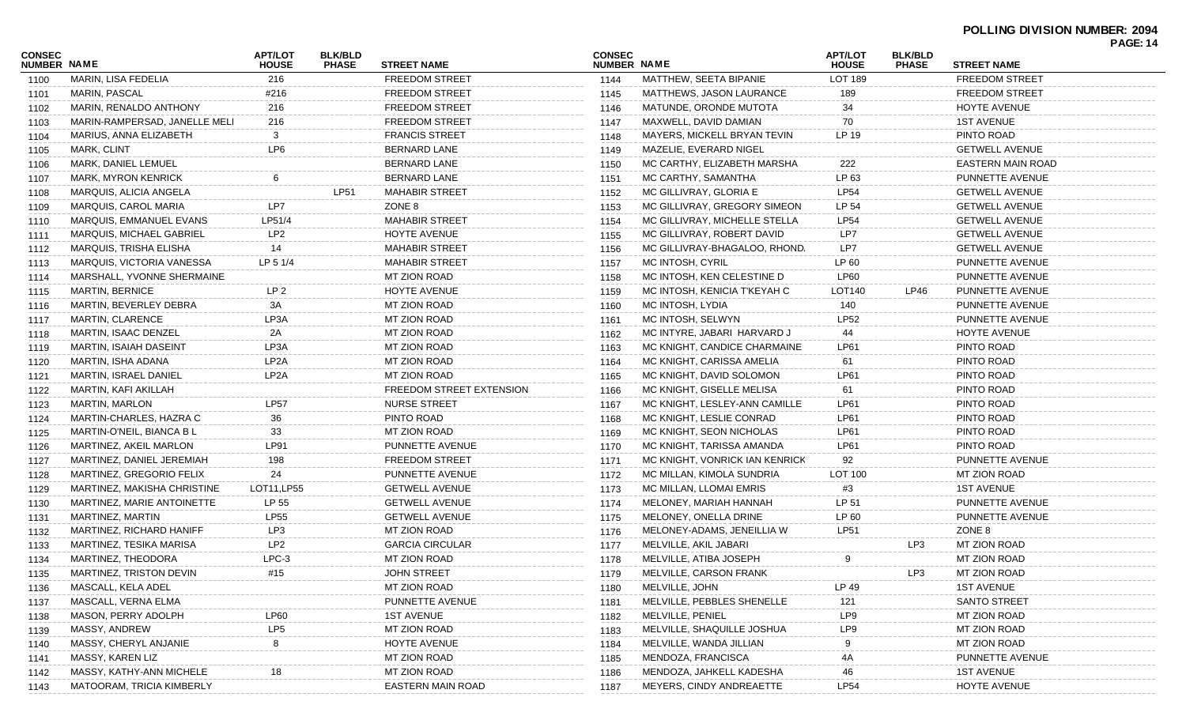|                              |                               |                                |                                |                                 |                              |                                |                                |                                |                          | . USS |
|------------------------------|-------------------------------|--------------------------------|--------------------------------|---------------------------------|------------------------------|--------------------------------|--------------------------------|--------------------------------|--------------------------|-------|
| <b>CONSEC</b><br>NUMBER NAME |                               | <b>APT/LOT</b><br><b>HOUSE</b> | <b>BLK/BLD</b><br><b>PHASE</b> | <b>STREET NAME</b>              | <b>CONSEC</b><br>NUMBER NAME |                                | <b>APT/LOT</b><br><b>HOUSE</b> | <b>BLK/BLD</b><br><b>PHASE</b> | <b>STREET NAME</b>       |       |
| 1100                         | MARIN, LISA FEDELIA           | 216                            |                                | <b>FREEDOM STREET</b>           | 1144                         | MATTHEW, SEETA BIPANIE         | LOT 189                        |                                | <b>FREEDOM STREET</b>    |       |
| 1101                         | MARIN, PASCAL                 | #216                           |                                | <b>FREEDOM STREET</b>           | 1145                         | MATTHEWS, JASON LAURANCE       | 189                            |                                | <b>FREEDOM STREET</b>    |       |
| 1102                         | MARIN, RENALDO ANTHONY        | 216                            |                                | <b>FREEDOM STREET</b>           | 1146                         | MATUNDE, ORONDE MUTOTA         | 34                             |                                | HOYTE AVENUE             |       |
| 1103                         | MARIN-RAMPERSAD, JANELLE MELI | 216                            |                                | <b>FREEDOM STREET</b>           | 1147                         | MAXWELL, DAVID DAMIAN          | 70                             |                                | <b>1ST AVENUE</b>        |       |
| 1104                         | MARIUS, ANNA ELIZABETH        | 3                              |                                | <b>FRANCIS STREET</b>           | 1148                         | MAYERS, MICKELL BRYAN TEVIN    | LP 19                          |                                | PINTO ROAD               |       |
| 1105                         | MARK, CLINT                   | LP6                            |                                | <b>BERNARD LANE</b>             | 1149                         | MAZELIE, EVERARD NIGEL         |                                |                                | <b>GETWELL AVENUE</b>    |       |
| 1106                         | MARK, DANIEL LEMUEL           |                                |                                | <b>BERNARD LANE</b>             | 1150                         | MC CARTHY, ELIZABETH MARSHA    | 222                            |                                | <b>EASTERN MAIN ROAD</b> |       |
| 1107                         | <b>MARK, MYRON KENRICK</b>    |                                |                                | <b>BERNARD LANE</b>             | 1151                         | MC CARTHY, SAMANTHA            | LP 63                          |                                | PUNNETTE AVENUE          |       |
| 1108                         | MARQUIS, ALICIA ANGELA        |                                | <b>LP51</b>                    | <b>MAHABIR STREET</b>           | 1152                         | MC GILLIVRAY, GLORIA E         | <b>LP54</b>                    |                                | <b>GETWELL AVENUE</b>    |       |
| 1109                         | MARQUIS, CAROL MARIA          | LP7                            |                                | ZONE 8                          | 1153                         | MC GILLIVRAY, GREGORY SIMEON   | LP 54                          |                                | <b>GETWELL AVENUE</b>    |       |
| 1110                         | MARQUIS, EMMANUEL EVANS       | LP51/4                         |                                | <b>MAHABIR STREET</b>           | 1154                         | MC GILLIVRAY, MICHELLE STELLA  | <b>LP54</b>                    |                                | <b>GETWELL AVENUE</b>    |       |
| 1111                         | MARQUIS, MICHAEL GABRIEL      | LP <sub>2</sub>                |                                | HOYTE AVENUE                    | 1155                         | MC GILLIVRAY, ROBERT DAVID     | LP7                            |                                | <b>GETWELL AVENUE</b>    |       |
| 1112                         | MARQUIS, TRISHA ELISHA        | 14                             |                                | <b>MAHABIR STREET</b>           | 1156                         | MC GILLIVRAY-BHAGALOO, RHOND.  | LP7                            |                                | <b>GETWELL AVENUE</b>    |       |
| 1113                         | MARQUIS, VICTORIA VANESSA     | LP 5 1/4                       |                                | <b>MAHABIR STREET</b>           | 1157                         | MC INTOSH, CYRIL               | LP 60                          |                                | PUNNETTE AVENUE          |       |
| 1114                         | MARSHALL, YVONNE SHERMAINE    |                                |                                | MT ZION ROAD                    | 1158                         | MC INTOSH, KEN CELESTINE D     | <b>LP60</b>                    |                                | PUNNETTE AVENUE          |       |
| 1115                         | <b>MARTIN, BERNICE</b>        | LP <sub>2</sub>                |                                | HOYTE AVENUE                    | 1159                         | MC INTOSH, KENICIA T'KEYAH C   | LOT140                         | LP46                           | PUNNETTE AVENUE          |       |
| 1116                         | MARTIN, BEVERLEY DEBRA        | 3A                             |                                | MT ZION ROAD                    | 1160                         | MC INTOSH, LYDIA               | 140                            |                                | PUNNETTE AVENUE          |       |
| 1117                         | <b>MARTIN, CLARENCE</b>       | LP3A                           |                                | MT ZION ROAD                    | 1161                         | MC INTOSH, SELWYN              | <b>LP52</b>                    |                                | PUNNETTE AVENUE          |       |
| 1118                         | MARTIN, ISAAC DENZEL          | 2A                             |                                | MT ZION ROAD                    | 1162                         | MC INTYRE, JABARI HARVARD J    | 44                             |                                | HOYTE AVENUE             |       |
| 1119                         | <b>MARTIN, ISAIAH DASEINT</b> | LP3A                           |                                | MT ZION ROAD                    | 1163                         | MC KNIGHT, CANDICE CHARMAINE   | LP61                           |                                | PINTO ROAD               |       |
| 1120                         | MARTIN, ISHA ADANA            | LP <sub>2</sub> A              |                                | MT ZION ROAD                    | 1164                         | MC KNIGHT, CARISSA AMELIA      | 61                             |                                | PINTO ROAD               |       |
| 1121                         | <b>MARTIN, ISRAEL DANIEL</b>  | LP <sub>2</sub> A              |                                | MT ZION ROAD                    | 1165                         | MC KNIGHT, DAVID SOLOMON       | <b>LP61</b>                    |                                | PINTO ROAD               |       |
| 1122                         | MARTIN, KAFI AKILLAH          |                                |                                | <b>FREEDOM STREET EXTENSION</b> | 1166                         | MC KNIGHT, GISELLE MELISA      | 61                             |                                | PINTO ROAD               |       |
| 1123                         | <b>MARTIN, MARLON</b>         | <b>LP57</b>                    |                                | <b>NURSE STREET</b>             | 1167                         | MC KNIGHT, LESLEY-ANN CAMILLE  | LP61                           |                                | PINTO ROAD               |       |
| 1124                         | MARTIN-CHARLES, HAZRA C       | 36                             |                                | PINTO ROAD                      | 1168                         | MC KNIGHT, LESLIE CONRAD       | LP61                           |                                | PINTO ROAD               |       |
| 1125                         | MARTIN-O'NEIL, BIANCA B L     | 33                             |                                | MT ZION ROAD                    | 1169                         | MC KNIGHT, SEON NICHOLAS       | LP61                           |                                | PINTO ROAD               |       |
| 1126                         | MARTINEZ, AKEIL MARLON        | LP91                           |                                | PUNNETTE AVENUE                 | 1170                         | MC KNIGHT, TARISSA AMANDA      | LP61                           |                                | PINTO ROAD               |       |
| 1127                         | MARTINEZ, DANIEL JEREMIAH     | 198                            |                                | <b>FREEDOM STREET</b>           | 1171                         | MC KNIGHT, VONRICK IAN KENRICK | 92                             |                                | PUNNETTE AVENUE          |       |
| 1128                         | MARTINEZ, GREGORIO FELIX      | 24                             |                                | PUNNETTE AVENUE                 | 1172                         | MC MILLAN, KIMOLA SUNDRIA      | LOT 100                        |                                | MT ZION ROAD             |       |
| 1129                         | MARTINEZ, MAKISHA CHRISTINE   | LOT11, LP55                    |                                | <b>GETWELL AVENUE</b>           | 1173                         | MC MILLAN, LLOMAI EMRIS        | #3                             |                                | <b>1ST AVENUE</b>        |       |
| 1130                         | MARTINEZ, MARIE ANTOINETTE    | LP 55                          |                                | <b>GETWELL AVENUE</b>           | 1174                         | MELONEY, MARIAH HANNAH         | LP 51                          |                                | PUNNETTE AVENUE          |       |
|                              | MARTINEZ, MARTIN              | <b>LP55</b>                    |                                | <b>GETWELL AVENUE</b>           | 1175                         | MELONEY, ONELLA DRINE          | LP 60                          |                                | PUNNETTE AVENUE          |       |
| 1131                         | MARTINEZ, RICHARD HANIFF      | LP3                            |                                | MT ZION ROAD                    | 1176                         | MELONEY-ADAMS, JENEILLIA W     | <b>LP51</b>                    |                                | ZONE 8                   |       |
| 1132                         | MARTINEZ, TESIKA MARISA       | LP <sub>2</sub>                |                                | <b>GARCIA CIRCULAR</b>          | 1177                         | MELVILLE, AKIL JABARI          |                                | LP3                            | MT ZION ROAD             |       |
| 1133                         | MARTINEZ, THEODORA            | $LPC-3$                        |                                | MT ZION ROAD                    |                              | MELVILLE, ATIBA JOSEPH         | 9                              |                                | MT ZION ROAD             |       |
| 1134                         | MARTINEZ, TRISTON DEVIN       | #15                            |                                | JOHN STREET                     | 1178                         | MELVILLE, CARSON FRANK         |                                | LP3                            | MT ZION ROAD             |       |
| 1135                         | MASCALL, KELA ADEL            |                                |                                | MT ZION ROAD                    | 1179                         | MELVILLE, JOHN                 | LP 49                          |                                | <b>1ST AVENUE</b>        |       |
| 1136                         | MASCALL, VERNA ELMA           |                                |                                |                                 | 1180                         |                                |                                |                                |                          |       |
| 1137                         |                               |                                |                                | PUNNETTE AVENUE                 | 1181                         | MELVILLE, PEBBLES SHENELLE     | 121                            |                                | SANTO STREET             |       |
| 1138                         | MASON, PERRY ADOLPH           | LP60                           |                                | <b>1ST AVENUE</b>               | 1182                         | MELVILLE, PENIEL               | LP9                            |                                | <b>MT ZION ROAD</b>      |       |
| 1139                         | MASSY, ANDREW                 | LP5                            |                                | MT ZION ROAD                    | 1183                         | MELVILLE, SHAQUILLE JOSHUA     | LP <sub>9</sub>                |                                | <b>MT ZION ROAD</b>      |       |
| 1140                         | MASSY, CHERYL ANJANIE         |                                |                                | HOYTE AVENUE                    | 1184                         | MELVILLE, WANDA JILLIAN        |                                |                                | MT ZION ROAD             |       |
| 1141                         | MASSY, KAREN LIZ              |                                |                                | MT ZION ROAD                    | 1185                         | MENDOZA, FRANCISCA             |                                |                                | PUNNETTE AVENUE          |       |
| 1142                         | MASSY, KATHY-ANN MICHELE      |                                |                                | MT ZION ROAD                    | 1186                         | MENDOZA, JAHKELL KADESHA       | 46                             |                                | <b>1ST AVENUE</b>        |       |
| 1143                         | MATOORAM, TRICIA KIMBERLY     |                                |                                | <b>EASTERN MAIN ROAD</b>        | 1187                         | MEYERS, CINDY ANDREAETTE       | <b>LP54</b>                    |                                | <b>HOYTE AVENUE</b>      |       |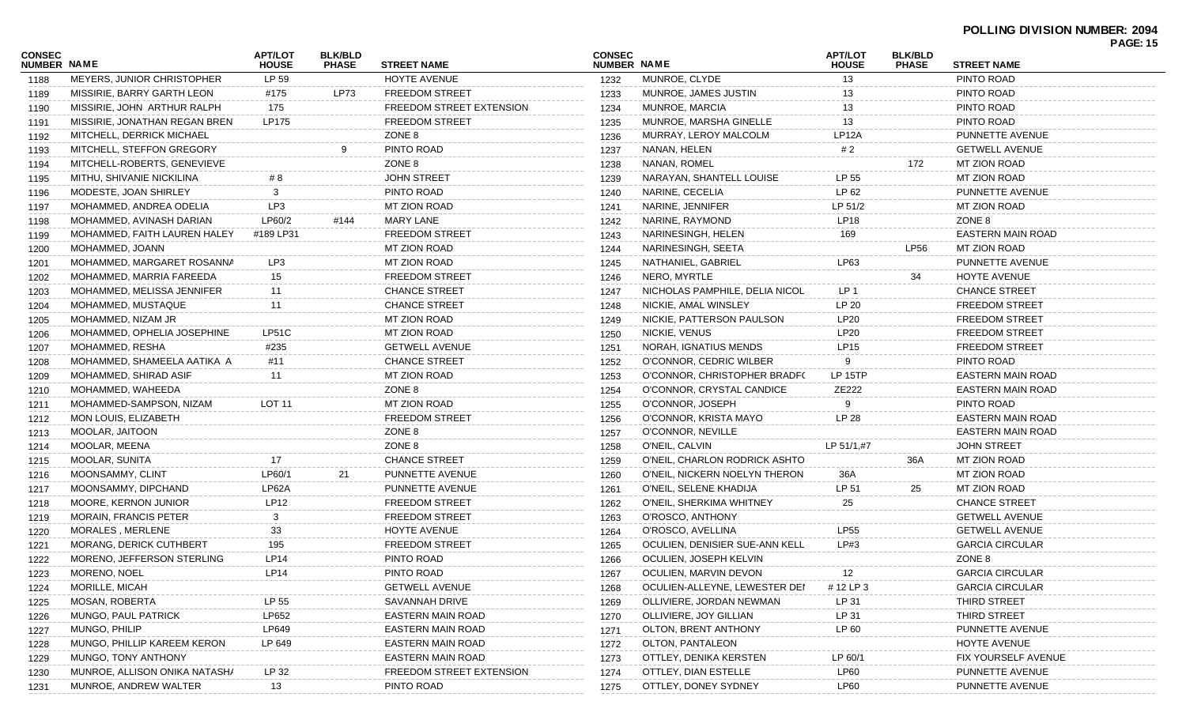|                              |                                |                         |                                |                                 |                              |                                |                                |                                |                          | <b>PAGE: 15</b> |
|------------------------------|--------------------------------|-------------------------|--------------------------------|---------------------------------|------------------------------|--------------------------------|--------------------------------|--------------------------------|--------------------------|-----------------|
| <b>CONSEC</b><br>NUMBER NAME |                                | APT/LOT<br><b>HOUSE</b> | <b>BLK/BLD</b><br><b>PHASE</b> | <b>STREET NAME</b>              | <b>CONSEC</b><br>NUMBER NAME |                                | <b>APT/LOT</b><br><b>HOUSE</b> | <b>BLK/BLD</b><br><b>PHASE</b> | <b>STREET NAME</b>       |                 |
| 1188                         | MEYERS, JUNIOR CHRISTOPHER     | LP 59                   |                                | <b>HOYTE AVENUE</b>             | 1232                         | MUNROE, CLYDE                  | 13                             |                                | PINTO ROAD               |                 |
| 1189                         | MISSIRIE, BARRY GARTH LEON     | #175                    | <b>LP73</b>                    | <b>FREEDOM STREET</b>           | 1233                         | MUNROE, JAMES JUSTIN           | 13                             |                                | PINTO ROAD               |                 |
| 1190                         | MISSIRIE, JOHN ARTHUR RALPH    | 175                     |                                | <b>FREEDOM STREET EXTENSION</b> | 1234                         | MUNROE, MARCIA                 | 13                             |                                | PINTO ROAD               |                 |
| 1191                         | MISSIRIE, JONATHAN REGAN BREN  | LP175                   |                                | <b>FREEDOM STREET</b>           | 1235                         | MUNROE, MARSHA GINELLE         | 13                             |                                | PINTO ROAD               |                 |
| 1192                         | MITCHELL, DERRICK MICHAEL      |                         |                                | ZONE 8                          | 1236                         | MURRAY, LEROY MALCOLM          | <b>LP12A</b>                   |                                | PUNNETTE AVENUE          |                 |
| 1193                         | MITCHELL, STEFFON GREGORY      |                         |                                | PINTO ROAD                      | 1237                         | NANAN, HELEN                   | #2                             |                                | <b>GETWELL AVENUE</b>    |                 |
| 1194                         | MITCHELL-ROBERTS, GENEVIEVE    |                         |                                | ZONE 8                          | 1238                         | NANAN, ROMEL                   |                                | 172                            | <b>MT ZION ROAD</b>      |                 |
| 1195                         | MITHU, SHIVANIE NICKILINA      | # 8                     |                                | <b>JOHN STREET</b>              | 1239                         | NARAYAN, SHANTELL LOUISE       | LP 55                          |                                | MT ZION ROAD             |                 |
| 1196                         | MODESTE, JOAN SHIRLEY          | 3                       |                                | PINTO ROAD                      | 1240                         | NARINE, CECELIA                | LP 62                          |                                | PUNNETTE AVENUE          |                 |
| 1197                         | MOHAMMED, ANDREA ODELIA        | LP3                     |                                | MT ZION ROAD                    | 1241                         | NARINE, JENNIFER               | LP 51/2                        |                                | MT ZION ROAD             |                 |
| 1198                         | MOHAMMED, AVINASH DARIAN       | LP60/2                  | #144                           | MARY LANE                       | 1242                         | NARINE, RAYMOND                | <b>LP18</b>                    |                                | ZONE 8                   |                 |
| 1199                         | MOHAMMED, FAITH LAUREN HALEY   | #189 LP31               |                                | <b>FREEDOM STREET</b>           | 1243                         | NARINESINGH, HELEN             | 169                            |                                | <b>EASTERN MAIN ROAD</b> |                 |
| 1200                         | MOHAMMED, JOANN                |                         |                                | MT ZION ROAD                    | 1244                         | NARINESINGH, SEETA             |                                | <b>LP56</b>                    | MT ZION ROAD             |                 |
| 1201                         | MOHAMMED, MARGARET ROSANNA     | LP3                     |                                | MT ZION ROAD                    | 1245                         | NATHANIEL, GABRIEL             | LP63                           |                                | PUNNETTE AVENUE          |                 |
| 1202                         | MOHAMMED, MARRIA FAREEDA       | 15                      |                                | <b>FREEDOM STREET</b>           | 1246                         | NERO. MYRTLE                   |                                | 34                             | HOYTE AVENUE             |                 |
| 1203                         | MOHAMMED, MELISSA JENNIFER     | 11                      |                                | <b>CHANCE STREET</b>            | 1247                         | NICHOLAS PAMPHILE, DELIA NICOL | LP <sub>1</sub>                |                                | <b>CHANCE STREET</b>     |                 |
| 1204                         | MOHAMMED, MUSTAQUE             | 11                      |                                | <b>CHANCE STREET</b>            | 1248                         | NICKIE, AMAL WINSLEY           | LP 20                          |                                | <b>FREEDOM STREET</b>    |                 |
| 1205                         | MOHAMMED, NIZAM JR             |                         |                                | MT ZION ROAD                    | 1249                         | NICKIE, PATTERSON PAULSON      | <b>LP20</b>                    |                                | <b>FREEDOM STREET</b>    |                 |
| 1206                         | MOHAMMED, OPHELIA JOSEPHINE    | LP51C                   |                                | MT ZION ROAD                    | 1250                         | NICKIE, VENUS                  | <b>LP20</b>                    |                                | <b>FREEDOM STREET</b>    |                 |
| 1207                         | MOHAMMED, RESHA                | #235                    |                                | <b>GETWELL AVENUE</b>           | 1251                         | NORAH, IGNATIUS MENDS          | LP15                           |                                | <b>FREEDOM STREET</b>    |                 |
| 1208                         | MOHAMMED, SHAMEELA AATIKA A    | #11                     |                                | <b>CHANCE STREET</b>            | 1252                         | O'CONNOR, CEDRIC WILBER        | 9                              |                                | PINTO ROAD               |                 |
| 1209                         | MOHAMMED, SHIRAD ASIF          | 11                      |                                | MT ZION ROAD                    | 1253                         | O'CONNOR, CHRISTOPHER BRADFO   | <b>LP 15TP</b>                 |                                | EASTERN MAIN ROAD        |                 |
| 1210                         | MOHAMMED, WAHEEDA              |                         |                                | ZONE 8                          | 1254                         | O'CONNOR, CRYSTAL CANDICE      | ZE222                          |                                | EASTERN MAIN ROAD        |                 |
| 1211                         | MOHAMMED-SAMPSON, NIZAM        | <b>LOT 11</b>           |                                | <b>MT ZION ROAD</b>             | 1255                         | O'CONNOR, JOSEPH               |                                |                                | PINTO ROAD               |                 |
| 1212                         | MON LOUIS, ELIZABETH           |                         |                                | <b>FREEDOM STREET</b>           | 1256                         | O'CONNOR, KRISTA MAYO          | LP 28                          |                                | EASTERN MAIN ROAD        |                 |
| 1213                         | MOOLAR, JAITOON                |                         |                                | ZONE 8                          | 1257                         | O'CONNOR, NEVILLE              |                                |                                | EASTERN MAIN ROAD        |                 |
| 1214                         | MOOLAR, MEENA                  |                         |                                | ZONE 8                          | 1258                         | O'NEIL, CALVIN                 | LP 51/1,#7                     |                                | <b>JOHN STREET</b>       |                 |
| 1215                         | MOOLAR, SUNITA                 | 17                      |                                | CHANCE STREET                   | 1259                         | O'NEIL, CHARLON RODRICK ASHTO  |                                | 36A                            | MT ZION ROAD             |                 |
| 1216                         | MOONSAMMY, CLINT               | LP60/1                  | 21                             | PUNNETTE AVENUE                 | 1260                         | O'NEIL, NICKERN NOELYN THERON  | 36A                            |                                | MT ZION ROAD             |                 |
| 1217                         | MOONSAMMY, DIPCHAND            | LP62A                   |                                | PUNNETTE AVENUE                 | 1261                         | O'NEIL, SELENE KHADIJA         | LP 51                          | 25                             | MT ZION ROAD             |                 |
| 1218                         | <b>MOORE, KERNON JUNIOR</b>    | <b>LP12</b>             |                                | <b>FREEDOM STREET</b>           | 1262                         | O'NEIL, SHERKIMA WHITNEY       | 25                             |                                | <b>CHANCE STREET</b>     |                 |
| 1219                         | <b>MORAIN, FRANCIS PETER</b>   | 3                       |                                | <b>FREEDOM STREET</b>           | 1263                         | O'ROSCO, ANTHONY               |                                |                                | <b>GETWELL AVENUE</b>    |                 |
| 1220                         | MORALES, MERLENE               | 33                      |                                | HOYTE AVENUE                    | 1264                         | O'ROSCO, AVELLINA              | <b>LP55</b>                    |                                | <b>GETWELL AVENUE</b>    |                 |
| 1221                         | <b>MORANG, DERICK CUTHBERT</b> | 195                     |                                | <b>FREEDOM STREET</b>           | 1265                         | OCULIEN, DENISIER SUE-ANN KELL | LP#3                           |                                | <b>GARCIA CIRCULAR</b>   |                 |
| 1222                         | MORENO, JEFFERSON STERLING     | LP <sub>14</sub>        |                                | PINTO ROAD                      | 1266                         | OCULIEN, JOSEPH KELVIN         |                                |                                | ZONE 8                   |                 |
| 1223                         | MORENO, NOEL                   | LP14                    |                                | PINTO ROAD                      | 1267                         | OCULIEN, MARVIN DEVON          | 12                             |                                | <b>GARCIA CIRCULAR</b>   |                 |
| 1224                         | <b>MORILLE, MICAH</b>          |                         |                                | <b>GETWELL AVENUE</b>           | 1268                         | OCULIEN-ALLEYNE, LEWESTER DEI  | #12 LP 3                       |                                | <b>GARCIA CIRCULAR</b>   |                 |
| 1225                         | <b>MOSAN, ROBERTA</b>          | LP 55                   |                                | SAVANNAH DRIVE                  | 1269                         | OLLIVIERE, JORDAN NEWMAN       | LP 31                          |                                | THIRD STREET             |                 |
| 1226                         | MUNGO, PAUL PATRICK            | LP652                   |                                | EASTERN MAIN ROAD               | 1270                         | OLLIVIERE, JOY GILLIAN         | LP 31                          |                                | THIRD STREET             |                 |
| 1227                         | MUNGO, PHILIP                  | LP649                   |                                | EASTERN MAIN ROAD               | 1271                         | OLTON, BRENT ANTHONY           | LP 60                          |                                | PUNNETTE AVENUE          |                 |
| 1228                         | MUNGO, PHILLIP KAREEM KERON    | LP 649                  |                                | <b>EASTERN MAIN ROAD</b>        | 1272                         | OLTON, PANTALEON               |                                |                                | HOYTE AVENUE             |                 |
| 1229                         | MUNGO, TONY ANTHONY            |                         |                                | EASTERN MAIN ROAD               | 1273                         | OTTLEY, DENIKA KERSTEN         | LP 60/1                        |                                | FIX YOURSELF AVENUE      |                 |
| 1230                         | MUNROE, ALLISON ONIKA NATASH/  | LP 32                   |                                | FREEDOM STREET EXTENSION        | 1274                         | OTTLEY, DIAN ESTELLE           | <b>LP60</b>                    |                                | PUNNETTE AVENUE          |                 |
| 1231                         | MUNROE, ANDREW WALTER          | 13                      |                                | PINTO ROAD                      | 1275                         | OTTLEY, DONEY SYDNEY           | <b>LP60</b>                    |                                | PUNNETTE AVENUE          |                 |
|                              |                                |                         |                                |                                 |                              |                                |                                |                                |                          |                 |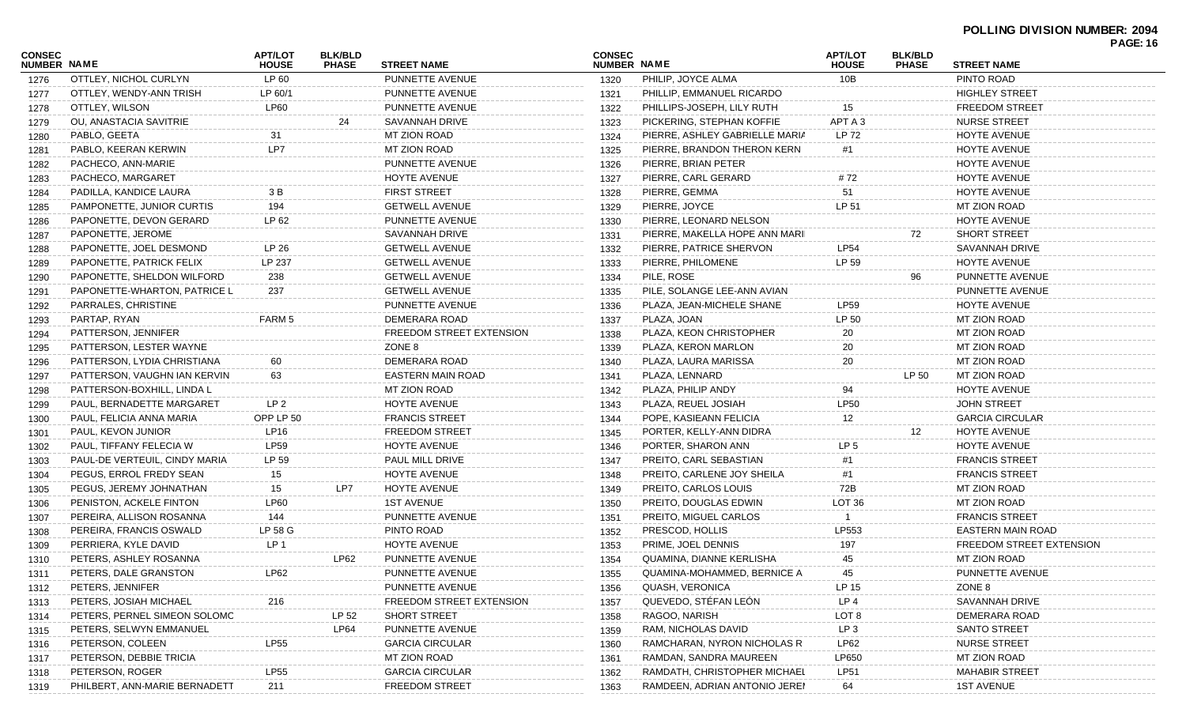| CONSEC<br><b>NUMBER NAME</b> |                               | <b>APT/LOT</b><br><b>HOUSE</b> | <b>BLK/BLD</b><br><b>PHASE</b> | <b>STREET NAME</b>       | <b>CONSEC</b><br>NUMBER NAME |                                | <b>APT/LOT</b><br><b>HOUSE</b> | <b>BLK/BLD</b><br><b>PHASE</b> | <b>STREET NAME</b>              | <b>PAGE: 16</b> |
|------------------------------|-------------------------------|--------------------------------|--------------------------------|--------------------------|------------------------------|--------------------------------|--------------------------------|--------------------------------|---------------------------------|-----------------|
| 1276                         | OTTLEY, NICHOL CURLYN         | LP 60                          |                                | PUNNETTE AVENUE          | 1320                         | PHILIP, JOYCE ALMA             | 10B                            |                                | PINTO ROAD                      |                 |
| 1277                         | OTTLEY, WENDY-ANN TRISH       | LP 60/1                        |                                | PUNNETTE AVENUE          | 1321                         | PHILLIP, EMMANUEL RICARDO      |                                |                                | HIGHLEY STREET                  |                 |
| 1278                         | OTTLEY, WILSON                | <b>LP60</b>                    |                                | PUNNETTE AVENUE          | 1322                         | PHILLIPS-JOSEPH, LILY RUTH     | 15                             |                                | <b>FREEDOM STREET</b>           |                 |
| 1279                         | OU, ANASTACIA SAVITRIE        |                                | 24                             | SAVANNAH DRIVE           | 1323                         | PICKERING, STEPHAN KOFFIE      | APT A 3                        |                                | <b>NURSE STREET</b>             |                 |
| 1280                         | PABLO, GEETA                  | 31                             |                                | MT ZION ROAD             | 1324                         | PIERRE, ASHLEY GABRIELLE MARIA | LP 72                          |                                | HOYTE AVENUE                    |                 |
| 1281                         | PABLO, KEERAN KERWIN          | LP7                            |                                | MT ZION ROAD             | 1325                         | PIERRE, BRANDON THERON KERN    | #1                             |                                | HOYTE AVENUE                    |                 |
| 1282                         | PACHECO, ANN-MARIE            |                                |                                | PUNNETTE AVENUE          | 1326                         | PIERRE, BRIAN PETER            |                                |                                | HOYTE AVENUE                    |                 |
| 1283                         | PACHECO, MARGARET             |                                |                                | HOYTE AVENUE             | 1327                         | PIERRE, CARL GERARD            | #72                            |                                | HOYTE AVENUE                    |                 |
| 1284                         | PADILLA, KANDICE LAURA        | 3 B                            |                                | <b>FIRST STREET</b>      | 1328                         | PIERRE, GEMMA                  | 51                             |                                | <b>HOYTE AVENUE</b>             |                 |
| 1285                         | PAMPONETTE, JUNIOR CURTIS     | 194                            |                                | <b>GETWELL AVENUE</b>    | 1329                         | PIERRE, JOYCE                  | LP 51                          |                                | MT ZION ROAD                    |                 |
| 1286                         | PAPONETTE, DEVON GERARD       | LP 62                          |                                | PUNNETTE AVENUE          | 1330                         | PIERRE, LEONARD NELSON         |                                |                                | HOYTE AVENUE                    |                 |
| 1287                         | PAPONETTE, JEROME             |                                |                                | <b>SAVANNAH DRIVE</b>    | 1331                         | PIERRE, MAKELLA HOPE ANN MARII |                                | 72                             | <b>SHORT STREET</b>             |                 |
| 1288                         | PAPONETTE, JOEL DESMOND       | LP 26                          |                                | <b>GETWELL AVENUE</b>    | 1332                         | PIERRE, PATRICE SHERVON        | <b>LP54</b>                    |                                | SAVANNAH DRIVE                  |                 |
| 1289                         | PAPONETTE, PATRICK FELIX      | LP 237                         |                                | <b>GETWELL AVENUE</b>    | 1333                         | PIERRE, PHILOMENE              | LP 59                          |                                | HOYTE AVENUE                    |                 |
| 1290                         | PAPONETTE, SHELDON WILFORD    | 238                            |                                | <b>GETWELL AVENUE</b>    | 1334                         | PILE, ROSE                     |                                | 96                             | PUNNETTE AVENUE                 |                 |
| 1291                         | PAPONETTE-WHARTON, PATRICE L  | 237                            |                                | <b>GETWELL AVENUE</b>    | 1335                         | PILE, SOLANGE LEE-ANN AVIAN    |                                |                                | PUNNETTE AVENUE                 |                 |
| 1292                         | PARRALES, CHRISTINE           |                                |                                | PUNNETTE AVENUE          | 1336                         | PLAZA, JEAN-MICHELE SHANE      | <b>LP59</b>                    |                                | <b>HOYTE AVENUE</b>             |                 |
| 1293                         | PARTAP, RYAN                  | FARM 5                         |                                | DEMERARA ROAD            | 1337                         | PLAZA, JOAN                    | LP 50                          |                                | MT ZION ROAD                    |                 |
| 1294                         | PATTERSON, JENNIFER           |                                |                                | FREEDOM STREET EXTENSION | 1338                         | PLAZA, KEON CHRISTOPHER        | 20                             |                                | MT ZION ROAD                    |                 |
| 1295                         | PATTERSON, LESTER WAYNE       |                                |                                | ZONE 8                   | 1339                         | PLAZA, KERON MARLON            | 20                             |                                | MT ZION ROAD                    |                 |
| 1296                         | PATTERSON, LYDIA CHRISTIANA   | 60                             |                                | DEMERARA ROAD            | 1340                         | PLAZA, LAURA MARISSA           | 20                             |                                | MT ZION ROAD                    |                 |
| 1297                         | PATTERSON, VAUGHN IAN KERVIN  | 63                             |                                | EASTERN MAIN ROAD        | 1341                         | PLAZA, LENNARD                 |                                | LP 50                          | MT ZION ROAD                    |                 |
| 1298                         | PATTERSON-BOXHILL, LINDA L    |                                |                                | MT ZION ROAD             | 1342                         | PLAZA, PHILIP ANDY             | 94                             |                                | HOYTE AVENUE                    |                 |
| 1299                         | PAUL, BERNADETTE MARGARET     | LP <sub>2</sub>                |                                | HOYTE AVENUE             | 1343                         | PLAZA, REUEL JOSIAH            | <b>LP50</b>                    |                                | <b>JOHN STREET</b>              |                 |
| 1300                         | PAUL, FELICIA ANNA MARIA      | OPP LP 50                      |                                | <b>FRANCIS STREET</b>    | 1344                         | POPE, KASIEANN FELICIA         | 12                             |                                | <b>GARCIA CIRCULAR</b>          |                 |
| 1301                         | PAUL, KEVON JUNIOR            | LP16                           |                                | <b>FREEDOM STREET</b>    | 1345                         | PORTER, KELLY-ANN DIDRA        |                                | 12                             | HOYTE AVENUE                    |                 |
| 1302                         | PAUL, TIFFANY FELECIA W       | LP59                           |                                | HOYTE AVENUE             | 1346                         | PORTER, SHARON ANN             | LP <sub>5</sub>                |                                | HOYTE AVENUE                    |                 |
| 1303                         | PAUL-DE VERTEUIL, CINDY MARIA | LP 59                          |                                | PAUL MILL DRIVE          | 1347                         | PREITO, CARL SEBASTIAN         | #1                             |                                | <b>FRANCIS STREET</b>           |                 |
| 1304                         | PEGUS, ERROL FREDY SEAN       | 15                             |                                | HOYTE AVENUE             | 1348                         | PREITO, CARLENE JOY SHEILA     | #1                             |                                | <b>FRANCIS STREET</b>           |                 |
| 1305                         | PEGUS, JEREMY JOHNATHAN       | 15                             | LP7                            | HOYTE AVENUE             | 1349                         | PREITO, CARLOS LOUIS           | 72B                            |                                | MT ZION ROAD                    |                 |
| 1306                         | PENISTON, ACKELE FINTON       | <b>LP60</b>                    |                                | <b>1ST AVENUE</b>        | 1350                         | PREITO, DOUGLAS EDWIN          | LOT 36                         |                                | MT ZION ROAD                    |                 |
| 1307                         | PEREIRA, ALLISON ROSANNA      | 144                            |                                | PUNNETTE AVENUE          | 1351                         | PREITO, MIGUEL CARLOS          |                                |                                | <b>FRANCIS STREET</b>           |                 |
| 1308                         | PEREIRA, FRANCIS OSWALD       | LP 58 G                        |                                | PINTO ROAD               | 1352                         | PRESCOD, HOLLIS                | LP553                          |                                | EASTERN MAIN ROAD               |                 |
| 1309                         | PERRIERA, KYLE DAVID          | LP 1                           |                                | HOYTE AVENUE             | 1353                         | PRIME, JOEL DENNIS             | 197                            |                                | <b>FREEDOM STREET EXTENSION</b> |                 |
| 1310                         | PETERS, ASHLEY ROSANNA        |                                | LP62                           | PUNNETTE AVENUE          | 1354                         | QUAMINA, DIANNE KERLISHA       | 45                             |                                | MT ZION ROAD                    |                 |
| 1311                         | PETERS, DALE GRANSTON         | LP62                           |                                | PUNNETTE AVENUE          | 1355                         | QUAMINA-MOHAMMED, BERNICE A    | 45                             |                                | PUNNETTE AVENUE                 |                 |
| 1312                         | PETERS, JENNIFER              |                                |                                | PUNNETTE AVENUE          | 1356                         | QUASH, VERONICA                | LP 15                          |                                | ZONE 8                          |                 |
| 1313                         | PETERS, JOSIAH MICHAEL        | 216                            |                                | FREEDOM STREET EXTENSION | 1357                         | QUEVEDO, STÉFAN LEÓN           | LP <sub>4</sub>                |                                | SAVANNAH DRIVE                  |                 |
| 1314                         | PETERS, PERNEL SIMEON SOLOMO  |                                | LP 52                          | SHORT STREET             | 1358                         | RAGOO, NARISH                  | LOT <sub>8</sub>               |                                | DEMERARA ROAD                   |                 |
| 1315                         | PETERS, SELWYN EMMANUEL       |                                | LP64                           | PUNNETTE AVENUE          | 1359                         | RAM, NICHOLAS DAVID            | LP <sub>3</sub>                |                                | <b>SANTO STREET</b>             |                 |
| 1316                         | PETERSON, COLEEN              | <b>LP55</b>                    |                                | <b>GARCIA CIRCULAR</b>   | 1360                         | RAMCHARAN, NYRON NICHOLAS R    | <b>LP62</b>                    |                                | <b>NURSE STREET</b>             |                 |
| 1317                         | PETERSON, DEBBIE TRICIA       |                                |                                | MT ZION ROAD             | 1361                         | RAMDAN, SANDRA MAUREEN         | LP650                          |                                | MT ZION ROAD                    |                 |
| 1318                         | PETERSON, ROGER               | <b>LP55</b>                    |                                | <b>GARCIA CIRCULAR</b>   | 1362                         | RAMDATH, CHRISTOPHER MICHAEL   | <b>LP51</b>                    |                                | <b>MAHABIR STREET</b>           |                 |
| 1319                         | PHILBERT, ANN-MARIE BERNADETT | 211                            |                                | <b>FREEDOM STREET</b>    | 1363                         | RAMDEEN, ADRIAN ANTONIO JEREI  | 64                             |                                | <b>1ST AVENUE</b>               |                 |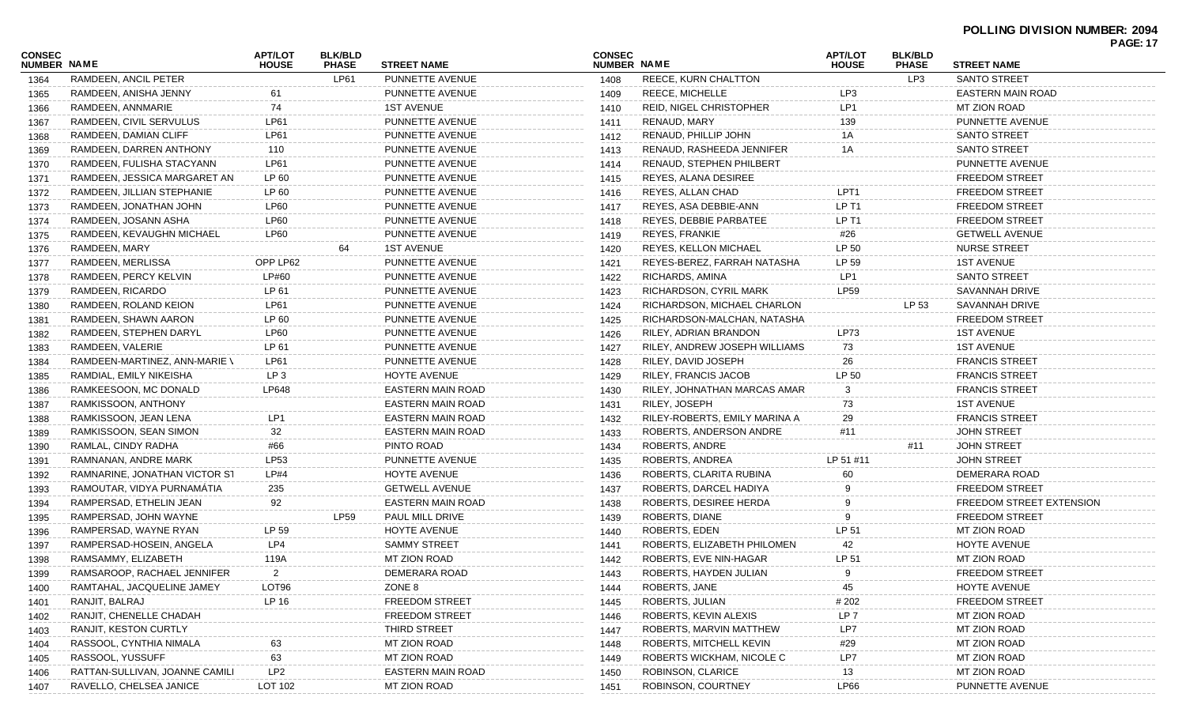| CONSEC             |                                | <b>APT/LOT</b><br><b>BLK/BLD</b> |              |                          | <b>CONSEC</b> |                                | <b>APT/LOT</b>    |              | <b>PAGE: 17</b><br><b>BLK/BLD</b> |  |
|--------------------|--------------------------------|----------------------------------|--------------|--------------------------|---------------|--------------------------------|-------------------|--------------|-----------------------------------|--|
| <b>NUMBER NAME</b> |                                | <b>HOUSE</b>                     | <b>PHASE</b> | <b>STREET NAME</b>       | NUMBER NAME   |                                | <b>HOUSE</b>      | <b>PHASE</b> | <b>STREET NAME</b>                |  |
| 1364               | RAMDEEN, ANCIL PETER           |                                  | LP61         | PUNNETTE AVENUE          | 1408          | <b>REECE, KURN CHALTTON</b>    |                   | LP3          | <b>SANTO STREET</b>               |  |
| 1365               | RAMDEEN, ANISHA JENNY          | 61                               |              | PUNNETTE AVENUE          | 1409          | <b>REECE, MICHELLE</b>         | LP3               |              | <b>EASTERN MAIN ROAD</b>          |  |
| 1366               | RAMDEEN, ANNMARIE              | 74                               |              | <b>1ST AVENUE</b>        | 1410          | <b>REID, NIGEL CHRISTOPHER</b> | LP1               |              | <b>MT ZION ROAD</b>               |  |
| 1367               | RAMDEEN, CIVIL SERVULUS        | LP61                             |              | PUNNETTE AVENUE          | 1411          | RENAUD, MARY                   | 139               |              | PUNNETTE AVENUE                   |  |
| 1368               | RAMDEEN, DAMIAN CLIFF          | <b>LP61</b>                      |              | PUNNETTE AVENUE          | 1412          | RENAUD, PHILLIP JOHN           | 1Α                |              | <b>SANTO STREET</b>               |  |
| 1369               | RAMDEEN, DARREN ANTHONY        | 110                              |              | PUNNETTE AVENUE          | 1413          | RENAUD, RASHEEDA JENNIFER      | 1A                |              | SANTO STREET                      |  |
| 1370               | RAMDEEN, FULISHA STACYANN      | LP61                             |              | PUNNETTE AVENUE          | 1414          | RENAUD, STEPHEN PHILBERT       |                   |              | PUNNETTE AVENUE                   |  |
| 1371               | RAMDEEN, JESSICA MARGARET AN   | LP 60                            |              | PUNNETTE AVENUE          | 1415          | REYES, ALANA DESIREE           |                   |              | <b>FREEDOM STREET</b>             |  |
| 1372               | RAMDEEN, JILLIAN STEPHANIE     | LP 60                            |              | PUNNETTE AVENUE          | 1416          | REYES, ALLAN CHAD              | LPT <sub>1</sub>  |              | <b>FREEDOM STREET</b>             |  |
| 1373               | RAMDEEN, JONATHAN JOHN         | LP60                             |              | PUNNETTE AVENUE          | 1417          | REYES, ASA DEBBIE-ANN          | LP <sub>T1</sub>  |              | <b>FREEDOM STREET</b>             |  |
| 1374               | RAMDEEN, JOSANN ASHA           | <b>LP60</b>                      |              | PUNNETTE AVENUE          | 1418          | REYES, DEBBIE PARBATEE         | LP T <sub>1</sub> |              | <b>FREEDOM STREET</b>             |  |
| 1375               | RAMDEEN, KEVAUGHN MICHAEL      | <b>LP60</b>                      |              | PUNNETTE AVENUE          | 1419          | <b>REYES, FRANKIE</b>          | #26               |              | <b>GETWELL AVENUE</b>             |  |
| 1376               | RAMDEEN, MARY                  |                                  | 64           | <b>1ST AVENUE</b>        | 1420          | <b>REYES, KELLON MICHAEL</b>   | LP 50             |              | <b>NURSE STREET</b>               |  |
| 1377               | RAMDEEN, MERLISSA              | OPP LP62                         |              | PUNNETTE AVENUE          | 1421          | REYES-BEREZ, FARRAH NATASHA    | LP 59             |              | <b>1ST AVENUE</b>                 |  |
| 1378               | RAMDEEN, PERCY KELVIN          | LP#60                            |              | PUNNETTE AVENUE          | 1422          | RICHARDS, AMINA                | LP1               |              | <b>SANTO STREET</b>               |  |
| 1379               | RAMDEEN, RICARDO               | LP 61                            |              | PUNNETTE AVENUE          | 1423          | RICHARDSON, CYRIL MARK         | LP59              |              | <b>SAVANNAH DRIVE</b>             |  |
| 1380               | RAMDEEN, ROLAND KEION          | LP61                             |              | PUNNETTE AVENUE          | 1424          | RICHARDSON, MICHAEL CHARLON    |                   | LP 53        | SAVANNAH DRIVE                    |  |
| 1381               | RAMDEEN, SHAWN AARON           | LP 60                            |              | PUNNETTE AVENUE          | 1425          | RICHARDSON-MALCHAN, NATASHA    |                   |              | <b>FREEDOM STREET</b>             |  |
| 1382               | RAMDEEN, STEPHEN DARYL         | <b>LP60</b>                      |              | PUNNETTE AVENUE          | 1426          | RILEY, ADRIAN BRANDON          | LP73              |              | <b>1ST AVENUE</b>                 |  |
| 1383               | RAMDEEN, VALERIE               | LP 61                            |              | PUNNETTE AVENUE          | 1427          | RILEY, ANDREW JOSEPH WILLIAMS  | 73                |              | <b>1ST AVENUE</b>                 |  |
| 1384               | RAMDEEN-MARTINEZ, ANN-MARIE \  | LP61                             |              | PUNNETTE AVENUE          | 1428          | RILEY, DAVID JOSEPH            | 26                |              | <b>FRANCIS STREET</b>             |  |
| 1385               | RAMDIAL, EMILY NIKEISHA        | LP <sub>3</sub>                  |              | HOYTE AVENUE             | 1429          | RILEY, FRANCIS JACOB           | LP 50             |              | <b>FRANCIS STREET</b>             |  |
| 1386               | RAMKEESOON, MC DONALD          | LP648                            |              | <b>EASTERN MAIN ROAD</b> | 1430          | RILEY, JOHNATHAN MARCAS AMAR   | 3                 |              | <b>FRANCIS STREET</b>             |  |
| 1387               | RAMKISSOON, ANTHONY            |                                  |              | EASTERN MAIN ROAD        | 1431          | RILEY, JOSEPH                  | 73                |              | <b>1ST AVENUE</b>                 |  |
| 1388               | RAMKISSOON, JEAN LENA          | LP1                              |              | EASTERN MAIN ROAD        | 1432          | RILEY-ROBERTS, EMILY MARINA A  | 29                |              | <b>FRANCIS STREET</b>             |  |
| 1389               | RAMKISSOON, SEAN SIMON         | 32                               |              | <b>EASTERN MAIN ROAD</b> | 1433          | ROBERTS, ANDERSON ANDRE        | #11               |              | <b>JOHN STREET</b>                |  |
| 1390               | RAMLAL, CINDY RADHA            | #66                              |              | PINTO ROAD               | 1434          | ROBERTS, ANDRE                 |                   | #11          | <b>JOHN STREET</b>                |  |
| 1391               | RAMNANAN, ANDRE MARK           | LP53                             |              | PUNNETTE AVENUE          | 1435          | ROBERTS, ANDREA                | LP 51 #11         |              | <b>JOHN STREET</b>                |  |
| 1392               | RAMNARINE, JONATHAN VICTOR ST  | LP#4                             |              | HOYTE AVENUE             | 1436          | ROBERTS, CLARITA RUBINA        |                   |              | DEMERARA ROAD                     |  |
| 1393               | RAMOUTAR, VIDYA PURNAMATIA     | 235                              |              | <b>GETWELL AVENUE</b>    | 1437          | ROBERTS, DARCEL HADIYA         |                   |              | <b>FREEDOM STREET</b>             |  |
| 1394               | RAMPERSAD, ETHELIN JEAN        | 92                               |              | EASTERN MAIN ROAD        | 1438          | ROBERTS, DESIREE HERDA         | 9                 |              | FREEDOM STREET EXTENSION          |  |
| 1395               | RAMPERSAD, JOHN WAYNE          |                                  | <b>LP59</b>  | <b>PAUL MILL DRIVE</b>   | 1439          | ROBERTS, DIANE                 | 9                 |              | <b>FREEDOM STREET</b>             |  |
| 1396               | RAMPERSAD, WAYNE RYAN          | LP 59                            |              | <b>HOYTE AVENUE</b>      | 1440          | ROBERTS, EDEN                  | LP 51             |              | <b>MT ZION ROAD</b>               |  |
| 1397               | RAMPERSAD-HOSEIN, ANGELA       | LP4                              |              | <b>SAMMY STREET</b>      | 1441          | ROBERTS, ELIZABETH PHILOMEN    | 42                |              | <b>HOYTE AVENUE</b>               |  |
| 1398               | RAMSAMMY, ELIZABETH            | 119A                             |              | MT ZION ROAD             | 1442          | ROBERTS, EVE NIN-HAGAR         | LP 51             |              | MT ZION ROAD                      |  |
| 1399               | RAMSAROOP, RACHAEL JENNIFER    | $\overline{2}$                   |              | DEMERARA ROAD            | 1443          | ROBERTS, HAYDEN JULIAN         | 9                 |              | <b>FREEDOM STREET</b>             |  |
| 1400               | RAMTAHAL, JACQUELINE JAMEY     | LOT96                            |              | ZONE 8                   | 1444          | ROBERTS, JANE                  | 45                |              | HOYTE AVENUE                      |  |
| 1401               | RANJIT, BALRAJ                 | LP 16                            |              | <b>FREEDOM STREET</b>    | 1445          | ROBERTS, JULIAN                | # 202             |              | <b>FREEDOM STREET</b>             |  |
| 1402               | RANJIT, CHENELLE CHADAH        |                                  |              | <b>FREEDOM STREET</b>    | 1446          | ROBERTS, KEVIN ALEXIS          | LP <sub>7</sub>   |              | <b>MT ZION ROAD</b>               |  |
| 1403               | RANJIT, KESTON CURTLY          |                                  |              | THIRD STREET             | 1447          | ROBERTS, MARVIN MATTHEW        | LP7               |              | MT ZION ROAD                      |  |
| 1404               | RASSOOL, CYNTHIA NIMALA        | 63                               |              | MT ZION ROAD             | 1448          | ROBERTS, MITCHELL KEVIN        | #29               |              | MT ZION ROAD                      |  |
| 1405               | RASSOOL, YUSSUFF               | 63                               |              | MT ZION ROAD             | 1449          | ROBERTS WICKHAM, NICOLE C      | LP7               |              | MT ZION ROAD                      |  |
| 1406               | RATTAN-SULLIVAN, JOANNE CAMILI | LP <sub>2</sub>                  |              | <b>EASTERN MAIN ROAD</b> | 1450          | ROBINSON, CLARICE              | 13                |              | MT ZION ROAD                      |  |
| 1407               | RAVELLO, CHELSEA JANICE        | LOT 102                          |              | MT ZION ROAD             | 1451          | ROBINSON, COURTNEY             | LP66              |              | PUNNETTE AVENUE                   |  |
|                    |                                |                                  |              |                          |               |                                |                   |              |                                   |  |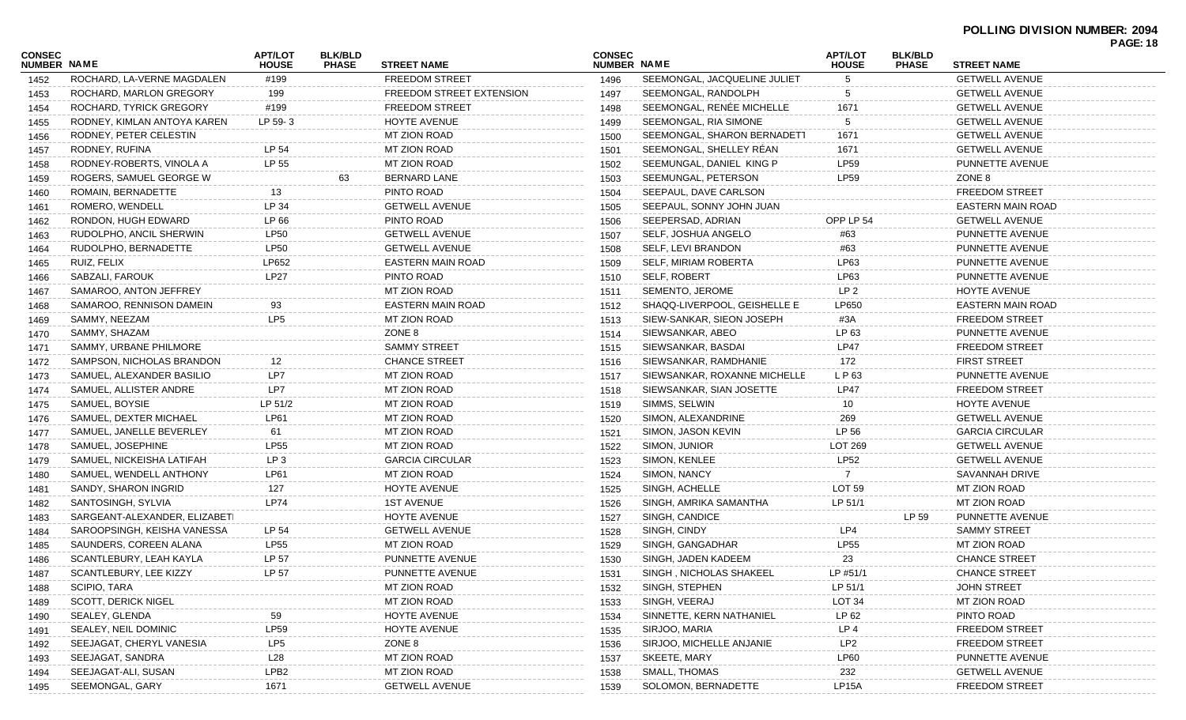| ROCHARD, LA-VERNE MAGDALEN<br>#199<br><b>FREEDOM STREET</b><br>SEEMONGAL, JACQUELINE JULIET<br>5<br><b>GETWELL AVENUE</b><br>1496<br>1452<br>SEEMONGAL, RANDOLPH<br>ROCHARD, MARLON GREGORY<br>199<br>FREEDOM STREET EXTENSION<br><b>GETWELL AVENUE</b><br>1497<br>5<br>1453<br>SEEMONGAL, RENÉE MICHELLE<br><b>FREEDOM STREET</b><br><b>GETWELL AVENUE</b><br>ROCHARD, TYRICK GREGORY<br>#199<br>1671<br>1498<br>1454<br>LP 59-3<br>HOYTE AVENUE<br>SEEMONGAL, RIA SIMONE<br>RODNEY, KIMLAN ANTOYA KAREN<br><b>GETWELL AVENUE</b><br>1499<br>1455<br><b>MT ZION ROAD</b><br>SEEMONGAL, SHARON BERNADETT<br>1671<br>RODNEY, PETER CELESTIN<br><b>GETWELL AVENUE</b><br>1500<br>1456<br>SEEMONGAL, SHELLEY RÉAN<br>LP 54<br><b>MT ZION ROAD</b><br>1671<br><b>GETWELL AVENUE</b><br>RODNEY, RUFINA<br>1501<br>1457<br>LP 55<br>RODNEY-ROBERTS, VINOLA A<br>MT ZION ROAD<br>SEEMUNGAL, DANIEL KING P<br><b>LP59</b><br>PUNNETTE AVENUE<br>1502<br>1458<br><b>BERNARD LANE</b><br><b>LP59</b><br>ZONE 8<br>ROGERS, SAMUEL GEORGE W<br>SEEMUNGAL, PETERSON<br>63<br>1503<br>1459<br><b>FREEDOM STREET</b><br>ROMAIN, BERNADETTE<br>PINTO ROAD<br>SEEPAUL, DAVE CARLSON<br>13<br>1504<br>1460<br>LP 34<br><b>GETWELL AVENUE</b><br>ROMERO, WENDELL<br>SEEPAUL, SONNY JOHN JUAN<br>EASTERN MAIN ROAD<br>1505<br>1461<br>LP 66<br>PINTO ROAD<br>SEEPERSAD, ADRIAN<br>OPP LP 54<br><b>GETWELL AVENUE</b><br>RONDON, HUGH EDWARD<br>1506<br>1462<br><b>LP50</b><br><b>GETWELL AVENUE</b><br>SELF, JOSHUA ANGELO<br>PUNNETTE AVENUE<br>RUDOLPHO, ANCIL SHERWIN<br>1507<br>#63<br>1463<br><b>LP50</b><br><b>GETWELL AVENUE</b><br>SELF, LEVI BRANDON<br>PUNNETTE AVENUE<br>RUDOLPHO, BERNADETTE<br>#63<br>1508<br>1464<br>LP652<br>EASTERN MAIN ROAD<br>SELF, MIRIAM ROBERTA<br>LP63<br>PUNNETTE AVENUE<br>RUIZ, FELIX<br>1509<br>1465<br><b>LP27</b><br>PINTO ROAD<br>SELF, ROBERT<br>LP63<br>PUNNETTE AVENUE<br>SABZALI, FAROUK<br>1510<br>1466<br>SAMAROO, ANTON JEFFREY<br>MT ZION ROAD<br>SEMENTO, JEROME<br>LP <sub>2</sub><br>HOYTE AVENUE<br>1511<br>1467<br><b>EASTERN MAIN ROAD</b><br>SHAQQ-LIVERPOOL, GEISHELLE E<br>LP650<br>SAMAROO, RENNISON DAMEIN<br>EASTERN MAIN ROAD<br>93<br>1512<br>1468<br>LP <sub>5</sub><br>MT ZION ROAD<br>SIEW-SANKAR, SIEON JOSEPH<br><b>FREEDOM STREET</b><br>SAMMY, NEEZAM<br>#3A<br>1513<br>1469<br>ZONE 8<br>SIEWSANKAR, ABEO<br>LP 63<br>SAMMY, SHAZAM<br>PUNNETTE AVENUE<br>1514<br>1470<br><b>SAMMY STREET</b><br>SIEWSANKAR, BASDAI<br><b>LP47</b><br><b>FREEDOM STREET</b><br>SAMMY, URBANE PHILMORE<br>1515<br>1471<br><b>CHANCE STREET</b><br><b>FIRST STREET</b><br>SAMPSON, NICHOLAS BRANDON<br>SIEWSANKAR, RAMDHANIE<br>172<br>12<br>1516<br>1472<br>LP7<br>SIEWSANKAR, ROXANNE MICHELLE<br>L P 63<br>PUNNETTE AVENUE<br>SAMUEL, ALEXANDER BASILIO<br>MT ZION ROAD<br>1517<br>1473<br>LP7<br><b>MT ZION ROAD</b><br>SIEWSANKAR, SIAN JOSETTE<br><b>LP47</b><br><b>FREEDOM STREET</b><br>SAMUEL, ALLISTER ANDRE<br>1518<br>1474<br>LP 51/2<br><b>MT ZION ROAD</b><br>SIMMS, SELWIN<br>HOYTE AVENUE<br>SAMUEL, BOYSIE<br>1519<br>10<br>1475<br>SAMUEL, DEXTER MICHAEL<br>LP61<br><b>MT ZION ROAD</b><br>SIMON, ALEXANDRINE<br><b>GETWELL AVENUE</b><br>269<br>1520<br>1476<br>LP 56<br><b>MT ZION ROAD</b><br>SIMON, JASON KEVIN<br><b>GARCIA CIRCULAR</b><br>SAMUEL, JANELLE BEVERLEY<br>61<br>1521<br>1477<br><b>LP55</b><br>MT ZION ROAD<br>SIMON, JUNIOR<br>LOT 269<br>SAMUEL, JOSEPHINE<br><b>GETWELL AVENUE</b><br>1522<br>1478<br><b>LP52</b><br>LP <sub>3</sub><br><b>GARCIA CIRCULAR</b><br>SIMON, KENLEE<br>SAMUEL, NICKEISHA LATIFAH<br><b>GETWELL AVENUE</b><br>1523<br>1479<br>LP61<br><b>MT ZION ROAD</b><br>SIMON, NANCY<br>SAVANNAH DRIVE<br>SAMUEL, WENDELL ANTHONY<br>1524<br>1480<br>SANDY, SHARON INGRID<br>HOYTE AVENUE<br>SINGH, ACHELLE<br><b>LOT 59</b><br>MT ZION ROAD<br>127<br>1525<br>1481<br><b>LP74</b><br>LP 51/1<br><b>1ST AVENUE</b><br>SINGH, AMRIKA SAMANTHA<br>MT ZION ROAD<br>SANTOSINGH, SYLVIA<br>1526<br>1482<br>LP 59<br>SARGEANT-ALEXANDER, ELIZABETI<br>HOYTE AVENUE<br>SINGH, CANDICE<br>PUNNETTE AVENUE<br>1527<br>1483<br>SAROOPSINGH, KEISHA VANESSA<br><b>GETWELL AVENUE</b><br>SINGH, CINDY<br>LP4<br><b>SAMMY STREET</b><br>LP 54<br>1528<br>1484<br><b>LP55</b><br>MT ZION ROAD<br>SINGH, GANGADHAR<br><b>LP55</b><br>MT ZION ROAD<br>SAUNDERS, COREEN ALANA<br>1529<br>1485<br>SCANTLEBURY, LEAH KAYLA<br>LP 57<br>PUNNETTE AVENUE<br>SINGH, JADEN KADEEM<br>23<br><b>CHANCE STREET</b><br>1530<br>1486<br>LP 57<br>SINGH, NICHOLAS SHAKEEL<br>LP #51/1<br><b>CHANCE STREET</b><br>SCANTLEBURY, LEE KIZZY<br>PUNNETTE AVENUE<br>1531<br>1487<br>SCIPIO, TARA<br><b>MT ZION ROAD</b><br>SINGH, STEPHEN<br>LP 51/1<br><b>JOHN STREET</b><br>1532<br>1488<br><b>SCOTT, DERICK NIGEL</b><br><b>MT ZION ROAD</b><br>SINGH, VEERAJ<br>LOT <sub>34</sub><br><b>MT ZION ROAD</b><br>1533<br>1489<br>SEALEY, GLENDA<br><b>HOYTE AVENUE</b><br>SINNETTE, KERN NATHANIEL<br>LP 62<br>PINTO ROAD<br>59<br>1534<br>1490<br>LP59<br>SEALEY, NEIL DOMINIC<br>SIRJOO, MARIA<br>LP <sub>4</sub><br><b>FREEDOM STREET</b><br><b>HOYTE AVENUE</b><br>1535<br>1491<br>SEEJAGAT, CHERYL VANESIA<br>LP <sub>5</sub><br>ZONE 8<br>SIRJOO, MICHELLE ANJANIE<br>LP <sub>2</sub><br><b>FREEDOM STREET</b><br>1536<br>1492<br>MT ZION ROAD<br>SKEETE, MARY<br><b>LP60</b><br>PUNNETTE AVENUE<br>SEEJAGAT, SANDRA<br>L28<br>1537<br>1493<br>LPB <sub>2</sub><br>SEEJAGAT-ALI, SUSAN<br>MT ZION ROAD<br><b>SMALL, THOMAS</b><br>232<br><b>GETWELL AVENUE</b><br>1538<br>1494<br>SEEMONGAL, GARY<br><b>GETWELL AVENUE</b><br>SOLOMON, BERNADETTE<br>LP15A<br><b>FREEDOM STREET</b><br>1671<br>1539<br>1495 | <b>CONSEC</b><br><b>NUMBER NAME</b> | <b>APT/LOT</b><br><b>HOUSE</b> | <b>BLK/BLD</b><br><b>PHASE</b> | <b>STREET NAME</b> | <b>CONSEC</b><br>NUMBER NAME | <b>APT/LOT</b><br><b>HOUSE</b> | <b>BLK/BLD</b><br><b>PHASE</b> | <b>STREET NAME</b> | <b>PAGE: 18</b> |
|------------------------------------------------------------------------------------------------------------------------------------------------------------------------------------------------------------------------------------------------------------------------------------------------------------------------------------------------------------------------------------------------------------------------------------------------------------------------------------------------------------------------------------------------------------------------------------------------------------------------------------------------------------------------------------------------------------------------------------------------------------------------------------------------------------------------------------------------------------------------------------------------------------------------------------------------------------------------------------------------------------------------------------------------------------------------------------------------------------------------------------------------------------------------------------------------------------------------------------------------------------------------------------------------------------------------------------------------------------------------------------------------------------------------------------------------------------------------------------------------------------------------------------------------------------------------------------------------------------------------------------------------------------------------------------------------------------------------------------------------------------------------------------------------------------------------------------------------------------------------------------------------------------------------------------------------------------------------------------------------------------------------------------------------------------------------------------------------------------------------------------------------------------------------------------------------------------------------------------------------------------------------------------------------------------------------------------------------------------------------------------------------------------------------------------------------------------------------------------------------------------------------------------------------------------------------------------------------------------------------------------------------------------------------------------------------------------------------------------------------------------------------------------------------------------------------------------------------------------------------------------------------------------------------------------------------------------------------------------------------------------------------------------------------------------------------------------------------------------------------------------------------------------------------------------------------------------------------------------------------------------------------------------------------------------------------------------------------------------------------------------------------------------------------------------------------------------------------------------------------------------------------------------------------------------------------------------------------------------------------------------------------------------------------------------------------------------------------------------------------------------------------------------------------------------------------------------------------------------------------------------------------------------------------------------------------------------------------------------------------------------------------------------------------------------------------------------------------------------------------------------------------------------------------------------------------------------------------------------------------------------------------------------------------------------------------------------------------------------------------------------------------------------------------------------------------------------------------------------------------------------------------------------------------------------------------------------------------------------------------------------------------------------------------------------------------------------------------------------------------------------------------------------------------------------------------------------------------------------------------------------------------------------------------------------------------------------------------------------------------------------------------------------------------------------------------------------------------------------------------------------------------------------------------------------------------------------------------------------------------------------------------------------------------------------------------------------------------------------------------------------------------------------------------------------------------------------------------------------------------------------------------------------------------------------------------------------------------------------------------------------------------------------------------------|-------------------------------------|--------------------------------|--------------------------------|--------------------|------------------------------|--------------------------------|--------------------------------|--------------------|-----------------|
|                                                                                                                                                                                                                                                                                                                                                                                                                                                                                                                                                                                                                                                                                                                                                                                                                                                                                                                                                                                                                                                                                                                                                                                                                                                                                                                                                                                                                                                                                                                                                                                                                                                                                                                                                                                                                                                                                                                                                                                                                                                                                                                                                                                                                                                                                                                                                                                                                                                                                                                                                                                                                                                                                                                                                                                                                                                                                                                                                                                                                                                                                                                                                                                                                                                                                                                                                                                                                                                                                                                                                                                                                                                                                                                                                                                                                                                                                                                                                                                                                                                                                                                                                                                                                                                                                                                                                                                                                                                                                                                                                                                                                                                                                                                                                                                                                                                                                                                                                                                                                                                                                                                                                                                                                                                                                                                                                                                                                                                                                                                                                                                                                                                                              |                                     |                                |                                |                    |                              |                                |                                |                    |                 |
|                                                                                                                                                                                                                                                                                                                                                                                                                                                                                                                                                                                                                                                                                                                                                                                                                                                                                                                                                                                                                                                                                                                                                                                                                                                                                                                                                                                                                                                                                                                                                                                                                                                                                                                                                                                                                                                                                                                                                                                                                                                                                                                                                                                                                                                                                                                                                                                                                                                                                                                                                                                                                                                                                                                                                                                                                                                                                                                                                                                                                                                                                                                                                                                                                                                                                                                                                                                                                                                                                                                                                                                                                                                                                                                                                                                                                                                                                                                                                                                                                                                                                                                                                                                                                                                                                                                                                                                                                                                                                                                                                                                                                                                                                                                                                                                                                                                                                                                                                                                                                                                                                                                                                                                                                                                                                                                                                                                                                                                                                                                                                                                                                                                                              |                                     |                                |                                |                    |                              |                                |                                |                    |                 |
|                                                                                                                                                                                                                                                                                                                                                                                                                                                                                                                                                                                                                                                                                                                                                                                                                                                                                                                                                                                                                                                                                                                                                                                                                                                                                                                                                                                                                                                                                                                                                                                                                                                                                                                                                                                                                                                                                                                                                                                                                                                                                                                                                                                                                                                                                                                                                                                                                                                                                                                                                                                                                                                                                                                                                                                                                                                                                                                                                                                                                                                                                                                                                                                                                                                                                                                                                                                                                                                                                                                                                                                                                                                                                                                                                                                                                                                                                                                                                                                                                                                                                                                                                                                                                                                                                                                                                                                                                                                                                                                                                                                                                                                                                                                                                                                                                                                                                                                                                                                                                                                                                                                                                                                                                                                                                                                                                                                                                                                                                                                                                                                                                                                                              |                                     |                                |                                |                    |                              |                                |                                |                    |                 |
|                                                                                                                                                                                                                                                                                                                                                                                                                                                                                                                                                                                                                                                                                                                                                                                                                                                                                                                                                                                                                                                                                                                                                                                                                                                                                                                                                                                                                                                                                                                                                                                                                                                                                                                                                                                                                                                                                                                                                                                                                                                                                                                                                                                                                                                                                                                                                                                                                                                                                                                                                                                                                                                                                                                                                                                                                                                                                                                                                                                                                                                                                                                                                                                                                                                                                                                                                                                                                                                                                                                                                                                                                                                                                                                                                                                                                                                                                                                                                                                                                                                                                                                                                                                                                                                                                                                                                                                                                                                                                                                                                                                                                                                                                                                                                                                                                                                                                                                                                                                                                                                                                                                                                                                                                                                                                                                                                                                                                                                                                                                                                                                                                                                                              |                                     |                                |                                |                    |                              |                                |                                |                    |                 |
|                                                                                                                                                                                                                                                                                                                                                                                                                                                                                                                                                                                                                                                                                                                                                                                                                                                                                                                                                                                                                                                                                                                                                                                                                                                                                                                                                                                                                                                                                                                                                                                                                                                                                                                                                                                                                                                                                                                                                                                                                                                                                                                                                                                                                                                                                                                                                                                                                                                                                                                                                                                                                                                                                                                                                                                                                                                                                                                                                                                                                                                                                                                                                                                                                                                                                                                                                                                                                                                                                                                                                                                                                                                                                                                                                                                                                                                                                                                                                                                                                                                                                                                                                                                                                                                                                                                                                                                                                                                                                                                                                                                                                                                                                                                                                                                                                                                                                                                                                                                                                                                                                                                                                                                                                                                                                                                                                                                                                                                                                                                                                                                                                                                                              |                                     |                                |                                |                    |                              |                                |                                |                    |                 |
|                                                                                                                                                                                                                                                                                                                                                                                                                                                                                                                                                                                                                                                                                                                                                                                                                                                                                                                                                                                                                                                                                                                                                                                                                                                                                                                                                                                                                                                                                                                                                                                                                                                                                                                                                                                                                                                                                                                                                                                                                                                                                                                                                                                                                                                                                                                                                                                                                                                                                                                                                                                                                                                                                                                                                                                                                                                                                                                                                                                                                                                                                                                                                                                                                                                                                                                                                                                                                                                                                                                                                                                                                                                                                                                                                                                                                                                                                                                                                                                                                                                                                                                                                                                                                                                                                                                                                                                                                                                                                                                                                                                                                                                                                                                                                                                                                                                                                                                                                                                                                                                                                                                                                                                                                                                                                                                                                                                                                                                                                                                                                                                                                                                                              |                                     |                                |                                |                    |                              |                                |                                |                    |                 |
|                                                                                                                                                                                                                                                                                                                                                                                                                                                                                                                                                                                                                                                                                                                                                                                                                                                                                                                                                                                                                                                                                                                                                                                                                                                                                                                                                                                                                                                                                                                                                                                                                                                                                                                                                                                                                                                                                                                                                                                                                                                                                                                                                                                                                                                                                                                                                                                                                                                                                                                                                                                                                                                                                                                                                                                                                                                                                                                                                                                                                                                                                                                                                                                                                                                                                                                                                                                                                                                                                                                                                                                                                                                                                                                                                                                                                                                                                                                                                                                                                                                                                                                                                                                                                                                                                                                                                                                                                                                                                                                                                                                                                                                                                                                                                                                                                                                                                                                                                                                                                                                                                                                                                                                                                                                                                                                                                                                                                                                                                                                                                                                                                                                                              |                                     |                                |                                |                    |                              |                                |                                |                    |                 |
|                                                                                                                                                                                                                                                                                                                                                                                                                                                                                                                                                                                                                                                                                                                                                                                                                                                                                                                                                                                                                                                                                                                                                                                                                                                                                                                                                                                                                                                                                                                                                                                                                                                                                                                                                                                                                                                                                                                                                                                                                                                                                                                                                                                                                                                                                                                                                                                                                                                                                                                                                                                                                                                                                                                                                                                                                                                                                                                                                                                                                                                                                                                                                                                                                                                                                                                                                                                                                                                                                                                                                                                                                                                                                                                                                                                                                                                                                                                                                                                                                                                                                                                                                                                                                                                                                                                                                                                                                                                                                                                                                                                                                                                                                                                                                                                                                                                                                                                                                                                                                                                                                                                                                                                                                                                                                                                                                                                                                                                                                                                                                                                                                                                                              |                                     |                                |                                |                    |                              |                                |                                |                    |                 |
|                                                                                                                                                                                                                                                                                                                                                                                                                                                                                                                                                                                                                                                                                                                                                                                                                                                                                                                                                                                                                                                                                                                                                                                                                                                                                                                                                                                                                                                                                                                                                                                                                                                                                                                                                                                                                                                                                                                                                                                                                                                                                                                                                                                                                                                                                                                                                                                                                                                                                                                                                                                                                                                                                                                                                                                                                                                                                                                                                                                                                                                                                                                                                                                                                                                                                                                                                                                                                                                                                                                                                                                                                                                                                                                                                                                                                                                                                                                                                                                                                                                                                                                                                                                                                                                                                                                                                                                                                                                                                                                                                                                                                                                                                                                                                                                                                                                                                                                                                                                                                                                                                                                                                                                                                                                                                                                                                                                                                                                                                                                                                                                                                                                                              |                                     |                                |                                |                    |                              |                                |                                |                    |                 |
|                                                                                                                                                                                                                                                                                                                                                                                                                                                                                                                                                                                                                                                                                                                                                                                                                                                                                                                                                                                                                                                                                                                                                                                                                                                                                                                                                                                                                                                                                                                                                                                                                                                                                                                                                                                                                                                                                                                                                                                                                                                                                                                                                                                                                                                                                                                                                                                                                                                                                                                                                                                                                                                                                                                                                                                                                                                                                                                                                                                                                                                                                                                                                                                                                                                                                                                                                                                                                                                                                                                                                                                                                                                                                                                                                                                                                                                                                                                                                                                                                                                                                                                                                                                                                                                                                                                                                                                                                                                                                                                                                                                                                                                                                                                                                                                                                                                                                                                                                                                                                                                                                                                                                                                                                                                                                                                                                                                                                                                                                                                                                                                                                                                                              |                                     |                                |                                |                    |                              |                                |                                |                    |                 |
|                                                                                                                                                                                                                                                                                                                                                                                                                                                                                                                                                                                                                                                                                                                                                                                                                                                                                                                                                                                                                                                                                                                                                                                                                                                                                                                                                                                                                                                                                                                                                                                                                                                                                                                                                                                                                                                                                                                                                                                                                                                                                                                                                                                                                                                                                                                                                                                                                                                                                                                                                                                                                                                                                                                                                                                                                                                                                                                                                                                                                                                                                                                                                                                                                                                                                                                                                                                                                                                                                                                                                                                                                                                                                                                                                                                                                                                                                                                                                                                                                                                                                                                                                                                                                                                                                                                                                                                                                                                                                                                                                                                                                                                                                                                                                                                                                                                                                                                                                                                                                                                                                                                                                                                                                                                                                                                                                                                                                                                                                                                                                                                                                                                                              |                                     |                                |                                |                    |                              |                                |                                |                    |                 |
|                                                                                                                                                                                                                                                                                                                                                                                                                                                                                                                                                                                                                                                                                                                                                                                                                                                                                                                                                                                                                                                                                                                                                                                                                                                                                                                                                                                                                                                                                                                                                                                                                                                                                                                                                                                                                                                                                                                                                                                                                                                                                                                                                                                                                                                                                                                                                                                                                                                                                                                                                                                                                                                                                                                                                                                                                                                                                                                                                                                                                                                                                                                                                                                                                                                                                                                                                                                                                                                                                                                                                                                                                                                                                                                                                                                                                                                                                                                                                                                                                                                                                                                                                                                                                                                                                                                                                                                                                                                                                                                                                                                                                                                                                                                                                                                                                                                                                                                                                                                                                                                                                                                                                                                                                                                                                                                                                                                                                                                                                                                                                                                                                                                                              |                                     |                                |                                |                    |                              |                                |                                |                    |                 |
|                                                                                                                                                                                                                                                                                                                                                                                                                                                                                                                                                                                                                                                                                                                                                                                                                                                                                                                                                                                                                                                                                                                                                                                                                                                                                                                                                                                                                                                                                                                                                                                                                                                                                                                                                                                                                                                                                                                                                                                                                                                                                                                                                                                                                                                                                                                                                                                                                                                                                                                                                                                                                                                                                                                                                                                                                                                                                                                                                                                                                                                                                                                                                                                                                                                                                                                                                                                                                                                                                                                                                                                                                                                                                                                                                                                                                                                                                                                                                                                                                                                                                                                                                                                                                                                                                                                                                                                                                                                                                                                                                                                                                                                                                                                                                                                                                                                                                                                                                                                                                                                                                                                                                                                                                                                                                                                                                                                                                                                                                                                                                                                                                                                                              |                                     |                                |                                |                    |                              |                                |                                |                    |                 |
|                                                                                                                                                                                                                                                                                                                                                                                                                                                                                                                                                                                                                                                                                                                                                                                                                                                                                                                                                                                                                                                                                                                                                                                                                                                                                                                                                                                                                                                                                                                                                                                                                                                                                                                                                                                                                                                                                                                                                                                                                                                                                                                                                                                                                                                                                                                                                                                                                                                                                                                                                                                                                                                                                                                                                                                                                                                                                                                                                                                                                                                                                                                                                                                                                                                                                                                                                                                                                                                                                                                                                                                                                                                                                                                                                                                                                                                                                                                                                                                                                                                                                                                                                                                                                                                                                                                                                                                                                                                                                                                                                                                                                                                                                                                                                                                                                                                                                                                                                                                                                                                                                                                                                                                                                                                                                                                                                                                                                                                                                                                                                                                                                                                                              |                                     |                                |                                |                    |                              |                                |                                |                    |                 |
|                                                                                                                                                                                                                                                                                                                                                                                                                                                                                                                                                                                                                                                                                                                                                                                                                                                                                                                                                                                                                                                                                                                                                                                                                                                                                                                                                                                                                                                                                                                                                                                                                                                                                                                                                                                                                                                                                                                                                                                                                                                                                                                                                                                                                                                                                                                                                                                                                                                                                                                                                                                                                                                                                                                                                                                                                                                                                                                                                                                                                                                                                                                                                                                                                                                                                                                                                                                                                                                                                                                                                                                                                                                                                                                                                                                                                                                                                                                                                                                                                                                                                                                                                                                                                                                                                                                                                                                                                                                                                                                                                                                                                                                                                                                                                                                                                                                                                                                                                                                                                                                                                                                                                                                                                                                                                                                                                                                                                                                                                                                                                                                                                                                                              |                                     |                                |                                |                    |                              |                                |                                |                    |                 |
|                                                                                                                                                                                                                                                                                                                                                                                                                                                                                                                                                                                                                                                                                                                                                                                                                                                                                                                                                                                                                                                                                                                                                                                                                                                                                                                                                                                                                                                                                                                                                                                                                                                                                                                                                                                                                                                                                                                                                                                                                                                                                                                                                                                                                                                                                                                                                                                                                                                                                                                                                                                                                                                                                                                                                                                                                                                                                                                                                                                                                                                                                                                                                                                                                                                                                                                                                                                                                                                                                                                                                                                                                                                                                                                                                                                                                                                                                                                                                                                                                                                                                                                                                                                                                                                                                                                                                                                                                                                                                                                                                                                                                                                                                                                                                                                                                                                                                                                                                                                                                                                                                                                                                                                                                                                                                                                                                                                                                                                                                                                                                                                                                                                                              |                                     |                                |                                |                    |                              |                                |                                |                    |                 |
|                                                                                                                                                                                                                                                                                                                                                                                                                                                                                                                                                                                                                                                                                                                                                                                                                                                                                                                                                                                                                                                                                                                                                                                                                                                                                                                                                                                                                                                                                                                                                                                                                                                                                                                                                                                                                                                                                                                                                                                                                                                                                                                                                                                                                                                                                                                                                                                                                                                                                                                                                                                                                                                                                                                                                                                                                                                                                                                                                                                                                                                                                                                                                                                                                                                                                                                                                                                                                                                                                                                                                                                                                                                                                                                                                                                                                                                                                                                                                                                                                                                                                                                                                                                                                                                                                                                                                                                                                                                                                                                                                                                                                                                                                                                                                                                                                                                                                                                                                                                                                                                                                                                                                                                                                                                                                                                                                                                                                                                                                                                                                                                                                                                                              |                                     |                                |                                |                    |                              |                                |                                |                    |                 |
|                                                                                                                                                                                                                                                                                                                                                                                                                                                                                                                                                                                                                                                                                                                                                                                                                                                                                                                                                                                                                                                                                                                                                                                                                                                                                                                                                                                                                                                                                                                                                                                                                                                                                                                                                                                                                                                                                                                                                                                                                                                                                                                                                                                                                                                                                                                                                                                                                                                                                                                                                                                                                                                                                                                                                                                                                                                                                                                                                                                                                                                                                                                                                                                                                                                                                                                                                                                                                                                                                                                                                                                                                                                                                                                                                                                                                                                                                                                                                                                                                                                                                                                                                                                                                                                                                                                                                                                                                                                                                                                                                                                                                                                                                                                                                                                                                                                                                                                                                                                                                                                                                                                                                                                                                                                                                                                                                                                                                                                                                                                                                                                                                                                                              |                                     |                                |                                |                    |                              |                                |                                |                    |                 |
|                                                                                                                                                                                                                                                                                                                                                                                                                                                                                                                                                                                                                                                                                                                                                                                                                                                                                                                                                                                                                                                                                                                                                                                                                                                                                                                                                                                                                                                                                                                                                                                                                                                                                                                                                                                                                                                                                                                                                                                                                                                                                                                                                                                                                                                                                                                                                                                                                                                                                                                                                                                                                                                                                                                                                                                                                                                                                                                                                                                                                                                                                                                                                                                                                                                                                                                                                                                                                                                                                                                                                                                                                                                                                                                                                                                                                                                                                                                                                                                                                                                                                                                                                                                                                                                                                                                                                                                                                                                                                                                                                                                                                                                                                                                                                                                                                                                                                                                                                                                                                                                                                                                                                                                                                                                                                                                                                                                                                                                                                                                                                                                                                                                                              |                                     |                                |                                |                    |                              |                                |                                |                    |                 |
|                                                                                                                                                                                                                                                                                                                                                                                                                                                                                                                                                                                                                                                                                                                                                                                                                                                                                                                                                                                                                                                                                                                                                                                                                                                                                                                                                                                                                                                                                                                                                                                                                                                                                                                                                                                                                                                                                                                                                                                                                                                                                                                                                                                                                                                                                                                                                                                                                                                                                                                                                                                                                                                                                                                                                                                                                                                                                                                                                                                                                                                                                                                                                                                                                                                                                                                                                                                                                                                                                                                                                                                                                                                                                                                                                                                                                                                                                                                                                                                                                                                                                                                                                                                                                                                                                                                                                                                                                                                                                                                                                                                                                                                                                                                                                                                                                                                                                                                                                                                                                                                                                                                                                                                                                                                                                                                                                                                                                                                                                                                                                                                                                                                                              |                                     |                                |                                |                    |                              |                                |                                |                    |                 |
|                                                                                                                                                                                                                                                                                                                                                                                                                                                                                                                                                                                                                                                                                                                                                                                                                                                                                                                                                                                                                                                                                                                                                                                                                                                                                                                                                                                                                                                                                                                                                                                                                                                                                                                                                                                                                                                                                                                                                                                                                                                                                                                                                                                                                                                                                                                                                                                                                                                                                                                                                                                                                                                                                                                                                                                                                                                                                                                                                                                                                                                                                                                                                                                                                                                                                                                                                                                                                                                                                                                                                                                                                                                                                                                                                                                                                                                                                                                                                                                                                                                                                                                                                                                                                                                                                                                                                                                                                                                                                                                                                                                                                                                                                                                                                                                                                                                                                                                                                                                                                                                                                                                                                                                                                                                                                                                                                                                                                                                                                                                                                                                                                                                                              |                                     |                                |                                |                    |                              |                                |                                |                    |                 |
|                                                                                                                                                                                                                                                                                                                                                                                                                                                                                                                                                                                                                                                                                                                                                                                                                                                                                                                                                                                                                                                                                                                                                                                                                                                                                                                                                                                                                                                                                                                                                                                                                                                                                                                                                                                                                                                                                                                                                                                                                                                                                                                                                                                                                                                                                                                                                                                                                                                                                                                                                                                                                                                                                                                                                                                                                                                                                                                                                                                                                                                                                                                                                                                                                                                                                                                                                                                                                                                                                                                                                                                                                                                                                                                                                                                                                                                                                                                                                                                                                                                                                                                                                                                                                                                                                                                                                                                                                                                                                                                                                                                                                                                                                                                                                                                                                                                                                                                                                                                                                                                                                                                                                                                                                                                                                                                                                                                                                                                                                                                                                                                                                                                                              |                                     |                                |                                |                    |                              |                                |                                |                    |                 |
|                                                                                                                                                                                                                                                                                                                                                                                                                                                                                                                                                                                                                                                                                                                                                                                                                                                                                                                                                                                                                                                                                                                                                                                                                                                                                                                                                                                                                                                                                                                                                                                                                                                                                                                                                                                                                                                                                                                                                                                                                                                                                                                                                                                                                                                                                                                                                                                                                                                                                                                                                                                                                                                                                                                                                                                                                                                                                                                                                                                                                                                                                                                                                                                                                                                                                                                                                                                                                                                                                                                                                                                                                                                                                                                                                                                                                                                                                                                                                                                                                                                                                                                                                                                                                                                                                                                                                                                                                                                                                                                                                                                                                                                                                                                                                                                                                                                                                                                                                                                                                                                                                                                                                                                                                                                                                                                                                                                                                                                                                                                                                                                                                                                                              |                                     |                                |                                |                    |                              |                                |                                |                    |                 |
|                                                                                                                                                                                                                                                                                                                                                                                                                                                                                                                                                                                                                                                                                                                                                                                                                                                                                                                                                                                                                                                                                                                                                                                                                                                                                                                                                                                                                                                                                                                                                                                                                                                                                                                                                                                                                                                                                                                                                                                                                                                                                                                                                                                                                                                                                                                                                                                                                                                                                                                                                                                                                                                                                                                                                                                                                                                                                                                                                                                                                                                                                                                                                                                                                                                                                                                                                                                                                                                                                                                                                                                                                                                                                                                                                                                                                                                                                                                                                                                                                                                                                                                                                                                                                                                                                                                                                                                                                                                                                                                                                                                                                                                                                                                                                                                                                                                                                                                                                                                                                                                                                                                                                                                                                                                                                                                                                                                                                                                                                                                                                                                                                                                                              |                                     |                                |                                |                    |                              |                                |                                |                    |                 |
|                                                                                                                                                                                                                                                                                                                                                                                                                                                                                                                                                                                                                                                                                                                                                                                                                                                                                                                                                                                                                                                                                                                                                                                                                                                                                                                                                                                                                                                                                                                                                                                                                                                                                                                                                                                                                                                                                                                                                                                                                                                                                                                                                                                                                                                                                                                                                                                                                                                                                                                                                                                                                                                                                                                                                                                                                                                                                                                                                                                                                                                                                                                                                                                                                                                                                                                                                                                                                                                                                                                                                                                                                                                                                                                                                                                                                                                                                                                                                                                                                                                                                                                                                                                                                                                                                                                                                                                                                                                                                                                                                                                                                                                                                                                                                                                                                                                                                                                                                                                                                                                                                                                                                                                                                                                                                                                                                                                                                                                                                                                                                                                                                                                                              |                                     |                                |                                |                    |                              |                                |                                |                    |                 |
|                                                                                                                                                                                                                                                                                                                                                                                                                                                                                                                                                                                                                                                                                                                                                                                                                                                                                                                                                                                                                                                                                                                                                                                                                                                                                                                                                                                                                                                                                                                                                                                                                                                                                                                                                                                                                                                                                                                                                                                                                                                                                                                                                                                                                                                                                                                                                                                                                                                                                                                                                                                                                                                                                                                                                                                                                                                                                                                                                                                                                                                                                                                                                                                                                                                                                                                                                                                                                                                                                                                                                                                                                                                                                                                                                                                                                                                                                                                                                                                                                                                                                                                                                                                                                                                                                                                                                                                                                                                                                                                                                                                                                                                                                                                                                                                                                                                                                                                                                                                                                                                                                                                                                                                                                                                                                                                                                                                                                                                                                                                                                                                                                                                                              |                                     |                                |                                |                    |                              |                                |                                |                    |                 |
|                                                                                                                                                                                                                                                                                                                                                                                                                                                                                                                                                                                                                                                                                                                                                                                                                                                                                                                                                                                                                                                                                                                                                                                                                                                                                                                                                                                                                                                                                                                                                                                                                                                                                                                                                                                                                                                                                                                                                                                                                                                                                                                                                                                                                                                                                                                                                                                                                                                                                                                                                                                                                                                                                                                                                                                                                                                                                                                                                                                                                                                                                                                                                                                                                                                                                                                                                                                                                                                                                                                                                                                                                                                                                                                                                                                                                                                                                                                                                                                                                                                                                                                                                                                                                                                                                                                                                                                                                                                                                                                                                                                                                                                                                                                                                                                                                                                                                                                                                                                                                                                                                                                                                                                                                                                                                                                                                                                                                                                                                                                                                                                                                                                                              |                                     |                                |                                |                    |                              |                                |                                |                    |                 |
|                                                                                                                                                                                                                                                                                                                                                                                                                                                                                                                                                                                                                                                                                                                                                                                                                                                                                                                                                                                                                                                                                                                                                                                                                                                                                                                                                                                                                                                                                                                                                                                                                                                                                                                                                                                                                                                                                                                                                                                                                                                                                                                                                                                                                                                                                                                                                                                                                                                                                                                                                                                                                                                                                                                                                                                                                                                                                                                                                                                                                                                                                                                                                                                                                                                                                                                                                                                                                                                                                                                                                                                                                                                                                                                                                                                                                                                                                                                                                                                                                                                                                                                                                                                                                                                                                                                                                                                                                                                                                                                                                                                                                                                                                                                                                                                                                                                                                                                                                                                                                                                                                                                                                                                                                                                                                                                                                                                                                                                                                                                                                                                                                                                                              |                                     |                                |                                |                    |                              |                                |                                |                    |                 |
|                                                                                                                                                                                                                                                                                                                                                                                                                                                                                                                                                                                                                                                                                                                                                                                                                                                                                                                                                                                                                                                                                                                                                                                                                                                                                                                                                                                                                                                                                                                                                                                                                                                                                                                                                                                                                                                                                                                                                                                                                                                                                                                                                                                                                                                                                                                                                                                                                                                                                                                                                                                                                                                                                                                                                                                                                                                                                                                                                                                                                                                                                                                                                                                                                                                                                                                                                                                                                                                                                                                                                                                                                                                                                                                                                                                                                                                                                                                                                                                                                                                                                                                                                                                                                                                                                                                                                                                                                                                                                                                                                                                                                                                                                                                                                                                                                                                                                                                                                                                                                                                                                                                                                                                                                                                                                                                                                                                                                                                                                                                                                                                                                                                                              |                                     |                                |                                |                    |                              |                                |                                |                    |                 |
|                                                                                                                                                                                                                                                                                                                                                                                                                                                                                                                                                                                                                                                                                                                                                                                                                                                                                                                                                                                                                                                                                                                                                                                                                                                                                                                                                                                                                                                                                                                                                                                                                                                                                                                                                                                                                                                                                                                                                                                                                                                                                                                                                                                                                                                                                                                                                                                                                                                                                                                                                                                                                                                                                                                                                                                                                                                                                                                                                                                                                                                                                                                                                                                                                                                                                                                                                                                                                                                                                                                                                                                                                                                                                                                                                                                                                                                                                                                                                                                                                                                                                                                                                                                                                                                                                                                                                                                                                                                                                                                                                                                                                                                                                                                                                                                                                                                                                                                                                                                                                                                                                                                                                                                                                                                                                                                                                                                                                                                                                                                                                                                                                                                                              |                                     |                                |                                |                    |                              |                                |                                |                    |                 |
|                                                                                                                                                                                                                                                                                                                                                                                                                                                                                                                                                                                                                                                                                                                                                                                                                                                                                                                                                                                                                                                                                                                                                                                                                                                                                                                                                                                                                                                                                                                                                                                                                                                                                                                                                                                                                                                                                                                                                                                                                                                                                                                                                                                                                                                                                                                                                                                                                                                                                                                                                                                                                                                                                                                                                                                                                                                                                                                                                                                                                                                                                                                                                                                                                                                                                                                                                                                                                                                                                                                                                                                                                                                                                                                                                                                                                                                                                                                                                                                                                                                                                                                                                                                                                                                                                                                                                                                                                                                                                                                                                                                                                                                                                                                                                                                                                                                                                                                                                                                                                                                                                                                                                                                                                                                                                                                                                                                                                                                                                                                                                                                                                                                                              |                                     |                                |                                |                    |                              |                                |                                |                    |                 |
|                                                                                                                                                                                                                                                                                                                                                                                                                                                                                                                                                                                                                                                                                                                                                                                                                                                                                                                                                                                                                                                                                                                                                                                                                                                                                                                                                                                                                                                                                                                                                                                                                                                                                                                                                                                                                                                                                                                                                                                                                                                                                                                                                                                                                                                                                                                                                                                                                                                                                                                                                                                                                                                                                                                                                                                                                                                                                                                                                                                                                                                                                                                                                                                                                                                                                                                                                                                                                                                                                                                                                                                                                                                                                                                                                                                                                                                                                                                                                                                                                                                                                                                                                                                                                                                                                                                                                                                                                                                                                                                                                                                                                                                                                                                                                                                                                                                                                                                                                                                                                                                                                                                                                                                                                                                                                                                                                                                                                                                                                                                                                                                                                                                                              |                                     |                                |                                |                    |                              |                                |                                |                    |                 |
|                                                                                                                                                                                                                                                                                                                                                                                                                                                                                                                                                                                                                                                                                                                                                                                                                                                                                                                                                                                                                                                                                                                                                                                                                                                                                                                                                                                                                                                                                                                                                                                                                                                                                                                                                                                                                                                                                                                                                                                                                                                                                                                                                                                                                                                                                                                                                                                                                                                                                                                                                                                                                                                                                                                                                                                                                                                                                                                                                                                                                                                                                                                                                                                                                                                                                                                                                                                                                                                                                                                                                                                                                                                                                                                                                                                                                                                                                                                                                                                                                                                                                                                                                                                                                                                                                                                                                                                                                                                                                                                                                                                                                                                                                                                                                                                                                                                                                                                                                                                                                                                                                                                                                                                                                                                                                                                                                                                                                                                                                                                                                                                                                                                                              |                                     |                                |                                |                    |                              |                                |                                |                    |                 |
|                                                                                                                                                                                                                                                                                                                                                                                                                                                                                                                                                                                                                                                                                                                                                                                                                                                                                                                                                                                                                                                                                                                                                                                                                                                                                                                                                                                                                                                                                                                                                                                                                                                                                                                                                                                                                                                                                                                                                                                                                                                                                                                                                                                                                                                                                                                                                                                                                                                                                                                                                                                                                                                                                                                                                                                                                                                                                                                                                                                                                                                                                                                                                                                                                                                                                                                                                                                                                                                                                                                                                                                                                                                                                                                                                                                                                                                                                                                                                                                                                                                                                                                                                                                                                                                                                                                                                                                                                                                                                                                                                                                                                                                                                                                                                                                                                                                                                                                                                                                                                                                                                                                                                                                                                                                                                                                                                                                                                                                                                                                                                                                                                                                                              |                                     |                                |                                |                    |                              |                                |                                |                    |                 |
|                                                                                                                                                                                                                                                                                                                                                                                                                                                                                                                                                                                                                                                                                                                                                                                                                                                                                                                                                                                                                                                                                                                                                                                                                                                                                                                                                                                                                                                                                                                                                                                                                                                                                                                                                                                                                                                                                                                                                                                                                                                                                                                                                                                                                                                                                                                                                                                                                                                                                                                                                                                                                                                                                                                                                                                                                                                                                                                                                                                                                                                                                                                                                                                                                                                                                                                                                                                                                                                                                                                                                                                                                                                                                                                                                                                                                                                                                                                                                                                                                                                                                                                                                                                                                                                                                                                                                                                                                                                                                                                                                                                                                                                                                                                                                                                                                                                                                                                                                                                                                                                                                                                                                                                                                                                                                                                                                                                                                                                                                                                                                                                                                                                                              |                                     |                                |                                |                    |                              |                                |                                |                    |                 |
|                                                                                                                                                                                                                                                                                                                                                                                                                                                                                                                                                                                                                                                                                                                                                                                                                                                                                                                                                                                                                                                                                                                                                                                                                                                                                                                                                                                                                                                                                                                                                                                                                                                                                                                                                                                                                                                                                                                                                                                                                                                                                                                                                                                                                                                                                                                                                                                                                                                                                                                                                                                                                                                                                                                                                                                                                                                                                                                                                                                                                                                                                                                                                                                                                                                                                                                                                                                                                                                                                                                                                                                                                                                                                                                                                                                                                                                                                                                                                                                                                                                                                                                                                                                                                                                                                                                                                                                                                                                                                                                                                                                                                                                                                                                                                                                                                                                                                                                                                                                                                                                                                                                                                                                                                                                                                                                                                                                                                                                                                                                                                                                                                                                                              |                                     |                                |                                |                    |                              |                                |                                |                    |                 |
|                                                                                                                                                                                                                                                                                                                                                                                                                                                                                                                                                                                                                                                                                                                                                                                                                                                                                                                                                                                                                                                                                                                                                                                                                                                                                                                                                                                                                                                                                                                                                                                                                                                                                                                                                                                                                                                                                                                                                                                                                                                                                                                                                                                                                                                                                                                                                                                                                                                                                                                                                                                                                                                                                                                                                                                                                                                                                                                                                                                                                                                                                                                                                                                                                                                                                                                                                                                                                                                                                                                                                                                                                                                                                                                                                                                                                                                                                                                                                                                                                                                                                                                                                                                                                                                                                                                                                                                                                                                                                                                                                                                                                                                                                                                                                                                                                                                                                                                                                                                                                                                                                                                                                                                                                                                                                                                                                                                                                                                                                                                                                                                                                                                                              |                                     |                                |                                |                    |                              |                                |                                |                    |                 |
|                                                                                                                                                                                                                                                                                                                                                                                                                                                                                                                                                                                                                                                                                                                                                                                                                                                                                                                                                                                                                                                                                                                                                                                                                                                                                                                                                                                                                                                                                                                                                                                                                                                                                                                                                                                                                                                                                                                                                                                                                                                                                                                                                                                                                                                                                                                                                                                                                                                                                                                                                                                                                                                                                                                                                                                                                                                                                                                                                                                                                                                                                                                                                                                                                                                                                                                                                                                                                                                                                                                                                                                                                                                                                                                                                                                                                                                                                                                                                                                                                                                                                                                                                                                                                                                                                                                                                                                                                                                                                                                                                                                                                                                                                                                                                                                                                                                                                                                                                                                                                                                                                                                                                                                                                                                                                                                                                                                                                                                                                                                                                                                                                                                                              |                                     |                                |                                |                    |                              |                                |                                |                    |                 |
|                                                                                                                                                                                                                                                                                                                                                                                                                                                                                                                                                                                                                                                                                                                                                                                                                                                                                                                                                                                                                                                                                                                                                                                                                                                                                                                                                                                                                                                                                                                                                                                                                                                                                                                                                                                                                                                                                                                                                                                                                                                                                                                                                                                                                                                                                                                                                                                                                                                                                                                                                                                                                                                                                                                                                                                                                                                                                                                                                                                                                                                                                                                                                                                                                                                                                                                                                                                                                                                                                                                                                                                                                                                                                                                                                                                                                                                                                                                                                                                                                                                                                                                                                                                                                                                                                                                                                                                                                                                                                                                                                                                                                                                                                                                                                                                                                                                                                                                                                                                                                                                                                                                                                                                                                                                                                                                                                                                                                                                                                                                                                                                                                                                                              |                                     |                                |                                |                    |                              |                                |                                |                    |                 |
|                                                                                                                                                                                                                                                                                                                                                                                                                                                                                                                                                                                                                                                                                                                                                                                                                                                                                                                                                                                                                                                                                                                                                                                                                                                                                                                                                                                                                                                                                                                                                                                                                                                                                                                                                                                                                                                                                                                                                                                                                                                                                                                                                                                                                                                                                                                                                                                                                                                                                                                                                                                                                                                                                                                                                                                                                                                                                                                                                                                                                                                                                                                                                                                                                                                                                                                                                                                                                                                                                                                                                                                                                                                                                                                                                                                                                                                                                                                                                                                                                                                                                                                                                                                                                                                                                                                                                                                                                                                                                                                                                                                                                                                                                                                                                                                                                                                                                                                                                                                                                                                                                                                                                                                                                                                                                                                                                                                                                                                                                                                                                                                                                                                                              |                                     |                                |                                |                    |                              |                                |                                |                    |                 |
|                                                                                                                                                                                                                                                                                                                                                                                                                                                                                                                                                                                                                                                                                                                                                                                                                                                                                                                                                                                                                                                                                                                                                                                                                                                                                                                                                                                                                                                                                                                                                                                                                                                                                                                                                                                                                                                                                                                                                                                                                                                                                                                                                                                                                                                                                                                                                                                                                                                                                                                                                                                                                                                                                                                                                                                                                                                                                                                                                                                                                                                                                                                                                                                                                                                                                                                                                                                                                                                                                                                                                                                                                                                                                                                                                                                                                                                                                                                                                                                                                                                                                                                                                                                                                                                                                                                                                                                                                                                                                                                                                                                                                                                                                                                                                                                                                                                                                                                                                                                                                                                                                                                                                                                                                                                                                                                                                                                                                                                                                                                                                                                                                                                                              |                                     |                                |                                |                    |                              |                                |                                |                    |                 |
|                                                                                                                                                                                                                                                                                                                                                                                                                                                                                                                                                                                                                                                                                                                                                                                                                                                                                                                                                                                                                                                                                                                                                                                                                                                                                                                                                                                                                                                                                                                                                                                                                                                                                                                                                                                                                                                                                                                                                                                                                                                                                                                                                                                                                                                                                                                                                                                                                                                                                                                                                                                                                                                                                                                                                                                                                                                                                                                                                                                                                                                                                                                                                                                                                                                                                                                                                                                                                                                                                                                                                                                                                                                                                                                                                                                                                                                                                                                                                                                                                                                                                                                                                                                                                                                                                                                                                                                                                                                                                                                                                                                                                                                                                                                                                                                                                                                                                                                                                                                                                                                                                                                                                                                                                                                                                                                                                                                                                                                                                                                                                                                                                                                                              |                                     |                                |                                |                    |                              |                                |                                |                    |                 |
|                                                                                                                                                                                                                                                                                                                                                                                                                                                                                                                                                                                                                                                                                                                                                                                                                                                                                                                                                                                                                                                                                                                                                                                                                                                                                                                                                                                                                                                                                                                                                                                                                                                                                                                                                                                                                                                                                                                                                                                                                                                                                                                                                                                                                                                                                                                                                                                                                                                                                                                                                                                                                                                                                                                                                                                                                                                                                                                                                                                                                                                                                                                                                                                                                                                                                                                                                                                                                                                                                                                                                                                                                                                                                                                                                                                                                                                                                                                                                                                                                                                                                                                                                                                                                                                                                                                                                                                                                                                                                                                                                                                                                                                                                                                                                                                                                                                                                                                                                                                                                                                                                                                                                                                                                                                                                                                                                                                                                                                                                                                                                                                                                                                                              |                                     |                                |                                |                    |                              |                                |                                |                    |                 |
|                                                                                                                                                                                                                                                                                                                                                                                                                                                                                                                                                                                                                                                                                                                                                                                                                                                                                                                                                                                                                                                                                                                                                                                                                                                                                                                                                                                                                                                                                                                                                                                                                                                                                                                                                                                                                                                                                                                                                                                                                                                                                                                                                                                                                                                                                                                                                                                                                                                                                                                                                                                                                                                                                                                                                                                                                                                                                                                                                                                                                                                                                                                                                                                                                                                                                                                                                                                                                                                                                                                                                                                                                                                                                                                                                                                                                                                                                                                                                                                                                                                                                                                                                                                                                                                                                                                                                                                                                                                                                                                                                                                                                                                                                                                                                                                                                                                                                                                                                                                                                                                                                                                                                                                                                                                                                                                                                                                                                                                                                                                                                                                                                                                                              |                                     |                                |                                |                    |                              |                                |                                |                    |                 |
|                                                                                                                                                                                                                                                                                                                                                                                                                                                                                                                                                                                                                                                                                                                                                                                                                                                                                                                                                                                                                                                                                                                                                                                                                                                                                                                                                                                                                                                                                                                                                                                                                                                                                                                                                                                                                                                                                                                                                                                                                                                                                                                                                                                                                                                                                                                                                                                                                                                                                                                                                                                                                                                                                                                                                                                                                                                                                                                                                                                                                                                                                                                                                                                                                                                                                                                                                                                                                                                                                                                                                                                                                                                                                                                                                                                                                                                                                                                                                                                                                                                                                                                                                                                                                                                                                                                                                                                                                                                                                                                                                                                                                                                                                                                                                                                                                                                                                                                                                                                                                                                                                                                                                                                                                                                                                                                                                                                                                                                                                                                                                                                                                                                                              |                                     |                                |                                |                    |                              |                                |                                |                    |                 |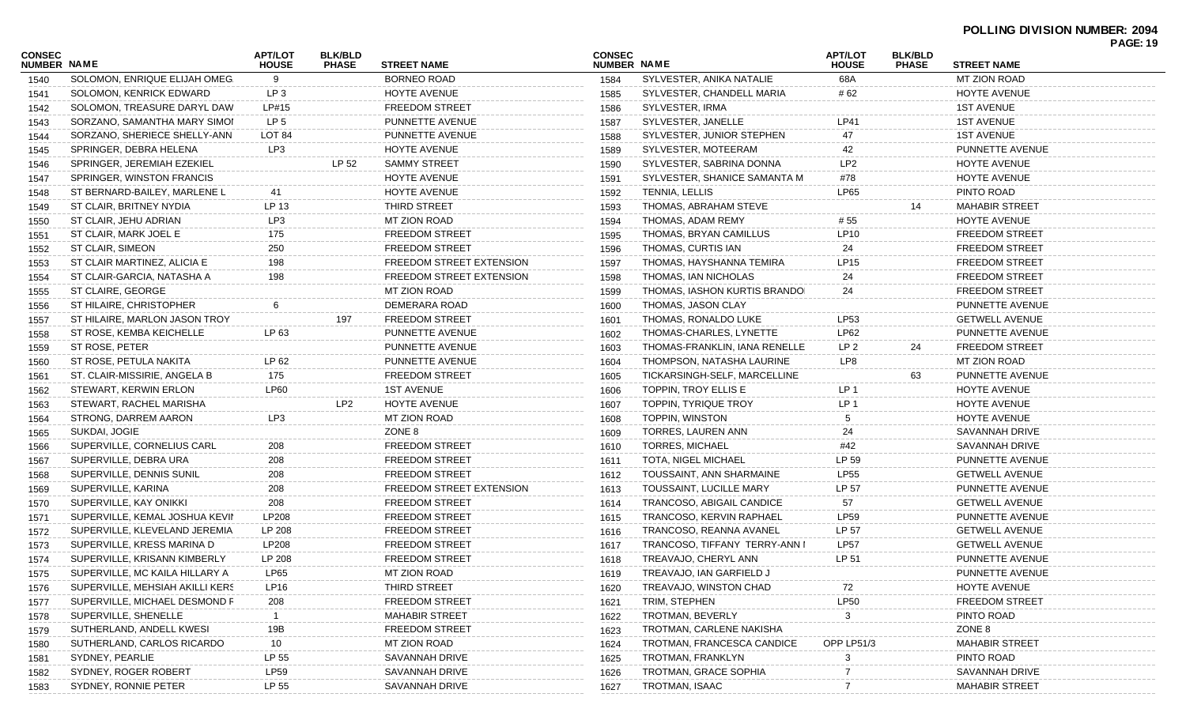| CONSEC       | <b>NUMBER NAME</b>              |                   | <b>BLK/BLD</b>  | <b>STREET NAME</b><br><b>PHASE</b> |      | <b>NUMBER NAME</b>            | <b>APT/LOT</b>      | <b>BLK/BLD</b> | <b>STREET NAME</b>    | <b>PAGE: 19</b> |
|--------------|---------------------------------|-------------------|-----------------|------------------------------------|------|-------------------------------|---------------------|----------------|-----------------------|-----------------|
| 1540         | SOLOMON, ENRIQUE ELIJAH OMEG.   | <b>HOUSE</b><br>9 |                 | <b>BORNEO ROAD</b>                 | 1584 | SYLVESTER, ANIKA NATALIE      | <b>HOUSE</b><br>68A | <b>PHASE</b>   | <b>MT ZION ROAD</b>   |                 |
| 1541         | SOLOMON, KENRICK EDWARD         | LP <sub>3</sub>   |                 | HOYTE AVENUE                       | 1585 | SYLVESTER, CHANDELL MARIA     | # 62                |                | HOYTE AVENUE          |                 |
| 1542         | SOLOMON, TREASURE DARYL DAW     | LP#15             |                 | <b>FREEDOM STREET</b>              | 1586 | SYLVESTER, IRMA               |                     |                | <b>1ST AVENUE</b>     |                 |
| 1543         | SORZANO, SAMANTHA MARY SIMOI    | LP <sub>5</sub>   |                 | PUNNETTE AVENUE                    | 1587 | SYLVESTER, JANELLE            | LP41                |                | <b>1ST AVENUE</b>     |                 |
| 1544         | SORZANO, SHERIECE SHELLY-ANN    | LOT <sub>84</sub> |                 | PUNNETTE AVENUE                    | 1588 | SYLVESTER, JUNIOR STEPHEN     | 47                  |                | <b>1ST AVENUE</b>     |                 |
| 1545         | SPRINGER, DEBRA HELENA          | LP3               |                 | HOYTE AVENUE                       | 1589 | SYLVESTER, MOTEERAM           | 42                  |                | PUNNETTE AVENUE       |                 |
| 1546         | SPRINGER, JEREMIAH EZEKIEL      |                   | LP 52           | <b>SAMMY STREET</b>                | 1590 | SYLVESTER, SABRINA DONNA      | LP <sub>2</sub>     |                | HOYTE AVENUE          |                 |
|              | SPRINGER, WINSTON FRANCIS       |                   |                 | HOYTE AVENUE                       | 1591 | SYLVESTER, SHANICE SAMANTA M  | #78                 |                | HOYTE AVENUE          |                 |
| 1547<br>1548 | ST BERNARD-BAILEY, MARLENE L    | -41               |                 | HOYTE AVENUE                       | 1592 | TENNIA, LELLIS                | <b>LP65</b>         |                | PINTO ROAD            |                 |
|              | ST CLAIR, BRITNEY NYDIA         | LP 13             |                 | THIRD STREET                       | 1593 | THOMAS, ABRAHAM STEVE         |                     | 14             | <b>MAHABIR STREET</b> |                 |
| 1549         | ST CLAIR, JEHU ADRIAN           | LP3               |                 | MT ZION ROAD                       |      | THOMAS, ADAM REMY             | # 55                |                | HOYTE AVENUE          |                 |
| 1550         |                                 | 175               |                 | <b>FREEDOM STREET</b>              | 1594 |                               | LP10                |                |                       |                 |
| 1551         | ST CLAIR, MARK JOEL E           |                   |                 |                                    | 1595 | THOMAS, BRYAN CAMILLUS        |                     |                | <b>FREEDOM STREET</b> |                 |
| 1552         | ST CLAIR, SIMEON                | 250               |                 | <b>FREEDOM STREET</b>              | 1596 | THOMAS, CURTIS IAN            | 24                  |                | <b>FREEDOM STREET</b> |                 |
| 1553         | ST CLAIR MARTINEZ, ALICIA E     | 198               |                 | FREEDOM STREET EXTENSION           | 1597 | THOMAS, HAYSHANNA TEMIRA      | LP15                |                | <b>FREEDOM STREET</b> |                 |
| 1554         | ST CLAIR-GARCIA, NATASHA A      | 198               |                 | FREEDOM STREET EXTENSION           | 1598 | THOMAS, IAN NICHOLAS          | 24                  |                | <b>FREEDOM STREET</b> |                 |
| 1555         | ST CLAIRE, GEORGE               |                   |                 | MT ZION ROAD                       | 1599 | THOMAS, IASHON KURTIS BRANDOI | 24                  |                | <b>FREEDOM STREET</b> |                 |
| 1556         | ST HILAIRE, CHRISTOPHER         | 6                 |                 | DEMERARA ROAD                      | 1600 | THOMAS, JASON CLAY            |                     |                | PUNNETTE AVENUE       |                 |
| 1557         | ST HILAIRE, MARLON JASON TROY   |                   | 197             | <b>FREEDOM STREET</b>              | 1601 | THOMAS, RONALDO LUKE          | LP53                |                | <b>GETWELL AVENUE</b> |                 |
| 1558         | ST ROSE, KEMBA KEICHELLE        | LP 63             |                 | PUNNETTE AVENUE                    | 1602 | THOMAS-CHARLES, LYNETTE       | LP62                |                | PUNNETTE AVENUE       |                 |
| 1559         | ST ROSE, PETER                  |                   |                 | PUNNETTE AVENUE                    | 1603 | THOMAS-FRANKLIN, IANA RENELLE | LP 2                | 24             | <b>FREEDOM STREET</b> |                 |
| 1560         | ST ROSE, PETULA NAKITA          | LP 62             |                 | PUNNETTE AVENUE                    | 1604 | THOMPSON, NATASHA LAURINE     | LP8                 |                | <b>MT ZION ROAD</b>   |                 |
| 1561         | ST. CLAIR-MISSIRIE, ANGELA B    | 175               |                 | <b>FREEDOM STREET</b>              | 1605 | TICKARSINGH-SELF, MARCELLINE  |                     | 63             | PUNNETTE AVENUE       |                 |
| 1562         | STEWART, KERWIN ERLON           | <b>LP60</b>       |                 | <b>1ST AVENUE</b>                  | 1606 | TOPPIN, TROY ELLIS E          | LP <sub>1</sub>     |                | <b>HOYTE AVENUE</b>   |                 |
| 1563         | STEWART, RACHEL MARISHA         |                   | LP <sub>2</sub> | HOYTE AVENUE                       | 1607 | TOPPIN, TYRIQUE TROY          | LP <sub>1</sub>     |                | HOYTE AVENUE          |                 |
| 1564         | STRONG, DARREM AARON            | LP3               |                 | MT ZION ROAD                       | 1608 | TOPPIN, WINSTON               | 5                   |                | HOYTE AVENUE          |                 |
| 1565         | SUKDAI, JOGIE                   |                   |                 | ZONE 8                             | 1609 | TORRES, LAUREN ANN            | 24                  |                | SAVANNAH DRIVE        |                 |
| 1566         | SUPERVILLE, CORNELIUS CARL      | 208               |                 | <b>FREEDOM STREET</b>              | 1610 | <b>TORRES, MICHAEL</b>        | #42                 |                | SAVANNAH DRIVE        |                 |
| 1567         | SUPERVILLE, DEBRA URA           | 208               |                 | <b>FREEDOM STREET</b>              | 1611 | TOTA, NIGEL MICHAEL           | LP 59               |                | PUNNETTE AVENUE       |                 |
| 1568         | SUPERVILLE, DENNIS SUNIL        | 208               |                 | <b>FREEDOM STREET</b>              | 1612 | TOUSSAINT, ANN SHARMAINE      | <b>LP55</b>         |                | <b>GETWELL AVENUE</b> |                 |
| 1569         | SUPERVILLE, KARINA              | 208               |                 | FREEDOM STREET EXTENSION           | 1613 | TOUSSAINT, LUCILLE MARY       | LP 57               |                | PUNNETTE AVENUE       |                 |
| 1570         | SUPERVILLE, KAY ONIKKI          | 208               |                 | <b>FREEDOM STREET</b>              | 1614 | TRANCOSO, ABIGAIL CANDICE     | 57                  |                | <b>GETWELL AVENUE</b> |                 |
| 1571         | SUPERVILLE, KEMAL JOSHUA KEVIN  | LP208             |                 | <b>FREEDOM STREET</b>              | 1615 | TRANCOSO, KERVIN RAPHAEL      | LP59                |                | PUNNETTE AVENUE       |                 |
| 1572         | SUPERVILLE, KLEVELAND JEREMIA   | LP 208            |                 | <b>FREEDOM STREET</b>              | 1616 | TRANCOSO, REANNA AVANEL       | LP 57               |                | <b>GETWELL AVENUE</b> |                 |
| 1573         | SUPERVILLE, KRESS MARINA D      | LP208             |                 | <b>FREEDOM STREET</b>              | 1617 | TRANCOSO, TIFFANY TERRY-ANN I | <b>LP57</b>         |                | <b>GETWELL AVENUE</b> |                 |
| 1574         | SUPERVILLE, KRISANN KIMBERLY    | LP 208            |                 | <b>FREEDOM STREET</b>              | 1618 | TREAVAJO, CHERYL ANN          | LP 51               |                | PUNNETTE AVENUE       |                 |
| 1575         | SUPERVILLE, MC KAILA HILLARY A  | <b>LP65</b>       |                 | MT ZION ROAD                       | 1619 | TREAVAJO, IAN GARFIELD J      |                     |                | PUNNETTE AVENUE       |                 |
| 1576         | SUPERVILLE, MEHSIAH AKILLI KERS | <b>LP16</b>       |                 | THIRD STREET                       | 1620 | TREAVAJO, WINSTON CHAD        | 72                  |                | HOYTE AVENUE          |                 |
| 1577         | SUPERVILLE, MICHAEL DESMOND F   | 208               |                 | <b>FREEDOM STREET</b>              | 1621 | TRIM, STEPHEN                 | <b>LP50</b>         |                | <b>FREEDOM STREET</b> |                 |
| 1578         | SUPERVILLE, SHENELLE            |                   |                 | <b>MAHABIR STREET</b>              | 1622 | TROTMAN, BEVERLY              | 3                   |                | PINTO ROAD            |                 |
| 1579         | SUTHERLAND, ANDELL KWESI        | 19B               |                 | <b>FREEDOM STREET</b>              | 1623 | TROTMAN, CARLENE NAKISHA      |                     |                | ZONE 8                |                 |
| 1580         | SUTHERLAND, CARLOS RICARDO      | 10                |                 | MT ZION ROAD                       | 1624 | TROTMAN, FRANCESCA CANDICE    | OPP LP51/3          |                | <b>MAHABIR STREET</b> |                 |
| 1581         | SYDNEY, PEARLIE                 | LP 55             |                 | SAVANNAH DRIVE                     | 1625 | TROTMAN, FRANKLYN             | 3                   |                | PINTO ROAD            |                 |
| 1582         | SYDNEY, ROGER ROBERT            | <b>LP59</b>       |                 | SAVANNAH DRIVE                     | 1626 | TROTMAN, GRACE SOPHIA         |                     |                | <b>SAVANNAH DRIVE</b> |                 |
| 1583         | SYDNEY, RONNIE PETER            | LP 55             |                 | SAVANNAH DRIVE                     | 1627 | TROTMAN, ISAAC                |                     |                | <b>MAHABIR STREET</b> |                 |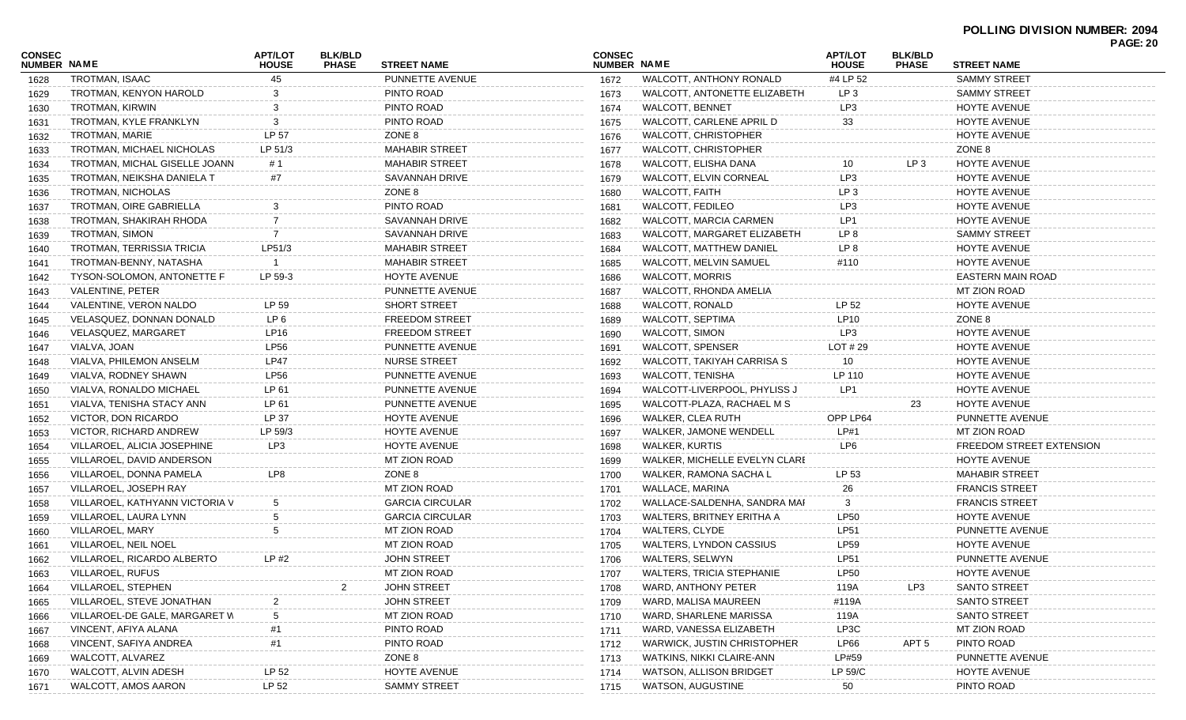| NUMBER NAME<br>NUMBER NAME<br><b>HOUSE</b><br><b>HOUSE</b><br><b>PHASE</b><br><b>STREET NAME</b><br><b>PHASE</b><br><b>STREET NAME</b><br>#4 LP 52<br>TROTMAN, ISAAC<br>45<br>PUNNETTE AVENUE<br>WALCOTT, ANTHONY RONALD<br><b>SAMMY STREET</b><br>1672<br>1628<br>PINTO ROAD<br>TROTMAN, KENYON HAROLD<br>WALCOTT, ANTONETTE ELIZABETH<br>LP <sub>3</sub><br><b>SAMMY STREET</b><br>1673<br>1629<br>PINTO ROAD<br>HOYTE AVENUE<br>TROTMAN, KIRWIN<br>WALCOTT, BENNET<br>LP3<br>1674<br>1630<br>PINTO ROAD<br><b>HOYTE AVENUE</b><br>TROTMAN, KYLE FRANKLYN<br>WALCOTT, CARLENE APRIL D<br>1675<br>33<br>1631<br>TROTMAN, MARIE<br>LP 57<br>ZONE 8<br>HOYTE AVENUE<br>WALCOTT, CHRISTOPHER<br>1632<br>1676<br>ZONE 8<br>TROTMAN, MICHAEL NICHOLAS<br><b>MAHABIR STREET</b><br><b>WALCOTT, CHRISTOPHER</b><br>LP 51/3<br>1677<br>1633<br>WALCOTT, ELISHA DANA<br>10<br>LP 3<br>HOYTE AVENUE<br>TROTMAN, MICHAL GISELLE JOANN<br># 1<br><b>MAHABIR STREET</b><br>1634<br>1678<br>WALCOTT, ELVIN CORNEAL<br>LP3<br>HOYTE AVENUE<br>TROTMAN. NEIKSHA DANIELA T<br>SAVANNAH DRIVE<br>#7<br>1679<br>1635<br>ZONE 8<br><b>WALCOTT, FAITH</b><br>HOYTE AVENUE<br>TROTMAN, NICHOLAS<br>LP 3<br>1680<br>1636<br>PINTO ROAD<br>TROTMAN, OIRE GABRIELLA<br><b>WALCOTT, FEDILEO</b><br>HOYTE AVENUE<br>LP3<br>1681<br>1637<br>SAVANNAH DRIVE<br>WALCOTT, MARCIA CARMEN<br>HOYTE AVENUE<br>TROTMAN, SHAKIRAH RHODA<br>LP1<br>1682<br>1638<br>TROTMAN, SIMON<br>WALCOTT, MARGARET ELIZABETH<br><b>SAMMY STREET</b><br>SAVANNAH DRIVE<br>LP 8<br>1683<br>1639<br>TROTMAN, TERRISSIA TRICIA<br><b>MAHABIR STREET</b><br><b>HOYTE AVENUE</b><br>LP51/3<br>WALCOTT, MATTHEW DANIEL<br>LP 8<br>1684<br>1640<br>WALCOTT, MELVIN SAMUEL<br>HOYTE AVENUE<br>TROTMAN-BENNY, NATASHA<br><b>MAHABIR STREET</b><br>1685<br>#110<br>1641<br>HOYTE AVENUE<br><b>WALCOTT, MORRIS</b><br><b>EASTERN MAIN ROAD</b><br>TYSON-SOLOMON, ANTONETTE F<br>LP 59-3<br>1686<br>1642<br>VALENTINE, PETER<br>MT ZION ROAD<br>PUNNETTE AVENUE<br>WALCOTT, RHONDA AMELIA<br>1687<br>1643<br>VALENTINE, VERON NALDO<br>LP 59<br><b>SHORT STREET</b><br>WALCOTT, RONALD<br>LP 52<br><b>HOYTE AVENUE</b><br>1688<br>1644<br>LP <sub>6</sub><br><b>WALCOTT, SEPTIMA</b><br>LP10<br>ZONE 8<br>VELASQUEZ, DONNAN DONALD<br><b>FREEDOM STREET</b><br>1689<br>1645<br>VELASQUEZ, MARGARET<br>LP16<br><b>WALCOTT, SIMON</b><br>LP3<br>HOYTE AVENUE<br><b>FREEDOM STREET</b><br>1690<br>1646<br>VIALVA, JOAN<br>LP56<br>WALCOTT, SPENSER<br>PUNNETTE AVENUE<br>LOT $#29$<br><b>HOYTE AVENUE</b><br>1691<br>1647<br>LP47<br><b>NURSE STREET</b><br>WALCOTT, TAKIYAH CARRISA S<br>HOYTE AVENUE<br>VIALVA, PHILEMON ANSELM<br>10<br>1692<br>1648<br>VIALVA, RODNEY SHAWN<br>LP56<br>WALCOTT, TENISHA<br>LP 110<br>HOYTE AVENUE<br>PUNNETTE AVENUE<br>1693<br>1649<br>LP 61<br>WALCOTT-LIVERPOOL, PHYLISS J<br>LP1<br><b>HOYTE AVENUE</b><br>VIALVA, RONALDO MICHAEL<br>PUNNETTE AVENUE<br>1694<br>1650<br>WALCOTT-PLAZA, RACHAEL M S<br>23<br>HOYTE AVENUE<br>VIALVA, TENISHA STACY ANN<br>LP 61<br>PUNNETTE AVENUE<br>1695<br>1651<br>VICTOR, DON RICARDO<br>LP 37<br>HOYTE AVENUE<br>WALKER, CLEA RUTH<br>OPP LP64<br>PUNNETTE AVENUE<br>1696<br>1652<br>VICTOR, RICHARD ANDREW<br>LP 59/3<br>WALKER, JAMONE WENDELL<br>LP#1<br><b>MT ZION ROAD</b><br>HOYTE AVENUE<br>1697<br>1653<br>LP3<br>HOYTE AVENUE<br><b>WALKER, KURTIS</b><br>FREEDOM STREET EXTENSION<br>VILLAROEL, ALICIA JOSEPHINE<br>LP6<br>1698<br>1654<br>MT ZION ROAD<br>WALKER, MICHELLE EVELYN CLARE<br>HOYTE AVENUE<br>VILLAROEL, DAVID ANDERSON<br>1699<br>1655<br>LP8<br>ZONE 8<br>WALKER, RAMONA SACHA L<br>VILLAROEL, DONNA PAMELA<br>LP 53<br><b>MAHABIR STREET</b><br>1700<br>1656<br>VILLAROEL, JOSEPH RAY<br>MT ZION ROAD<br>WALLACE, MARINA<br><b>FRANCIS STREET</b><br>1701<br>26<br>1657<br>WALLACE-SALDENHA, SANDRA MAI<br><b>FRANCIS STREET</b><br>VILLAROEL, KATHYANN VICTORIA V<br><b>GARCIA CIRCULAR</b><br>3<br>1702<br>1658<br>VILLAROEL, LAURA LYNN<br><b>GARCIA CIRCULAR</b><br>WALTERS, BRITNEY ERITHA A<br>HOYTE AVENUE<br>LP50<br>1703<br>1659<br>VILLAROEL, MARY<br><b>MT ZION ROAD</b><br><b>WALTERS, CLYDE</b><br>PUNNETTE AVENUE<br>LP51<br>1704<br>1660<br>VILLAROEL, NEIL NOEL<br>MT ZION ROAD<br>WALTERS, LYNDON CASSIUS<br>HOYTE AVENUE<br>LP59<br>1705<br>1661<br>VILLAROEL, RICARDO ALBERTO<br>LP #2<br><b>JOHN STREET</b><br>WALTERS, SELWYN<br>PUNNETTE AVENUE<br>LP51<br>1706<br>1662<br>VILLAROEL, RUFUS<br>MT ZION ROAD<br>1707 WALTERS, TRICIA STEPHANIE<br>HOYTE AVENUE<br><b>LP50</b><br>1663<br>VILLAROEL, STEPHEN<br><b>JOHN STREET</b><br>WARD, ANTHONY PETER<br>119A<br><b>SANTO STREET</b><br>LP3<br>1708<br>1664<br><b>JOHN STREET</b><br><b>SANTO STREET</b><br>VILLAROEL, STEVE JONATHAN<br>WARD, MALISA MAUREEN<br>#119A<br>1709<br>1665<br>VILLAROEL-DE GALE, MARGARET W<br>WARD, SHARLENE MARISSA<br><b>SANTO STREET</b><br>MT ZION ROAD<br>1710<br>119A<br>1666<br>PINTO ROAD<br>WARD, VANESSA ELIZABETH<br><b>MT ZION ROAD</b><br>VINCENT, AFIYA ALANA<br>LP3C<br>1711<br>1667<br>PINTO ROAD<br><b>WARWICK, JUSTIN CHRISTOPHER</b><br>PINTO ROAD<br>VINCENT, SAFIYA ANDREA<br>LP66<br>1712<br>APT 5<br>1668<br>#1<br>LP#59<br>WALCOTT, ALVAREZ<br>ZONE 8<br>WATKINS, NIKKI CLAIRE-ANN<br>PUNNETTE AVENUE<br>1713<br>1669<br>HOYTE AVENUE<br>WATSON, ALLISON BRIDGET<br>LP 59/C<br>WALCOTT, ALVIN ADESH<br>LP 52<br><b>HOYTE AVENUE</b><br>1714<br>1670 | <b>CONSEC</b> |                     | <b>APT/LOT</b> | <b>BLK/BLD</b> |                     | <b>CONSEC</b> |                   | <b>APT/LOT</b> | <b>BLK/BLD</b> |            | י⊾טה ז |
|--------------------------------------------------------------------------------------------------------------------------------------------------------------------------------------------------------------------------------------------------------------------------------------------------------------------------------------------------------------------------------------------------------------------------------------------------------------------------------------------------------------------------------------------------------------------------------------------------------------------------------------------------------------------------------------------------------------------------------------------------------------------------------------------------------------------------------------------------------------------------------------------------------------------------------------------------------------------------------------------------------------------------------------------------------------------------------------------------------------------------------------------------------------------------------------------------------------------------------------------------------------------------------------------------------------------------------------------------------------------------------------------------------------------------------------------------------------------------------------------------------------------------------------------------------------------------------------------------------------------------------------------------------------------------------------------------------------------------------------------------------------------------------------------------------------------------------------------------------------------------------------------------------------------------------------------------------------------------------------------------------------------------------------------------------------------------------------------------------------------------------------------------------------------------------------------------------------------------------------------------------------------------------------------------------------------------------------------------------------------------------------------------------------------------------------------------------------------------------------------------------------------------------------------------------------------------------------------------------------------------------------------------------------------------------------------------------------------------------------------------------------------------------------------------------------------------------------------------------------------------------------------------------------------------------------------------------------------------------------------------------------------------------------------------------------------------------------------------------------------------------------------------------------------------------------------------------------------------------------------------------------------------------------------------------------------------------------------------------------------------------------------------------------------------------------------------------------------------------------------------------------------------------------------------------------------------------------------------------------------------------------------------------------------------------------------------------------------------------------------------------------------------------------------------------------------------------------------------------------------------------------------------------------------------------------------------------------------------------------------------------------------------------------------------------------------------------------------------------------------------------------------------------------------------------------------------------------------------------------------------------------------------------------------------------------------------------------------------------------------------------------------------------------------------------------------------------------------------------------------------------------------------------------------------------------------------------------------------------------------------------------------------------------------------------------------------------------------------------------------------------------------------------------------------------------------------------------------------------------------------------------------------------------------------------------------------------------------------------------------------------------------------------------------------------------------------------------------------------------------------------------------------------------------------------------------------------------------------------------------------------------------------------------------------------------------------------------------------------------------------------------------------------------------------|---------------|---------------------|----------------|----------------|---------------------|---------------|-------------------|----------------|----------------|------------|--------|
|                                                                                                                                                                                                                                                                                                                                                                                                                                                                                                                                                                                                                                                                                                                                                                                                                                                                                                                                                                                                                                                                                                                                                                                                                                                                                                                                                                                                                                                                                                                                                                                                                                                                                                                                                                                                                                                                                                                                                                                                                                                                                                                                                                                                                                                                                                                                                                                                                                                                                                                                                                                                                                                                                                                                                                                                                                                                                                                                                                                                                                                                                                                                                                                                                                                                                                                                                                                                                                                                                                                                                                                                                                                                                                                                                                                                                                                                                                                                                                                                                                                                                                                                                                                                                                                                                                                                                                                                                                                                                                                                                                                                                                                                                                                                                                                                                                                                                                                                                                                                                                                                                                                                                                                                                                                                                                                                                                                                                          |               |                     |                |                |                     |               |                   |                |                |            |        |
|                                                                                                                                                                                                                                                                                                                                                                                                                                                                                                                                                                                                                                                                                                                                                                                                                                                                                                                                                                                                                                                                                                                                                                                                                                                                                                                                                                                                                                                                                                                                                                                                                                                                                                                                                                                                                                                                                                                                                                                                                                                                                                                                                                                                                                                                                                                                                                                                                                                                                                                                                                                                                                                                                                                                                                                                                                                                                                                                                                                                                                                                                                                                                                                                                                                                                                                                                                                                                                                                                                                                                                                                                                                                                                                                                                                                                                                                                                                                                                                                                                                                                                                                                                                                                                                                                                                                                                                                                                                                                                                                                                                                                                                                                                                                                                                                                                                                                                                                                                                                                                                                                                                                                                                                                                                                                                                                                                                                                          |               |                     |                |                |                     |               |                   |                |                |            |        |
|                                                                                                                                                                                                                                                                                                                                                                                                                                                                                                                                                                                                                                                                                                                                                                                                                                                                                                                                                                                                                                                                                                                                                                                                                                                                                                                                                                                                                                                                                                                                                                                                                                                                                                                                                                                                                                                                                                                                                                                                                                                                                                                                                                                                                                                                                                                                                                                                                                                                                                                                                                                                                                                                                                                                                                                                                                                                                                                                                                                                                                                                                                                                                                                                                                                                                                                                                                                                                                                                                                                                                                                                                                                                                                                                                                                                                                                                                                                                                                                                                                                                                                                                                                                                                                                                                                                                                                                                                                                                                                                                                                                                                                                                                                                                                                                                                                                                                                                                                                                                                                                                                                                                                                                                                                                                                                                                                                                                                          |               |                     |                |                |                     |               |                   |                |                |            |        |
|                                                                                                                                                                                                                                                                                                                                                                                                                                                                                                                                                                                                                                                                                                                                                                                                                                                                                                                                                                                                                                                                                                                                                                                                                                                                                                                                                                                                                                                                                                                                                                                                                                                                                                                                                                                                                                                                                                                                                                                                                                                                                                                                                                                                                                                                                                                                                                                                                                                                                                                                                                                                                                                                                                                                                                                                                                                                                                                                                                                                                                                                                                                                                                                                                                                                                                                                                                                                                                                                                                                                                                                                                                                                                                                                                                                                                                                                                                                                                                                                                                                                                                                                                                                                                                                                                                                                                                                                                                                                                                                                                                                                                                                                                                                                                                                                                                                                                                                                                                                                                                                                                                                                                                                                                                                                                                                                                                                                                          |               |                     |                |                |                     |               |                   |                |                |            |        |
|                                                                                                                                                                                                                                                                                                                                                                                                                                                                                                                                                                                                                                                                                                                                                                                                                                                                                                                                                                                                                                                                                                                                                                                                                                                                                                                                                                                                                                                                                                                                                                                                                                                                                                                                                                                                                                                                                                                                                                                                                                                                                                                                                                                                                                                                                                                                                                                                                                                                                                                                                                                                                                                                                                                                                                                                                                                                                                                                                                                                                                                                                                                                                                                                                                                                                                                                                                                                                                                                                                                                                                                                                                                                                                                                                                                                                                                                                                                                                                                                                                                                                                                                                                                                                                                                                                                                                                                                                                                                                                                                                                                                                                                                                                                                                                                                                                                                                                                                                                                                                                                                                                                                                                                                                                                                                                                                                                                                                          |               |                     |                |                |                     |               |                   |                |                |            |        |
|                                                                                                                                                                                                                                                                                                                                                                                                                                                                                                                                                                                                                                                                                                                                                                                                                                                                                                                                                                                                                                                                                                                                                                                                                                                                                                                                                                                                                                                                                                                                                                                                                                                                                                                                                                                                                                                                                                                                                                                                                                                                                                                                                                                                                                                                                                                                                                                                                                                                                                                                                                                                                                                                                                                                                                                                                                                                                                                                                                                                                                                                                                                                                                                                                                                                                                                                                                                                                                                                                                                                                                                                                                                                                                                                                                                                                                                                                                                                                                                                                                                                                                                                                                                                                                                                                                                                                                                                                                                                                                                                                                                                                                                                                                                                                                                                                                                                                                                                                                                                                                                                                                                                                                                                                                                                                                                                                                                                                          |               |                     |                |                |                     |               |                   |                |                |            |        |
|                                                                                                                                                                                                                                                                                                                                                                                                                                                                                                                                                                                                                                                                                                                                                                                                                                                                                                                                                                                                                                                                                                                                                                                                                                                                                                                                                                                                                                                                                                                                                                                                                                                                                                                                                                                                                                                                                                                                                                                                                                                                                                                                                                                                                                                                                                                                                                                                                                                                                                                                                                                                                                                                                                                                                                                                                                                                                                                                                                                                                                                                                                                                                                                                                                                                                                                                                                                                                                                                                                                                                                                                                                                                                                                                                                                                                                                                                                                                                                                                                                                                                                                                                                                                                                                                                                                                                                                                                                                                                                                                                                                                                                                                                                                                                                                                                                                                                                                                                                                                                                                                                                                                                                                                                                                                                                                                                                                                                          |               |                     |                |                |                     |               |                   |                |                |            |        |
|                                                                                                                                                                                                                                                                                                                                                                                                                                                                                                                                                                                                                                                                                                                                                                                                                                                                                                                                                                                                                                                                                                                                                                                                                                                                                                                                                                                                                                                                                                                                                                                                                                                                                                                                                                                                                                                                                                                                                                                                                                                                                                                                                                                                                                                                                                                                                                                                                                                                                                                                                                                                                                                                                                                                                                                                                                                                                                                                                                                                                                                                                                                                                                                                                                                                                                                                                                                                                                                                                                                                                                                                                                                                                                                                                                                                                                                                                                                                                                                                                                                                                                                                                                                                                                                                                                                                                                                                                                                                                                                                                                                                                                                                                                                                                                                                                                                                                                                                                                                                                                                                                                                                                                                                                                                                                                                                                                                                                          |               |                     |                |                |                     |               |                   |                |                |            |        |
|                                                                                                                                                                                                                                                                                                                                                                                                                                                                                                                                                                                                                                                                                                                                                                                                                                                                                                                                                                                                                                                                                                                                                                                                                                                                                                                                                                                                                                                                                                                                                                                                                                                                                                                                                                                                                                                                                                                                                                                                                                                                                                                                                                                                                                                                                                                                                                                                                                                                                                                                                                                                                                                                                                                                                                                                                                                                                                                                                                                                                                                                                                                                                                                                                                                                                                                                                                                                                                                                                                                                                                                                                                                                                                                                                                                                                                                                                                                                                                                                                                                                                                                                                                                                                                                                                                                                                                                                                                                                                                                                                                                                                                                                                                                                                                                                                                                                                                                                                                                                                                                                                                                                                                                                                                                                                                                                                                                                                          |               |                     |                |                |                     |               |                   |                |                |            |        |
|                                                                                                                                                                                                                                                                                                                                                                                                                                                                                                                                                                                                                                                                                                                                                                                                                                                                                                                                                                                                                                                                                                                                                                                                                                                                                                                                                                                                                                                                                                                                                                                                                                                                                                                                                                                                                                                                                                                                                                                                                                                                                                                                                                                                                                                                                                                                                                                                                                                                                                                                                                                                                                                                                                                                                                                                                                                                                                                                                                                                                                                                                                                                                                                                                                                                                                                                                                                                                                                                                                                                                                                                                                                                                                                                                                                                                                                                                                                                                                                                                                                                                                                                                                                                                                                                                                                                                                                                                                                                                                                                                                                                                                                                                                                                                                                                                                                                                                                                                                                                                                                                                                                                                                                                                                                                                                                                                                                                                          |               |                     |                |                |                     |               |                   |                |                |            |        |
|                                                                                                                                                                                                                                                                                                                                                                                                                                                                                                                                                                                                                                                                                                                                                                                                                                                                                                                                                                                                                                                                                                                                                                                                                                                                                                                                                                                                                                                                                                                                                                                                                                                                                                                                                                                                                                                                                                                                                                                                                                                                                                                                                                                                                                                                                                                                                                                                                                                                                                                                                                                                                                                                                                                                                                                                                                                                                                                                                                                                                                                                                                                                                                                                                                                                                                                                                                                                                                                                                                                                                                                                                                                                                                                                                                                                                                                                                                                                                                                                                                                                                                                                                                                                                                                                                                                                                                                                                                                                                                                                                                                                                                                                                                                                                                                                                                                                                                                                                                                                                                                                                                                                                                                                                                                                                                                                                                                                                          |               |                     |                |                |                     |               |                   |                |                |            |        |
|                                                                                                                                                                                                                                                                                                                                                                                                                                                                                                                                                                                                                                                                                                                                                                                                                                                                                                                                                                                                                                                                                                                                                                                                                                                                                                                                                                                                                                                                                                                                                                                                                                                                                                                                                                                                                                                                                                                                                                                                                                                                                                                                                                                                                                                                                                                                                                                                                                                                                                                                                                                                                                                                                                                                                                                                                                                                                                                                                                                                                                                                                                                                                                                                                                                                                                                                                                                                                                                                                                                                                                                                                                                                                                                                                                                                                                                                                                                                                                                                                                                                                                                                                                                                                                                                                                                                                                                                                                                                                                                                                                                                                                                                                                                                                                                                                                                                                                                                                                                                                                                                                                                                                                                                                                                                                                                                                                                                                          |               |                     |                |                |                     |               |                   |                |                |            |        |
|                                                                                                                                                                                                                                                                                                                                                                                                                                                                                                                                                                                                                                                                                                                                                                                                                                                                                                                                                                                                                                                                                                                                                                                                                                                                                                                                                                                                                                                                                                                                                                                                                                                                                                                                                                                                                                                                                                                                                                                                                                                                                                                                                                                                                                                                                                                                                                                                                                                                                                                                                                                                                                                                                                                                                                                                                                                                                                                                                                                                                                                                                                                                                                                                                                                                                                                                                                                                                                                                                                                                                                                                                                                                                                                                                                                                                                                                                                                                                                                                                                                                                                                                                                                                                                                                                                                                                                                                                                                                                                                                                                                                                                                                                                                                                                                                                                                                                                                                                                                                                                                                                                                                                                                                                                                                                                                                                                                                                          |               |                     |                |                |                     |               |                   |                |                |            |        |
|                                                                                                                                                                                                                                                                                                                                                                                                                                                                                                                                                                                                                                                                                                                                                                                                                                                                                                                                                                                                                                                                                                                                                                                                                                                                                                                                                                                                                                                                                                                                                                                                                                                                                                                                                                                                                                                                                                                                                                                                                                                                                                                                                                                                                                                                                                                                                                                                                                                                                                                                                                                                                                                                                                                                                                                                                                                                                                                                                                                                                                                                                                                                                                                                                                                                                                                                                                                                                                                                                                                                                                                                                                                                                                                                                                                                                                                                                                                                                                                                                                                                                                                                                                                                                                                                                                                                                                                                                                                                                                                                                                                                                                                                                                                                                                                                                                                                                                                                                                                                                                                                                                                                                                                                                                                                                                                                                                                                                          |               |                     |                |                |                     |               |                   |                |                |            |        |
|                                                                                                                                                                                                                                                                                                                                                                                                                                                                                                                                                                                                                                                                                                                                                                                                                                                                                                                                                                                                                                                                                                                                                                                                                                                                                                                                                                                                                                                                                                                                                                                                                                                                                                                                                                                                                                                                                                                                                                                                                                                                                                                                                                                                                                                                                                                                                                                                                                                                                                                                                                                                                                                                                                                                                                                                                                                                                                                                                                                                                                                                                                                                                                                                                                                                                                                                                                                                                                                                                                                                                                                                                                                                                                                                                                                                                                                                                                                                                                                                                                                                                                                                                                                                                                                                                                                                                                                                                                                                                                                                                                                                                                                                                                                                                                                                                                                                                                                                                                                                                                                                                                                                                                                                                                                                                                                                                                                                                          |               |                     |                |                |                     |               |                   |                |                |            |        |
|                                                                                                                                                                                                                                                                                                                                                                                                                                                                                                                                                                                                                                                                                                                                                                                                                                                                                                                                                                                                                                                                                                                                                                                                                                                                                                                                                                                                                                                                                                                                                                                                                                                                                                                                                                                                                                                                                                                                                                                                                                                                                                                                                                                                                                                                                                                                                                                                                                                                                                                                                                                                                                                                                                                                                                                                                                                                                                                                                                                                                                                                                                                                                                                                                                                                                                                                                                                                                                                                                                                                                                                                                                                                                                                                                                                                                                                                                                                                                                                                                                                                                                                                                                                                                                                                                                                                                                                                                                                                                                                                                                                                                                                                                                                                                                                                                                                                                                                                                                                                                                                                                                                                                                                                                                                                                                                                                                                                                          |               |                     |                |                |                     |               |                   |                |                |            |        |
|                                                                                                                                                                                                                                                                                                                                                                                                                                                                                                                                                                                                                                                                                                                                                                                                                                                                                                                                                                                                                                                                                                                                                                                                                                                                                                                                                                                                                                                                                                                                                                                                                                                                                                                                                                                                                                                                                                                                                                                                                                                                                                                                                                                                                                                                                                                                                                                                                                                                                                                                                                                                                                                                                                                                                                                                                                                                                                                                                                                                                                                                                                                                                                                                                                                                                                                                                                                                                                                                                                                                                                                                                                                                                                                                                                                                                                                                                                                                                                                                                                                                                                                                                                                                                                                                                                                                                                                                                                                                                                                                                                                                                                                                                                                                                                                                                                                                                                                                                                                                                                                                                                                                                                                                                                                                                                                                                                                                                          |               |                     |                |                |                     |               |                   |                |                |            |        |
|                                                                                                                                                                                                                                                                                                                                                                                                                                                                                                                                                                                                                                                                                                                                                                                                                                                                                                                                                                                                                                                                                                                                                                                                                                                                                                                                                                                                                                                                                                                                                                                                                                                                                                                                                                                                                                                                                                                                                                                                                                                                                                                                                                                                                                                                                                                                                                                                                                                                                                                                                                                                                                                                                                                                                                                                                                                                                                                                                                                                                                                                                                                                                                                                                                                                                                                                                                                                                                                                                                                                                                                                                                                                                                                                                                                                                                                                                                                                                                                                                                                                                                                                                                                                                                                                                                                                                                                                                                                                                                                                                                                                                                                                                                                                                                                                                                                                                                                                                                                                                                                                                                                                                                                                                                                                                                                                                                                                                          |               |                     |                |                |                     |               |                   |                |                |            |        |
|                                                                                                                                                                                                                                                                                                                                                                                                                                                                                                                                                                                                                                                                                                                                                                                                                                                                                                                                                                                                                                                                                                                                                                                                                                                                                                                                                                                                                                                                                                                                                                                                                                                                                                                                                                                                                                                                                                                                                                                                                                                                                                                                                                                                                                                                                                                                                                                                                                                                                                                                                                                                                                                                                                                                                                                                                                                                                                                                                                                                                                                                                                                                                                                                                                                                                                                                                                                                                                                                                                                                                                                                                                                                                                                                                                                                                                                                                                                                                                                                                                                                                                                                                                                                                                                                                                                                                                                                                                                                                                                                                                                                                                                                                                                                                                                                                                                                                                                                                                                                                                                                                                                                                                                                                                                                                                                                                                                                                          |               |                     |                |                |                     |               |                   |                |                |            |        |
|                                                                                                                                                                                                                                                                                                                                                                                                                                                                                                                                                                                                                                                                                                                                                                                                                                                                                                                                                                                                                                                                                                                                                                                                                                                                                                                                                                                                                                                                                                                                                                                                                                                                                                                                                                                                                                                                                                                                                                                                                                                                                                                                                                                                                                                                                                                                                                                                                                                                                                                                                                                                                                                                                                                                                                                                                                                                                                                                                                                                                                                                                                                                                                                                                                                                                                                                                                                                                                                                                                                                                                                                                                                                                                                                                                                                                                                                                                                                                                                                                                                                                                                                                                                                                                                                                                                                                                                                                                                                                                                                                                                                                                                                                                                                                                                                                                                                                                                                                                                                                                                                                                                                                                                                                                                                                                                                                                                                                          |               |                     |                |                |                     |               |                   |                |                |            |        |
|                                                                                                                                                                                                                                                                                                                                                                                                                                                                                                                                                                                                                                                                                                                                                                                                                                                                                                                                                                                                                                                                                                                                                                                                                                                                                                                                                                                                                                                                                                                                                                                                                                                                                                                                                                                                                                                                                                                                                                                                                                                                                                                                                                                                                                                                                                                                                                                                                                                                                                                                                                                                                                                                                                                                                                                                                                                                                                                                                                                                                                                                                                                                                                                                                                                                                                                                                                                                                                                                                                                                                                                                                                                                                                                                                                                                                                                                                                                                                                                                                                                                                                                                                                                                                                                                                                                                                                                                                                                                                                                                                                                                                                                                                                                                                                                                                                                                                                                                                                                                                                                                                                                                                                                                                                                                                                                                                                                                                          |               |                     |                |                |                     |               |                   |                |                |            |        |
|                                                                                                                                                                                                                                                                                                                                                                                                                                                                                                                                                                                                                                                                                                                                                                                                                                                                                                                                                                                                                                                                                                                                                                                                                                                                                                                                                                                                                                                                                                                                                                                                                                                                                                                                                                                                                                                                                                                                                                                                                                                                                                                                                                                                                                                                                                                                                                                                                                                                                                                                                                                                                                                                                                                                                                                                                                                                                                                                                                                                                                                                                                                                                                                                                                                                                                                                                                                                                                                                                                                                                                                                                                                                                                                                                                                                                                                                                                                                                                                                                                                                                                                                                                                                                                                                                                                                                                                                                                                                                                                                                                                                                                                                                                                                                                                                                                                                                                                                                                                                                                                                                                                                                                                                                                                                                                                                                                                                                          |               |                     |                |                |                     |               |                   |                |                |            |        |
|                                                                                                                                                                                                                                                                                                                                                                                                                                                                                                                                                                                                                                                                                                                                                                                                                                                                                                                                                                                                                                                                                                                                                                                                                                                                                                                                                                                                                                                                                                                                                                                                                                                                                                                                                                                                                                                                                                                                                                                                                                                                                                                                                                                                                                                                                                                                                                                                                                                                                                                                                                                                                                                                                                                                                                                                                                                                                                                                                                                                                                                                                                                                                                                                                                                                                                                                                                                                                                                                                                                                                                                                                                                                                                                                                                                                                                                                                                                                                                                                                                                                                                                                                                                                                                                                                                                                                                                                                                                                                                                                                                                                                                                                                                                                                                                                                                                                                                                                                                                                                                                                                                                                                                                                                                                                                                                                                                                                                          |               |                     |                |                |                     |               |                   |                |                |            |        |
|                                                                                                                                                                                                                                                                                                                                                                                                                                                                                                                                                                                                                                                                                                                                                                                                                                                                                                                                                                                                                                                                                                                                                                                                                                                                                                                                                                                                                                                                                                                                                                                                                                                                                                                                                                                                                                                                                                                                                                                                                                                                                                                                                                                                                                                                                                                                                                                                                                                                                                                                                                                                                                                                                                                                                                                                                                                                                                                                                                                                                                                                                                                                                                                                                                                                                                                                                                                                                                                                                                                                                                                                                                                                                                                                                                                                                                                                                                                                                                                                                                                                                                                                                                                                                                                                                                                                                                                                                                                                                                                                                                                                                                                                                                                                                                                                                                                                                                                                                                                                                                                                                                                                                                                                                                                                                                                                                                                                                          |               |                     |                |                |                     |               |                   |                |                |            |        |
|                                                                                                                                                                                                                                                                                                                                                                                                                                                                                                                                                                                                                                                                                                                                                                                                                                                                                                                                                                                                                                                                                                                                                                                                                                                                                                                                                                                                                                                                                                                                                                                                                                                                                                                                                                                                                                                                                                                                                                                                                                                                                                                                                                                                                                                                                                                                                                                                                                                                                                                                                                                                                                                                                                                                                                                                                                                                                                                                                                                                                                                                                                                                                                                                                                                                                                                                                                                                                                                                                                                                                                                                                                                                                                                                                                                                                                                                                                                                                                                                                                                                                                                                                                                                                                                                                                                                                                                                                                                                                                                                                                                                                                                                                                                                                                                                                                                                                                                                                                                                                                                                                                                                                                                                                                                                                                                                                                                                                          |               |                     |                |                |                     |               |                   |                |                |            |        |
|                                                                                                                                                                                                                                                                                                                                                                                                                                                                                                                                                                                                                                                                                                                                                                                                                                                                                                                                                                                                                                                                                                                                                                                                                                                                                                                                                                                                                                                                                                                                                                                                                                                                                                                                                                                                                                                                                                                                                                                                                                                                                                                                                                                                                                                                                                                                                                                                                                                                                                                                                                                                                                                                                                                                                                                                                                                                                                                                                                                                                                                                                                                                                                                                                                                                                                                                                                                                                                                                                                                                                                                                                                                                                                                                                                                                                                                                                                                                                                                                                                                                                                                                                                                                                                                                                                                                                                                                                                                                                                                                                                                                                                                                                                                                                                                                                                                                                                                                                                                                                                                                                                                                                                                                                                                                                                                                                                                                                          |               |                     |                |                |                     |               |                   |                |                |            |        |
|                                                                                                                                                                                                                                                                                                                                                                                                                                                                                                                                                                                                                                                                                                                                                                                                                                                                                                                                                                                                                                                                                                                                                                                                                                                                                                                                                                                                                                                                                                                                                                                                                                                                                                                                                                                                                                                                                                                                                                                                                                                                                                                                                                                                                                                                                                                                                                                                                                                                                                                                                                                                                                                                                                                                                                                                                                                                                                                                                                                                                                                                                                                                                                                                                                                                                                                                                                                                                                                                                                                                                                                                                                                                                                                                                                                                                                                                                                                                                                                                                                                                                                                                                                                                                                                                                                                                                                                                                                                                                                                                                                                                                                                                                                                                                                                                                                                                                                                                                                                                                                                                                                                                                                                                                                                                                                                                                                                                                          |               |                     |                |                |                     |               |                   |                |                |            |        |
|                                                                                                                                                                                                                                                                                                                                                                                                                                                                                                                                                                                                                                                                                                                                                                                                                                                                                                                                                                                                                                                                                                                                                                                                                                                                                                                                                                                                                                                                                                                                                                                                                                                                                                                                                                                                                                                                                                                                                                                                                                                                                                                                                                                                                                                                                                                                                                                                                                                                                                                                                                                                                                                                                                                                                                                                                                                                                                                                                                                                                                                                                                                                                                                                                                                                                                                                                                                                                                                                                                                                                                                                                                                                                                                                                                                                                                                                                                                                                                                                                                                                                                                                                                                                                                                                                                                                                                                                                                                                                                                                                                                                                                                                                                                                                                                                                                                                                                                                                                                                                                                                                                                                                                                                                                                                                                                                                                                                                          |               |                     |                |                |                     |               |                   |                |                |            |        |
|                                                                                                                                                                                                                                                                                                                                                                                                                                                                                                                                                                                                                                                                                                                                                                                                                                                                                                                                                                                                                                                                                                                                                                                                                                                                                                                                                                                                                                                                                                                                                                                                                                                                                                                                                                                                                                                                                                                                                                                                                                                                                                                                                                                                                                                                                                                                                                                                                                                                                                                                                                                                                                                                                                                                                                                                                                                                                                                                                                                                                                                                                                                                                                                                                                                                                                                                                                                                                                                                                                                                                                                                                                                                                                                                                                                                                                                                                                                                                                                                                                                                                                                                                                                                                                                                                                                                                                                                                                                                                                                                                                                                                                                                                                                                                                                                                                                                                                                                                                                                                                                                                                                                                                                                                                                                                                                                                                                                                          |               |                     |                |                |                     |               |                   |                |                |            |        |
|                                                                                                                                                                                                                                                                                                                                                                                                                                                                                                                                                                                                                                                                                                                                                                                                                                                                                                                                                                                                                                                                                                                                                                                                                                                                                                                                                                                                                                                                                                                                                                                                                                                                                                                                                                                                                                                                                                                                                                                                                                                                                                                                                                                                                                                                                                                                                                                                                                                                                                                                                                                                                                                                                                                                                                                                                                                                                                                                                                                                                                                                                                                                                                                                                                                                                                                                                                                                                                                                                                                                                                                                                                                                                                                                                                                                                                                                                                                                                                                                                                                                                                                                                                                                                                                                                                                                                                                                                                                                                                                                                                                                                                                                                                                                                                                                                                                                                                                                                                                                                                                                                                                                                                                                                                                                                                                                                                                                                          |               |                     |                |                |                     |               |                   |                |                |            |        |
|                                                                                                                                                                                                                                                                                                                                                                                                                                                                                                                                                                                                                                                                                                                                                                                                                                                                                                                                                                                                                                                                                                                                                                                                                                                                                                                                                                                                                                                                                                                                                                                                                                                                                                                                                                                                                                                                                                                                                                                                                                                                                                                                                                                                                                                                                                                                                                                                                                                                                                                                                                                                                                                                                                                                                                                                                                                                                                                                                                                                                                                                                                                                                                                                                                                                                                                                                                                                                                                                                                                                                                                                                                                                                                                                                                                                                                                                                                                                                                                                                                                                                                                                                                                                                                                                                                                                                                                                                                                                                                                                                                                                                                                                                                                                                                                                                                                                                                                                                                                                                                                                                                                                                                                                                                                                                                                                                                                                                          |               |                     |                |                |                     |               |                   |                |                |            |        |
|                                                                                                                                                                                                                                                                                                                                                                                                                                                                                                                                                                                                                                                                                                                                                                                                                                                                                                                                                                                                                                                                                                                                                                                                                                                                                                                                                                                                                                                                                                                                                                                                                                                                                                                                                                                                                                                                                                                                                                                                                                                                                                                                                                                                                                                                                                                                                                                                                                                                                                                                                                                                                                                                                                                                                                                                                                                                                                                                                                                                                                                                                                                                                                                                                                                                                                                                                                                                                                                                                                                                                                                                                                                                                                                                                                                                                                                                                                                                                                                                                                                                                                                                                                                                                                                                                                                                                                                                                                                                                                                                                                                                                                                                                                                                                                                                                                                                                                                                                                                                                                                                                                                                                                                                                                                                                                                                                                                                                          |               |                     |                |                |                     |               |                   |                |                |            |        |
|                                                                                                                                                                                                                                                                                                                                                                                                                                                                                                                                                                                                                                                                                                                                                                                                                                                                                                                                                                                                                                                                                                                                                                                                                                                                                                                                                                                                                                                                                                                                                                                                                                                                                                                                                                                                                                                                                                                                                                                                                                                                                                                                                                                                                                                                                                                                                                                                                                                                                                                                                                                                                                                                                                                                                                                                                                                                                                                                                                                                                                                                                                                                                                                                                                                                                                                                                                                                                                                                                                                                                                                                                                                                                                                                                                                                                                                                                                                                                                                                                                                                                                                                                                                                                                                                                                                                                                                                                                                                                                                                                                                                                                                                                                                                                                                                                                                                                                                                                                                                                                                                                                                                                                                                                                                                                                                                                                                                                          |               |                     |                |                |                     |               |                   |                |                |            |        |
|                                                                                                                                                                                                                                                                                                                                                                                                                                                                                                                                                                                                                                                                                                                                                                                                                                                                                                                                                                                                                                                                                                                                                                                                                                                                                                                                                                                                                                                                                                                                                                                                                                                                                                                                                                                                                                                                                                                                                                                                                                                                                                                                                                                                                                                                                                                                                                                                                                                                                                                                                                                                                                                                                                                                                                                                                                                                                                                                                                                                                                                                                                                                                                                                                                                                                                                                                                                                                                                                                                                                                                                                                                                                                                                                                                                                                                                                                                                                                                                                                                                                                                                                                                                                                                                                                                                                                                                                                                                                                                                                                                                                                                                                                                                                                                                                                                                                                                                                                                                                                                                                                                                                                                                                                                                                                                                                                                                                                          |               |                     |                |                |                     |               |                   |                |                |            |        |
|                                                                                                                                                                                                                                                                                                                                                                                                                                                                                                                                                                                                                                                                                                                                                                                                                                                                                                                                                                                                                                                                                                                                                                                                                                                                                                                                                                                                                                                                                                                                                                                                                                                                                                                                                                                                                                                                                                                                                                                                                                                                                                                                                                                                                                                                                                                                                                                                                                                                                                                                                                                                                                                                                                                                                                                                                                                                                                                                                                                                                                                                                                                                                                                                                                                                                                                                                                                                                                                                                                                                                                                                                                                                                                                                                                                                                                                                                                                                                                                                                                                                                                                                                                                                                                                                                                                                                                                                                                                                                                                                                                                                                                                                                                                                                                                                                                                                                                                                                                                                                                                                                                                                                                                                                                                                                                                                                                                                                          |               |                     |                |                |                     |               |                   |                |                |            |        |
|                                                                                                                                                                                                                                                                                                                                                                                                                                                                                                                                                                                                                                                                                                                                                                                                                                                                                                                                                                                                                                                                                                                                                                                                                                                                                                                                                                                                                                                                                                                                                                                                                                                                                                                                                                                                                                                                                                                                                                                                                                                                                                                                                                                                                                                                                                                                                                                                                                                                                                                                                                                                                                                                                                                                                                                                                                                                                                                                                                                                                                                                                                                                                                                                                                                                                                                                                                                                                                                                                                                                                                                                                                                                                                                                                                                                                                                                                                                                                                                                                                                                                                                                                                                                                                                                                                                                                                                                                                                                                                                                                                                                                                                                                                                                                                                                                                                                                                                                                                                                                                                                                                                                                                                                                                                                                                                                                                                                                          |               |                     |                |                |                     |               |                   |                |                |            |        |
|                                                                                                                                                                                                                                                                                                                                                                                                                                                                                                                                                                                                                                                                                                                                                                                                                                                                                                                                                                                                                                                                                                                                                                                                                                                                                                                                                                                                                                                                                                                                                                                                                                                                                                                                                                                                                                                                                                                                                                                                                                                                                                                                                                                                                                                                                                                                                                                                                                                                                                                                                                                                                                                                                                                                                                                                                                                                                                                                                                                                                                                                                                                                                                                                                                                                                                                                                                                                                                                                                                                                                                                                                                                                                                                                                                                                                                                                                                                                                                                                                                                                                                                                                                                                                                                                                                                                                                                                                                                                                                                                                                                                                                                                                                                                                                                                                                                                                                                                                                                                                                                                                                                                                                                                                                                                                                                                                                                                                          |               |                     |                |                |                     |               |                   |                |                |            |        |
|                                                                                                                                                                                                                                                                                                                                                                                                                                                                                                                                                                                                                                                                                                                                                                                                                                                                                                                                                                                                                                                                                                                                                                                                                                                                                                                                                                                                                                                                                                                                                                                                                                                                                                                                                                                                                                                                                                                                                                                                                                                                                                                                                                                                                                                                                                                                                                                                                                                                                                                                                                                                                                                                                                                                                                                                                                                                                                                                                                                                                                                                                                                                                                                                                                                                                                                                                                                                                                                                                                                                                                                                                                                                                                                                                                                                                                                                                                                                                                                                                                                                                                                                                                                                                                                                                                                                                                                                                                                                                                                                                                                                                                                                                                                                                                                                                                                                                                                                                                                                                                                                                                                                                                                                                                                                                                                                                                                                                          |               |                     |                |                |                     |               |                   |                |                |            |        |
|                                                                                                                                                                                                                                                                                                                                                                                                                                                                                                                                                                                                                                                                                                                                                                                                                                                                                                                                                                                                                                                                                                                                                                                                                                                                                                                                                                                                                                                                                                                                                                                                                                                                                                                                                                                                                                                                                                                                                                                                                                                                                                                                                                                                                                                                                                                                                                                                                                                                                                                                                                                                                                                                                                                                                                                                                                                                                                                                                                                                                                                                                                                                                                                                                                                                                                                                                                                                                                                                                                                                                                                                                                                                                                                                                                                                                                                                                                                                                                                                                                                                                                                                                                                                                                                                                                                                                                                                                                                                                                                                                                                                                                                                                                                                                                                                                                                                                                                                                                                                                                                                                                                                                                                                                                                                                                                                                                                                                          |               |                     |                |                |                     |               |                   |                |                |            |        |
|                                                                                                                                                                                                                                                                                                                                                                                                                                                                                                                                                                                                                                                                                                                                                                                                                                                                                                                                                                                                                                                                                                                                                                                                                                                                                                                                                                                                                                                                                                                                                                                                                                                                                                                                                                                                                                                                                                                                                                                                                                                                                                                                                                                                                                                                                                                                                                                                                                                                                                                                                                                                                                                                                                                                                                                                                                                                                                                                                                                                                                                                                                                                                                                                                                                                                                                                                                                                                                                                                                                                                                                                                                                                                                                                                                                                                                                                                                                                                                                                                                                                                                                                                                                                                                                                                                                                                                                                                                                                                                                                                                                                                                                                                                                                                                                                                                                                                                                                                                                                                                                                                                                                                                                                                                                                                                                                                                                                                          |               |                     |                |                |                     |               |                   |                |                |            |        |
|                                                                                                                                                                                                                                                                                                                                                                                                                                                                                                                                                                                                                                                                                                                                                                                                                                                                                                                                                                                                                                                                                                                                                                                                                                                                                                                                                                                                                                                                                                                                                                                                                                                                                                                                                                                                                                                                                                                                                                                                                                                                                                                                                                                                                                                                                                                                                                                                                                                                                                                                                                                                                                                                                                                                                                                                                                                                                                                                                                                                                                                                                                                                                                                                                                                                                                                                                                                                                                                                                                                                                                                                                                                                                                                                                                                                                                                                                                                                                                                                                                                                                                                                                                                                                                                                                                                                                                                                                                                                                                                                                                                                                                                                                                                                                                                                                                                                                                                                                                                                                                                                                                                                                                                                                                                                                                                                                                                                                          |               |                     |                |                |                     |               |                   |                |                |            |        |
|                                                                                                                                                                                                                                                                                                                                                                                                                                                                                                                                                                                                                                                                                                                                                                                                                                                                                                                                                                                                                                                                                                                                                                                                                                                                                                                                                                                                                                                                                                                                                                                                                                                                                                                                                                                                                                                                                                                                                                                                                                                                                                                                                                                                                                                                                                                                                                                                                                                                                                                                                                                                                                                                                                                                                                                                                                                                                                                                                                                                                                                                                                                                                                                                                                                                                                                                                                                                                                                                                                                                                                                                                                                                                                                                                                                                                                                                                                                                                                                                                                                                                                                                                                                                                                                                                                                                                                                                                                                                                                                                                                                                                                                                                                                                                                                                                                                                                                                                                                                                                                                                                                                                                                                                                                                                                                                                                                                                                          |               |                     |                |                |                     |               |                   |                |                |            |        |
|                                                                                                                                                                                                                                                                                                                                                                                                                                                                                                                                                                                                                                                                                                                                                                                                                                                                                                                                                                                                                                                                                                                                                                                                                                                                                                                                                                                                                                                                                                                                                                                                                                                                                                                                                                                                                                                                                                                                                                                                                                                                                                                                                                                                                                                                                                                                                                                                                                                                                                                                                                                                                                                                                                                                                                                                                                                                                                                                                                                                                                                                                                                                                                                                                                                                                                                                                                                                                                                                                                                                                                                                                                                                                                                                                                                                                                                                                                                                                                                                                                                                                                                                                                                                                                                                                                                                                                                                                                                                                                                                                                                                                                                                                                                                                                                                                                                                                                                                                                                                                                                                                                                                                                                                                                                                                                                                                                                                                          |               |                     |                |                |                     |               |                   |                |                |            |        |
|                                                                                                                                                                                                                                                                                                                                                                                                                                                                                                                                                                                                                                                                                                                                                                                                                                                                                                                                                                                                                                                                                                                                                                                                                                                                                                                                                                                                                                                                                                                                                                                                                                                                                                                                                                                                                                                                                                                                                                                                                                                                                                                                                                                                                                                                                                                                                                                                                                                                                                                                                                                                                                                                                                                                                                                                                                                                                                                                                                                                                                                                                                                                                                                                                                                                                                                                                                                                                                                                                                                                                                                                                                                                                                                                                                                                                                                                                                                                                                                                                                                                                                                                                                                                                                                                                                                                                                                                                                                                                                                                                                                                                                                                                                                                                                                                                                                                                                                                                                                                                                                                                                                                                                                                                                                                                                                                                                                                                          |               |                     |                |                |                     |               |                   |                |                |            |        |
| 1715<br>50<br>1671                                                                                                                                                                                                                                                                                                                                                                                                                                                                                                                                                                                                                                                                                                                                                                                                                                                                                                                                                                                                                                                                                                                                                                                                                                                                                                                                                                                                                                                                                                                                                                                                                                                                                                                                                                                                                                                                                                                                                                                                                                                                                                                                                                                                                                                                                                                                                                                                                                                                                                                                                                                                                                                                                                                                                                                                                                                                                                                                                                                                                                                                                                                                                                                                                                                                                                                                                                                                                                                                                                                                                                                                                                                                                                                                                                                                                                                                                                                                                                                                                                                                                                                                                                                                                                                                                                                                                                                                                                                                                                                                                                                                                                                                                                                                                                                                                                                                                                                                                                                                                                                                                                                                                                                                                                                                                                                                                                                                       |               | WALCOTT, AMOS AARON | LP 52          |                | <b>SAMMY STREET</b> |               | WATSON, AUGUSTINE |                |                | PINTO ROAD |        |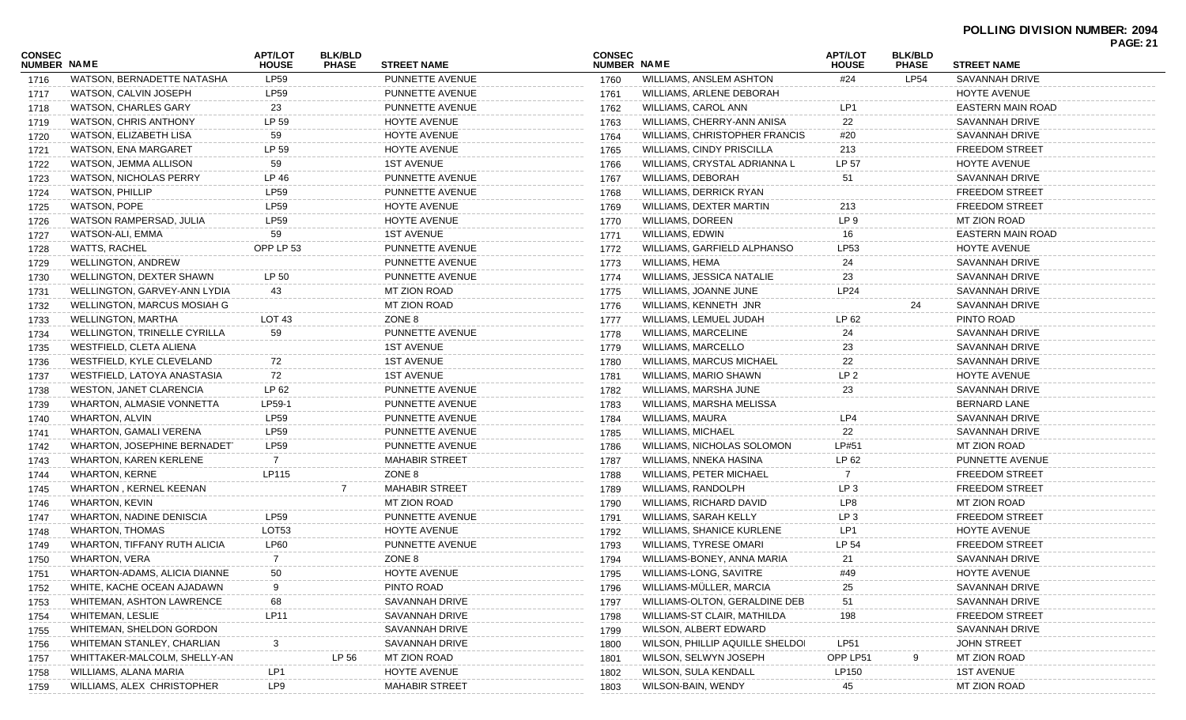|                                     |                                     |                                |                                |                        |                                     |                                  |                                |                                |                          | <b>PAGE: 21</b> |
|-------------------------------------|-------------------------------------|--------------------------------|--------------------------------|------------------------|-------------------------------------|----------------------------------|--------------------------------|--------------------------------|--------------------------|-----------------|
| <b>CONSEC</b><br><b>NUMBER NAME</b> |                                     | <b>APT/LOT</b><br><b>HOUSE</b> | <b>BLK/BLD</b><br><b>PHASE</b> | <b>STREET NAME</b>     | <b>CONSEC</b><br><b>NUMBER NAME</b> |                                  | <b>APT/LOT</b><br><b>HOUSE</b> | <b>BLK/BLD</b><br><b>PHASE</b> | <b>STREET NAME</b>       |                 |
| 1716                                | WATSON, BERNADETTE NATASHA          | <b>LP59</b>                    |                                | PUNNETTE AVENUE        | 1760                                | <b>WILLIAMS, ANSLEM ASHTON</b>   | #24                            | <b>LP54</b>                    | <b>SAVANNAH DRIVE</b>    |                 |
| 1717                                | WATSON, CALVIN JOSEPH               | LP59                           |                                | PUNNETTE AVENUE        | 1761                                | WILLIAMS, ARLENE DEBORAH         |                                |                                | HOYTE AVENUE             |                 |
| 1718                                | WATSON, CHARLES GARY                | 23                             |                                | PUNNETTE AVENUE        | 1762                                | WILLIAMS, CAROL ANN              | LP1                            |                                | <b>EASTERN MAIN ROAD</b> |                 |
| 1719                                | WATSON, CHRIS ANTHONY               | LP 59                          |                                | <b>HOYTE AVENUE</b>    | 1763                                | WILLIAMS, CHERRY-ANN ANISA       | 22                             |                                | <b>SAVANNAH DRIVE</b>    |                 |
| 1720                                | WATSON, ELIZABETH LISA              | 59                             |                                | <b>HOYTE AVENUE</b>    | 1764                                | WILLIAMS, CHRISTOPHER FRANCIS    | #20                            |                                | SAVANNAH DRIVE           |                 |
| 1721                                | WATSON, ENA MARGARET                | LP 59                          |                                | HOYTE AVENUE           | 1765                                | WILLIAMS, CINDY PRISCILLA        | 213                            |                                | <b>FREEDOM STREET</b>    |                 |
| 1722                                | WATSON, JEMMA ALLISON               | 59                             |                                | <b>1ST AVENUE</b>      | 1766                                | WILLIAMS, CRYSTAL ADRIANNA L     | LP 57                          |                                | HOYTE AVENUE             |                 |
| 1723                                | <b>WATSON, NICHOLAS PERRY</b>       | LP 46                          |                                | PUNNETTE AVENUE        | 1767                                | <b>WILLIAMS, DEBORAH</b>         | 51                             |                                | SAVANNAH DRIVE           |                 |
| 1724                                | <b>WATSON, PHILLIP</b>              | <b>LP59</b>                    |                                | PUNNETTE AVENUE        | 1768                                | WILLIAMS, DERRICK RYAN           |                                |                                | <b>FREEDOM STREET</b>    |                 |
| 1725                                | <b>WATSON, POPE</b>                 | LP59                           |                                | <b>HOYTE AVENUE</b>    | 1769                                | WILLIAMS, DEXTER MARTIN          | 213                            |                                | <b>FREEDOM STREET</b>    |                 |
| 1726                                | WATSON RAMPERSAD, JULIA             | <b>LP59</b>                    |                                | HOYTE AVENUE           | 1770                                | <b>WILLIAMS, DOREEN</b>          | LP <sub>9</sub>                |                                | MT ZION ROAD             |                 |
| 1727                                | WATSON-ALI, EMMA                    | 59                             |                                | <b>1ST AVENUE</b>      | 1771                                | WILLIAMS, EDWIN                  | 16                             |                                | <b>EASTERN MAIN ROAD</b> |                 |
| 1728                                | WATTS, RACHEL                       | OPP LP 53                      |                                | PUNNETTE AVENUE        | 1772                                | WILLIAMS, GARFIELD ALPHANSO      | LP53                           |                                | HOYTE AVENUE             |                 |
| 1729                                | <b>WELLINGTON, ANDREW</b>           |                                |                                | PUNNETTE AVENUE        | 1773                                | WILLIAMS, HEMA                   | 24                             |                                | SAVANNAH DRIVE           |                 |
| 1730                                | WELLINGTON, DEXTER SHAWN            | LP 50                          |                                | PUNNETTE AVENUE        | 1774                                | <b>WILLIAMS, JESSICA NATALIE</b> | 23                             |                                | <b>SAVANNAH DRIVE</b>    |                 |
| 1731                                | WELLINGTON, GARVEY-ANN LYDIA        | 43                             |                                | MT ZION ROAD           | 1775                                | WILLIAMS, JOANNE JUNE            | <b>LP24</b>                    |                                | SAVANNAH DRIVE           |                 |
| 1732                                | WELLINGTON, MARCUS MOSIAH G         |                                |                                | MT ZION ROAD           | 1776                                | WILLIAMS, KENNETH JNR            |                                | 24                             | SAVANNAH DRIVE           |                 |
| 1733                                | WELLINGTON, MARTHA                  | LOT <sub>43</sub>              |                                | ZONE 8                 | 1777                                | WILLIAMS, LEMUEL JUDAH           | LP 62                          |                                | PINTO ROAD               |                 |
| 1734                                | <b>WELLINGTON, TRINELLE CYRILLA</b> | 59                             |                                | <b>PUNNETTE AVENUE</b> | 1778                                | <b>WILLIAMS, MARCELINE</b>       | 24                             |                                | <b>SAVANNAH DRIVE</b>    |                 |
| 1735                                | WESTFIELD, CLETA ALIENA             |                                |                                | <b>1ST AVENUE</b>      | 1779                                | WILLIAMS, MARCELLO               | 23                             |                                | SAVANNAH DRIVE           |                 |
| 1736                                | WESTFIELD, KYLE CLEVELAND           | 72                             |                                | <b>1ST AVENUE</b>      | 1780                                | <b>WILLIAMS, MARCUS MICHAEL</b>  | 22                             |                                | <b>SAVANNAH DRIVE</b>    |                 |
| 1737                                | WESTFIELD, LATOYA ANASTASIA         | 72                             |                                | <b>1ST AVENUE</b>      | 1781                                | WILLIAMS, MARIO SHAWN            | LP <sub>2</sub>                |                                | HOYTE AVENUE             |                 |
| 1738                                | WESTON, JANET CLARENCIA             | LP 62                          |                                | PUNNETTE AVENUE        | 1782                                | WILLIAMS, MARSHA JUNE            | 23                             |                                | <b>SAVANNAH DRIVE</b>    |                 |
| 1739                                | WHARTON, ALMASIE VONNETTA           | LP59-1                         |                                | PUNNETTE AVENUE        | 1783                                | WILLIAMS, MARSHA MELISSA         |                                |                                | <b>BERNARD LANE</b>      |                 |
| 1740                                | WHARTON, ALVIN                      | <b>LP59</b>                    |                                | PUNNETTE AVENUE        | 1784                                | WILLIAMS, MAURA                  | LP4                            |                                | SAVANNAH DRIVE           |                 |
| 1741                                | <b>WHARTON, GAMALI VERENA</b>       | <b>LP59</b>                    |                                | PUNNETTE AVENUE        | 1785                                | <b>WILLIAMS, MICHAEL</b>         | 22                             |                                | SAVANNAH DRIVE           |                 |
| 1742                                | WHARTON, JOSEPHINE BERNADET         | <b>LP59</b>                    |                                | PUNNETTE AVENUE        | 1786                                | WILLIAMS, NICHOLAS SOLOMON       | LP#51                          |                                | MT ZION ROAD             |                 |
| 1743                                | WHARTON, KAREN KERLENE              | 7                              |                                | <b>MAHABIR STREET</b>  | 1787                                | WILLIAMS, NNEKA HASINA           | LP 62                          |                                | PUNNETTE AVENUE          |                 |
| 1744                                | <b>WHARTON, KERNE</b>               | LP115                          |                                | ZONE 8                 | 1788                                | WILLIAMS, PETER MICHAEL          |                                |                                | <b>FREEDOM STREET</b>    |                 |
| 1745                                | <b>WHARTON, KERNEL KEENAN</b>       |                                |                                | <b>MAHABIR STREET</b>  | 1789                                | WILLIAMS, RANDOLPH               | LP <sub>3</sub>                |                                | <b>FREEDOM STREET</b>    |                 |
| 1746                                | WHARTON, KEVIN                      |                                |                                | MT ZION ROAD           | 1790                                | WILLIAMS, RICHARD DAVID          | LP8                            |                                | MT ZION ROAD             |                 |
| 1747                                | <b>WHARTON, NADINE DENISCIA</b>     | <b>LP59</b>                    |                                | PUNNETTE AVENUE        | 1791                                | WILLIAMS, SARAH KELLY            | LP <sub>3</sub>                |                                | <b>FREEDOM STREET</b>    |                 |
| 1748                                | <b>WHARTON, THOMAS</b>              | LOT53                          |                                | HOYTE AVENUE           | 1792                                | <b>WILLIAMS, SHANICE KURLENE</b> | LP1                            |                                | HOYTE AVENUE             |                 |
| 1749                                | WHARTON, TIFFANY RUTH ALICIA        | <b>LP60</b>                    |                                | PUNNETTE AVENUE        | 1793                                | WILLIAMS, TYRESE OMARI           | LP 54                          |                                | <b>FREEDOM STREET</b>    |                 |
| 1750                                | <b>WHARTON, VERA</b>                | 7                              |                                | ZONE 8                 | 1794                                | WILLIAMS-BONEY, ANNA MARIA       | 21                             |                                | SAVANNAH DRIVE           |                 |
| 1751                                | WHARTON-ADAMS, ALICIA DIANNE        | 50                             |                                | HOYTE AVENUE           | 1795                                | WILLIAMS-LONG, SAVITRE           | #49                            |                                | HOYTE AVENUE             |                 |
| 1752                                | WHITE, KACHE OCEAN AJADAWN          |                                |                                | PINTO ROAD             | 1796                                | WILLIAMS-MÜLLER, MARCIA          | 25                             |                                | SAVANNAH DRIVE           |                 |
| 1753                                | WHITEMAN, ASHTON LAWRENCE           | 68                             |                                | SAVANNAH DRIVE         | 1797                                | WILLIAMS-OLTON, GERALDINE DEB    | 51                             |                                | SAVANNAH DRIVE           |                 |
| 1754                                | WHITEMAN, LESLIE                    | <b>LP11</b>                    |                                | SAVANNAH DRIVE         | 1798                                | WILLIAMS-ST CLAIR, MATHILDA      | 198                            |                                | <b>FREEDOM STREET</b>    |                 |
| 1755                                | <b>WHITEMAN, SHELDON GORDON</b>     |                                |                                | SAVANNAH DRIVE         | 1799                                | WILSON, ALBERT EDWARD            |                                |                                | SAVANNAH DRIVE           |                 |
| 1756                                | WHITEMAN STANLEY, CHARLIAN          | 3                              |                                | SAVANNAH DRIVE         | 1800                                | WILSON, PHILLIP AQUILLE SHELDOI  | <b>LP51</b>                    |                                | <b>JOHN STREET</b>       |                 |
| 1757                                | WHITTAKER-MALCOLM, SHELLY-AN        |                                | LP 56                          | MT ZION ROAD           | 1801                                | WILSON, SELWYN JOSEPH            | OPP LP51                       |                                | MT ZION ROAD             |                 |
| 1758                                | WILLIAMS, ALANA MARIA               | LP1                            |                                | HOYTE AVENUE           | 1802                                | WILSON, SULA KENDALL             | LP150                          |                                | <b>1ST AVENUE</b>        |                 |
| 1759                                | WILLIAMS, ALEX CHRISTOPHER          | LP9                            |                                | <b>MAHABIR STREET</b>  | 1803                                | WILSON-BAIN, WENDY               | 45                             |                                | MT ZION ROAD             |                 |
|                                     |                                     |                                |                                |                        |                                     |                                  |                                |                                |                          |                 |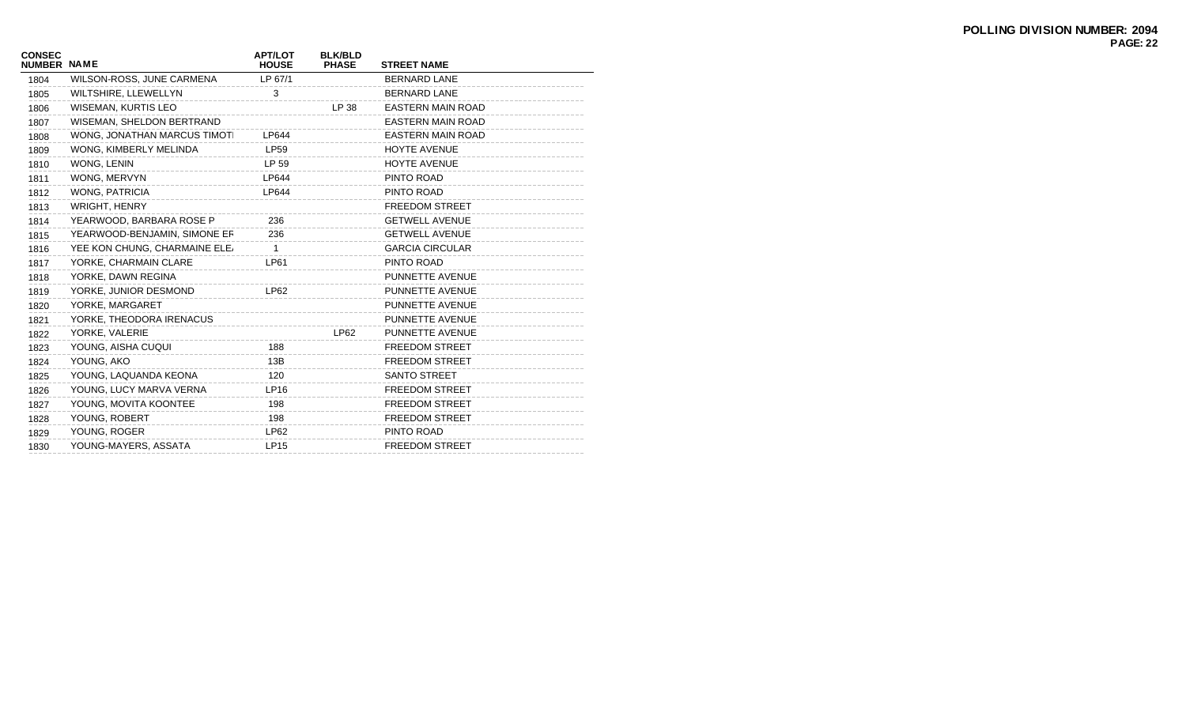| <b>CONSEC</b><br><b>NUMBER NAME</b> |                               | <b>APT/LOT</b><br><b>HOUSE</b> | <b>BLK/BLD</b><br><b>PHASE</b> | <b>STREET NAME</b>       |
|-------------------------------------|-------------------------------|--------------------------------|--------------------------------|--------------------------|
| 1804                                | WILSON-ROSS, JUNE CARMENA     | LP 67/1                        |                                | <b>BERNARD LANE</b>      |
| 1805                                | WILTSHIRE, LLEWELLYN          | 3                              |                                | <b>BERNARD LANE</b>      |
| 1806                                | <b>WISEMAN, KURTIS LEO</b>    |                                | LP 38                          | EASTERN MAIN ROAD        |
| 1807                                | WISEMAN, SHELDON BERTRAND     |                                |                                | EASTERN MAIN ROAD        |
| 1808                                | WONG, JONATHAN MARCUS TIMOTI  | LP644                          |                                | <b>EASTERN MAIN ROAD</b> |
| 1809                                | WONG, KIMBERLY MELINDA        | <b>LP59</b>                    |                                | <b>HOYTE AVENUE</b>      |
| 1810                                | WONG, LENIN                   | LP 59                          |                                | <b>HOYTE AVENUE</b>      |
| 1811                                | WONG, MERVYN                  | <b>LP644</b>                   |                                | PINTO ROAD               |
| 1812                                | WONG, PATRICIA                | LP644                          |                                | PINTO ROAD               |
| 1813                                | WRIGHT, HENRY                 |                                |                                | <b>FREEDOM STREET</b>    |
| 1814                                | YEARWOOD, BARBARA ROSE P      | 236                            |                                | <b>GETWELL AVENUE</b>    |
| 1815                                | YEARWOOD-BENJAMIN, SIMONE ER  | 236                            |                                | <b>GETWELL AVENUE</b>    |
| 1816                                | YEE KON CHUNG, CHARMAINE ELE, | 1                              |                                | <b>GARCIA CIRCULAR</b>   |
| 1817                                | YORKE, CHARMAIN CLARE         | LP61                           |                                | PINTO ROAD               |
| 1818                                | YORKE, DAWN REGINA            |                                |                                | PUNNETTE AVENUE          |
| 1819                                | YORKE, JUNIOR DESMOND         | LP62                           |                                | PUNNETTE AVENUE          |
| 1820                                | YORKE, MARGARET               |                                |                                | PUNNETTE AVENUE          |
| 1821                                | YORKE, THEODORA IRENACUS      |                                |                                | PUNNETTE AVENUE          |
| 1822                                | YORKE, VALERIE                |                                | <b>LP62</b>                    | PUNNETTE AVENUE          |
| 1823                                | YOUNG, AISHA CUQUI            | 188                            |                                | <b>FREEDOM STREET</b>    |
| 1824                                | YOUNG, AKO                    | 13B                            |                                | <b>FREEDOM STREET</b>    |
| 1825                                | YOUNG, LAQUANDA KEONA         | 120                            |                                | <b>SANTO STREET</b>      |
| 1826                                | YOUNG, LUCY MARVA VERNA       | LP16                           |                                | <b>FREEDOM STREET</b>    |
| 1827                                | YOUNG, MOVITA KOONTEE         | 198                            |                                | <b>FREEDOM STREET</b>    |
| 1828                                | YOUNG, ROBERT                 | 198                            |                                | <b>FREEDOM STREET</b>    |
| 1829                                | YOUNG, ROGER                  | LP62                           |                                | PINTO ROAD               |
| 1830                                | YOUNG-MAYERS, ASSATA          | <b>LP15</b>                    |                                | <b>FREEDOM STREET</b>    |